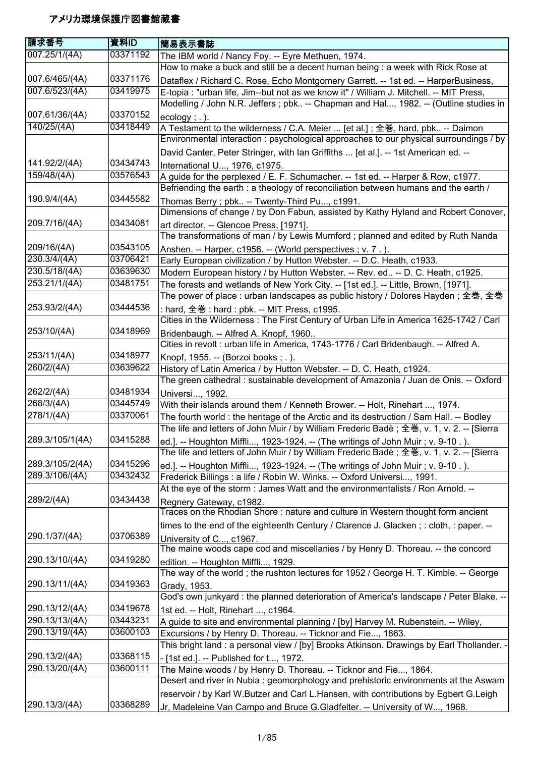| 請求番号                     | 資料ID                 | 簡易表示書誌                                                                                                                                                                      |
|--------------------------|----------------------|-----------------------------------------------------------------------------------------------------------------------------------------------------------------------------|
| 007.25/1/(4A)            | 03371192             | The IBM world / Nancy Foy. -- Eyre Methuen, 1974.                                                                                                                           |
|                          |                      | How to make a buck and still be a decent human being : a week with Rick Rose at                                                                                             |
| 007.6/465/(4A)           | 03371176             | Dataflex / Richard C. Rose, Echo Montgomery Garrett. -- 1st ed. -- HarperBusiness,                                                                                          |
| 007.6/523/(4A)           | 03419975             | E-topia : "urban life, Jim--but not as we know it" / William J. Mitchell. -- MIT Press,                                                                                     |
|                          |                      | Modelling / John N.R. Jeffers ; pbk -- Chapman and Hal, 1982. -- (Outline studies in                                                                                        |
| 007.61/36/(4A)           | 03370152             | $ecology$ ; .).                                                                                                                                                             |
| 140/25/(4A)              | 03418449             | A Testament to the wilderness / C.A. Meier  [et al.]; 全巻, hard, pbk -- Daimon                                                                                               |
|                          |                      | Environmental interaction: psychological approaches to our physical surroundings / by                                                                                       |
|                          |                      | David Canter, Peter Stringer, with Ian Griffiths  [et al.]. -- 1st American ed. --                                                                                          |
| 141.92/2/(4A)            | 03434743             | International U, 1976, c1975.                                                                                                                                               |
| 159/48/(4A)              | 03576543             | A guide for the perplexed / E. F. Schumacher. -- 1st ed. -- Harper & Row, c1977.                                                                                            |
|                          |                      | Befriending the earth : a theology of reconciliation between humans and the earth /                                                                                         |
| 190.9/4/(4A)             | 03445582             | Thomas Berry; pbk -- Twenty-Third Pu, c1991.                                                                                                                                |
|                          |                      | Dimensions of change / by Don Fabun, assisted by Kathy Hyland and Robert Conover,                                                                                           |
| 209.7/16/(4A)            | 03434081             | art director. -- Glencoe Press, [1971].                                                                                                                                     |
|                          |                      | The transformations of man / by Lewis Mumford; planned and edited by Ruth Nanda                                                                                             |
| 209/16/(4A)              | 03543105             | Anshen. -- Harper, c1956. -- (World perspectives; v. 7.).                                                                                                                   |
| 230.3/4/(4A)             | 03706421             | Early European civilization / by Hutton Webster. -- D.C. Heath, c1933.                                                                                                      |
| 230.5/18/(4A)            | 03639630             | Modern European history / by Hutton Webster. -- Rev. ed -- D. C. Heath, c1925.                                                                                              |
| 253.21/1/(4A)            | 03481751             | The forests and wetlands of New York City. -- [1st ed.]. -- Little, Brown, [1971].                                                                                          |
|                          |                      | The power of place : urban landscapes as public history / Dolores Hayden ; 全巻, 全巻                                                                                           |
| 253.93/2/(4A)            | 03444536             | : hard, 全巻 : hard : pbk. -- MIT Press, c1995.                                                                                                                               |
|                          |                      | Cities in the Wilderness: The First Century of Urban Life in America 1625-1742 / Carl                                                                                       |
| 253/10/(4A)              | 03418969             | Bridenbaugh. -- Alfred A. Knopf, 1960                                                                                                                                       |
|                          |                      | Cities in revolt : urban life in America, 1743-1776 / Carl Bridenbaugh. -- Alfred A.                                                                                        |
| 253/11/(4A)              | 03418977             | Knopf, 1955. -- (Borzoi books; .).                                                                                                                                          |
| 260/2/(4A)               | 03639622             | History of Latin America / by Hutton Webster. -- D. C. Heath, c1924.                                                                                                        |
|                          |                      | The green cathedral : sustainable development of Amazonia / Juan de Onis. -- Oxford                                                                                         |
| 262/2/(4A)               | 03481934             | Universi, 1992.                                                                                                                                                             |
| 268/3/(4A)<br>278/1/(4A) | 03445749<br>03370061 | With their islands around them / Kenneth Brower. -- Holt, Rinehart , 1974.                                                                                                  |
|                          |                      | The fourth world : the heritage of the Arctic and its destruction / Sam Hall. -- Bodley                                                                                     |
| 289.3/105/1(4A)          | 03415288             | The life and letters of John Muir / by William Frederic Badè ; 全巻, v. 1, v. 2. -- [Sierra                                                                                   |
|                          |                      | ed.]. -- Houghton Miffli, 1923-1924. -- (The writings of John Muir ; v. 9-10.).<br>The life and letters of John Muir / by William Frederic Badè; 全巻, v. 1, v. 2. -- [Sierra |
| 289.3/105/2(4A)          | 03415296             |                                                                                                                                                                             |
| 289.3/106/(4A)           | 03432432             | ed.]. -- Houghton Miffli, 1923-1924. -- (The writings of John Muir ; v. 9-10.).<br>Frederick Billings : a life / Robin W. Winks. -- Oxford Universi, 1991.                  |
|                          |                      | At the eye of the storm : James Watt and the environmentalists / Ron Arnold. --                                                                                             |
| 289/2/(4A)               | 03434438             |                                                                                                                                                                             |
|                          |                      | Regnery Gateway, c1982.<br>Traces on the Rhodian Shore: nature and culture in Western thought form ancient                                                                  |
|                          |                      | times to the end of the eighteenth Century / Clarence J. Glacken; : cloth, : paper. --                                                                                      |
| 290.1/37/(4A)            | 03706389             | University of C, c1967.                                                                                                                                                     |
|                          |                      | The maine woods cape cod and miscellanies / by Henry D. Thoreau. -- the concord                                                                                             |
| 290.13/10/(4A)           | 03419280             | edition. -- Houghton Miffli, 1929.                                                                                                                                          |
|                          |                      | The way of the world; the rushton lectures for 1952 / George H. T. Kimble. -- George                                                                                        |
| 290.13/11/(4A)           | 03419363             | Grady, 1953.                                                                                                                                                                |
|                          |                      | God's own junkyard : the planned deterioration of America's landscape / Peter Blake. --                                                                                     |
| 290.13/12/(4A)           | 03419678             | 1st ed. -- Holt, Rinehart , c1964.                                                                                                                                          |
| 290.13/13/(4A)           | 03443231             | A guide to site and environmental planning / [by] Harvey M. Rubenstein. -- Wiley,                                                                                           |
| 290.13/19/(4A)           | 03600103             | Excursions / by Henry D. Thoreau. -- Ticknor and Fie, 1863.                                                                                                                 |
|                          |                      | This bright land: a personal view / [by] Brooks Atkinson. Drawings by Earl Thollander. -                                                                                    |
| 290.13/2/(4A)            | 03368115             | - [1st ed.]. -- Published for t, 1972.                                                                                                                                      |
| 290.13/20/(4A)           | 03600111             | The Maine woods / by Henry D. Thoreau. -- Ticknor and Fie, 1864.                                                                                                            |
|                          |                      | Desert and river in Nubia : geomorphology and prehistoric environments at the Aswam                                                                                         |
|                          |                      | reservoir / by Karl W.Butzer and Carl L.Hansen, with contributions by Egbert G.Leigh                                                                                        |
| 290.13/3/(4A)            | 03368289             | Jr, Madeleine Van Campo and Bruce G. Gladfelter. -- University of W, 1968.                                                                                                  |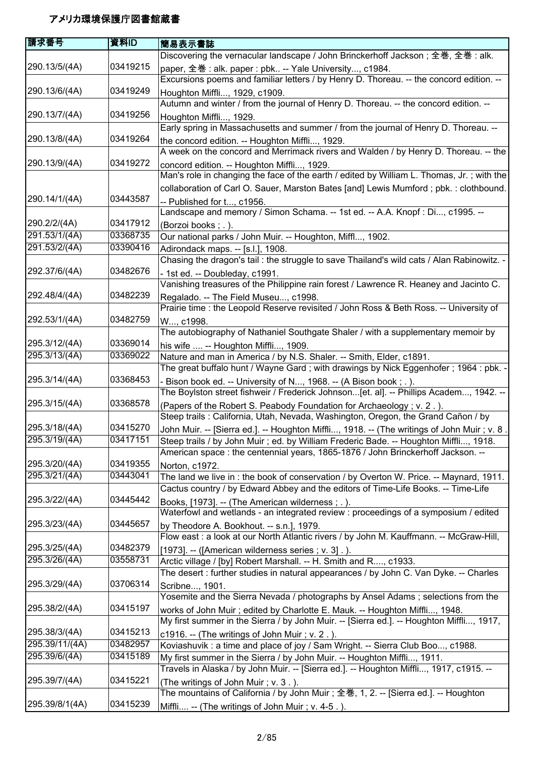| 請求番号           | 資料ID     | 簡易表示書誌                                                                                      |
|----------------|----------|---------------------------------------------------------------------------------------------|
|                |          | Discovering the vernacular landscape / John Brinckerhoff Jackson; 全巻, 全巻: alk.              |
| 290.13/5/(4A)  | 03419215 | paper, 全巻: alk. paper: pbk -- Yale University, c1984.                                       |
|                |          | Excursions poems and familiar letters / by Henry D. Thoreau. -- the concord edition. --     |
| 290.13/6/(4A)  | 03419249 | Houghton Miffli, 1929, c1909.                                                               |
|                |          | Autumn and winter / from the journal of Henry D. Thoreau. -- the concord edition. --        |
| 290.13/7/(4A)  | 03419256 | Houghton Miffli, 1929.                                                                      |
|                |          | Early spring in Massachusetts and summer / from the journal of Henry D. Thoreau. --         |
| 290.13/8/(4A)  | 03419264 | the concord edition. -- Houghton Miffli, 1929.                                              |
|                |          | A week on the concord and Merrimack rivers and Walden / by Henry D. Thoreau. -- the         |
| 290.13/9/(4A)  | 03419272 | concord edition. -- Houghton Miffli, 1929.                                                  |
|                |          | Man's role in changing the face of the earth / edited by William L. Thomas, Jr.; with the   |
|                |          | collaboration of Carl O. Sauer, Marston Bates [and] Lewis Mumford; pbk.: clothbound.        |
| 290.14/1/(4A)  | 03443587 | -- Published for t, c1956.                                                                  |
|                |          | Landscape and memory / Simon Schama. -- 1st ed. -- A.A. Knopf : Di, c1995. --               |
| 290.2/2/(4A)   | 03417912 | (Borzoi books; .).                                                                          |
| 291.53/1/(4A)  | 03368735 | Our national parks / John Muir. -- Houghton, Miffl, 1902.                                   |
| 291.53/2/(4A)  | 03390416 | Adirondack maps. -- [s.l.], 1908.                                                           |
|                |          | Chasing the dragon's tail: the struggle to save Thailand's wild cats / Alan Rabinowitz. -   |
| 292.37/6/(4A)  | 03482676 | - 1st ed. -- Doubleday, c1991.                                                              |
|                |          | Vanishing treasures of the Philippine rain forest / Lawrence R. Heaney and Jacinto C.       |
| 292.48/4/(4A)  | 03482239 | Regalado. -- The Field Museu, c1998.                                                        |
|                |          | Prairie time : the Leopold Reserve revisited / John Ross & Beth Ross. -- University of      |
| 292.53/1/(4A)  | 03482759 | W, c1998.                                                                                   |
|                |          | The autobiography of Nathaniel Southgate Shaler / with a supplementary memoir by            |
| 295.3/12/(4A)  | 03369014 | his wife  -- Houghton Miffli, 1909.                                                         |
| 295.3/13/(4A)  | 03369022 | Nature and man in America / by N.S. Shaler. -- Smith, Elder, c1891.                         |
|                |          | The great buffalo hunt / Wayne Gard ; with drawings by Nick Eggenhofer ; 1964 : pbk. -      |
| 295.3/14/(4A)  | 03368453 | - Bison book ed. -- University of N, 1968. -- (A Bison book ; . ).                          |
|                |          | The Boylston street fishweir / Frederick Johnson[et. al]. -- Phillips Academ, 1942. --      |
| 295.3/15/(4A)  | 03368578 | (Papers of the Robert S. Peabody Foundation for Archaeology; v. 2.).                        |
|                |          | Steep trails : California, Utah, Nevada, Washington, Oregon, the Grand Cañon / by           |
| 295.3/18/(4A)  | 03415270 | John Muir. -- [Sierra ed.]. -- Houghton Miffli, 1918. -- (The writings of John Muir ; v. 8. |
| 295.3/19/(4A)  | 03417151 | Steep trails / by John Muir ; ed. by William Frederic Bade. -- Houghton Miffli, 1918.       |
|                |          | American space : the centennial years, 1865-1876 / John Brinckerhoff Jackson. --            |
| 295.3/20/(4A)  | 03419355 | Norton, c1972.                                                                              |
| 295.3/21/(4A)  | 03443041 | The land we live in: the book of conservation / by Overton W. Price. -- Maynard, 1911.      |
|                |          | Cactus country / by Edward Abbey and the editors of Time-Life Books. -- Time-Life           |
| 295.3/22/(4A)  | 03445442 | Books, [1973]. -- (The American wilderness; .).                                             |
|                |          | Waterfowl and wetlands - an integrated review : proceedings of a symposium / edited         |
| 295.3/23/(4A)  | 03445657 | by Theodore A. Bookhout. -- s.n.], 1979.                                                    |
|                |          | Flow east : a look at our North Atlantic rivers / by John M. Kauffmann. -- McGraw-Hill,     |
| 295.3/25/(4A)  | 03482379 | [1973]. -- ([American wilderness series ; v. 3].).                                          |
| 295.3/26/(4A)  | 03558731 | Arctic village / [by] Robert Marshall. -- H. Smith and R, c1933.                            |
|                |          | The desert : further studies in natural appearances / by John C. Van Dyke. -- Charles       |
| 295.3/29/(4A)  | 03706314 | Scribne, 1901.                                                                              |
|                |          | Yosemite and the Sierra Nevada / photographs by Ansel Adams; selections from the            |
| 295.38/2/(4A)  | 03415197 | works of John Muir; edited by Charlotte E. Mauk. -- Houghton Miffli, 1948.                  |
|                |          | My first summer in the Sierra / by John Muir. -- [Sierra ed.]. -- Houghton Miffli, 1917,    |
| 295.38/3/(4A)  | 03415213 | c1916. -- (The writings of John Muir ; v. 2.).                                              |
| 295.39/11/(4A) | 03482957 | Koviashuvik: a time and place of joy / Sam Wright. -- Sierra Club Boo, c1988.               |
| 295.39/6/(4A)  | 03415189 | My first summer in the Sierra / by John Muir. -- Houghton Miffli, 1911.                     |
|                |          | Travels in Alaska / by John Muir. -- [Sierra ed.]. -- Houghton Miffli, 1917, c1915. --      |
| 295.39/7/(4A)  | 03415221 | (The writings of John Muir; v. 3.).                                                         |
|                |          | The mountains of California / by John Muir; 全巻, 1, 2. -- [Sierra ed.]. -- Houghton          |
| 295.39/8/1(4A) | 03415239 | Miffli -- (The writings of John Muir; v. 4-5.).                                             |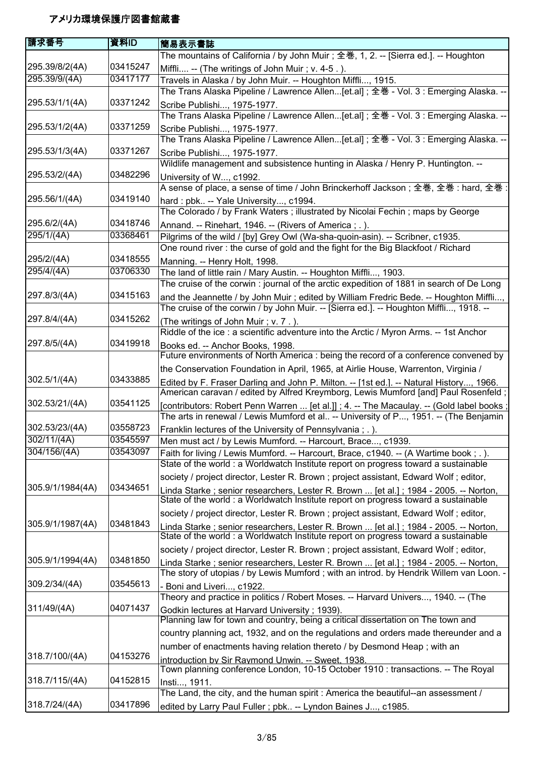| 請求番号                  | 資料ID     | 簡易表示書誌                                                                                                                                                                           |
|-----------------------|----------|----------------------------------------------------------------------------------------------------------------------------------------------------------------------------------|
|                       |          | The mountains of California / by John Muir ; 全巻, 1, 2. -- [Sierra ed.]. -- Houghton                                                                                              |
| 295.39/8/2(4A)        | 03415247 | Miffli -- (The writings of John Muir; v. 4-5.).                                                                                                                                  |
| 295.39/9/(4A)         | 03417177 | Travels in Alaska / by John Muir. -- Houghton Miffli, 1915.                                                                                                                      |
|                       |          | The Trans Alaska Pipeline / Lawrence Allen[et.al] ; 全巻 - Vol. 3 : Emerging Alaska. --                                                                                            |
| 295.53/1/1(4A)        | 03371242 | Scribe Publishi, 1975-1977.                                                                                                                                                      |
|                       |          | The Trans Alaska Pipeline / Lawrence Allen[et.al] ; 全巻 - Vol. 3 : Emerging Alaska. --                                                                                            |
| 295.53/1/2(4A)        | 03371259 | Scribe Publishi, 1975-1977.                                                                                                                                                      |
|                       |          | The Trans Alaska Pipeline / Lawrence Allen[et.al] ; 全巻 - Vol. 3 : Emerging Alaska. --                                                                                            |
| 295.53/1/3(4A)        | 03371267 | Scribe Publishi, 1975-1977.                                                                                                                                                      |
|                       |          | Wildlife management and subsistence hunting in Alaska / Henry P. Huntington. --                                                                                                  |
| 295.53/2/(4A)         | 03482296 | University of W, c1992.                                                                                                                                                          |
|                       |          | A sense of place, a sense of time / John Brinckerhoff Jackson; 全巻, 全巻: hard, 全巻                                                                                                  |
| 295.56/1/(4A)         | 03419140 |                                                                                                                                                                                  |
|                       |          | hard: pbk -- Yale University, c1994.<br>The Colorado / by Frank Waters; illustrated by Nicolai Fechin; maps by George                                                            |
| 295.6/2/(4A)          | 03418746 | Annand. -- Rinehart, 1946. -- (Rivers of America; .).                                                                                                                            |
| 295/1/(4A)            | 03368461 | Pilgrims of the wild / [by] Grey Owl (Wa-sha-quoin-asin). -- Scribner, c1935.                                                                                                    |
|                       |          | One round river: the curse of gold and the fight for the Big Blackfoot / Richard                                                                                                 |
| 295/2/(4A)            | 03418555 |                                                                                                                                                                                  |
| 295/4/(4A)            | 03706330 | Manning. -- Henry Holt, 1998.<br>The land of little rain / Mary Austin. -- Houghton Miffli, 1903.                                                                                |
|                       |          | The cruise of the corwin : journal of the arctic expedition of 1881 in search of De Long                                                                                         |
| 297.8/3/(4A)          | 03415163 |                                                                                                                                                                                  |
|                       |          | and the Jeannette / by John Muir ; edited by William Fredric Bede. -- Houghton Miffli,<br>The cruise of the corwin / by John Muir. -- [Sierra ed.]. -- Houghton Miffli, 1918. -- |
| 297.8/4/(4A)          | 03415262 |                                                                                                                                                                                  |
|                       |          | (The writings of John Muir; v. 7.).<br>Riddle of the ice : a scientific adventure into the Arctic / Myron Arms. -- 1st Anchor                                                    |
| 297.8/5/(4A)          | 03419918 |                                                                                                                                                                                  |
|                       |          | Books ed. -- Anchor Books, 1998.<br>Future environments of North America : being the record of a conference convened by                                                          |
|                       |          |                                                                                                                                                                                  |
| 302.5/1/(4A)          | 03433885 | the Conservation Foundation in April, 1965, at Airlie House, Warrenton, Virginia /                                                                                               |
|                       |          | Edited by F. Fraser Darling and John P. Milton. -- [1st ed.]. -- Natural History, 1966.<br>American caravan / edited by Alfred Kreymborg, Lewis Mumford [and] Paul Rosenfeld;    |
| 302.53/21/(4A)        | 03541125 |                                                                                                                                                                                  |
|                       |          | [contributors: Robert Penn Warren  [et al.]] ; 4. -- The Macaulay. -- (Gold label books<br>The arts in renewal / Lewis Mumford et al -- University of P, 1951. -- (The Benjamin  |
| 302.53/23/(4A)        | 03558723 |                                                                                                                                                                                  |
| 302/11/(4A)           | 03545597 | Franklin lectures of the University of Pennsylvania; .).<br>Men must act / by Lewis Mumford. -- Harcourt, Brace, c1939.                                                          |
| $\sqrt{304/156/(4A)}$ | 03543097 | Faith for living / Lewis Mumford. -- Harcourt, Brace, c1940. -- (A Wartime book; .).                                                                                             |
|                       |          | State of the world : a Worldwatch Institute report on progress toward a sustainable                                                                                              |
|                       |          | society / project director, Lester R. Brown; project assistant, Edward Wolf; editor,                                                                                             |
| 305.9/1/1984(4A)      | 03434651 |                                                                                                                                                                                  |
|                       |          | Linda Starke; senior researchers, Lester R. Brown  [et al.]; 1984 - 2005. -- Norton,<br>State of the world : a Worldwatch Institute report on progress toward a sustainable      |
|                       |          |                                                                                                                                                                                  |
| 305.9/1/1987(4A)      | 03481843 | society / project director, Lester R. Brown; project assistant, Edward Wolf; editor,                                                                                             |
|                       |          | Linda Starke; senior researchers, Lester R. Brown  [et al.]; 1984 - 2005. -- Norton,<br>State of the world : a Worldwatch Institute report on progress toward a sustainable      |
|                       |          |                                                                                                                                                                                  |
| 305.9/1/1994(4A)      | 03481850 | society / project director, Lester R. Brown ; project assistant, Edward Wolf ; editor,                                                                                           |
|                       |          | Linda Starke; senior researchers, Lester R. Brown  [et al.]; 1984 - 2005. -- Norton,<br>The story of utopias / by Lewis Mumford; with an introd. by Hendrik Willem van Loon. -   |
| 309.2/34/(4A)         | 03545613 |                                                                                                                                                                                  |
|                       |          | Boni and Liveri, c1922.<br>Theory and practice in politics / Robert Moses. -- Harvard Univers, 1940. -- (The                                                                     |
| 311/49/(4A)           | 04071437 |                                                                                                                                                                                  |
|                       |          | Godkin lectures at Harvard University; 1939).<br>Planning law for town and country, being a critical dissertation on The town and                                                |
|                       |          | country planning act, 1932, and on the regulations and orders made thereunder and a                                                                                              |
|                       |          |                                                                                                                                                                                  |
| 318.7/100/(4A)        | 04153276 | number of enactments having relation thereto / by Desmond Heap; with an                                                                                                          |
|                       |          | introduction by Sir Raymond Unwin. -- Sweet, 1938.<br>Town planning conference London, 10-15 October 1910 : transactions. -- The Royal                                           |
| 318.7/115/(4A)        | 04152815 |                                                                                                                                                                                  |
|                       |          | Insti, 1911.<br>The Land, the city, and the human spirit: America the beautiful--an assessment /                                                                                 |
| 318.7/24/(4A)         | 03417896 |                                                                                                                                                                                  |
|                       |          | edited by Larry Paul Fuller; pbk -- Lyndon Baines J, c1985.                                                                                                                      |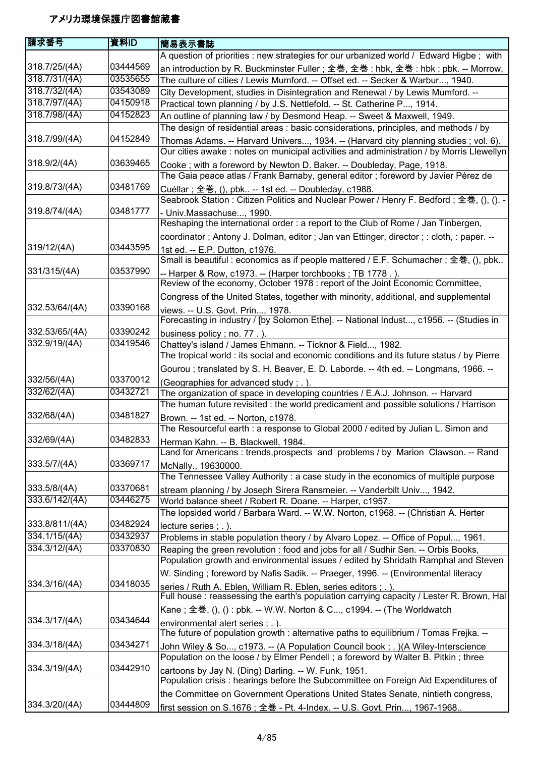| 請求番号                            | 資料ID                 | 簡易表示書誌                                                                                                                                                                 |
|---------------------------------|----------------------|------------------------------------------------------------------------------------------------------------------------------------------------------------------------|
|                                 |                      | A question of priorities : new strategies for our urbanized world / Edward Higbe; with                                                                                 |
| 318.7/25/(4A)                   | 03444569             | an introduction by R. Buckminster Fuller; 全巻, 全巻: hbk, 全巻: hbk: pbk. -- Morrow,                                                                                        |
| 318.7/31/(4A)                   | 03535655             | The culture of cities / Lewis Mumford. -- Offset ed. -- Secker & Warbur, 1940.                                                                                         |
| 318.7/32/(4A)                   | 03543089             | City Development, studies in Disintegration and Renewal / by Lewis Mumford. --                                                                                         |
| 318.7/97/(4A)                   | 04150918             | Practical town planning / by J.S. Nettlefold. -- St. Catherine P, 1914.                                                                                                |
| 318.7/98/(4A)                   | 04152823             | An outline of planning law / by Desmond Heap. -- Sweet & Maxwell, 1949.                                                                                                |
|                                 |                      | The design of residential areas: basic considerations, principles, and methods / by                                                                                    |
| 318.7/99/(4A)                   | 04152849             | Thomas Adams. -- Harvard Univers, 1934. -- (Harvard city planning studies; vol. 6).                                                                                    |
|                                 |                      | Our cities awake : notes on municipal activities and administration / by Morris Llewellyn                                                                              |
| 318.9/2/(4A)                    | 03639465             | Cooke; with a foreword by Newton D. Baker. -- Doubleday, Page, 1918.                                                                                                   |
|                                 |                      | The Gaia peace atlas / Frank Barnaby, general editor ; foreword by Javier Pérez de                                                                                     |
| 319.8/73/(4A)                   | 03481769             | Cuéllar; 全巻, (), pbk -- 1st ed. -- Doubleday, c1988.                                                                                                                   |
|                                 |                      | Seabrook Station: Citizen Politics and Nuclear Power / Henry F. Bedford; 全巻, (), (). -                                                                                 |
| 319.8/74/(4A)                   | 03481777             | - Univ.Massachuse, 1990.                                                                                                                                               |
|                                 |                      | Reshaping the international order : a report to the Club of Rome / Jan Tinbergen,                                                                                      |
|                                 |                      | coordinator; Antony J. Dolman, editor; Jan van Ettinger, director; : cloth, : paper. --                                                                                |
| 319/12/(4A)                     | 03443595             | 1st ed. -- E.P. Dutton, c1976.                                                                                                                                         |
|                                 |                      | Small is beautiful : economics as if people mattered / E.F. Schumacher; 全巻, (), pbk                                                                                    |
| 331/315/(4A)                    | 03537990             | -- Harper & Row, c1973. -- (Harper torchbooks; TB 1778.).                                                                                                              |
|                                 |                      | Review of the economy, October 1978 : report of the Joint Economic Committee,                                                                                          |
|                                 |                      | Congress of the United States, together with minority, additional, and supplemental                                                                                    |
| 332.53/64/(4A)                  | 03390168             | views. -- U.S. Govt. Prin, 1978.                                                                                                                                       |
|                                 |                      | Forecasting in industry / [by Solomon Ethe]. -- National Indust, c1956. -- (Studies in                                                                                 |
| 332.53/65/(4A)<br>332.9/19/(4A) | 03390242<br>03419546 | business policy; no. 77.).                                                                                                                                             |
|                                 |                      | Chattey's island / James Ehmann. -- Ticknor & Field, 1982.<br>The tropical world : its social and economic conditions and its future status / by Pierre                |
|                                 |                      |                                                                                                                                                                        |
| 332/56/(4A)                     | 03370012             | Gourou ; translated by S. H. Beaver, E. D. Laborde. -- 4th ed. -- Longmans, 1966. --                                                                                   |
| 332/62/(4A)                     | 03432721             | (Geographies for advanced study; .).                                                                                                                                   |
|                                 |                      | The organization of space in developing countries / E.A.J. Johnson. -- Harvard<br>The human future revisited : the world predicament and possible solutions / Harrison |
| 332/68/(4A)                     | 03481827             | Brown. -- 1st ed. -- Norton, c1978.                                                                                                                                    |
|                                 |                      | The Resourceful earth : a response to Global 2000 / edited by Julian L. Simon and                                                                                      |
| 332/69/(4A)                     | 03482833             | Herman Kahn. -- B. Blackwell, 1984.                                                                                                                                    |
|                                 |                      | Land for Americans: trends, prospects and problems / by Marion Clawson. -- Rand                                                                                        |
| 333.5/7/(4A)                    | 03369717             | McNally., 19630000.                                                                                                                                                    |
|                                 |                      | The Tennessee Valley Authority: a case study in the economics of multiple purpose                                                                                      |
| 333.5/8/(4A)                    | 03370681             | stream planning / by Joseph Sirera Ransmeier. -- Vanderbilt Univ, 1942.                                                                                                |
| 333.6/142/(4A)                  | 03446275             | World balance sheet / Robert R. Doane. -- Harper, c1957.                                                                                                               |
|                                 |                      | The lopsided world / Barbara Ward. -- W.W. Norton, c1968. -- (Christian A. Herter                                                                                      |
| 333.8/811/(4A)                  | 03482924             | lecture series ; . ).                                                                                                                                                  |
| 334.1/15/(4A)                   | 03432937             | Problems in stable population theory / by Alvaro Lopez. -- Office of Popul, 1961.                                                                                      |
| 334.3/12/(4A)                   | 03370830             | Reaping the green revolution : food and jobs for all / Sudhir Sen. -- Orbis Books,                                                                                     |
|                                 |                      | Population growth and environmental issues / edited by Shridath Ramphal and Steven                                                                                     |
|                                 |                      | W. Sinding; foreword by Nafis Sadik. -- Praeger, 1996. -- (Environmental literacy                                                                                      |
| 334.3/16/(4A)                   | 03418035             | series / Ruth A. Eblen, William R. Eblen, series editors ; . ).                                                                                                        |
|                                 |                      | Full house : reassessing the earth's population carrying capacity / Lester R. Brown, Hal                                                                               |
|                                 |                      | Kane; 全巻, (), () : pbk. -- W.W. Norton & C, c1994. -- (The Worldwatch                                                                                                  |
| 334.3/17/(4A)                   | 03434644             | environmental alert series ; . ).                                                                                                                                      |
|                                 |                      | The future of population growth : alternative paths to equilibrium / Tomas Freika. --                                                                                  |
| 334.3/18/(4A)                   | 03434271             | John Wiley & So, c1973. -- (A Population Council book; .) (A Wiley-Interscience                                                                                        |
|                                 |                      | Population on the loose / by Elmer Pendell; a foreword by Walter B. Pitkin; three                                                                                      |
| 334.3/19/(4A)                   | 03442910             | cartoons by Jay N. (Ding) Darling. -- W. Funk, 1951.                                                                                                                   |
|                                 |                      | Population crisis : hearings before the Subcommittee on Foreign Aid Expenditures of                                                                                    |
|                                 |                      | the Committee on Government Operations United States Senate, nintieth congress,                                                                                        |
| 334.3/20/(4A)                   | 03444809             | first session on S.1676; 全巻 - Pt. 4-Index. -- U.S. Govt. Prin, 1967-1968                                                                                               |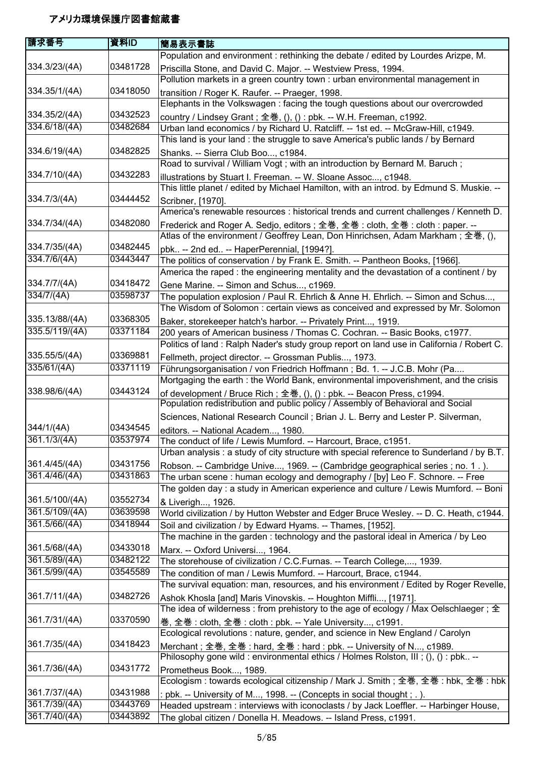| 請求番号                       | 資料ID                 | 簡易表示書誌                                                                                                                                                         |
|----------------------------|----------------------|----------------------------------------------------------------------------------------------------------------------------------------------------------------|
|                            |                      | Population and environment : rethinking the debate / edited by Lourdes Arizpe, M.                                                                              |
| 334.3/23/(4A)              | 03481728             | Priscilla Stone, and David C. Major. -- Westview Press, 1994.                                                                                                  |
|                            |                      | Pollution markets in a green country town : urban environmental management in                                                                                  |
| 334.35/1/(4A)              | 03418050             | transition / Roger K. Raufer. -- Praeger, 1998.                                                                                                                |
|                            |                      | Elephants in the Volkswagen : facing the tough questions about our overcrowded                                                                                 |
| 334.35/2/(4A)              | 03432523             | country / Lindsey Grant; 全巻, (), () : pbk. -- W.H. Freeman, c1992.                                                                                             |
| 334.6/18/(4A)              | 03482684             | Urban land economics / by Richard U. Ratcliff. -- 1st ed. -- McGraw-Hill, c1949.                                                                               |
|                            |                      | This land is your land : the struggle to save America's public lands / by Bernard                                                                              |
| 334.6/19/(4A)              | 03482825             | Shanks. -- Sierra Club Boo, c1984.                                                                                                                             |
| 334.7/10/(4A)              | 03432283             | Road to survival / William Vogt; with an introduction by Bernard M. Baruch;                                                                                    |
|                            |                      | illustrations by Stuart I. Freeman. -- W. Sloane Assoc, c1948.<br>This little planet / edited by Michael Hamilton, with an introd. by Edmund S. Muskie. --     |
| 334.7/3/(4A)               | 03444452             | Scribner, [1970].                                                                                                                                              |
|                            |                      | America's renewable resources : historical trends and current challenges / Kenneth D.                                                                          |
| 334.7/34/(4A)              | 03482080             | Frederick and Roger A. Sedjo, editors; 全巻, 全巻 : cloth, 全巻 : cloth : paper. --                                                                                  |
|                            |                      | Atlas of the environment / Geoffrey Lean, Don Hinrichsen, Adam Markham; 全巻, (),                                                                                |
| 334.7/35/(4A)              | 03482445             | pbk -- 2nd ed -- HaperPerennial, [1994?].                                                                                                                      |
| 334.7/6/(4A)               | 03443447             | The politics of conservation / by Frank E. Smith. -- Pantheon Books, [1966].                                                                                   |
|                            |                      | America the raped : the engineering mentality and the devastation of a continent / by                                                                          |
| 334.7/7/(4A)               | 03418472             | Gene Marine. -- Simon and Schus, c1969.                                                                                                                        |
| 334/7/(4A)                 | 03598737             | The population explosion / Paul R. Ehrlich & Anne H. Ehrlich. -- Simon and Schus,                                                                              |
|                            |                      | The Wisdom of Solomon: certain views as conceived and expressed by Mr. Solomon                                                                                 |
| 335.13/88/(4A)             | 03368305             | Baker, storekeeper hatch's harbor. -- Privately Print, 1919.                                                                                                   |
| 335.5/119/(4A)             | 03371184             | 200 years of American business / Thomas C. Cochran. -- Basic Books, c1977.                                                                                     |
|                            |                      | Politics of land: Ralph Nader's study group report on land use in California / Robert C.                                                                       |
| 335.55/5/(4A)              | 03369881             | Fellmeth, project director. -- Grossman Publis, 1973.                                                                                                          |
| 335/61/(4A)                | 03371119             | Führungsorganisation / von Friedrich Hoffmann; Bd. 1. -- J.C.B. Mohr (Pa                                                                                       |
|                            |                      | Mortgaging the earth : the World Bank, environmental impoverishment, and the crisis                                                                            |
| 338.98/6/(4A)              | 03443124             | of development / Bruce Rich; 全巻, (), () : pbk. -- Beacon Press, c1994.                                                                                         |
|                            |                      | Population redistribution and public policy / Assembly of Behavioral and Social                                                                                |
|                            |                      | Sciences, National Research Council; Brian J. L. Berry and Lester P. Silverman,                                                                                |
| 344/1/(4A)<br>361.1/3/(4A) | 03434545<br>03537974 | editors. -- National Academ, 1980.                                                                                                                             |
|                            |                      | The conduct of life / Lewis Mumford. -- Harcourt, Brace, c1951.<br>Urban analysis : a study of city structure with special reference to Sunderland / by B.T.   |
| 361.4/45/(4A)              | 03431756             |                                                                                                                                                                |
| 361.4/46/(4A)              | 03431863             | Robson. -- Cambridge Unive, 1969. -- (Cambridge geographical series ; no. 1.).<br>The urban scene: human ecology and demography / [by] Leo F. Schnore. -- Free |
|                            |                      | The golden day : a study in American experience and culture / Lewis Mumford. -- Boni                                                                           |
| 361.5/100/(4A)             | 03552734             | & Liverigh, 1926.                                                                                                                                              |
| 361.5/109/(4A)             | 03639598             | World civilization / by Hutton Webster and Edger Bruce Wesley. -- D. C. Heath, c1944.                                                                          |
| 361.5/66/(4A)              | 03418944             | Soil and civilization / by Edward Hyams. -- Thames, [1952].                                                                                                    |
|                            |                      | The machine in the garden: technology and the pastoral ideal in America / by Leo                                                                               |
| 361.5/68/(4A)              | 03433018             | Marx. -- Oxford Universi, 1964.                                                                                                                                |
| 361.5/89/(4A)              | 03482122             | The storehouse of civilization / C.C.Furnas. -- Tearch College,, 1939.                                                                                         |
| 361.5/99/(4A)              | 03545589             | The condition of man / Lewis Mumford. -- Harcourt, Brace, c1944.                                                                                               |
|                            |                      | The survival equation: man, resources, and his environment / Edited by Roger Revelle,                                                                          |
| 361.7/11/(4A)              | 03482726             | Ashok Khosla [and] Maris Vinovskis. -- Houghton Miffli, [1971].                                                                                                |
|                            |                      | The idea of wilderness : from prehistory to the age of ecology / Max Oelschlaeger ; $\pm$                                                                      |
| 361.7/31/(4A)              | 03370590             | 巻, 全巻 : cloth, 全巻 : cloth : pbk. -- Yale University, c1991.                                                                                                    |
|                            |                      | Ecological revolutions : nature, gender, and science in New England / Carolyn                                                                                  |
| 361.7/35/(4A)              | 03418423             | Merchant; 全巻, 全巻: hard, 全巻: hard: pbk. -- University of N, c1989.                                                                                              |
|                            |                      | Philosophy gone wild: environmental ethics / Holmes Rolston, III; (), (): pbk --                                                                               |
| 361.7/36/(4A)              | 03431772             | Prometheus Book, 1989.                                                                                                                                         |
|                            |                      | Ecologism : towards ecological citizenship / Mark J. Smith ; 全巻, 全巻 : hbk, 全巻 : hbk                                                                            |
| 361.7/37/(4A)              | 03431988             | : pbk. -- University of M, 1998. -- (Concepts in social thought ; . ).                                                                                         |
| 361.7/39/(4A)              | 03443769             | Headed upstream : interviews with iconoclasts / by Jack Loeffler. -- Harbinger House,                                                                          |
| 361.7/40/(4A)              | 03443892             | The global citizen / Donella H. Meadows. -- Island Press, c1991.                                                                                               |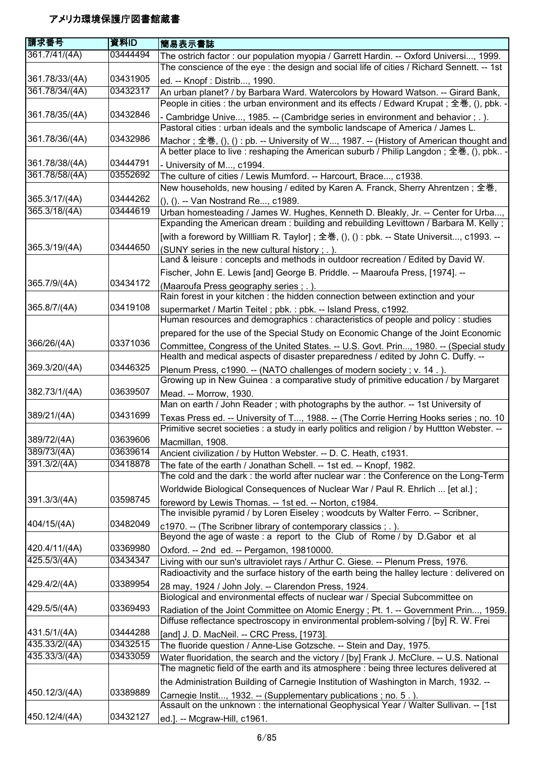| 請求番号           | 資料ID     | 簡易表示書誌                                                                                                                                                                                |
|----------------|----------|---------------------------------------------------------------------------------------------------------------------------------------------------------------------------------------|
| 361.7/41/(4A)  | 03444494 | The ostrich factor : our population myopia / Garrett Hardin. -- Oxford Universi, 1999.<br>The conscience of the eye : the design and social life of cities / Richard Sennett. -- 1st  |
| 361.78/33/(4A) | 03431905 | ed. -- Knopf : Distrib, 1990.                                                                                                                                                         |
| 361.78/34/(4A) | 03432317 | An urban planet? / by Barbara Ward. Watercolors by Howard Watson. -- Girard Bank,                                                                                                     |
|                |          | People in cities : the urban environment and its effects / Edward Krupat ; 全巻, (), pbk. -                                                                                             |
| 361.78/35/(4A) | 03432846 | - Cambridge Unive, 1985. -- (Cambridge series in environment and behavior ; . ).<br>Pastoral cities : urban ideals and the symbolic landscape of America / James L.                   |
| 361.78/36/(4A) | 03432986 | Machor; 全巻, (), () : pb. -- University of W, 1987. -- (History of American thought and<br>A better place to live : reshaping the American suburb / Philip Langdon; 全巻, (), pbk        |
| 361.78/38/(4A) | 03444791 | - University of M, c1994.                                                                                                                                                             |
| 361.78/58/(4A) | 03552692 | The culture of cities / Lewis Mumford. -- Harcourt, Brace, c1938.                                                                                                                     |
|                |          | New households, new housing / edited by Karen A. Franck, Sherry Ahrentzen; 全巻,                                                                                                        |
| 365.3/17/(4A)  | 03444262 | (), (). -- Van Nostrand Re, c1989.                                                                                                                                                    |
| 365.3/18/(4A)  | 03444619 | Urban homesteading / James W. Hughes, Kenneth D. Bleakly, Jr. -- Center for Urba,<br>Expanding the American dream: building and rebuilding Levittown / Barbara M. Kelly;              |
|                |          | [with a foreword by Willliam R. Taylor]; 全巻, (), () : pbk. -- State Universit, c1993. --                                                                                              |
| 365.3/19/(4A)  | 03444650 | (SUNY series in the new cultural history; .).                                                                                                                                         |
|                |          | Land & leisure : concepts and methods in outdoor recreation / Edited by David W.                                                                                                      |
| 365.7/9/(4A)   | 03434172 | Fischer, John E. Lewis [and] George B. Priddle. -- Maaroufa Press, [1974]. --                                                                                                         |
|                |          | (Maaroufa Press geography series; .)<br>Rain forest in your kitchen : the hidden connection between extinction and your                                                               |
| 365.8/7/(4A)   | 03419108 | supermarket / Martin Teitel ; pbk. : pbk. -- Island Press, c1992.                                                                                                                     |
|                |          | Human resources and demographics : characteristics of people and policy : studies                                                                                                     |
|                |          | prepared for the use of the Special Study on Economic Change of the Joint Economic                                                                                                    |
| 366/26/(4A)    | 03371036 | Committee, Congress of the United States. -- U.S. Govt. Prin, 1980. -- (Special study                                                                                                 |
| 369.3/20/(4A)  | 03446325 | Health and medical aspects of disaster preparedness / edited by John C. Duffy. --<br>Plenum Press, c1990. -- (NATO challenges of modern society ; v. 14.).                            |
|                |          | Growing up in New Guinea : a comparative study of primitive education / by Margaret                                                                                                   |
| 382.73/1/(4A)  | 03639507 | Mead. -- Morrow, 1930.                                                                                                                                                                |
|                |          | Man on earth / John Reader; with photographs by the author. -- 1st University of                                                                                                      |
| 389/21/(4A)    | 03431699 | Texas Press ed. -- University of T, 1988. -- (The Corrie Herring Hooks series; no. 10<br>Primitive secret societies : a study in early politics and religion / by Huttton Webster. -- |
| 389/72/(4A)    | 03639606 | Macmillan, 1908.                                                                                                                                                                      |
| 389/73/(4A)    | 03639614 | Ancient civilization / by Hutton Webster. -- D. C. Heath, c1931.                                                                                                                      |
| 391.3/2/(4A)   | 03418878 | The fate of the earth / Jonathan Schell. -- 1st ed. -- Knopf, 1982.                                                                                                                   |
|                |          | The cold and the dark: the world after nuclear war: the Conference on the Long-Term                                                                                                   |
|                |          | Worldwide Biological Consequences of Nuclear War / Paul R. Ehrlich  [et al.];                                                                                                         |
| 391.3/3/(4A)   | 03598745 | foreword by Lewis Thomas. -- 1st ed. -- Norton, c1984.<br>The invisible pyramid / by Loren Eiseley; woodcuts by Walter Ferro. -- Scribner,                                            |
| 404/15/(4A)    | 03482049 | c1970. -- (The Scribner library of contemporary classics ; .).<br>Beyond the age of waste : a report to the Club of Rome / by D. Gabor et al                                          |
| 420.4/11/(4A)  | 03369980 | Oxford. -- 2nd ed. -- Pergamon, 19810000.                                                                                                                                             |
| 425.5/3/(4A)   | 03434347 | Living with our sun's ultraviolet rays / Arthur C. Giese. -- Plenum Press, 1976.                                                                                                      |
|                |          | Radioactivity and the surface history of the earth being the halley lecture : delivered on                                                                                            |
| 429.4/2/(4A)   | 03389954 | 28 may, 1924 / John Joly. -- Clarendon Press, 1924.                                                                                                                                   |
|                |          | Biological and environmental effects of nuclear war / Special Subcommittee on                                                                                                         |
| 429.5/5/(4A)   | 03369493 | Radiation of the Joint Committee on Atomic Energy ; Pt. 1. -- Government Prin, 1959.<br>Diffuse reflectance spectroscopy in environmental problem-solving / [by] R. W. Frei           |
| 431.5/1/(4A)   | 03444288 | [and] J. D. MacNeil. -- CRC Press, [1973].                                                                                                                                            |
| 435.33/2/(4A)  | 03432515 | The fluoride question / Anne-Lise Gotzsche. -- Stein and Day, 1975.                                                                                                                   |
| 435.33/3/(4A)  | 03433059 | Water fluoridation, the search and the victory / [by] Frank J. McClure. -- U.S. National                                                                                              |
|                |          | The magnetic field of the earth and its atmosphere : being three lectures delivered at                                                                                                |
|                |          | the Administration Building of Carnegie Institution of Washington in March, 1932. --                                                                                                  |
| 450.12/3/(4A)  | 03389889 | Carnegie Instit, 1932. -- (Supplementary publications ; no. 5.).                                                                                                                      |
|                |          | Assault on the unknown : the international Geophysical Year / Walter Sullivan. -- [1st                                                                                                |
| 450.12/4/(4A)  | 03432127 | ed.]. -- Mcgraw-Hill, c1961.                                                                                                                                                          |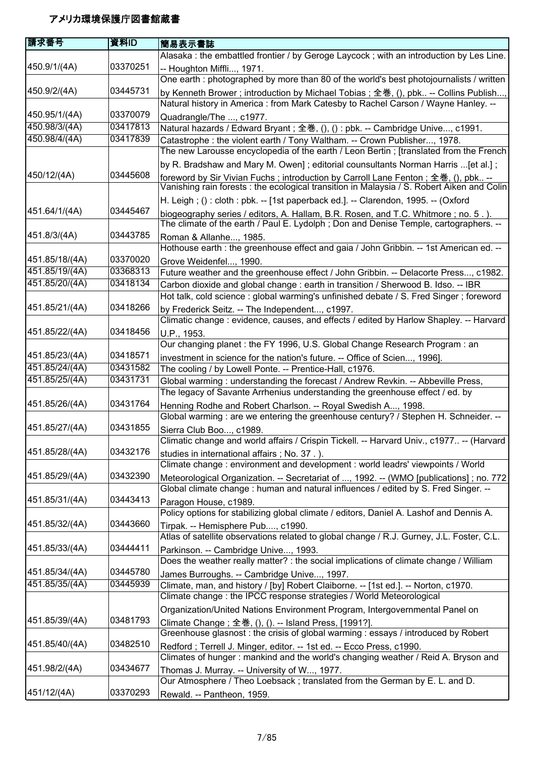| 請求番号           | 資料ID     | 簡易表示書誌                                                                                                                                                                          |
|----------------|----------|---------------------------------------------------------------------------------------------------------------------------------------------------------------------------------|
|                |          | Alasaka: the embattled frontier / by Geroge Laycock; with an introduction by Les Line.                                                                                          |
| 450.9/1/(4A)   | 03370251 | -- Houghton Miffli, 1971.                                                                                                                                                       |
|                |          | One earth : photographed by more than 80 of the world's best photojournalists / written                                                                                         |
| 450.9/2/(4A)   | 03445731 | by Kenneth Brower; introduction by Michael Tobias; 全巻, (), pbk -- Collins Publish,                                                                                              |
|                |          | Natural history in America : from Mark Catesby to Rachel Carson / Wayne Hanley. --                                                                                              |
| 450.95/1/(4A)  | 03370079 | Quadrangle/The , c1977.                                                                                                                                                         |
| 450.98/3/(4A)  | 03417813 | Natural hazards / Edward Bryant; 全巻, (), () : pbk. -- Cambridge Unive, c1991.                                                                                                   |
| 450.98/4/(4A)  | 03417839 | Catastrophe: the violent earth / Tony Waltham. -- Crown Publisher, 1978.                                                                                                        |
|                |          | The new Larousse encyclopedia of the earth / Leon Bertin; [translated from the French                                                                                           |
|                |          | by R. Bradshaw and Mary M. Owen]; editorial counsultants Norman Harris  [et al.];                                                                                               |
| 450/12/(4A)    | 03445608 | foreword by Sir Vivian Fuchs; introduction by Carroll Lane Fenton; 全巻, (), pbk --<br>Vanishing rain forests : the ecological transition in Malaysia / S. Robert Aiken and Colin |
|                |          | H. Leigh; (): cloth: pbk. -- [1st paperback ed.]. -- Clarendon, 1995. -- (Oxford                                                                                                |
| 451.64/1/(4A)  | 03445467 | biogeography series / editors, A. Hallam, B.R. Rosen, and T.C. Whitmore; no. 5.).<br>The climate of the earth / Paul E. Lydolph; Don and Denise Temple, cartographers. --       |
| 451.8/3/(4A)   | 03443785 | Roman & Allanhe, 1985.                                                                                                                                                          |
|                |          | Hothouse earth : the greenhouse effect and gaia / John Gribbin. -- 1st American ed. --                                                                                          |
| 451.85/18/(4A) | 03370020 | Grove Weidenfel, 1990.                                                                                                                                                          |
| 451.85/19/(4A) | 03368313 | Future weather and the greenhouse effect / John Gribbin. -- Delacorte Press, c1982.                                                                                             |
| 451.85/20/(4A) | 03418134 | Carbon dioxide and global change : earth in transition / Sherwood B. Idso. -- IBR                                                                                               |
|                |          | Hot talk, cold science : global warming's unfinished debate / S. Fred Singer ; foreword                                                                                         |
| 451.85/21/(4A) | 03418266 | by Frederick Seitz. -- The Independent, c1997.                                                                                                                                  |
|                |          | Climatic change : evidence, causes, and effects / edited by Harlow Shapley. -- Harvard                                                                                          |
| 451.85/22/(4A) | 03418456 | U.P., 1953.                                                                                                                                                                     |
|                |          | Our changing planet: the FY 1996, U.S. Global Change Research Program: an                                                                                                       |
| 451.85/23/(4A) | 03418571 | investment in science for the nation's future. -- Office of Scien, 1996].                                                                                                       |
| 451.85/24/(4A) | 03431582 | The cooling / by Lowell Ponte. -- Prentice-Hall, c1976.                                                                                                                         |
| 451.85/25/(4A) | 03431731 | Global warming: understanding the forecast / Andrew Revkin. -- Abbeville Press,                                                                                                 |
|                |          | The legacy of Savante Arrhenius understanding the greenhouse effect / ed. by                                                                                                    |
| 451.85/26/(4A) | 03431764 | Henning Rodhe and Robert Charlson. -- Royal Swedish A, 1998.                                                                                                                    |
|                |          | Global warming : are we entering the greenhouse century? / Stephen H. Schneider. --                                                                                             |
| 451.85/27/(4A) | 03431855 | Sierra Club Boo, c1989.<br>Climatic change and world affairs / Crispin Tickell. -- Harvard Univ., c1977 -- (Harvard                                                             |
| 451.85/28/(4A) | 03432176 |                                                                                                                                                                                 |
|                |          | studies in international affairs; No. 37.).                                                                                                                                     |
| 451.85/29/(4A) | 03432390 | Climate change: environment and development: world leadrs' viewpoints / World                                                                                                   |
|                |          | Meteorological Organization. -- Secretariat of , 1992. -- (WMO [publications] ; no. 772<br>Global climate change : human and natural influences / edited by S. Fred Singer. --  |
| 451.85/31/(4A) | 03443413 |                                                                                                                                                                                 |
|                |          | Paragon House, c1989.<br>Policy options for stabilizing global climate / editors, Daniel A. Lashof and Dennis A.                                                                |
| 451.85/32/(4A) | 03443660 |                                                                                                                                                                                 |
|                |          | Tirpak. -- Hemisphere Pub, c1990.<br>Atlas of satellite observations related to global change / R.J. Gurney, J.L. Foster, C.L.                                                  |
| 451.85/33/(4A) | 03444411 | Parkinson. -- Cambridge Unive, 1993.                                                                                                                                            |
|                |          | Does the weather really matter? : the social implications of climate change / William                                                                                           |
| 451.85/34/(4A) | 03445780 | James Burroughs. -- Cambridge Unive, 1997.                                                                                                                                      |
| 451.85/35/(4A) | 03445939 | Climate, man, and history / [by] Robert Claiborne. -- [1st ed.]. -- Norton, c1970.                                                                                              |
|                |          | Climate change : the IPCC response strategies / World Meteorological                                                                                                            |
|                |          | Organization/United Nations Environment Program, Intergovernmental Panel on                                                                                                     |
| 451.85/39/(4A) | 03481793 | Climate Change; 全巻, (), (). -- Island Press, [1991?].                                                                                                                           |
|                |          | Greenhouse glasnost: the crisis of global warming: essays / introduced by Robert                                                                                                |
| 451.85/40/(4A) | 03482510 | Redford; Terrell J. Minger, editor. -- 1st ed. -- Ecco Press, c1990.                                                                                                            |
|                |          | Climates of hunger: mankind and the world's changing weather / Reid A. Bryson and                                                                                               |
| 451.98/2/(4A)  | 03434677 | Thomas J. Murray. -- University of W, 1977.                                                                                                                                     |
|                |          | Our Atmosphere / Theo Loebsack; translated from the German by E. L. and D.                                                                                                      |
| 451/12/(4A)    | 03370293 | Rewald. -- Pantheon, 1959.                                                                                                                                                      |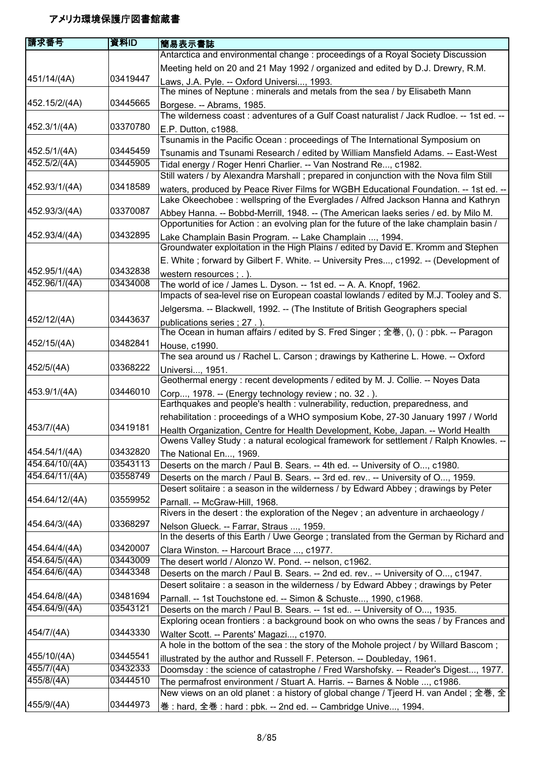| 請求番号           | 資料ID     | 簡易表示書誌                                                                                                                                       |
|----------------|----------|----------------------------------------------------------------------------------------------------------------------------------------------|
|                |          | Antarctica and environmental change : proceedings of a Royal Society Discussion                                                              |
|                |          | Meeting held on 20 and 21 May 1992 / organized and edited by D.J. Drewry, R.M.                                                               |
| 451/14/(4A)    | 03419447 | Laws, J.A. Pyle. -- Oxford Universi, 1993.                                                                                                   |
|                |          | The mines of Neptune: minerals and metals from the sea / by Elisabeth Mann                                                                   |
| 452.15/2/(4A)  | 03445665 | Borgese. -- Abrams, 1985.                                                                                                                    |
|                |          | The wilderness coast: adventures of a Gulf Coast naturalist / Jack Rudloe. -- 1st ed. --                                                     |
| 452.3/1/(4A)   | 03370780 | E.P. Dutton, c1988.                                                                                                                          |
|                |          | Tsunamis in the Pacific Ocean: proceedings of The International Symposium on                                                                 |
| 452.5/1/(4A)   | 03445459 | Tsunamis and Tsunami Research / edited by William Mansfield Adams. -- East-West                                                              |
| 452.5/2/(4A)   | 03445905 | Tidal energy / Roger Henri Charlier. -- Van Nostrand Re, c1982.                                                                              |
|                |          | Still waters / by Alexandra Marshall ; prepared in conjunction with the Nova film Still                                                      |
| 452.93/1/(4A)  | 03418589 | waters, produced by Peace River Films for WGBH Educational Foundation. -- 1st ed. --                                                         |
|                |          | Lake Okeechobee : wellspring of the Everglades / Alfred Jackson Hanna and Kathryn                                                            |
| 452.93/3/(4A)  | 03370087 | Abbey Hanna. -- Bobbd-Merrill, 1948. -- (The American laeks series / ed. by Milo M.                                                          |
|                |          | Opportunities for Action: an evolving plan for the future of the lake champlain basin /                                                      |
| 452.93/4/(4A)  | 03432895 | Lake Champlain Basin Program. -- Lake Champlain , 1994.                                                                                      |
|                |          | Groundwater exploitation in the High Plains / edited by David E. Kromm and Stephen                                                           |
|                |          | E. White; forward by Gilbert F. White. -- University Pres, c1992. -- (Development of                                                         |
| 452.95/1/(4A)  | 03432838 | western resources : . ).                                                                                                                     |
| 452.96/1/(4A)  | 03434008 | The world of ice / James L. Dyson. -- 1st ed. -- A. A. Knopf, 1962.                                                                          |
|                |          | Impacts of sea-level rise on European coastal lowlands / edited by M.J. Tooley and S.                                                        |
|                |          | Jelgersma. -- Blackwell, 1992. -- (The Institute of British Geographers special                                                              |
| 452/12/(4A)    | 03443637 | publications series; 27.).                                                                                                                   |
|                |          | The Ocean in human affairs / edited by S. Fred Singer; 全巻, (), () : pbk. -- Paragon                                                          |
| 452/15/(4A)    | 03482841 | House, c1990.                                                                                                                                |
|                |          | The sea around us / Rachel L. Carson; drawings by Katherine L. Howe. -- Oxford                                                               |
| 452/5/(4A)     | 03368222 | Universi, 1951.                                                                                                                              |
|                |          | Geothermal energy: recent developments / edited by M. J. Collie. -- Noyes Data                                                               |
| 453.9/1/(4A)   | 03446010 | Corp, 1978. -- (Energy technology review; no. 32.).                                                                                          |
|                |          | Earthquakes and people's health : vulnerability, reduction, preparedness, and                                                                |
|                |          | rehabilitation: proceedings of a WHO symposium Kobe, 27-30 January 1997 / World                                                              |
| 453/7/(4A)     | 03419181 | Health Organization, Centre for Health Development, Kobe, Japan. -- World Health                                                             |
|                |          | Owens Valley Study : a natural ecological framework for settlement / Ralph Knowles. --                                                       |
| 454.54/1/(4A)  | 03432820 | The National En, 1969.                                                                                                                       |
| 454.64/10/(4A) | 03543113 | Deserts on the march / Paul B. Sears. -- 4th ed. -- University of O, c1980.                                                                  |
| 454.64/11/(4A) | 03558749 | Deserts on the march / Paul B. Sears. -- 3rd ed. rev -- University of O, 1959.                                                               |
|                |          | Desert solitaire : a season in the wilderness / by Edward Abbey ; drawings by Peter                                                          |
| 454.64/12/(4A) | 03559952 | Parnall. -- McGraw-Hill, 1968.                                                                                                               |
| 454.64/3/(4A)  | 03368297 | Rivers in the desert : the exploration of the Negev ; an adventure in archaeology /                                                          |
|                |          | Nelson Glueck. -- Farrar, Straus , 1959.<br>In the deserts of this Earth / Uwe George ; translated from the German by Richard and            |
| 454.64/4/(4A)  | 03420007 |                                                                                                                                              |
| 454.64/5/(4A)  | 03443009 | Clara Winston. -- Harcourt Brace , c1977.<br>The desert world / Alonzo W. Pond. -- nelson, c1962.                                            |
| 454.64/6/(4A)  | 03443348 | Deserts on the march / Paul B. Sears. -- 2nd ed. rev -- University of O, c1947.                                                              |
|                |          | Desert solitaire : a season in the wilderness / by Edward Abbey ; drawings by Peter                                                          |
| 454.64/8/(4A)  | 03481694 |                                                                                                                                              |
| 454.64/9/(4A)  | 03543121 | Parnall. -- 1st Touchstone ed. -- Simon & Schuste, 1990, c1968.<br>Deserts on the march / Paul B. Sears. -- 1st ed -- University of O, 1935. |
|                |          | Exploring ocean frontiers : a background book on who owns the seas / by Frances and                                                          |
| 454/7/(4A)     | 03443330 | Walter Scott. -- Parents' Magazi, c1970.                                                                                                     |
|                |          | A hole in the bottom of the sea : the story of the Mohole project / by Willard Bascom;                                                       |
| 455/10/(4A)    | 03445541 | illustrated by the author and Russell F. Peterson. -- Doubleday, 1961.                                                                       |
| 455/7/(4A)     | 03432333 | Doomsday: the science of catastrophe / Fred Warshofsky. -- Reader's Digest, 1977.                                                            |
| 455/8/(4A)     | 03444510 | The permafrost environment / Stuart A. Harris. -- Barnes & Noble , c1986.                                                                    |
|                |          | New views on an old planet : a history of global change / Tjeerd H. van Andel ; 全巻, 全                                                        |
| 455/9/(4A)     | 03444973 | 巻: hard, 全巻: hard: pbk. -- 2nd ed. -- Cambridge Unive, 1994.                                                                                 |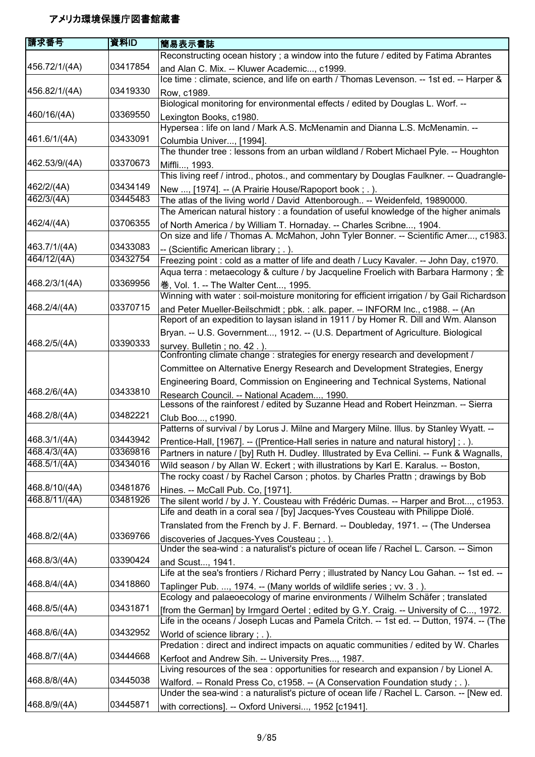| 請求番号                  | 資料ID     | 簡易表示書誌                                                                                     |
|-----------------------|----------|--------------------------------------------------------------------------------------------|
|                       |          | Reconstructing ocean history ; a window into the future / edited by Fatima Abrantes        |
| 456.72/1/(4A)         | 03417854 | and Alan C. Mix. -- Kluwer Academic, c1999.                                                |
|                       |          | Ice time : climate, science, and life on earth / Thomas Levenson. -- 1st ed. -- Harper &   |
| 456.82/1/(4A)         | 03419330 | Row, c1989.                                                                                |
|                       |          | Biological monitoring for environmental effects / edited by Douglas L. Worf. --            |
| 460/16/(4A)           | 03369550 | Lexington Books, c1980.                                                                    |
|                       |          | Hypersea : life on land / Mark A.S. McMenamin and Dianna L.S. McMenamin. --                |
| 461.6/1/(4A)          | 03433091 | Columbia Univer, [1994].                                                                   |
|                       |          | The thunder tree : lessons from an urban wildland / Robert Michael Pyle. -- Houghton       |
| 462.53/9/(4A)         | 03370673 | Miffli, 1993.                                                                              |
|                       |          | This living reef / introd., photos., and commentary by Douglas Faulkner. -- Quadrangle-    |
| 462/2/(4A)            | 03434149 | New , [1974]. -- (A Prairie House/Rapoport book; .).                                       |
| 462/3/(4A)            | 03445483 | The atlas of the living world / David Attenborough -- Weidenfeld, 19890000.                |
|                       |          | The American natural history: a foundation of useful knowledge of the higher animals       |
| 462/4/(4A)            | 03706355 | of North America / by William T. Hornaday. -- Charles Scribne, 1904.                       |
|                       |          | On size and life / Thomas A. McMahon, John Tyler Bonner. -- Scientific Amer, c1983.        |
| 463.7/1/(4A)          | 03433083 | -- (Scientific American library; .).                                                       |
| 464/12/(4A)           | 03432754 | Freezing point : cold as a matter of life and death / Lucy Kavaler. -- John Day, c1970.    |
|                       |          | Aqua terra : metaecology & culture / by Jacqueline Froelich with Barbara Harmony; 全        |
| 468.2/3/1(4A)         | 03369956 | 巻, Vol. 1. -- The Walter Cent, 1995.                                                       |
|                       |          | Winning with water: soil-moisture monitoring for efficient irrigation / by Gail Richardson |
| 468.2/4/(4A)          | 03370715 | and Peter Mueller-Beilschmidt ; pbk. : alk. paper. -- INFORM Inc., c1988. -- (An           |
|                       |          | Report of an expedition to laysan island in 1911 / by Homer R. Dill and Wm. Alanson        |
|                       |          | Bryan. -- U.S. Government, 1912. -- (U.S. Department of Agriculture. Biological            |
| 468.2/5/(4A)          | 03390333 | survey. Bulletin; no. 42.).                                                                |
|                       |          | Confronting climate change: strategies for energy research and development /               |
|                       |          | Committee on Alternative Energy Research and Development Strategies, Energy                |
|                       |          | Engineering Board, Commission on Engineering and Technical Systems, National               |
| 468.2/6/(4A)          | 03433810 | Research Council. -- National Academ, 1990.                                                |
|                       |          | Lessons of the rainforest / edited by Suzanne Head and Robert Heinzman. -- Sierra          |
| 468.2/8/(4A)          | 03482221 | Club Boo, c1990.                                                                           |
|                       |          | Patterns of survival / by Lorus J. Milne and Margery Milne. Illus. by Stanley Wyatt. --    |
| 468.3/1/(4A)          | 03443942 | Prentice-Hall, [1967]. -- ([Prentice-Hall series in nature and natural history]; .).       |
| $\sqrt{468.4}/3/(4A)$ | 03369816 | Partners in nature / [by] Ruth H. Dudley. Illustrated by Eva Cellini. -- Funk & Wagnalls,  |
| 468.5/1/(4A)          | 03434016 | Wild season / by Allan W. Eckert; with illustrations by Karl E. Karalus. -- Boston,        |
|                       |          | The rocky coast / by Rachel Carson; photos. by Charles Prattn; drawings by Bob             |
| 468.8/10/(4A)         | 03481876 | Hines. -- McCall Pub. Co, [1971].                                                          |
| 468.8/11/(4A)         | 03481926 | The silent world / by J. Y. Cousteau with Frédéric Dumas. -- Harper and Brot, c1953.       |
|                       |          | Life and death in a coral sea / [by] Jacques-Yves Cousteau with Philippe Diolé.            |
|                       |          | Translated from the French by J. F. Bernard. -- Doubleday, 1971. -- (The Undersea          |
| 468.8/2/(4A)          | 03369766 | discoveries of Jacques-Yves Cousteau; .).                                                  |
|                       |          | Under the sea-wind : a naturalist's picture of ocean life / Rachel L. Carson. -- Simon     |
| 468.8/3/(4A)          | 03390424 | and Scust, 1941.                                                                           |
|                       |          | Life at the sea's frontiers / Richard Perry; illustrated by Nancy Lou Gahan. -- 1st ed. -- |
| 468.8/4/(4A)          | 03418860 | Taplinger Pub. , 1974. -- (Many worlds of wildlife series; vv. 3.).                        |
|                       |          | Ecology and palaeoecology of marine environments / Wilhelm Schäfer; translated             |
| 468.8/5/(4A)          | 03431871 | [from the German] by Irmgard Oertel; edited by G.Y. Craig. -- University of C, 1972.       |
|                       |          | Life in the oceans / Joseph Lucas and Pamela Critch. -- 1st ed. -- Dutton, 1974. -- (The   |
| 468.8/6/(4A)          | 03432952 | World of science library; .).                                                              |
|                       |          | Predation : direct and indirect impacts on aquatic communities / edited by W. Charles      |
| 468.8/7/(4A)          | 03444668 | Kerfoot and Andrew Sih. -- University Pres, 1987.                                          |
|                       |          | Living resources of the sea: opportunities for research and expansion / by Lionel A.       |
| 468.8/8/(4A)          | 03445038 | Walford. -- Ronald Press Co, c1958. -- (A Conservation Foundation study; .).               |
|                       |          | Under the sea-wind : a naturalist's picture of ocean life / Rachel L. Carson. -- [New ed.  |
| 468.8/9/(4A)          | 03445871 | with corrections]. -- Oxford Universi, 1952 [c1941].                                       |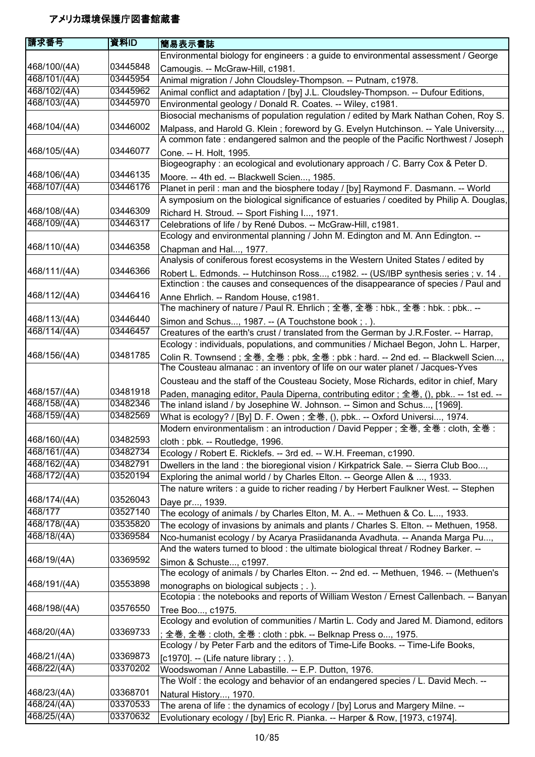| 請求番号         | 資料ID     | 簡易表示書誌                                                                                                                                                          |
|--------------|----------|-----------------------------------------------------------------------------------------------------------------------------------------------------------------|
|              |          | Environmental biology for engineers : a guide to environmental assessment / George                                                                              |
| 468/100/(4A) | 03445848 | Camougis. -- McGraw-Hill, c1981.                                                                                                                                |
| 468/101/(4A) | 03445954 | Animal migration / John Cloudsley-Thompson. -- Putnam, c1978.                                                                                                   |
| 468/102/(4A) | 03445962 | Animal conflict and adaptation / [by] J.L. Cloudsley-Thompson. -- Dufour Editions,                                                                              |
| 468/103/(4A) | 03445970 | Environmental geology / Donald R. Coates. -- Wiley, c1981.                                                                                                      |
|              |          | Biosocial mechanisms of population regulation / edited by Mark Nathan Cohen, Roy S.                                                                             |
| 468/104/(4A) | 03446002 | Malpass, and Harold G. Klein; foreword by G. Evelyn Hutchinson. -- Yale University,                                                                             |
|              |          | A common fate : endangered salmon and the people of the Pacific Northwest / Joseph                                                                              |
| 468/105/(4A) | 03446077 | Cone. -- H. Holt, 1995.                                                                                                                                         |
|              |          | Biogeography : an ecological and evolutionary approach / C. Barry Cox & Peter D.                                                                                |
| 468/106/(4A) | 03446135 |                                                                                                                                                                 |
| 468/107/(4A) | 03446176 | Moore. -- 4th ed. -- Blackwell Scien, 1985.<br>Planet in peril : man and the biosphere today / [by] Raymond F. Dasmann. -- World                                |
|              |          | A symposium on the biological significance of estuaries / coedited by Philip A. Douglas,                                                                        |
| 468/108/(4A) | 03446309 | Richard H. Stroud. -- Sport Fishing I, 1971.                                                                                                                    |
| 468/109/(4A) | 03446317 | Celebrations of life / by René Dubos. -- McGraw-Hill, c1981.                                                                                                    |
|              |          | Ecology and environmental planning / John M. Edington and M. Ann Edington. --                                                                                   |
| 468/110/(4A) | 03446358 | Chapman and Hal, 1977.                                                                                                                                          |
|              |          | Analysis of coniferous forest ecosystems in the Western United States / edited by                                                                               |
| 468/111/(4A) | 03446366 | Robert L. Edmonds. -- Hutchinson Ross, c1982. -- (US/IBP synthesis series; v. 14.                                                                               |
|              |          | Extinction: the causes and consequences of the disappearance of species / Paul and                                                                              |
| 468/112/(4A) | 03446416 | Anne Ehrlich. -- Random House, c1981.                                                                                                                           |
|              |          | The machinery of nature / Paul R. Ehrlich ; 全巻, 全巻 : hbk., 全巻 : hbk. : pbk --                                                                                   |
| 468/113/(4A) | 03446440 | Simon and Schus, 1987. -- (A Touchstone book; .).                                                                                                               |
| 468/114/(4A) | 03446457 | Creatures of the earth's crust / translated from the German by J.R.Foster. -- Harrap,                                                                           |
|              |          | Ecology: individuals, populations, and communities / Michael Begon, John L. Harper,                                                                             |
| 468/156/(4A) | 03481785 |                                                                                                                                                                 |
|              |          | Colin R. Townsend; 全巻, 全巻: pbk, 全巻: pbk: hard. -- 2nd ed. -- Blackwell Scien,<br>The Cousteau almanac : an inventory of life on our water planet / Jacques-Yves |
|              |          |                                                                                                                                                                 |
| 468/157/(4A) | 03481918 | Cousteau and the staff of the Cousteau Society, Mose Richards, editor in chief, Mary                                                                            |
| 468/158/(4A) | 03482346 | Paden, managing editor, Paula Diperna, contributing editor; 全巻, (), pbk -- 1st ed. --                                                                           |
| 468/159/(4A) | 03482569 | The inland island / by Josephine W. Johnson. -- Simon and Schus, [1969].                                                                                        |
|              |          | What is ecology? / [By] D. F. Owen; 全巻, (), pbk -- Oxford Universi, 1974.                                                                                       |
|              |          | Modern environmentalism : an introduction / David Pepper ; 全巻, 全巻 : cloth, 全巻 :                                                                                 |
| 468/160/(4A) | 03482593 | cloth : pbk. -- Routledge, 1996.                                                                                                                                |
| 468/161/(4A) | 03482734 | Ecology / Robert E. Ricklefs. -- 3rd ed. -- W.H. Freeman, c1990.                                                                                                |
| 468/162/(4A) | 03482791 | Dwellers in the land : the bioregional vision / Kirkpatrick Sale. -- Sierra Club Boo,                                                                           |
| 468/172/(4A) | 03520194 | Exploring the animal world / by Charles Elton. -- George Allen & , 1933.                                                                                        |
|              |          | The nature writers : a guide to richer reading / by Herbert Faulkner West. -- Stephen                                                                           |
| 468/174/(4A) | 03526043 | Daye pr, 1939.                                                                                                                                                  |
| 468/177      | 03527140 | The ecology of animals / by Charles Elton, M. A -- Methuen & Co. L, 1933.                                                                                       |
| 468/178/(4A) | 03535820 | The ecology of invasions by animals and plants / Charles S. Elton. -- Methuen, 1958.                                                                            |
| 468/18/(4A)  | 03369584 | Nco-humanist ecology / by Acarya Prasiidananda Avadhuta. -- Ananda Marga Pu,                                                                                    |
|              |          | And the waters turned to blood : the ultimate biological threat / Rodney Barker. --                                                                             |
| 468/19/(4A)  | 03369592 | Simon & Schuste, c1997.                                                                                                                                         |
|              |          | The ecology of animals / by Charles Elton. -- 2nd ed. -- Methuen, 1946. -- (Methuen's                                                                           |
| 468/191/(4A) | 03553898 | monographs on biological subjects; .).                                                                                                                          |
|              |          | Ecotopia: the notebooks and reports of William Weston / Ernest Callenbach. -- Banyan                                                                            |
| 468/198/(4A) | 03576550 | Tree Boo, c1975.                                                                                                                                                |
|              |          | Ecology and evolution of communities / Martin L. Cody and Jared M. Diamond, editors                                                                             |
| 468/20/(4A)  | 03369733 | ; 全巻, 全巻 : cloth, 全巻 : cloth : pbk. -- Belknap Press o, 1975.                                                                                                   |
|              |          | Ecology / by Peter Farb and the editors of Time-Life Books. -- Time-Life Books,                                                                                 |
| 468/21/(4A)  | 03369873 |                                                                                                                                                                 |
| 468/22/(4A)  | 03370202 | [c1970]. -- (Life nature library ; . ).                                                                                                                         |
|              |          | Woodswoman / Anne Labastille. -- E.P. Dutton, 1976.                                                                                                             |
|              | 03368701 | The Wolf: the ecology and behavior of an endangered species / L. David Mech. --                                                                                 |
| 468/23/(4A)  |          | Natural History, 1970.                                                                                                                                          |
| 468/24/(4A)  | 03370533 | The arena of life: the dynamics of ecology / [by] Lorus and Margery Milne. --                                                                                   |
| 468/25/(4A)  | 03370632 | Evolutionary ecology / [by] Eric R. Pianka. -- Harper & Row, [1973, c1974].                                                                                     |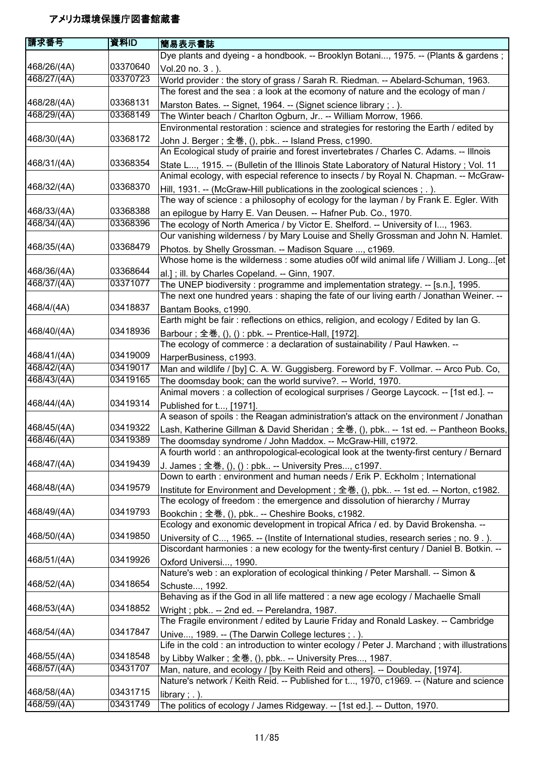| 請求番号        | 資料ID     | 簡易表示書誌                                                                                                                                                                             |
|-------------|----------|------------------------------------------------------------------------------------------------------------------------------------------------------------------------------------|
|             |          | Dye plants and dyeing - a hondbook. -- Brooklyn Botani, 1975. -- (Plants & gardens;                                                                                                |
| 468/26/(4A) | 03370640 | Vol.20 no. 3.).                                                                                                                                                                    |
| 468/27/(4A) | 03370723 | World provider: the story of grass / Sarah R. Riedman. -- Abelard-Schuman, 1963.                                                                                                   |
|             |          | The forest and the sea: a look at the ecomony of nature and the ecology of man /                                                                                                   |
| 468/28/(4A) | 03368131 | Marston Bates. -- Signet, 1964. -- (Signet science library; .).                                                                                                                    |
| 468/29/(4A) | 03368149 | The Winter beach / Charlton Ogburn, Jr -- William Morrow, 1966.                                                                                                                    |
|             |          | Environmental restoration : science and strategies for restoring the Earth / edited by                                                                                             |
| 468/30/(4A) | 03368172 | John J. Berger ; 全巻, (), pbk -- Island Press, c1990.                                                                                                                               |
|             |          | An Ecological study of prairie and forest invertebrates / Charles C. Adams. -- Illnois                                                                                             |
| 468/31/(4A) | 03368354 | State L, 1915. -- (Bulletin of the Illinois State Laboratory of Natural History; Vol. 11                                                                                           |
|             |          | Animal ecology, with especial reference to insects / by Royal N. Chapman. -- McGraw-                                                                                               |
| 468/32/(4A) | 03368370 | Hill, 1931. -- (McGraw-Hill publications in the zoological sciences ; . ).                                                                                                         |
|             |          | The way of science: a philosophy of ecology for the layman / by Frank E. Egler. With                                                                                               |
| 468/33/(4A) | 03368388 | an epilogue by Harry E. Van Deusen. -- Hafner Pub. Co., 1970.                                                                                                                      |
| 468/34/(4A) | 03368396 | The ecology of North America / by Victor E. Shelford. -- University of I, 1963.                                                                                                    |
|             |          | Our vanishing wilderness / by Mary Louise and Shelly Grossman and John N. Hamlet.                                                                                                  |
| 468/35/(4A) | 03368479 | Photos. by Shelly Grossman. -- Madison Square , c1969.                                                                                                                             |
|             |          | Whose home is the wilderness : some atudies o0f wild animal life / William J. Long[et                                                                                              |
| 468/36/(4A) | 03368644 | al.]; ill. by Charles Copeland. -- Ginn, 1907.                                                                                                                                     |
| 468/37/(4A) | 03371077 | The UNEP biodiversity: programme and implementation strategy. -- [s.n.], 1995.                                                                                                     |
|             |          | The next one hundred years: shaping the fate of our living earth / Jonathan Weiner. --                                                                                             |
| 468/4/(4A)  | 03418837 | Bantam Books, c1990.                                                                                                                                                               |
|             |          | Earth might be fair: reflections on ethics, religion, and ecology / Edited by lan G.                                                                                               |
| 468/40/(4A) | 03418936 | Barbour ; 全巻, (), () : pbk. -- Prentice-Hall, [1972].                                                                                                                              |
|             |          | The ecology of commerce : a declaration of sustainability / Paul Hawken. --                                                                                                        |
| 468/41/(4A) | 03419009 | HarperBusiness, c1993.                                                                                                                                                             |
| 468/42/(4A) | 03419017 | Man and wildlife / [by] C. A. W. Guggisberg. Foreword by F. Vollmar. -- Arco Pub. Co,                                                                                              |
| 468/43/(4A) | 03419165 | The doomsday book; can the world survive?. -- World, 1970.                                                                                                                         |
|             |          | Animal movers : a collection of ecological surprises / George Laycock. -- [1st ed.]. --                                                                                            |
| 468/44/(4A) | 03419314 | Published for t, [1971].                                                                                                                                                           |
|             |          | A season of spoils : the Reagan administration's attack on the environment / Jonathan                                                                                              |
| 468/45/(4A) | 03419322 | Lash, Katherine Gillman & David Sheridan ; 全巻, (), pbk -- 1st ed. -- Pantheon Books,                                                                                               |
| 468/46/(4A) | 03419389 | The doomsday syndrome / John Maddox. -- McGraw-Hill, c1972.                                                                                                                        |
|             |          | A fourth world : an anthropological-ecological look at the twenty-first century / Bernard                                                                                          |
| 468/47/(4A) | 03419439 | J. James; 全巻, (), () : pbk -- University Pres, c1997.                                                                                                                              |
|             | 03419579 | Down to earth : environment and human needs / Erik P. Eckholm; International                                                                                                       |
| 468/48/(4A) |          | Institute for Environment and Development; 全巻, (), pbk -- 1st ed. -- Norton, c1982.                                                                                                |
|             | 03419793 | The ecology of freedom: the emergence and dissolution of hierarchy / Murray                                                                                                        |
| 468/49/(4A) |          | Bookchin; 全巻, (), pbk -- Cheshire Books, c1982.                                                                                                                                    |
| 468/50/(4A) | 03419850 | Ecology and exonomic development in tropical Africa / ed. by David Brokensha. --                                                                                                   |
|             |          | University of C, 1965. -- (Instite of International studies, research series; no. 9.).<br>Discordant harmonies : a new ecology for the twenty-first century / Daniel B. Botkin. -- |
| 468/51/(4A) | 03419926 |                                                                                                                                                                                    |
|             |          | Oxford Universi, 1990.<br>Nature's web : an exploration of ecological thinking / Peter Marshall. -- Simon &                                                                        |
| 468/52/(4A) | 03418654 |                                                                                                                                                                                    |
|             |          | Schuste, 1992.<br>Behaving as if the God in all life mattered : a new age ecology / Machaelle Small                                                                                |
| 468/53/(4A) | 03418852 |                                                                                                                                                                                    |
|             |          | Wright; pbk -- 2nd ed. -- Perelandra, 1987.<br>The Fragile environment / edited by Laurie Friday and Ronald Laskey. -- Cambridge                                                   |
| 468/54/(4A) | 03417847 |                                                                                                                                                                                    |
|             |          | Unive, 1989. -- (The Darwin College lectures; .).<br>Life in the cold : an introduction to winter ecology / Peter J. Marchand; with illustrations                                  |
| 468/55/(4A) | 03418548 |                                                                                                                                                                                    |
| 468/57/(4A) | 03431707 | by Libby Walker; 全巻, (), pbk -- University Pres, 1987.<br>Man, nature, and ecology / [by Keith Reid and others]. -- Doubleday, [1974].                                             |
|             |          | Nature's network / Keith Reid. -- Published for t, 1970, c1969. -- (Nature and science                                                                                             |
| 468/58/(4A) | 03431715 | library; $.$ ).                                                                                                                                                                    |
| 468/59/(4A) | 03431749 | The politics of ecology / James Ridgeway. -- [1st ed.]. -- Dutton, 1970.                                                                                                           |
|             |          |                                                                                                                                                                                    |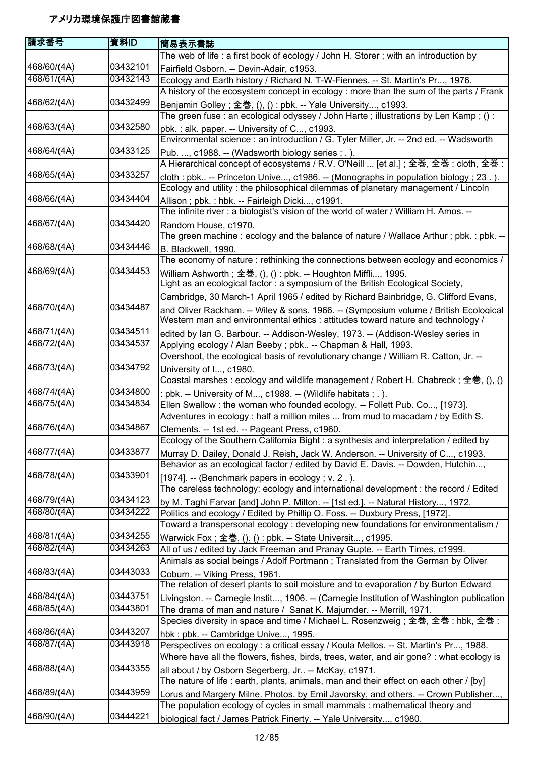| The web of life: a first book of ecology / John H. Storer; with an introduction by<br>03432101<br>468/60/(4A)<br>Fairfield Osborn. -- Devin-Adair, c1953.<br>468/61/(4A)<br>03432143<br>Ecology and Earth history / Richard N. T-W-Fiennes. -- St. Martin's Pr, 1976.<br>A history of the ecosystem concept in ecology : more than the sum of the parts / Frank<br>03432499<br>468/62/(4A)<br>Benjamin Golley; 全巻, (), () : pbk. -- Yale University, c1993.<br>The green fuse : an ecological odyssey / John Harte ; illustrations by Len Kamp ; () :<br>468/63/(4A)<br>03432580<br>pbk.: alk. paper. -- University of C, c1993.<br>Environmental science : an introduction / G. Tyler Miller, Jr. -- 2nd ed. -- Wadsworth<br>468/64/(4A)<br>03433125<br>Pub. , c1988. -- (Wadsworth biology series; .).<br>A Hierarchical concept of ecosystems / R.V. O'Neill  [et al.]; 全巻, 全巻 : cloth, 全巻 :<br>468/65/(4A)<br>03433257<br>cloth : pbk -- Princeton Unive, c1986. -- (Monographs in population biology; 23.).<br>Ecology and utility: the philosophical dilemmas of planetary management / Lincoln<br>468/66/(4A)<br>03434404<br>Allison; pbk.: hbk. -- Fairleigh Dicki, c1991.<br>The infinite river : a biologist's vision of the world of water / William H. Amos. --<br>468/67/(4A)<br>03434420<br>Random House, c1970.<br>The green machine: ecology and the balance of nature / Wallace Arthur; pbk.: pbk. --<br>468/68/(4A)<br>03434446<br>B. Blackwell, 1990.<br>The economy of nature: rethinking the connections between ecology and economics /<br>468/69/(4A)<br>03434453<br>William Ashworth ; 全巻, (), () : pbk. -- Houghton Miffli, 1995.<br>Light as an ecological factor: a symposium of the British Ecological Society,<br>Cambridge, 30 March-1 April 1965 / edited by Richard Bainbridge, G. Clifford Evans,<br>468/70/(4A)<br>03434487<br>and Oliver Rackham. -- Wiley & sons, 1966. -- (Symposium volume / British Ecological<br>Western man and environmental ethics : attitudes toward nature and technology /<br>468/71/(4A)<br>03434511<br>edited by Ian G. Barbour. -- Addison-Wesley, 1973. -- (Addison-Wesley series in<br>468/72/(4A)<br>03434537<br>Applying ecology / Alan Beeby; pbk -- Chapman & Hall, 1993.<br>Overshoot, the ecological basis of revolutionary change / William R. Catton, Jr. --<br>03434792<br>468/73/(4A)<br>University of I, c1980.<br>Coastal marshes : ecology and wildlife management / Robert H. Chabreck ; 全巻, (), ()<br>468/74/(4A)<br>03434800<br>: pbk. -- University of M, c1988. -- (Wildlife habitats ; . ).<br>468/75/(4A)<br>03434834<br>Ellen Swallow : the woman who founded ecology. -- Follett Pub. Co, [1973].<br>Adventures in ecology : half a million miles  from mud to macadam / by Edith S.<br>468/76/(4A)<br>03434867<br>Clements. -- 1st ed. -- Pageant Press, c1960.<br>Ecology of the Southern California Bight: a synthesis and interpretation / edited by<br>468/77/(4A)<br>03433877<br>Murray D. Dailey, Donald J. Reish, Jack W. Anderson. -- University of C, c1993.<br>Behavior as an ecological factor / edited by David E. Davis. -- Dowden, Hutchin,<br>03433901<br>468/78/(4A)<br>[1974]. -- (Benchmark papers in ecology; v. 2.).<br>The careless technology: ecology and international development : the record / Edited<br>468/79/(4A)<br>03434123<br>by M. Taghi Farvar [and] John P. Milton. -- [1st ed.]. -- Natural History, 1972.<br>03434222<br>468/80/(4A)<br>Politics and ecology / Edited by Phillip O. Foss. -- Duxbury Press, [1972].<br>Toward a transpersonal ecology : developing new foundations for environmentalism /<br>468/81/(4A)<br>03434255<br>Warwick Fox ; 全巻, (), () : pbk. -- State Universit, c1995.<br>468/82/(4A)<br>03434263<br>All of us / edited by Jack Freeman and Pranay Gupte. -- Earth Times, c1999.<br>Animals as social beings / Adolf Portmann; Translated from the German by Oliver<br>03443033<br>468/83/(4A)<br>Coburn. -- Viking Press, 1961.<br>The relation of desert plants to soil moisture and to evaporation / by Burton Edward<br>468/84/(4A)<br>03443751<br>Livingston. -- Carnegie Instit, 1906. -- (Carnegie Institution of Washington publication<br>468/85/(4A)<br>03443801<br>The drama of man and nature / Sanat K. Majumder. -- Merrill, 1971.<br>Species diversity in space and time / Michael L. Rosenzweig ; 全巻, 全巻 : hbk, 全巻 :<br>468/86/(4A)<br>03443207<br>hbk: pbk. -- Cambridge Unive, 1995.<br>468/87/(4A)<br>03443918<br>Perspectives on ecology : a critical essay / Koula Mellos. -- St. Martin's Pr, 1988.<br>Where have all the flowers, fishes, birds, trees, water, and air gone? : what ecology is<br>468/88/(4A)<br>03443355<br>all about / by Osborn Segerberg, Jr -- McKay, c1971.<br>The nature of life : earth, plants, animals, man and their effect on each other / [by]<br>468/89/(4A)<br>03443959<br>Lorus and Margery Milne. Photos. by Emil Javorsky, and others. -- Crown Publisher,<br>The population ecology of cycles in small mammals : mathematical theory and | 請求番号        | 資料ID     | 簡易表示書誌                                                              |
|----------------------------------------------------------------------------------------------------------------------------------------------------------------------------------------------------------------------------------------------------------------------------------------------------------------------------------------------------------------------------------------------------------------------------------------------------------------------------------------------------------------------------------------------------------------------------------------------------------------------------------------------------------------------------------------------------------------------------------------------------------------------------------------------------------------------------------------------------------------------------------------------------------------------------------------------------------------------------------------------------------------------------------------------------------------------------------------------------------------------------------------------------------------------------------------------------------------------------------------------------------------------------------------------------------------------------------------------------------------------------------------------------------------------------------------------------------------------------------------------------------------------------------------------------------------------------------------------------------------------------------------------------------------------------------------------------------------------------------------------------------------------------------------------------------------------------------------------------------------------------------------------------------------------------------------------------------------------------------------------------------------------------------------------------------------------------------------------------------------------------------------------------------------------------------------------------------------------------------------------------------------------------------------------------------------------------------------------------------------------------------------------------------------------------------------------------------------------------------------------------------------------------------------------------------------------------------------------------------------------------------------------------------------------------------------------------------------------------------------------------------------------------------------------------------------------------------------------------------------------------------------------------------------------------------------------------------------------------------------------------------------------------------------------------------------------------------------------------------------------------------------------------------------------------------------------------------------------------------------------------------------------------------------------------------------------------------------------------------------------------------------------------------------------------------------------------------------------------------------------------------------------------------------------------------------------------------------------------------------------------------------------------------------------------------------------------------------------------------------------------------------------------------------------------------------------------------------------------------------------------------------------------------------------------------------------------------------------------------------------------------------------------------------------------------------------------------------------------------------------------------------------------------------------------------------------------------------------------------------------------------------------------------------------------------------------------------------------------------------------------------------------------------------------------------------------------------------------------------------------------------------------------------------------------------------------------------------------------------------------------------------------------------------------------------------------------------------------------------------------------------------------------------------------------------------------------------------------------------------------------------------------------------------------------------------------------------------------------------------------------------------------------------------------------------------|-------------|----------|---------------------------------------------------------------------|
|                                                                                                                                                                                                                                                                                                                                                                                                                                                                                                                                                                                                                                                                                                                                                                                                                                                                                                                                                                                                                                                                                                                                                                                                                                                                                                                                                                                                                                                                                                                                                                                                                                                                                                                                                                                                                                                                                                                                                                                                                                                                                                                                                                                                                                                                                                                                                                                                                                                                                                                                                                                                                                                                                                                                                                                                                                                                                                                                                                                                                                                                                                                                                                                                                                                                                                                                                                                                                                                                                                                                                                                                                                                                                                                                                                                                                                                                                                                                                                                                                                                                                                                                                                                                                                                                                                                                                                                                                                                                                                                                                                                                                                                                                                                                                                                                                                                                                                                                                                                                                                                                |             |          |                                                                     |
|                                                                                                                                                                                                                                                                                                                                                                                                                                                                                                                                                                                                                                                                                                                                                                                                                                                                                                                                                                                                                                                                                                                                                                                                                                                                                                                                                                                                                                                                                                                                                                                                                                                                                                                                                                                                                                                                                                                                                                                                                                                                                                                                                                                                                                                                                                                                                                                                                                                                                                                                                                                                                                                                                                                                                                                                                                                                                                                                                                                                                                                                                                                                                                                                                                                                                                                                                                                                                                                                                                                                                                                                                                                                                                                                                                                                                                                                                                                                                                                                                                                                                                                                                                                                                                                                                                                                                                                                                                                                                                                                                                                                                                                                                                                                                                                                                                                                                                                                                                                                                                                                |             |          |                                                                     |
|                                                                                                                                                                                                                                                                                                                                                                                                                                                                                                                                                                                                                                                                                                                                                                                                                                                                                                                                                                                                                                                                                                                                                                                                                                                                                                                                                                                                                                                                                                                                                                                                                                                                                                                                                                                                                                                                                                                                                                                                                                                                                                                                                                                                                                                                                                                                                                                                                                                                                                                                                                                                                                                                                                                                                                                                                                                                                                                                                                                                                                                                                                                                                                                                                                                                                                                                                                                                                                                                                                                                                                                                                                                                                                                                                                                                                                                                                                                                                                                                                                                                                                                                                                                                                                                                                                                                                                                                                                                                                                                                                                                                                                                                                                                                                                                                                                                                                                                                                                                                                                                                |             |          |                                                                     |
|                                                                                                                                                                                                                                                                                                                                                                                                                                                                                                                                                                                                                                                                                                                                                                                                                                                                                                                                                                                                                                                                                                                                                                                                                                                                                                                                                                                                                                                                                                                                                                                                                                                                                                                                                                                                                                                                                                                                                                                                                                                                                                                                                                                                                                                                                                                                                                                                                                                                                                                                                                                                                                                                                                                                                                                                                                                                                                                                                                                                                                                                                                                                                                                                                                                                                                                                                                                                                                                                                                                                                                                                                                                                                                                                                                                                                                                                                                                                                                                                                                                                                                                                                                                                                                                                                                                                                                                                                                                                                                                                                                                                                                                                                                                                                                                                                                                                                                                                                                                                                                                                |             |          |                                                                     |
|                                                                                                                                                                                                                                                                                                                                                                                                                                                                                                                                                                                                                                                                                                                                                                                                                                                                                                                                                                                                                                                                                                                                                                                                                                                                                                                                                                                                                                                                                                                                                                                                                                                                                                                                                                                                                                                                                                                                                                                                                                                                                                                                                                                                                                                                                                                                                                                                                                                                                                                                                                                                                                                                                                                                                                                                                                                                                                                                                                                                                                                                                                                                                                                                                                                                                                                                                                                                                                                                                                                                                                                                                                                                                                                                                                                                                                                                                                                                                                                                                                                                                                                                                                                                                                                                                                                                                                                                                                                                                                                                                                                                                                                                                                                                                                                                                                                                                                                                                                                                                                                                |             |          |                                                                     |
|                                                                                                                                                                                                                                                                                                                                                                                                                                                                                                                                                                                                                                                                                                                                                                                                                                                                                                                                                                                                                                                                                                                                                                                                                                                                                                                                                                                                                                                                                                                                                                                                                                                                                                                                                                                                                                                                                                                                                                                                                                                                                                                                                                                                                                                                                                                                                                                                                                                                                                                                                                                                                                                                                                                                                                                                                                                                                                                                                                                                                                                                                                                                                                                                                                                                                                                                                                                                                                                                                                                                                                                                                                                                                                                                                                                                                                                                                                                                                                                                                                                                                                                                                                                                                                                                                                                                                                                                                                                                                                                                                                                                                                                                                                                                                                                                                                                                                                                                                                                                                                                                |             |          |                                                                     |
|                                                                                                                                                                                                                                                                                                                                                                                                                                                                                                                                                                                                                                                                                                                                                                                                                                                                                                                                                                                                                                                                                                                                                                                                                                                                                                                                                                                                                                                                                                                                                                                                                                                                                                                                                                                                                                                                                                                                                                                                                                                                                                                                                                                                                                                                                                                                                                                                                                                                                                                                                                                                                                                                                                                                                                                                                                                                                                                                                                                                                                                                                                                                                                                                                                                                                                                                                                                                                                                                                                                                                                                                                                                                                                                                                                                                                                                                                                                                                                                                                                                                                                                                                                                                                                                                                                                                                                                                                                                                                                                                                                                                                                                                                                                                                                                                                                                                                                                                                                                                                                                                |             |          |                                                                     |
|                                                                                                                                                                                                                                                                                                                                                                                                                                                                                                                                                                                                                                                                                                                                                                                                                                                                                                                                                                                                                                                                                                                                                                                                                                                                                                                                                                                                                                                                                                                                                                                                                                                                                                                                                                                                                                                                                                                                                                                                                                                                                                                                                                                                                                                                                                                                                                                                                                                                                                                                                                                                                                                                                                                                                                                                                                                                                                                                                                                                                                                                                                                                                                                                                                                                                                                                                                                                                                                                                                                                                                                                                                                                                                                                                                                                                                                                                                                                                                                                                                                                                                                                                                                                                                                                                                                                                                                                                                                                                                                                                                                                                                                                                                                                                                                                                                                                                                                                                                                                                                                                |             |          |                                                                     |
|                                                                                                                                                                                                                                                                                                                                                                                                                                                                                                                                                                                                                                                                                                                                                                                                                                                                                                                                                                                                                                                                                                                                                                                                                                                                                                                                                                                                                                                                                                                                                                                                                                                                                                                                                                                                                                                                                                                                                                                                                                                                                                                                                                                                                                                                                                                                                                                                                                                                                                                                                                                                                                                                                                                                                                                                                                                                                                                                                                                                                                                                                                                                                                                                                                                                                                                                                                                                                                                                                                                                                                                                                                                                                                                                                                                                                                                                                                                                                                                                                                                                                                                                                                                                                                                                                                                                                                                                                                                                                                                                                                                                                                                                                                                                                                                                                                                                                                                                                                                                                                                                |             |          |                                                                     |
|                                                                                                                                                                                                                                                                                                                                                                                                                                                                                                                                                                                                                                                                                                                                                                                                                                                                                                                                                                                                                                                                                                                                                                                                                                                                                                                                                                                                                                                                                                                                                                                                                                                                                                                                                                                                                                                                                                                                                                                                                                                                                                                                                                                                                                                                                                                                                                                                                                                                                                                                                                                                                                                                                                                                                                                                                                                                                                                                                                                                                                                                                                                                                                                                                                                                                                                                                                                                                                                                                                                                                                                                                                                                                                                                                                                                                                                                                                                                                                                                                                                                                                                                                                                                                                                                                                                                                                                                                                                                                                                                                                                                                                                                                                                                                                                                                                                                                                                                                                                                                                                                |             |          |                                                                     |
|                                                                                                                                                                                                                                                                                                                                                                                                                                                                                                                                                                                                                                                                                                                                                                                                                                                                                                                                                                                                                                                                                                                                                                                                                                                                                                                                                                                                                                                                                                                                                                                                                                                                                                                                                                                                                                                                                                                                                                                                                                                                                                                                                                                                                                                                                                                                                                                                                                                                                                                                                                                                                                                                                                                                                                                                                                                                                                                                                                                                                                                                                                                                                                                                                                                                                                                                                                                                                                                                                                                                                                                                                                                                                                                                                                                                                                                                                                                                                                                                                                                                                                                                                                                                                                                                                                                                                                                                                                                                                                                                                                                                                                                                                                                                                                                                                                                                                                                                                                                                                                                                |             |          |                                                                     |
|                                                                                                                                                                                                                                                                                                                                                                                                                                                                                                                                                                                                                                                                                                                                                                                                                                                                                                                                                                                                                                                                                                                                                                                                                                                                                                                                                                                                                                                                                                                                                                                                                                                                                                                                                                                                                                                                                                                                                                                                                                                                                                                                                                                                                                                                                                                                                                                                                                                                                                                                                                                                                                                                                                                                                                                                                                                                                                                                                                                                                                                                                                                                                                                                                                                                                                                                                                                                                                                                                                                                                                                                                                                                                                                                                                                                                                                                                                                                                                                                                                                                                                                                                                                                                                                                                                                                                                                                                                                                                                                                                                                                                                                                                                                                                                                                                                                                                                                                                                                                                                                                |             |          |                                                                     |
|                                                                                                                                                                                                                                                                                                                                                                                                                                                                                                                                                                                                                                                                                                                                                                                                                                                                                                                                                                                                                                                                                                                                                                                                                                                                                                                                                                                                                                                                                                                                                                                                                                                                                                                                                                                                                                                                                                                                                                                                                                                                                                                                                                                                                                                                                                                                                                                                                                                                                                                                                                                                                                                                                                                                                                                                                                                                                                                                                                                                                                                                                                                                                                                                                                                                                                                                                                                                                                                                                                                                                                                                                                                                                                                                                                                                                                                                                                                                                                                                                                                                                                                                                                                                                                                                                                                                                                                                                                                                                                                                                                                                                                                                                                                                                                                                                                                                                                                                                                                                                                                                |             |          |                                                                     |
|                                                                                                                                                                                                                                                                                                                                                                                                                                                                                                                                                                                                                                                                                                                                                                                                                                                                                                                                                                                                                                                                                                                                                                                                                                                                                                                                                                                                                                                                                                                                                                                                                                                                                                                                                                                                                                                                                                                                                                                                                                                                                                                                                                                                                                                                                                                                                                                                                                                                                                                                                                                                                                                                                                                                                                                                                                                                                                                                                                                                                                                                                                                                                                                                                                                                                                                                                                                                                                                                                                                                                                                                                                                                                                                                                                                                                                                                                                                                                                                                                                                                                                                                                                                                                                                                                                                                                                                                                                                                                                                                                                                                                                                                                                                                                                                                                                                                                                                                                                                                                                                                |             |          |                                                                     |
|                                                                                                                                                                                                                                                                                                                                                                                                                                                                                                                                                                                                                                                                                                                                                                                                                                                                                                                                                                                                                                                                                                                                                                                                                                                                                                                                                                                                                                                                                                                                                                                                                                                                                                                                                                                                                                                                                                                                                                                                                                                                                                                                                                                                                                                                                                                                                                                                                                                                                                                                                                                                                                                                                                                                                                                                                                                                                                                                                                                                                                                                                                                                                                                                                                                                                                                                                                                                                                                                                                                                                                                                                                                                                                                                                                                                                                                                                                                                                                                                                                                                                                                                                                                                                                                                                                                                                                                                                                                                                                                                                                                                                                                                                                                                                                                                                                                                                                                                                                                                                                                                |             |          |                                                                     |
|                                                                                                                                                                                                                                                                                                                                                                                                                                                                                                                                                                                                                                                                                                                                                                                                                                                                                                                                                                                                                                                                                                                                                                                                                                                                                                                                                                                                                                                                                                                                                                                                                                                                                                                                                                                                                                                                                                                                                                                                                                                                                                                                                                                                                                                                                                                                                                                                                                                                                                                                                                                                                                                                                                                                                                                                                                                                                                                                                                                                                                                                                                                                                                                                                                                                                                                                                                                                                                                                                                                                                                                                                                                                                                                                                                                                                                                                                                                                                                                                                                                                                                                                                                                                                                                                                                                                                                                                                                                                                                                                                                                                                                                                                                                                                                                                                                                                                                                                                                                                                                                                |             |          |                                                                     |
|                                                                                                                                                                                                                                                                                                                                                                                                                                                                                                                                                                                                                                                                                                                                                                                                                                                                                                                                                                                                                                                                                                                                                                                                                                                                                                                                                                                                                                                                                                                                                                                                                                                                                                                                                                                                                                                                                                                                                                                                                                                                                                                                                                                                                                                                                                                                                                                                                                                                                                                                                                                                                                                                                                                                                                                                                                                                                                                                                                                                                                                                                                                                                                                                                                                                                                                                                                                                                                                                                                                                                                                                                                                                                                                                                                                                                                                                                                                                                                                                                                                                                                                                                                                                                                                                                                                                                                                                                                                                                                                                                                                                                                                                                                                                                                                                                                                                                                                                                                                                                                                                |             |          |                                                                     |
|                                                                                                                                                                                                                                                                                                                                                                                                                                                                                                                                                                                                                                                                                                                                                                                                                                                                                                                                                                                                                                                                                                                                                                                                                                                                                                                                                                                                                                                                                                                                                                                                                                                                                                                                                                                                                                                                                                                                                                                                                                                                                                                                                                                                                                                                                                                                                                                                                                                                                                                                                                                                                                                                                                                                                                                                                                                                                                                                                                                                                                                                                                                                                                                                                                                                                                                                                                                                                                                                                                                                                                                                                                                                                                                                                                                                                                                                                                                                                                                                                                                                                                                                                                                                                                                                                                                                                                                                                                                                                                                                                                                                                                                                                                                                                                                                                                                                                                                                                                                                                                                                |             |          |                                                                     |
|                                                                                                                                                                                                                                                                                                                                                                                                                                                                                                                                                                                                                                                                                                                                                                                                                                                                                                                                                                                                                                                                                                                                                                                                                                                                                                                                                                                                                                                                                                                                                                                                                                                                                                                                                                                                                                                                                                                                                                                                                                                                                                                                                                                                                                                                                                                                                                                                                                                                                                                                                                                                                                                                                                                                                                                                                                                                                                                                                                                                                                                                                                                                                                                                                                                                                                                                                                                                                                                                                                                                                                                                                                                                                                                                                                                                                                                                                                                                                                                                                                                                                                                                                                                                                                                                                                                                                                                                                                                                                                                                                                                                                                                                                                                                                                                                                                                                                                                                                                                                                                                                |             |          |                                                                     |
|                                                                                                                                                                                                                                                                                                                                                                                                                                                                                                                                                                                                                                                                                                                                                                                                                                                                                                                                                                                                                                                                                                                                                                                                                                                                                                                                                                                                                                                                                                                                                                                                                                                                                                                                                                                                                                                                                                                                                                                                                                                                                                                                                                                                                                                                                                                                                                                                                                                                                                                                                                                                                                                                                                                                                                                                                                                                                                                                                                                                                                                                                                                                                                                                                                                                                                                                                                                                                                                                                                                                                                                                                                                                                                                                                                                                                                                                                                                                                                                                                                                                                                                                                                                                                                                                                                                                                                                                                                                                                                                                                                                                                                                                                                                                                                                                                                                                                                                                                                                                                                                                |             |          |                                                                     |
|                                                                                                                                                                                                                                                                                                                                                                                                                                                                                                                                                                                                                                                                                                                                                                                                                                                                                                                                                                                                                                                                                                                                                                                                                                                                                                                                                                                                                                                                                                                                                                                                                                                                                                                                                                                                                                                                                                                                                                                                                                                                                                                                                                                                                                                                                                                                                                                                                                                                                                                                                                                                                                                                                                                                                                                                                                                                                                                                                                                                                                                                                                                                                                                                                                                                                                                                                                                                                                                                                                                                                                                                                                                                                                                                                                                                                                                                                                                                                                                                                                                                                                                                                                                                                                                                                                                                                                                                                                                                                                                                                                                                                                                                                                                                                                                                                                                                                                                                                                                                                                                                |             |          |                                                                     |
|                                                                                                                                                                                                                                                                                                                                                                                                                                                                                                                                                                                                                                                                                                                                                                                                                                                                                                                                                                                                                                                                                                                                                                                                                                                                                                                                                                                                                                                                                                                                                                                                                                                                                                                                                                                                                                                                                                                                                                                                                                                                                                                                                                                                                                                                                                                                                                                                                                                                                                                                                                                                                                                                                                                                                                                                                                                                                                                                                                                                                                                                                                                                                                                                                                                                                                                                                                                                                                                                                                                                                                                                                                                                                                                                                                                                                                                                                                                                                                                                                                                                                                                                                                                                                                                                                                                                                                                                                                                                                                                                                                                                                                                                                                                                                                                                                                                                                                                                                                                                                                                                |             |          |                                                                     |
|                                                                                                                                                                                                                                                                                                                                                                                                                                                                                                                                                                                                                                                                                                                                                                                                                                                                                                                                                                                                                                                                                                                                                                                                                                                                                                                                                                                                                                                                                                                                                                                                                                                                                                                                                                                                                                                                                                                                                                                                                                                                                                                                                                                                                                                                                                                                                                                                                                                                                                                                                                                                                                                                                                                                                                                                                                                                                                                                                                                                                                                                                                                                                                                                                                                                                                                                                                                                                                                                                                                                                                                                                                                                                                                                                                                                                                                                                                                                                                                                                                                                                                                                                                                                                                                                                                                                                                                                                                                                                                                                                                                                                                                                                                                                                                                                                                                                                                                                                                                                                                                                |             |          |                                                                     |
|                                                                                                                                                                                                                                                                                                                                                                                                                                                                                                                                                                                                                                                                                                                                                                                                                                                                                                                                                                                                                                                                                                                                                                                                                                                                                                                                                                                                                                                                                                                                                                                                                                                                                                                                                                                                                                                                                                                                                                                                                                                                                                                                                                                                                                                                                                                                                                                                                                                                                                                                                                                                                                                                                                                                                                                                                                                                                                                                                                                                                                                                                                                                                                                                                                                                                                                                                                                                                                                                                                                                                                                                                                                                                                                                                                                                                                                                                                                                                                                                                                                                                                                                                                                                                                                                                                                                                                                                                                                                                                                                                                                                                                                                                                                                                                                                                                                                                                                                                                                                                                                                |             |          |                                                                     |
|                                                                                                                                                                                                                                                                                                                                                                                                                                                                                                                                                                                                                                                                                                                                                                                                                                                                                                                                                                                                                                                                                                                                                                                                                                                                                                                                                                                                                                                                                                                                                                                                                                                                                                                                                                                                                                                                                                                                                                                                                                                                                                                                                                                                                                                                                                                                                                                                                                                                                                                                                                                                                                                                                                                                                                                                                                                                                                                                                                                                                                                                                                                                                                                                                                                                                                                                                                                                                                                                                                                                                                                                                                                                                                                                                                                                                                                                                                                                                                                                                                                                                                                                                                                                                                                                                                                                                                                                                                                                                                                                                                                                                                                                                                                                                                                                                                                                                                                                                                                                                                                                |             |          |                                                                     |
|                                                                                                                                                                                                                                                                                                                                                                                                                                                                                                                                                                                                                                                                                                                                                                                                                                                                                                                                                                                                                                                                                                                                                                                                                                                                                                                                                                                                                                                                                                                                                                                                                                                                                                                                                                                                                                                                                                                                                                                                                                                                                                                                                                                                                                                                                                                                                                                                                                                                                                                                                                                                                                                                                                                                                                                                                                                                                                                                                                                                                                                                                                                                                                                                                                                                                                                                                                                                                                                                                                                                                                                                                                                                                                                                                                                                                                                                                                                                                                                                                                                                                                                                                                                                                                                                                                                                                                                                                                                                                                                                                                                                                                                                                                                                                                                                                                                                                                                                                                                                                                                                |             |          |                                                                     |
|                                                                                                                                                                                                                                                                                                                                                                                                                                                                                                                                                                                                                                                                                                                                                                                                                                                                                                                                                                                                                                                                                                                                                                                                                                                                                                                                                                                                                                                                                                                                                                                                                                                                                                                                                                                                                                                                                                                                                                                                                                                                                                                                                                                                                                                                                                                                                                                                                                                                                                                                                                                                                                                                                                                                                                                                                                                                                                                                                                                                                                                                                                                                                                                                                                                                                                                                                                                                                                                                                                                                                                                                                                                                                                                                                                                                                                                                                                                                                                                                                                                                                                                                                                                                                                                                                                                                                                                                                                                                                                                                                                                                                                                                                                                                                                                                                                                                                                                                                                                                                                                                |             |          |                                                                     |
|                                                                                                                                                                                                                                                                                                                                                                                                                                                                                                                                                                                                                                                                                                                                                                                                                                                                                                                                                                                                                                                                                                                                                                                                                                                                                                                                                                                                                                                                                                                                                                                                                                                                                                                                                                                                                                                                                                                                                                                                                                                                                                                                                                                                                                                                                                                                                                                                                                                                                                                                                                                                                                                                                                                                                                                                                                                                                                                                                                                                                                                                                                                                                                                                                                                                                                                                                                                                                                                                                                                                                                                                                                                                                                                                                                                                                                                                                                                                                                                                                                                                                                                                                                                                                                                                                                                                                                                                                                                                                                                                                                                                                                                                                                                                                                                                                                                                                                                                                                                                                                                                |             |          |                                                                     |
|                                                                                                                                                                                                                                                                                                                                                                                                                                                                                                                                                                                                                                                                                                                                                                                                                                                                                                                                                                                                                                                                                                                                                                                                                                                                                                                                                                                                                                                                                                                                                                                                                                                                                                                                                                                                                                                                                                                                                                                                                                                                                                                                                                                                                                                                                                                                                                                                                                                                                                                                                                                                                                                                                                                                                                                                                                                                                                                                                                                                                                                                                                                                                                                                                                                                                                                                                                                                                                                                                                                                                                                                                                                                                                                                                                                                                                                                                                                                                                                                                                                                                                                                                                                                                                                                                                                                                                                                                                                                                                                                                                                                                                                                                                                                                                                                                                                                                                                                                                                                                                                                |             |          |                                                                     |
|                                                                                                                                                                                                                                                                                                                                                                                                                                                                                                                                                                                                                                                                                                                                                                                                                                                                                                                                                                                                                                                                                                                                                                                                                                                                                                                                                                                                                                                                                                                                                                                                                                                                                                                                                                                                                                                                                                                                                                                                                                                                                                                                                                                                                                                                                                                                                                                                                                                                                                                                                                                                                                                                                                                                                                                                                                                                                                                                                                                                                                                                                                                                                                                                                                                                                                                                                                                                                                                                                                                                                                                                                                                                                                                                                                                                                                                                                                                                                                                                                                                                                                                                                                                                                                                                                                                                                                                                                                                                                                                                                                                                                                                                                                                                                                                                                                                                                                                                                                                                                                                                |             |          |                                                                     |
|                                                                                                                                                                                                                                                                                                                                                                                                                                                                                                                                                                                                                                                                                                                                                                                                                                                                                                                                                                                                                                                                                                                                                                                                                                                                                                                                                                                                                                                                                                                                                                                                                                                                                                                                                                                                                                                                                                                                                                                                                                                                                                                                                                                                                                                                                                                                                                                                                                                                                                                                                                                                                                                                                                                                                                                                                                                                                                                                                                                                                                                                                                                                                                                                                                                                                                                                                                                                                                                                                                                                                                                                                                                                                                                                                                                                                                                                                                                                                                                                                                                                                                                                                                                                                                                                                                                                                                                                                                                                                                                                                                                                                                                                                                                                                                                                                                                                                                                                                                                                                                                                |             |          |                                                                     |
|                                                                                                                                                                                                                                                                                                                                                                                                                                                                                                                                                                                                                                                                                                                                                                                                                                                                                                                                                                                                                                                                                                                                                                                                                                                                                                                                                                                                                                                                                                                                                                                                                                                                                                                                                                                                                                                                                                                                                                                                                                                                                                                                                                                                                                                                                                                                                                                                                                                                                                                                                                                                                                                                                                                                                                                                                                                                                                                                                                                                                                                                                                                                                                                                                                                                                                                                                                                                                                                                                                                                                                                                                                                                                                                                                                                                                                                                                                                                                                                                                                                                                                                                                                                                                                                                                                                                                                                                                                                                                                                                                                                                                                                                                                                                                                                                                                                                                                                                                                                                                                                                |             |          |                                                                     |
|                                                                                                                                                                                                                                                                                                                                                                                                                                                                                                                                                                                                                                                                                                                                                                                                                                                                                                                                                                                                                                                                                                                                                                                                                                                                                                                                                                                                                                                                                                                                                                                                                                                                                                                                                                                                                                                                                                                                                                                                                                                                                                                                                                                                                                                                                                                                                                                                                                                                                                                                                                                                                                                                                                                                                                                                                                                                                                                                                                                                                                                                                                                                                                                                                                                                                                                                                                                                                                                                                                                                                                                                                                                                                                                                                                                                                                                                                                                                                                                                                                                                                                                                                                                                                                                                                                                                                                                                                                                                                                                                                                                                                                                                                                                                                                                                                                                                                                                                                                                                                                                                |             |          |                                                                     |
|                                                                                                                                                                                                                                                                                                                                                                                                                                                                                                                                                                                                                                                                                                                                                                                                                                                                                                                                                                                                                                                                                                                                                                                                                                                                                                                                                                                                                                                                                                                                                                                                                                                                                                                                                                                                                                                                                                                                                                                                                                                                                                                                                                                                                                                                                                                                                                                                                                                                                                                                                                                                                                                                                                                                                                                                                                                                                                                                                                                                                                                                                                                                                                                                                                                                                                                                                                                                                                                                                                                                                                                                                                                                                                                                                                                                                                                                                                                                                                                                                                                                                                                                                                                                                                                                                                                                                                                                                                                                                                                                                                                                                                                                                                                                                                                                                                                                                                                                                                                                                                                                |             |          |                                                                     |
|                                                                                                                                                                                                                                                                                                                                                                                                                                                                                                                                                                                                                                                                                                                                                                                                                                                                                                                                                                                                                                                                                                                                                                                                                                                                                                                                                                                                                                                                                                                                                                                                                                                                                                                                                                                                                                                                                                                                                                                                                                                                                                                                                                                                                                                                                                                                                                                                                                                                                                                                                                                                                                                                                                                                                                                                                                                                                                                                                                                                                                                                                                                                                                                                                                                                                                                                                                                                                                                                                                                                                                                                                                                                                                                                                                                                                                                                                                                                                                                                                                                                                                                                                                                                                                                                                                                                                                                                                                                                                                                                                                                                                                                                                                                                                                                                                                                                                                                                                                                                                                                                |             |          |                                                                     |
|                                                                                                                                                                                                                                                                                                                                                                                                                                                                                                                                                                                                                                                                                                                                                                                                                                                                                                                                                                                                                                                                                                                                                                                                                                                                                                                                                                                                                                                                                                                                                                                                                                                                                                                                                                                                                                                                                                                                                                                                                                                                                                                                                                                                                                                                                                                                                                                                                                                                                                                                                                                                                                                                                                                                                                                                                                                                                                                                                                                                                                                                                                                                                                                                                                                                                                                                                                                                                                                                                                                                                                                                                                                                                                                                                                                                                                                                                                                                                                                                                                                                                                                                                                                                                                                                                                                                                                                                                                                                                                                                                                                                                                                                                                                                                                                                                                                                                                                                                                                                                                                                |             |          |                                                                     |
|                                                                                                                                                                                                                                                                                                                                                                                                                                                                                                                                                                                                                                                                                                                                                                                                                                                                                                                                                                                                                                                                                                                                                                                                                                                                                                                                                                                                                                                                                                                                                                                                                                                                                                                                                                                                                                                                                                                                                                                                                                                                                                                                                                                                                                                                                                                                                                                                                                                                                                                                                                                                                                                                                                                                                                                                                                                                                                                                                                                                                                                                                                                                                                                                                                                                                                                                                                                                                                                                                                                                                                                                                                                                                                                                                                                                                                                                                                                                                                                                                                                                                                                                                                                                                                                                                                                                                                                                                                                                                                                                                                                                                                                                                                                                                                                                                                                                                                                                                                                                                                                                |             |          |                                                                     |
|                                                                                                                                                                                                                                                                                                                                                                                                                                                                                                                                                                                                                                                                                                                                                                                                                                                                                                                                                                                                                                                                                                                                                                                                                                                                                                                                                                                                                                                                                                                                                                                                                                                                                                                                                                                                                                                                                                                                                                                                                                                                                                                                                                                                                                                                                                                                                                                                                                                                                                                                                                                                                                                                                                                                                                                                                                                                                                                                                                                                                                                                                                                                                                                                                                                                                                                                                                                                                                                                                                                                                                                                                                                                                                                                                                                                                                                                                                                                                                                                                                                                                                                                                                                                                                                                                                                                                                                                                                                                                                                                                                                                                                                                                                                                                                                                                                                                                                                                                                                                                                                                |             |          |                                                                     |
|                                                                                                                                                                                                                                                                                                                                                                                                                                                                                                                                                                                                                                                                                                                                                                                                                                                                                                                                                                                                                                                                                                                                                                                                                                                                                                                                                                                                                                                                                                                                                                                                                                                                                                                                                                                                                                                                                                                                                                                                                                                                                                                                                                                                                                                                                                                                                                                                                                                                                                                                                                                                                                                                                                                                                                                                                                                                                                                                                                                                                                                                                                                                                                                                                                                                                                                                                                                                                                                                                                                                                                                                                                                                                                                                                                                                                                                                                                                                                                                                                                                                                                                                                                                                                                                                                                                                                                                                                                                                                                                                                                                                                                                                                                                                                                                                                                                                                                                                                                                                                                                                |             |          |                                                                     |
|                                                                                                                                                                                                                                                                                                                                                                                                                                                                                                                                                                                                                                                                                                                                                                                                                                                                                                                                                                                                                                                                                                                                                                                                                                                                                                                                                                                                                                                                                                                                                                                                                                                                                                                                                                                                                                                                                                                                                                                                                                                                                                                                                                                                                                                                                                                                                                                                                                                                                                                                                                                                                                                                                                                                                                                                                                                                                                                                                                                                                                                                                                                                                                                                                                                                                                                                                                                                                                                                                                                                                                                                                                                                                                                                                                                                                                                                                                                                                                                                                                                                                                                                                                                                                                                                                                                                                                                                                                                                                                                                                                                                                                                                                                                                                                                                                                                                                                                                                                                                                                                                |             |          |                                                                     |
|                                                                                                                                                                                                                                                                                                                                                                                                                                                                                                                                                                                                                                                                                                                                                                                                                                                                                                                                                                                                                                                                                                                                                                                                                                                                                                                                                                                                                                                                                                                                                                                                                                                                                                                                                                                                                                                                                                                                                                                                                                                                                                                                                                                                                                                                                                                                                                                                                                                                                                                                                                                                                                                                                                                                                                                                                                                                                                                                                                                                                                                                                                                                                                                                                                                                                                                                                                                                                                                                                                                                                                                                                                                                                                                                                                                                                                                                                                                                                                                                                                                                                                                                                                                                                                                                                                                                                                                                                                                                                                                                                                                                                                                                                                                                                                                                                                                                                                                                                                                                                                                                |             |          |                                                                     |
|                                                                                                                                                                                                                                                                                                                                                                                                                                                                                                                                                                                                                                                                                                                                                                                                                                                                                                                                                                                                                                                                                                                                                                                                                                                                                                                                                                                                                                                                                                                                                                                                                                                                                                                                                                                                                                                                                                                                                                                                                                                                                                                                                                                                                                                                                                                                                                                                                                                                                                                                                                                                                                                                                                                                                                                                                                                                                                                                                                                                                                                                                                                                                                                                                                                                                                                                                                                                                                                                                                                                                                                                                                                                                                                                                                                                                                                                                                                                                                                                                                                                                                                                                                                                                                                                                                                                                                                                                                                                                                                                                                                                                                                                                                                                                                                                                                                                                                                                                                                                                                                                |             |          |                                                                     |
|                                                                                                                                                                                                                                                                                                                                                                                                                                                                                                                                                                                                                                                                                                                                                                                                                                                                                                                                                                                                                                                                                                                                                                                                                                                                                                                                                                                                                                                                                                                                                                                                                                                                                                                                                                                                                                                                                                                                                                                                                                                                                                                                                                                                                                                                                                                                                                                                                                                                                                                                                                                                                                                                                                                                                                                                                                                                                                                                                                                                                                                                                                                                                                                                                                                                                                                                                                                                                                                                                                                                                                                                                                                                                                                                                                                                                                                                                                                                                                                                                                                                                                                                                                                                                                                                                                                                                                                                                                                                                                                                                                                                                                                                                                                                                                                                                                                                                                                                                                                                                                                                |             |          |                                                                     |
|                                                                                                                                                                                                                                                                                                                                                                                                                                                                                                                                                                                                                                                                                                                                                                                                                                                                                                                                                                                                                                                                                                                                                                                                                                                                                                                                                                                                                                                                                                                                                                                                                                                                                                                                                                                                                                                                                                                                                                                                                                                                                                                                                                                                                                                                                                                                                                                                                                                                                                                                                                                                                                                                                                                                                                                                                                                                                                                                                                                                                                                                                                                                                                                                                                                                                                                                                                                                                                                                                                                                                                                                                                                                                                                                                                                                                                                                                                                                                                                                                                                                                                                                                                                                                                                                                                                                                                                                                                                                                                                                                                                                                                                                                                                                                                                                                                                                                                                                                                                                                                                                |             |          |                                                                     |
|                                                                                                                                                                                                                                                                                                                                                                                                                                                                                                                                                                                                                                                                                                                                                                                                                                                                                                                                                                                                                                                                                                                                                                                                                                                                                                                                                                                                                                                                                                                                                                                                                                                                                                                                                                                                                                                                                                                                                                                                                                                                                                                                                                                                                                                                                                                                                                                                                                                                                                                                                                                                                                                                                                                                                                                                                                                                                                                                                                                                                                                                                                                                                                                                                                                                                                                                                                                                                                                                                                                                                                                                                                                                                                                                                                                                                                                                                                                                                                                                                                                                                                                                                                                                                                                                                                                                                                                                                                                                                                                                                                                                                                                                                                                                                                                                                                                                                                                                                                                                                                                                |             |          |                                                                     |
|                                                                                                                                                                                                                                                                                                                                                                                                                                                                                                                                                                                                                                                                                                                                                                                                                                                                                                                                                                                                                                                                                                                                                                                                                                                                                                                                                                                                                                                                                                                                                                                                                                                                                                                                                                                                                                                                                                                                                                                                                                                                                                                                                                                                                                                                                                                                                                                                                                                                                                                                                                                                                                                                                                                                                                                                                                                                                                                                                                                                                                                                                                                                                                                                                                                                                                                                                                                                                                                                                                                                                                                                                                                                                                                                                                                                                                                                                                                                                                                                                                                                                                                                                                                                                                                                                                                                                                                                                                                                                                                                                                                                                                                                                                                                                                                                                                                                                                                                                                                                                                                                |             |          |                                                                     |
|                                                                                                                                                                                                                                                                                                                                                                                                                                                                                                                                                                                                                                                                                                                                                                                                                                                                                                                                                                                                                                                                                                                                                                                                                                                                                                                                                                                                                                                                                                                                                                                                                                                                                                                                                                                                                                                                                                                                                                                                                                                                                                                                                                                                                                                                                                                                                                                                                                                                                                                                                                                                                                                                                                                                                                                                                                                                                                                                                                                                                                                                                                                                                                                                                                                                                                                                                                                                                                                                                                                                                                                                                                                                                                                                                                                                                                                                                                                                                                                                                                                                                                                                                                                                                                                                                                                                                                                                                                                                                                                                                                                                                                                                                                                                                                                                                                                                                                                                                                                                                                                                |             |          |                                                                     |
|                                                                                                                                                                                                                                                                                                                                                                                                                                                                                                                                                                                                                                                                                                                                                                                                                                                                                                                                                                                                                                                                                                                                                                                                                                                                                                                                                                                                                                                                                                                                                                                                                                                                                                                                                                                                                                                                                                                                                                                                                                                                                                                                                                                                                                                                                                                                                                                                                                                                                                                                                                                                                                                                                                                                                                                                                                                                                                                                                                                                                                                                                                                                                                                                                                                                                                                                                                                                                                                                                                                                                                                                                                                                                                                                                                                                                                                                                                                                                                                                                                                                                                                                                                                                                                                                                                                                                                                                                                                                                                                                                                                                                                                                                                                                                                                                                                                                                                                                                                                                                                                                |             |          |                                                                     |
|                                                                                                                                                                                                                                                                                                                                                                                                                                                                                                                                                                                                                                                                                                                                                                                                                                                                                                                                                                                                                                                                                                                                                                                                                                                                                                                                                                                                                                                                                                                                                                                                                                                                                                                                                                                                                                                                                                                                                                                                                                                                                                                                                                                                                                                                                                                                                                                                                                                                                                                                                                                                                                                                                                                                                                                                                                                                                                                                                                                                                                                                                                                                                                                                                                                                                                                                                                                                                                                                                                                                                                                                                                                                                                                                                                                                                                                                                                                                                                                                                                                                                                                                                                                                                                                                                                                                                                                                                                                                                                                                                                                                                                                                                                                                                                                                                                                                                                                                                                                                                                                                |             |          |                                                                     |
|                                                                                                                                                                                                                                                                                                                                                                                                                                                                                                                                                                                                                                                                                                                                                                                                                                                                                                                                                                                                                                                                                                                                                                                                                                                                                                                                                                                                                                                                                                                                                                                                                                                                                                                                                                                                                                                                                                                                                                                                                                                                                                                                                                                                                                                                                                                                                                                                                                                                                                                                                                                                                                                                                                                                                                                                                                                                                                                                                                                                                                                                                                                                                                                                                                                                                                                                                                                                                                                                                                                                                                                                                                                                                                                                                                                                                                                                                                                                                                                                                                                                                                                                                                                                                                                                                                                                                                                                                                                                                                                                                                                                                                                                                                                                                                                                                                                                                                                                                                                                                                                                |             |          |                                                                     |
|                                                                                                                                                                                                                                                                                                                                                                                                                                                                                                                                                                                                                                                                                                                                                                                                                                                                                                                                                                                                                                                                                                                                                                                                                                                                                                                                                                                                                                                                                                                                                                                                                                                                                                                                                                                                                                                                                                                                                                                                                                                                                                                                                                                                                                                                                                                                                                                                                                                                                                                                                                                                                                                                                                                                                                                                                                                                                                                                                                                                                                                                                                                                                                                                                                                                                                                                                                                                                                                                                                                                                                                                                                                                                                                                                                                                                                                                                                                                                                                                                                                                                                                                                                                                                                                                                                                                                                                                                                                                                                                                                                                                                                                                                                                                                                                                                                                                                                                                                                                                                                                                |             |          |                                                                     |
|                                                                                                                                                                                                                                                                                                                                                                                                                                                                                                                                                                                                                                                                                                                                                                                                                                                                                                                                                                                                                                                                                                                                                                                                                                                                                                                                                                                                                                                                                                                                                                                                                                                                                                                                                                                                                                                                                                                                                                                                                                                                                                                                                                                                                                                                                                                                                                                                                                                                                                                                                                                                                                                                                                                                                                                                                                                                                                                                                                                                                                                                                                                                                                                                                                                                                                                                                                                                                                                                                                                                                                                                                                                                                                                                                                                                                                                                                                                                                                                                                                                                                                                                                                                                                                                                                                                                                                                                                                                                                                                                                                                                                                                                                                                                                                                                                                                                                                                                                                                                                                                                |             |          |                                                                     |
|                                                                                                                                                                                                                                                                                                                                                                                                                                                                                                                                                                                                                                                                                                                                                                                                                                                                                                                                                                                                                                                                                                                                                                                                                                                                                                                                                                                                                                                                                                                                                                                                                                                                                                                                                                                                                                                                                                                                                                                                                                                                                                                                                                                                                                                                                                                                                                                                                                                                                                                                                                                                                                                                                                                                                                                                                                                                                                                                                                                                                                                                                                                                                                                                                                                                                                                                                                                                                                                                                                                                                                                                                                                                                                                                                                                                                                                                                                                                                                                                                                                                                                                                                                                                                                                                                                                                                                                                                                                                                                                                                                                                                                                                                                                                                                                                                                                                                                                                                                                                                                                                |             |          |                                                                     |
|                                                                                                                                                                                                                                                                                                                                                                                                                                                                                                                                                                                                                                                                                                                                                                                                                                                                                                                                                                                                                                                                                                                                                                                                                                                                                                                                                                                                                                                                                                                                                                                                                                                                                                                                                                                                                                                                                                                                                                                                                                                                                                                                                                                                                                                                                                                                                                                                                                                                                                                                                                                                                                                                                                                                                                                                                                                                                                                                                                                                                                                                                                                                                                                                                                                                                                                                                                                                                                                                                                                                                                                                                                                                                                                                                                                                                                                                                                                                                                                                                                                                                                                                                                                                                                                                                                                                                                                                                                                                                                                                                                                                                                                                                                                                                                                                                                                                                                                                                                                                                                                                | 468/90/(4A) | 03444221 | biological fact / James Patrick Finerty. -- Yale University, c1980. |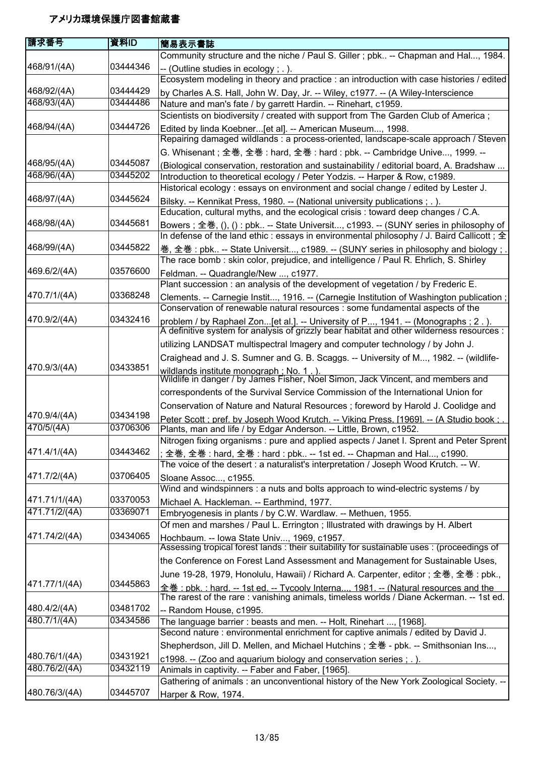| 庸求番号                       | 資料ID                 | 簡易表示書誌                                                                                                                                                                         |
|----------------------------|----------------------|--------------------------------------------------------------------------------------------------------------------------------------------------------------------------------|
|                            |                      | Community structure and the niche / Paul S. Giller ; pbk -- Chapman and Hal, 1984.                                                                                             |
| 468/91/(4A)                | 03444346             | -- (Outline studies in ecology; .).                                                                                                                                            |
|                            |                      | Ecosystem modeling in theory and practice : an introduction with case histories / edited                                                                                       |
| 468/92/(4A)                | 03444429             | by Charles A.S. Hall, John W. Day, Jr. -- Wiley, c1977. -- (A Wiley-Interscience                                                                                               |
| 468/93/(4A)                | 03444486             | Nature and man's fate / by garrett Hardin. -- Rinehart, c1959.                                                                                                                 |
|                            |                      | Scientists on biodiversity / created with support from The Garden Club of America;                                                                                             |
| 468/94/(4A)                | 03444726             | Edited by linda Koebner [et al]. -- American Museum, 1998.<br>Repairing damaged wildlands : a process-oriented, landscape-scale approach / Steven                              |
|                            |                      | G. Whisenant; 全巻, 全巻: hard, 全巻: hard: pbk. -- Cambridge Unive, 1999. --                                                                                                        |
| 468/95/(4A)<br>468/96/(4A) | 03445087<br>03445202 | (Biological conservation, restoration and sustainability / editorial board, A. Bradshaw                                                                                        |
|                            |                      | Introduction to theoretical ecology / Peter Yodzis. -- Harper & Row, c1989.<br>Historical ecology : essays on environment and social change / edited by Lester J.              |
| 468/97/(4A)                | 03445624             | Bilsky. -- Kennikat Press, 1980. -- (National university publications ; . ).                                                                                                   |
|                            |                      | Education, cultural myths, and the ecological crisis : toward deep changes / C.A.                                                                                              |
| 468/98/(4A)                | 03445681             | Bowers ; 全巻, (), () : pbk -- State Universit, c1993. -- (SUNY series in philosophy of                                                                                          |
|                            |                      | In defense of the land ethic : essays in environmental philosophy / J. Baird Callicott; 全                                                                                      |
| 468/99/(4A)                | 03445822             | 巻, 全巻:pbk -- State Universit, c1989. -- (SUNY series in philosophy and biology ; .                                                                                             |
|                            |                      | The race bomb : skin color, prejudice, and intelligence / Paul R. Ehrlich, S. Shirley                                                                                          |
| 469.6/2/(4A)               | 03576600             | Feldman. -- Quadrangle/New , c1977.                                                                                                                                            |
|                            |                      | Plant succession: an analysis of the development of vegetation / by Frederic E.                                                                                                |
| 470.7/1/(4A)               | 03368248             | Clements. -- Carnegie Instit, 1916. -- (Carnegie Institution of Washington publication;<br>Conservation of renewable natural resources : some fundamental aspects of the       |
| 470.9/2/(4A)               | 03432416             | problem / by Raphael Zon[et al.]. -- University of P, 1941. -- (Monographs ; 2.).<br>A definitive system for analysis of grizzly bear habitat and other wilderness resources : |
|                            |                      | utilizing LANDSAT multispectral Imagery and computer technology / by John J.                                                                                                   |
|                            |                      | Craighead and J. S. Sumner and G. B. Scaggs. -- University of M, 1982. -- (wildlife-                                                                                           |
| 470.9/3/(4A)               | 03433851             |                                                                                                                                                                                |
|                            |                      | wildlands institute monograph ; No. 1 . ).<br>Wildlife in danger / by James Fisher, Noel Simon, Jack Vincent, and members and                                                  |
|                            |                      | correspondents of the Survival Service Commission of the International Union for                                                                                               |
|                            |                      | Conservation of Nature and Natural Resources ; foreword by Harold J. Coolidge and                                                                                              |
| 470.9/4/(4A)               | 03434198             | Peter Scott : pref. by Joseph Wood Krutch. -- Viking Press. [1969]. -- (A Studio book :                                                                                        |
| 470/5/(4A)                 | 03706306             | Plants, man and life / by Edgar Anderson. -- Little, Brown, c1952.                                                                                                             |
|                            |                      | Nitrogen fixing organisms : pure and applied aspects / Janet I. Sprent and Peter Sprent                                                                                        |
| 471.4/1/(4A)               | 03443462             | 全巻, 全巻: hard, 全巻: hard: pbk -- 1st ed. -- Chapman and Hal, c1990.                                                                                                              |
| 471.7/2/(4A)               | 03706405             | The voice of the desert : a naturalist's interpretation / Joseph Wood Krutch. -- W.                                                                                            |
|                            |                      | Sloane Assoc, c1955.<br>Wind and windspinners : a nuts and bolts approach to wind-electric systems / by                                                                        |
| 471.71/1/(4A)              | 03370053             | Michael A. Hackleman. -- Earthmind, 1977.                                                                                                                                      |
| 471.71/2/(4A)              | 03369071             | Embryogenesis in plants / by C.W. Wardlaw. -- Methuen, 1955.                                                                                                                   |
|                            |                      | Of men and marshes / Paul L. Errington; Illustrated with drawings by H. Albert                                                                                                 |
| 471.74/2/(4A)              | 03434065             | Hochbaum. -- Iowa State Univ, 1969, c1957.<br>Assessing tropical forest lands : their suitability for sustainable uses : (proceedings of                                       |
|                            |                      | the Conference on Forest Land Assessment and Management for Sustainable Uses,                                                                                                  |
|                            |                      | June 19-28, 1979, Honolulu, Hawaii) / Richard A. Carpenter, editor; 全巻, 全巻 : pbk.,                                                                                             |
| 471.77/1/(4A)              | 03445863             | 全巻: pbk.: hard. -- 1st ed. -- Tycooly Interna 1981. -- (Natural resources and the                                                                                              |
|                            |                      | The rarest of the rare: vanishing animals, timeless worlds / Diane Ackerman. -- 1st ed.                                                                                        |
| 480.4/2/(4A)               | 03481702             | -- Random House, c1995.                                                                                                                                                        |
| 480.7/1/(4A)               | 03434586             | The language barrier: beasts and men. -- Holt, Rinehart , [1968].                                                                                                              |
|                            |                      | Second nature : environmental enrichment for captive animals / edited by David J.                                                                                              |
|                            |                      | Shepherdson, Jill D. Mellen, and Michael Hutchins; 全巻 - pbk. -- Smithsonian Ins,                                                                                               |
| 480.76/1/(4A)              | 03431921             | c1998. -- (Zoo and aquarium biology and conservation series; .).                                                                                                               |
| 480.76/2/(4A)              | 03432119             | Animals in captivity. -- Faber and Faber, [1965].                                                                                                                              |
|                            |                      | Gathering of animals : an unconventional history of the New York Zoological Society. --                                                                                        |
| 480.76/3/(4A)              | 03445707             | Harper & Row, 1974.                                                                                                                                                            |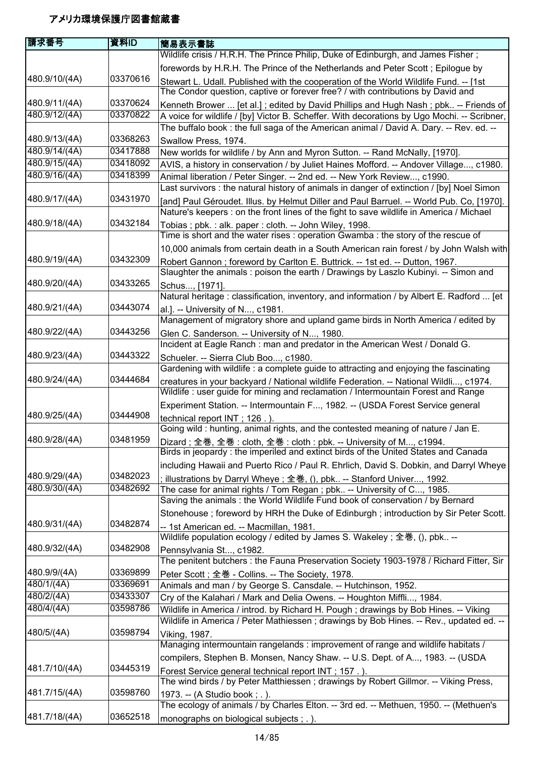| 請求番号          | 資料ID     | 簡易表示書誌                                                                                                                                                                        |
|---------------|----------|-------------------------------------------------------------------------------------------------------------------------------------------------------------------------------|
|               |          | Wildlife crisis / H.R.H. The Prince Philip, Duke of Edinburgh, and James Fisher;                                                                                              |
|               |          | forewords by H.R.H. The Prince of the Netherlands and Peter Scott; Epilogue by                                                                                                |
| 480.9/10/(4A) | 03370616 | Stewart L. Udall. Published with the cooperation of the World Wildlife Fund. -- [1st                                                                                          |
|               |          | The Condor question, captive or forever free? / with contributions by David and                                                                                               |
| 480.9/11/(4A) | 03370624 | Kenneth Brower  [et al.]; edited by David Phillips and Hugh Nash; pbk -- Friends of                                                                                           |
| 480.9/12/(4A) | 03370822 | A voice for wildlife / [by] Victor B. Scheffer. With decorations by Ugo Mochi. -- Scribner,                                                                                   |
|               |          | The buffalo book : the full saga of the American animal / David A. Dary. -- Rev. ed. --                                                                                       |
| 480.9/13/(4A) | 03368263 | Swallow Press, 1974.                                                                                                                                                          |
| 480.9/14/(4A) | 03417888 | New worlds for wildlife / by Ann and Myron Sutton. -- Rand McNally, [1970].                                                                                                   |
| 480.9/15/(4A) | 03418092 | AVIS, a history in conservation / by Juliet Haines Mofford. -- Andover Village, c1980.                                                                                        |
| 480.9/16/(4A) | 03418399 | Animal liberation / Peter Singer. -- 2nd ed. -- New York Review, c1990.                                                                                                       |
|               |          | Last survivors : the natural history of animals in danger of extinction / [by] Noel Simon                                                                                     |
| 480.9/17/(4A) | 03431970 | [and] Paul Géroudet. Illus. by Helmut Diller and Paul Barruel. -- World Pub. Co, [1970].                                                                                      |
|               |          | Nature's keepers : on the front lines of the fight to save wildlife in America / Michael                                                                                      |
| 480.9/18/(4A) | 03432184 | Tobias ; pbk. : alk. paper : cloth. -- John Wiley, 1998.                                                                                                                      |
|               |          | Time is short and the water rises : operation Gwamba : the story of the rescue of                                                                                             |
|               |          | 10,000 animals from certain death in a South American rain forest / by John Walsh with                                                                                        |
| 480.9/19/(4A) | 03432309 | Robert Gannon; foreword by Carlton E. Buttrick. -- 1st ed. -- Dutton, 1967.                                                                                                   |
|               |          | Slaughter the animals: poison the earth / Drawings by Laszlo Kubinyi. -- Simon and                                                                                            |
| 480.9/20/(4A) | 03433265 | Schus, [1971].                                                                                                                                                                |
|               |          | Natural heritage: classification, inventory, and information / by Albert E. Radford  [et                                                                                      |
| 480.9/21/(4A) | 03443074 | al.]. -- University of N, c1981.                                                                                                                                              |
|               |          | Management of migratory shore and upland game birds in North America / edited by                                                                                              |
| 480.9/22/(4A) | 03443256 | Glen C. Sanderson. -- University of N, 1980.                                                                                                                                  |
|               |          | Incident at Eagle Ranch: man and predator in the American West / Donald G.                                                                                                    |
| 480.9/23/(4A) | 03443322 | Schueler. -- Sierra Club Boo, c1980.                                                                                                                                          |
|               |          | Gardening with wildlife : a complete guide to attracting and enjoying the fascinating                                                                                         |
| 480.9/24/(4A) | 03444684 | creatures in your backyard / National wildlife Federation. -- National Wildli, c1974.                                                                                         |
|               |          | Wildlife: user guide for mining and reclamation / Intermountain Forest and Range                                                                                              |
|               |          | Experiment Station. -- Intermountain F, 1982. -- (USDA Forest Service general                                                                                                 |
| 480.9/25/(4A) | 03444908 | technical report INT; 126.).                                                                                                                                                  |
|               |          | Going wild: hunting, animal rights, and the contested meaning of nature / Jan E.                                                                                              |
| 480.9/28/(4A) | 03481959 | Dizard; 全巻, 全巻: cloth, 全巻: cloth: pbk. -- University of M, c1994.                                                                                                             |
|               |          | Birds in jeopardy: the imperiled and extinct birds of the United States and Canada                                                                                            |
|               |          | including Hawaii and Puerto Rico / Paul R. Ehrlich, David S. Dobkin, and Darryl Wheye                                                                                         |
| 480.9/29/(4A) | 03482023 | ; illustrations by Darryl Wheye ; 全巻, (), pbk -- Stanford Univer, 1992.                                                                                                       |
| 480.9/30/(4A) | 03482692 | The case for animal rights / Tom Regan; pbk -- University of C, 1985.                                                                                                         |
|               |          | Saving the animals : the World Wildlife Fund book of conservation / by Bernard                                                                                                |
|               |          | Stonehouse; foreword by HRH the Duke of Edinburgh; introduction by Sir Peter Scott.                                                                                           |
| 480.9/31/(4A) | 03482874 | -- 1st American ed. -- Macmillan, 1981.                                                                                                                                       |
|               |          | Wildlife population ecology / edited by James S. Wakeley ; 全巻, (), pbk --                                                                                                     |
| 480.9/32/(4A) | 03482908 | Pennsylvania St, c1982.                                                                                                                                                       |
| 480.9/9/(4A)  | 03369899 | The penitent butchers : the Fauna Preservation Society 1903-1978 / Richard Fitter, Sir                                                                                        |
| 480/1/(4A)    | 03369691 | Peter Scott; 全巻 - Collins. -- The Society, 1978.                                                                                                                              |
| 480/2/(4A)    | 03433307 | Animals and man / by George S. Cansdale. -- Hutchinson, 1952.                                                                                                                 |
| 480/4/(4A)    | 03598786 | Cry of the Kalahari / Mark and Delia Owens. -- Houghton Miffli, 1984.                                                                                                         |
|               |          | Wildlife in America / introd. by Richard H. Pough; drawings by Bob Hines. -- Viking<br>Wildlife in America / Peter Mathiessen; drawings by Bob Hines. -- Rev., updated ed. -- |
| 480/5/(4A)    | 03598794 |                                                                                                                                                                               |
|               |          | Viking, 1987.<br>Managing intermountain rangelands: improvement of range and wildlife habitats /                                                                              |
|               |          |                                                                                                                                                                               |
| 481.7/10/(4A) | 03445319 | compilers, Stephen B. Monsen, Nancy Shaw. -- U.S. Dept. of A, 1983. -- (USDA                                                                                                  |
|               |          | Forest Service general technical report INT; 157.).<br>The wind birds / by Peter Matthiessen; drawings by Robert Gillmor. -- Viking Press,                                    |
| 481.7/15/(4A) | 03598760 |                                                                                                                                                                               |
|               |          | 1973. -- (A Studio book; .).<br>The ecology of animals / by Charles Elton. -- 3rd ed. -- Methuen, 1950. -- (Methuen's                                                         |
| 481.7/18/(4A) | 03652518 |                                                                                                                                                                               |
|               |          | monographs on biological subjects ; . ).                                                                                                                                      |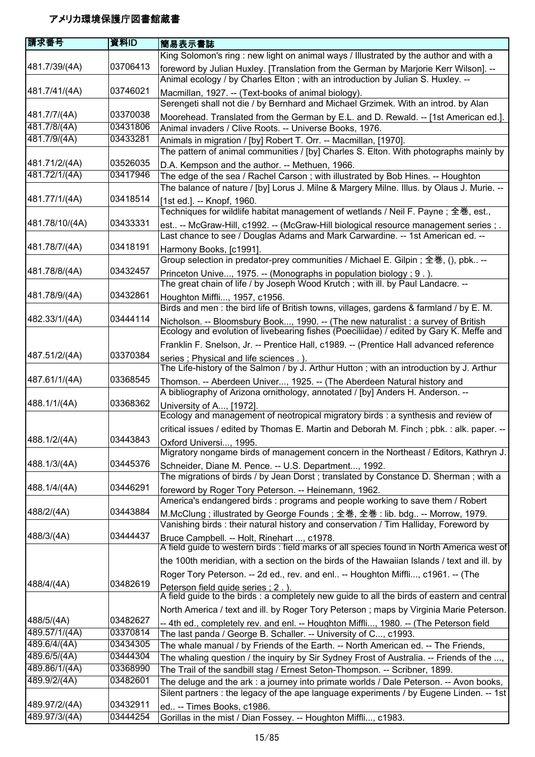| 請求番号                        | 資料ID                 | 簡易表示書誌                                                                                                                                                                            |
|-----------------------------|----------------------|-----------------------------------------------------------------------------------------------------------------------------------------------------------------------------------|
|                             |                      | King Solomon's ring : new light on animal ways / Illustrated by the author and with a                                                                                             |
| 481.7/39/(4A)               | 03706413             | foreword by Julian Huxley. [Translation from the German by Marjorie Kerr Wilson]. --                                                                                              |
|                             |                      | Animal ecology / by Charles Elton ; with an introduction by Julian S. Huxley. --                                                                                                  |
| 481.7/41/(4A)               | 03746021             | Macmillan, 1927. -- (Text-books of animal biology).                                                                                                                               |
|                             |                      | Serengeti shall not die / by Bernhard and Michael Grzimek. With an introd. by Alan                                                                                                |
| 481.7/7/(4A)                | 03370038             | Moorehead. Translated from the German by E.L. and D. Rewald. -- [1st American ed.].                                                                                               |
| 481.7/8/(4A)                | 03431806             | Animal invaders / Clive Roots. -- Universe Books, 1976.                                                                                                                           |
| 481.7/9/(4A)                | 03433281             | Animals in migration / [by] Robert T. Orr. -- Macmillan, [1970].                                                                                                                  |
|                             |                      | The pattern of animal communities / [by] Charles S. Elton. With photographs mainly by                                                                                             |
| 481.71/2/(4A)               | 03526035             | D.A. Kempson and the author. -- Methuen, 1966.                                                                                                                                    |
| 481.72/1/(4A)               | 03417946             | The edge of the sea / Rachel Carson ; with illustrated by Bob Hines. -- Houghton                                                                                                  |
|                             |                      | The balance of nature / [by] Lorus J. Milne & Margery Milne. Illus. by Olaus J. Murie. --                                                                                         |
| 481.77/1/(4A)               | 03418514             | [1st ed.]. -- Knopf, 1960.                                                                                                                                                        |
|                             |                      | Techniques for wildlife habitat management of wetlands / Neil F. Payne; 全巻, est.,                                                                                                 |
| 481.78/10/(4A)              | 03433331             | est -- McGraw-Hill, c1992. -- (McGraw-Hill biological resource management series ; .                                                                                              |
|                             |                      | Last chance to see / Douglas Adams and Mark Carwardine. -- 1st American ed. --                                                                                                    |
| 481.78/7/(4A)               | 03418191             | Harmony Books, [c1991].                                                                                                                                                           |
| 481.78/8/(4A)               | 03432457             | Group selection in predator-prey communities / Michael E. Gilpin; 全巻, (), pbk --                                                                                                  |
|                             |                      | Princeton Unive, 1975. -- (Monographs in population biology ; 9.).                                                                                                                |
| 481.78/9/(4A)               | 03432861             | The great chain of life / by Joseph Wood Krutch; with ill. by Paul Landacre. --                                                                                                   |
|                             |                      | Houghton Miffli, 1957, c1956.<br>Birds and men: the bird life of British towns, villages, gardens & farmland / by E. M.                                                           |
| 482.33/1/(4A)               | 03444114             |                                                                                                                                                                                   |
|                             |                      | Nicholson. -- Bloomsbury Book, 1990. -- (The new naturalist : a survey of British<br>Ecology and evolution of livebearing fishes (Poeciliidae) / edited by Gary K. Meffe and      |
|                             |                      | Franklin F. Snelson, Jr. -- Prentice Hall, c1989. -- (Prentice Hall advanced reference                                                                                            |
| 487.51/2/(4A)               | 03370384             |                                                                                                                                                                                   |
|                             |                      | series; Physical and life sciences.).<br>The Life-history of the Salmon / by J. Arthur Hutton; with an introduction by J. Arthur                                                  |
| 487.61/1/(4A)               | 03368545             | Thomson. -- Aberdeen Univer, 1925. -- (The Aberdeen Natural history and                                                                                                           |
|                             |                      | A bibliography of Arizona ornithology, annotated / [by] Anders H. Anderson. --                                                                                                    |
| 488.1/1/(4A)                | 03368362             | University of A, [1972].                                                                                                                                                          |
|                             |                      | Ecology and management of neotropical migratory birds : a synthesis and review of                                                                                                 |
|                             |                      | critical issues / edited by Thomas E. Martin and Deborah M. Finch; pbk.: alk. paper. --                                                                                           |
| 488.1/2/(4A)                | 03443843             | Oxford Universi, 1995.                                                                                                                                                            |
|                             |                      | Migratory nongame birds of management concern in the Northeast / Editors, Kathryn J.                                                                                              |
| 488.1/3/(4A)                | 03445376             | Schneider, Diane M. Pence. -- U.S. Department, 1992.                                                                                                                              |
|                             |                      | The migrations of birds / by Jean Dorst; translated by Constance D. Sherman; with a                                                                                               |
| 488.1/4/(4A)                | 03446291             | foreword by Roger Tory Peterson. -- Heinemann, 1962.                                                                                                                              |
|                             |                      | America's endangered birds: programs and people working to save them / Robert                                                                                                     |
| 488/2/(4A)                  | 03443884             | M.McClung; illustrated by George Founds; 全巻, 全巻: lib. bdg -- Morrow, 1979.                                                                                                        |
|                             |                      | Vanishing birds: their natural history and conservation / Tim Halliday, Foreword by                                                                                               |
| 488/3/(4A)                  | 03444437             | Bruce Campbell. -- Holt, Rinehart , c1978.                                                                                                                                        |
|                             |                      | A field guide to western birds: field marks of all species found in North America west of                                                                                         |
|                             |                      | the 100th meridian, with a section on the birds of the Hawaiian Islands / text and ill. by                                                                                        |
|                             |                      | Roger Tory Peterson. -- 2d ed., rev. and enl -- Houghton Miffli, c1961. -- (The                                                                                                   |
| 488/4/(4A)                  | 03482619             | Peterson field quide series : 2.).                                                                                                                                                |
|                             |                      | A field guide to the birds : a completely new guide to all the birds of eastern and central                                                                                       |
|                             |                      | North America / text and ill. by Roger Tory Peterson; maps by Virginia Marie Peterson.                                                                                            |
| 488/5/(4A)<br>489.57/1/(4A) | 03482627<br>03370814 | -- 4th ed., completely rev. and enl. -- Houghton Miffli, 1980. -- (The Peterson field                                                                                             |
| 489.6/4/(4A)                | 03434305             | The last panda / George B. Schaller. -- University of C, c1993.                                                                                                                   |
| 489.6/5/(4A)                | 03444304             | The whale manual / by Friends of the Earth. -- North American ed. -- The Friends,                                                                                                 |
| 489.86/1/(4A)               | 03368990             | The whaling question / the inquiry by Sir Sydney Frost of Australia. -- Friends of the ,                                                                                          |
| 489.9/2/(4A)                | 03482601             | The Trail of the sandbill stag / Ernest Seton-Thompson. -- Scribner, 1899.                                                                                                        |
|                             |                      | The deluge and the ark : a journey into primate worlds / Dale Peterson. -- Avon books,<br>Silent partners : the legacy of the ape language experiments / by Eugene Linden. -- 1st |
| 489.97/2/(4A)               | 03432911             | ed -- Times Books, c1986.                                                                                                                                                         |
| 489.97/3/(4A)               | 03444254             | Gorillas in the mist / Dian Fossey. -- Houghton Miffli, c1983.                                                                                                                    |
|                             |                      |                                                                                                                                                                                   |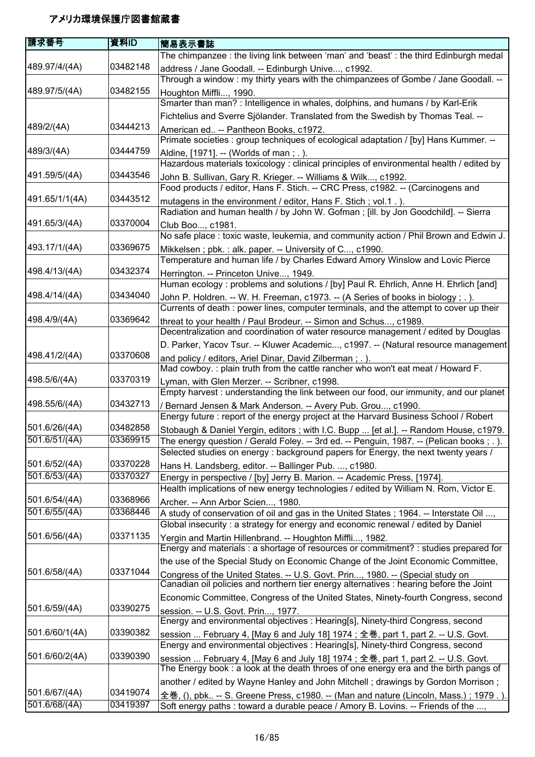| 請求番号           | 資料ID     | 簡易表示書誌                                                                                   |
|----------------|----------|------------------------------------------------------------------------------------------|
|                |          | The chimpanzee : the living link between 'man' and 'beast' : the third Edinburgh medal   |
| 489.97/4/(4A)  | 03482148 | address / Jane Goodall. -- Edinburgh Unive, c1992.                                       |
|                |          | Through a window: my thirty years with the chimpanzees of Gombe / Jane Goodall. --       |
| 489.97/5/(4A)  | 03482155 | Houghton Miffli, 1990.                                                                   |
|                |          | Smarter than man? : Intelligence in whales, dolphins, and humans / by Karl-Erik          |
|                |          | Fichtelius and Sverre Sjölander. Translated from the Swedish by Thomas Teal. --          |
| 489/2/(4A)     | 03444213 | American ed -- Pantheon Books, c1972.                                                    |
|                |          | Primate societies : group techniques of ecological adaptation / [by] Hans Kummer. --     |
| 489/3/(4A)     | 03444759 | Aldine, [1971]. -- (Worlds of man; .).                                                   |
|                |          | Hazardous materials toxicology : clinical principles of environmental health / edited by |
| 491.59/5/(4A)  | 03443546 | John B. Sullivan, Gary R. Krieger. -- Williams & Wilk, c1992.                            |
|                |          | Food products / editor, Hans F. Stich. -- CRC Press, c1982. -- (Carcinogens and          |
| 491.65/1/1(4A) | 03443512 | mutagens in the environment / editor, Hans F. Stich; vol.1.).                            |
|                |          | Radiation and human health / by John W. Gofman; [ill. by Jon Goodchild]. -- Sierra       |
| 491.65/3/(4A)  | 03370004 | Club Boo, c1981.                                                                         |
|                |          | No safe place : toxic waste, leukemia, and community action / Phil Brown and Edwin J.    |
| 493.17/1/(4A)  | 03369675 | Mikkelsen; pbk.: alk. paper. -- University of C, c1990.                                  |
|                |          | Temperature and human life / by Charles Edward Amory Winslow and Lovic Pierce            |
| 498.4/13/(4A)  | 03432374 | Herrington. -- Princeton Unive, 1949.                                                    |
|                |          | Human ecology: problems and solutions / [by] Paul R. Ehrlich, Anne H. Ehrlich [and]      |
| 498.4/14/(4A)  | 03434040 | John P. Holdren. -- W. H. Freeman, c1973. -- (A Series of books in biology; .).          |
|                |          | Currents of death : power lines, computer terminals, and the attempt to cover up their   |
| 498.4/9/(4A)   | 03369642 | threat to your health / Paul Brodeur. -- Simon and Schus, c1989.                         |
|                |          | Decentralization and coordination of water resource management / edited by Douglas       |
|                |          | D. Parker, Yacov Tsur. -- Kluwer Academic, c1997. -- (Natural resource management        |
| 498.41/2/(4A)  | 03370608 | and policy / editors, Ariel Dinar, David Zilberman; .).                                  |
|                |          | Mad cowboy.: plain truth from the cattle rancher who won't eat meat / Howard F.          |
| 498.5/6/(4A)   | 03370319 | Lyman, with Glen Merzer. -- Scribner, c1998.                                             |
|                |          | Empty harvest : understanding the link between our food, our immunity, and our planet    |
| 498.55/6/(4A)  | 03432713 | / Bernard Jensen & Mark Anderson. -- Avery Pub. Grou, c1990.                             |
|                |          | Energy future : report of the energy project at the Harvard Business School / Robert     |
| 501.6/26/(4A)  | 03482858 | Stobaugh & Daniel Yergin, editors ; with I.C. Bupp  [et al.]. -- Random House, c1979.    |
| 501.6/51/(4A)  | 03369915 | The energy question / Gerald Foley. -- 3rd ed. -- Penguin, 1987. -- (Pelican books;.).   |
|                |          | Selected studies on energy : background papers for Energy, the next twenty years /       |
| 501.6/52/(4A)  | 03370228 | Hans H. Landsberg, editor. -- Ballinger Pub. , c1980.                                    |
| 501.6/53/(4A)  | 03370327 | Energy in perspective / [by] Jerry B. Marion. -- Academic Press, [1974].                 |
|                |          | Health implications of new energy technologies / edited by William N. Rom, Victor E.     |
| 501.6/54/(4A)  | 03368966 | Archer. -- Ann Arbor Scien, 1980.                                                        |
| 501.6/55/(4A)  | 03368446 | A study of conservation of oil and gas in the United States; 1964. -- Interstate Oil ,   |
|                |          | Global insecurity: a strategy for energy and economic renewal / edited by Daniel         |
| 501.6/56/(4A)  | 03371135 | Yergin and Martin Hillenbrand. -- Houghton Miffli, 1982.                                 |
|                |          | Energy and materials : a shortage of resources or commitment? : studies prepared for     |
|                |          | the use of the Special Study on Economic Change of the Joint Economic Committee,         |
| 501.6/58/(4A)  | 03371044 | Congress of the United States. -- U.S. Govt. Prin, 1980. -- (Special study on            |
|                |          | Canadian oil policies and northern tier energy alternatives : hearing before the Joint   |
|                |          | Economic Committee, Congress of the United States, Ninety-fourth Congress, second        |
| 501.6/59/(4A)  | 03390275 | session. -- U.S. Govt. Prin, 1977.                                                       |
|                |          | Energy and environmental objectives : Hearing[s], Ninety-third Congress, second          |
| 501.6/60/1(4A) | 03390382 | session  February 4, [May 6 and July 18] 1974; 全巻, part 1, part 2. -- U.S. Govt.         |
|                |          | Energy and environmental objectives : Hearing[s], Ninety-third Congress, second          |
| 501.6/60/2(4A) | 03390390 | session  February 4, [May 6 and July 18] 1974; 全巻, part 1, part 2. -- U.S. Govt.         |
|                |          | The Energy book: a look at the death throes of one energy era and the birth pangs of     |
|                |          | another / edited by Wayne Hanley and John Mitchell; drawings by Gordon Morrison;         |
| 501.6/67/(4A)  | 03419074 | 全巻, (), pbk -- S. Greene Press, c1980. -- (Man and nature (Lincoln, Mass.); 1979.).      |
| 501.6/68/(4A)  | 03419397 | Soft energy paths : toward a durable peace / Amory B. Lovins. -- Friends of the ,        |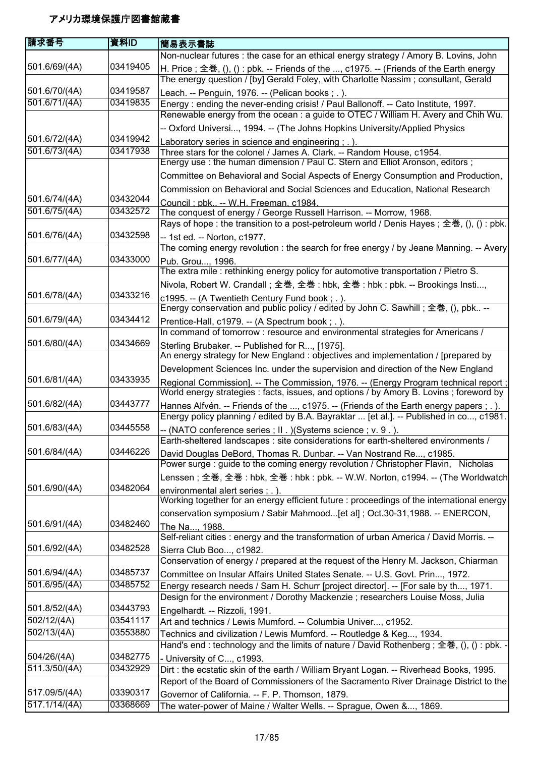| 請求番号          | 資料ID     | 簡易表示書誌                                                                                                                                                              |
|---------------|----------|---------------------------------------------------------------------------------------------------------------------------------------------------------------------|
|               |          | Non-nuclear futures : the case for an ethical energy strategy / Amory B. Lovins, John                                                                               |
| 501.6/69/(4A) | 03419405 | H. Price; 全巻, (), () : pbk. -- Friends of the , c1975. -- (Friends of the Earth energy                                                                              |
|               |          | The energy question / [by] Gerald Foley, with Charlotte Nassim; consultant, Gerald                                                                                  |
| 501.6/70/(4A) | 03419587 | Leach. -- Penguin, 1976. -- (Pelican books; .).                                                                                                                     |
| 501.6/71/(4A) | 03419835 | Energy: ending the never-ending crisis! / Paul Ballonoff. -- Cato Institute, 1997.                                                                                  |
|               |          | Renewable energy from the ocean : a guide to OTEC / William H. Avery and Chih Wu.                                                                                   |
|               |          | -- Oxford Universi, 1994. -- (The Johns Hopkins University/Applied Physics                                                                                          |
| 501.6/72/(4A) | 03419942 | Laboratory series in science and engineering; .).                                                                                                                   |
| 501.6/73/(4A) | 03417938 | Three stars for the colonel / James A. Clark. -- Random House, c1954.                                                                                               |
|               |          | Energy use: the human dimension / Paul C. Stern and Elliot Aronson, editors;                                                                                        |
|               |          | Committee on Behavioral and Social Aspects of Energy Consumption and Production,                                                                                    |
|               |          | Commission on Behavioral and Social Sciences and Education, National Research                                                                                       |
| 501.6/74/(4A) | 03432044 | Council ; pbk -- W.H. Freeman, c1984.                                                                                                                               |
| 501.6/75/(4A) | 03432572 | The conquest of energy / George Russell Harrison. -- Morrow, 1968.                                                                                                  |
|               |          | Rays of hope : the transition to a post-petroleum world / Denis Hayes ; 全巻, (), () : pbk.                                                                           |
| 501.6/76/(4A) | 03432598 | -- 1st ed. -- Norton, c1977.                                                                                                                                        |
|               | 03433000 | The coming energy revolution: the search for free energy / by Jeane Manning. -- Avery                                                                               |
| 501.6/77/(4A) |          | Pub. Grou, 1996.<br>The extra mile: rethinking energy policy for automotive transportation / Pietro S.                                                              |
|               |          |                                                                                                                                                                     |
| 501.6/78/(4A) | 03433216 | Nivola, Robert W. Crandall; 全巻, 全巻: hbk, 全巻: hbk: pbk. -- Brookings Insti,                                                                                          |
|               |          | c1995. -- (A Twentieth Century Fund book;.)<br>Energy conservation and public policy / edited by John C. Sawhill; 全巻, (), pbk --                                    |
| 501.6/79/(4A) | 03434412 |                                                                                                                                                                     |
|               |          | Prentice-Hall, c1979. -- (A Spectrum book; .).<br>In command of tomorrow : resource and environmental strategies for Americans /                                    |
| 501.6/80/(4A) | 03434669 | Sterling Brubaker. -- Published for R, [1975].                                                                                                                      |
|               |          | An energy strategy for New England : objectives and implementation / [prepared by                                                                                   |
|               |          | Development Sciences Inc. under the supervision and direction of the New England                                                                                    |
| 501.6/81/(4A) | 03433935 | Regional Commission]. -- The Commission, 1976. -- (Energy Program technical report ;                                                                                |
|               |          | World energy strategies: facts, issues, and options / by Amory B. Lovins; foreword by                                                                               |
| 501.6/82/(4A) | 03443777 | Hannes Alfvén. -- Friends of the , c1975. -- (Friends of the Earth energy papers ; . ).                                                                             |
|               |          | Energy policy planning / edited by B.A. Bayraktar  [et al.]. -- Published in co, c1981.                                                                             |
| 501.6/83/(4A) | 03445558 | -- (NATO conference series ; II . ) (Systems science ; v. 9.).                                                                                                      |
|               |          | Earth-sheltered landscapes : site considerations for earth-sheltered environments /                                                                                 |
| 501.6/84/(4A) | 03446226 | David Douglas DeBord, Thomas R. Dunbar. -- Van Nostrand Re, c1985.                                                                                                  |
|               |          | Power surge: guide to the coming energy revolution / Christopher Flavin, Nicholas                                                                                   |
|               |          | Lenssen ; 全巻, 全巻 : hbk, 全巻 : hbk : pbk. -- W.W. Norton, c1994. -- (The Worldwatch                                                                                   |
| 501.6/90/(4A) | 03482064 | environmental alert series ; . ).                                                                                                                                   |
|               |          | Working together for an energy efficient future : proceedings of the international energy                                                                           |
|               |          | conservation symposium / Sabir Mahmood[et al]; Oct.30-31,1988. -- ENERCON,                                                                                          |
| 501.6/91/(4A) | 03482460 | The Na, 1988.<br>Self-reliant cities : energy and the transformation of urban America / David Morris. --                                                            |
| 501.6/92/(4A) | 03482528 |                                                                                                                                                                     |
|               |          | Sierra Club Boo, c1982.<br>Conservation of energy / prepared at the request of the Henry M. Jackson, Chiarman                                                       |
| 501.6/94/(4A) | 03485737 |                                                                                                                                                                     |
| 501.6/95/(4A) | 03485752 | Committee on Insular Affairs United States Senate. -- U.S. Govt. Prin, 1972.<br>Energy research needs / Sam H. Schurr [project director]. -- [For sale by th, 1971. |
|               |          | Design for the environment / Dorothy Mackenzie ; researchers Louise Moss, Julia                                                                                     |
| 501.8/52/(4A) | 03443793 | Engelhardt. -- Rizzoli, 1991.                                                                                                                                       |
| 502/12/(4A)   | 03541117 | Art and technics / Lewis Mumford. -- Columbia Univer, c1952.                                                                                                        |
| 502/13/(4A)   | 03553880 | Technics and civilization / Lewis Mumford. -- Routledge & Keg, 1934.                                                                                                |
|               |          | Hand's end : technology and the limits of nature / David Rothenberg ; 全巻, (), () : pbk. -                                                                           |
| 504/26/(4A)   | 03482775 | - University of C, c1993.                                                                                                                                           |
| 511.3/50/(4A) | 03432929 | Dirt: the ecstatic skin of the earth / William Bryant Logan. -- Riverhead Books, 1995.                                                                              |
|               |          | Report of the Board of Commissioners of the Sacramento River Drainage District to the                                                                               |
| 517.09/5/(4A) | 03390317 | Governor of California. -- F. P. Thomson, 1879.                                                                                                                     |
| 517.1/14/(4A) | 03368669 | The water-power of Maine / Walter Wells. -- Sprague, Owen &, 1869.                                                                                                  |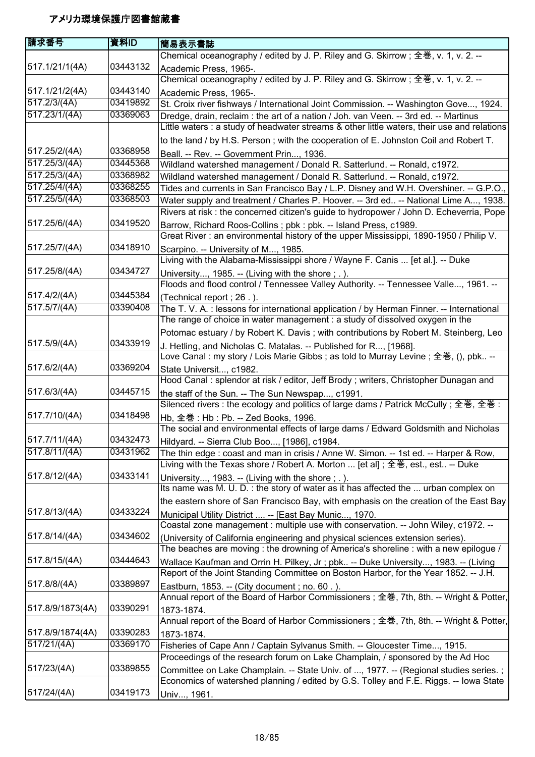| 請求番号             | 資料ID     | 簡易表示書誌                                                                                                                                                |
|------------------|----------|-------------------------------------------------------------------------------------------------------------------------------------------------------|
|                  |          | Chemical oceanography / edited by J. P. Riley and G. Skirrow; 全巻, v. 1, v. 2. --                                                                      |
| 517.1/21/1(4A)   | 03443132 | Academic Press, 1965-.                                                                                                                                |
|                  |          | Chemical oceanography / edited by J. P. Riley and G. Skirrow; 全巻, v. 1, v. 2. --                                                                      |
| 517.1/21/2(4A)   | 03443140 | Academic Press, 1965-.                                                                                                                                |
| 517.2/3/(4A)     | 03419892 | St. Croix river fishways / International Joint Commission. -- Washington Gove, 1924.                                                                  |
| 517.23/1/(4A)    | 03369063 | Dredge, drain, reclaim : the art of a nation / Joh. van Veen. -- 3rd ed. -- Martinus                                                                  |
|                  |          | Little waters : a study of headwater streams & other little waters, their use and relations                                                           |
|                  |          | to the land / by H.S. Person; with the cooperation of E. Johnston Coil and Robert T.                                                                  |
| 517.25/2/(4A)    | 03368958 | Beall. -- Rev. -- Government Prin, 1936.                                                                                                              |
| 517.25/3/(4A)    | 03445368 | Wildland watershed management / Donald R. Satterlund. -- Ronald, c1972.                                                                               |
| 517.25/3/(4A)    | 03368982 | Wildland watershed management / Donald R. Satterlund. -- Ronald, c1972.                                                                               |
| 517.25/4/(4A)    | 03368255 | Tides and currents in San Francisco Bay / L.P. Disney and W.H. Overshiner. -- G.P.O.,                                                                 |
| 517.25/5/(4A)    | 03368503 | Water supply and treatment / Charles P. Hoover. -- 3rd ed -- National Lime A, 1938.                                                                   |
|                  |          | Rivers at risk : the concerned citizen's guide to hydropower / John D. Echeverria, Pope                                                               |
| 517.25/6/(4A)    | 03419520 | Barrow, Richard Roos-Collins; pbk: pbk. -- Island Press, c1989.                                                                                       |
|                  |          | Great River: an environmental history of the upper Mississippi, 1890-1950 / Philip V.                                                                 |
| 517.25/7/(4A)    | 03418910 | Scarpino. -- University of M, 1985.                                                                                                                   |
|                  |          | Living with the Alabama-Mississippi shore / Wayne F. Canis  [et al.]. -- Duke                                                                         |
| 517.25/8/(4A)    | 03434727 | University, 1985. -- (Living with the shore; .).                                                                                                      |
|                  |          | Floods and flood control / Tennessee Valley Authority. -- Tennessee Valle, 1961. --                                                                   |
| 517.4/2/(4A)     | 03445384 |                                                                                                                                                       |
| 517.5/7/(4A)     | 03390408 | (Technical report ; 26.).<br>The T. V. A. : lessons for international application / by Herman Finner. -- International                                |
|                  |          | The range of choice in water management : a study of dissolved oxygen in the                                                                          |
|                  |          |                                                                                                                                                       |
| 517.5/9/(4A)     | 03433919 | Potomac estuary / by Robert K. Davis; with contributions by Robert M. Steinberg, Leo                                                                  |
|                  |          | J. Hetling, and Nicholas C. Matalas. -- Published for R, [1968].<br>Love Canal: my story / Lois Marie Gibbs; as told to Murray Levine; 全巻, (), pbk -- |
| 517.6/2/(4A)     | 03369204 |                                                                                                                                                       |
|                  |          | State Universit, c1982.<br>Hood Canal : splendor at risk / editor, Jeff Brody ; writers, Christopher Dunagan and                                      |
| 517.6/3/(4A)     | 03445715 |                                                                                                                                                       |
|                  |          | the staff of the Sun. -- The Sun Newspap, c1991.                                                                                                      |
|                  |          | Silenced rivers : the ecology and politics of large dams / Patrick McCully; 全巻, 全巻 :                                                                  |
| 517.7/10/(4A)    | 03418498 | Hb, 全巻: Hb: Pb. -- Zed Books, 1996.                                                                                                                   |
|                  |          | The social and environmental effects of large dams / Edward Goldsmith and Nicholas                                                                    |
| 517.7/11/(4A)    | 03432473 | Hildyard. -- Sierra Club Boo, [1986], c1984.                                                                                                          |
| 517.8/11/(4A)    | 03431962 | The thin edge : coast and man in crisis / Anne W. Simon. -- 1st ed. -- Harper & Row,                                                                  |
|                  |          | Living with the Texas shore / Robert A. Morton  [et al]; 全巻, est., est -- Duke                                                                        |
| 517.8/12/(4A)    | 03433141 | University, 1983. -- (Living with the shore ; .).                                                                                                     |
|                  |          | Its name was M. U. D. : the story of water as it has affected the  urban complex on                                                                   |
|                  |          | the eastern shore of San Francisco Bay, with emphasis on the creation of the East Bay                                                                 |
| 517.8/13/(4A)    | 03433224 | Municipal Utility District  -- [East Bay Munic, 1970.                                                                                                 |
|                  |          | Coastal zone management : multiple use with conservation. -- John Wiley, c1972. --                                                                    |
| 517.8/14/(4A)    | 03434602 | (University of California engineering and physical sciences extension series).                                                                        |
|                  |          | The beaches are moving : the drowning of America's shoreline : with a new epilogue /                                                                  |
| 517.8/15/(4A)    | 03444643 | Wallace Kaufman and Orrin H. Pilkey, Jr ; pbk -- Duke University, 1983. -- (Living                                                                    |
|                  |          | Report of the Joint Standing Committee on Boston Harbor, for the Year 1852. -- J.H.                                                                   |
| 517.8/8/(4A)     | 03389897 | Eastburn, 1853. -- (City document; no. 60.).                                                                                                          |
|                  |          | Annual report of the Board of Harbor Commissioners; 全巻, 7th, 8th. -- Wright & Potter,                                                                 |
| 517.8/9/1873(4A) | 03390291 | 1873-1874.                                                                                                                                            |
|                  |          | Annual report of the Board of Harbor Commissioners; 全巻, 7th, 8th. -- Wright & Potter,                                                                 |
| 517.8/9/1874(4A) | 03390283 | 1873-1874.                                                                                                                                            |
| 517/21/(4A)      | 03369170 | Fisheries of Cape Ann / Captain Sylvanus Smith. -- Gloucester Time, 1915.                                                                             |
|                  |          | Proceedings of the research forum on Lake Champlain, / sponsored by the Ad Hoc                                                                        |
| 517/23/(4A)      | 03389855 | Committee on Lake Champlain. -- State Univ. of , 1977. -- (Regional studies series.;                                                                  |
|                  |          | Economics of watershed planning / edited by G.S. Tolley and F.E. Riggs. -- Iowa State                                                                 |
| 517/24/(4A)      | 03419173 | Univ, 1961.                                                                                                                                           |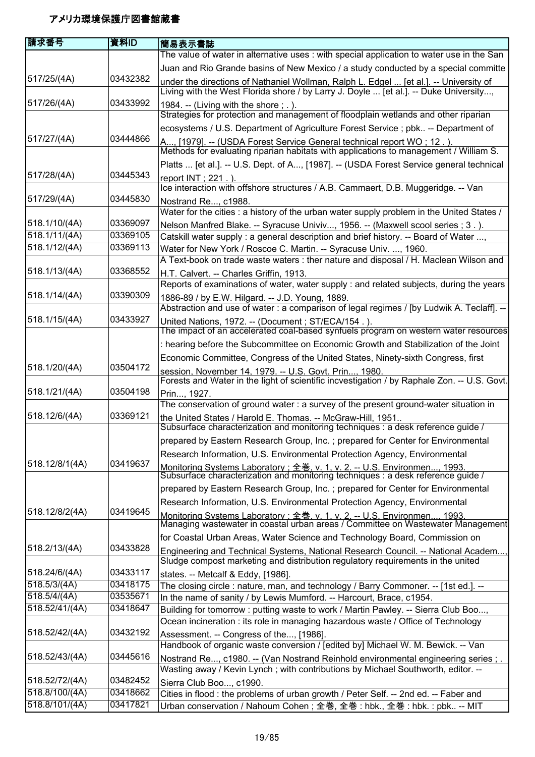| 請求番号                      | 資料ID     | 簡易表示書誌                                                                                                                                                                         |
|---------------------------|----------|--------------------------------------------------------------------------------------------------------------------------------------------------------------------------------|
|                           |          | The value of water in alternative uses : with special application to water use in the San                                                                                      |
|                           |          | Juan and Rio Grande basins of New Mexico / a study conducted by a special committe                                                                                             |
| 517/25/(4A)               | 03432382 | under the directions of Nathaniel Wollman, Ralph L. Edgel  [et al.]. -- University of<br>Living with the West Florida shore / by Larry J. Doyle  [et al.]. -- Duke University, |
| 517/26/(4A)               | 03433992 | 1984. -- (Living with the shore ; . ).                                                                                                                                         |
|                           |          | Strategies for protection and management of floodplain wetlands and other riparian                                                                                             |
|                           |          | ecosystems / U.S. Department of Agriculture Forest Service ; pbk -- Department of                                                                                              |
| 517/27/(4A)               | 03444866 | A, [1979]. -- (USDA Forest Service General technical report WO; 12.).                                                                                                          |
|                           |          | Methods for evaluating riparian habitats with applications to management / William S.                                                                                          |
|                           |          | Platts  [et al.]. -- U.S. Dept. of A, [1987]. -- (USDA Forest Service general technical                                                                                        |
| 517/28/(4A)               | 03445343 | report INT ; 221.).                                                                                                                                                            |
|                           |          | Ice interaction with offshore structures / A.B. Cammaert, D.B. Muggeridge. -- Van                                                                                              |
| 517/29/(4A)               | 03445830 | Nostrand Re, c1988.                                                                                                                                                            |
|                           |          | Water for the cities : a history of the urban water supply problem in the United States /                                                                                      |
| 518.1/10/(4A)             | 03369097 | Nelson Manfred Blake. -- Syracuse Univiv, 1956. -- (Maxwell scool series ; 3.).                                                                                                |
| 518.1/11/(4A)             | 03369105 | Catskill water supply: a general description and brief history. -- Board of Water ,                                                                                            |
| 518.1/12/(4A)             | 03369113 | Water for New York / Roscoe C. Martin. -- Syracuse Univ. , 1960.                                                                                                               |
|                           |          | A Text-book on trade waste waters : ther nature and disposal / H. Maclean Wilson and                                                                                           |
| 518.1/13/(4A)             | 03368552 | H.T. Calvert. -- Charles Griffin, 1913.                                                                                                                                        |
|                           |          | Reports of examinations of water, water supply : and related subjects, during the years                                                                                        |
| 518.1/14/(4A)             | 03390309 | 1886-89 / by E.W. Hilgard. -- J.D. Young, 1889.                                                                                                                                |
|                           |          | Abstraction and use of water : a comparison of legal regimes / [by Ludwik A. Teclaff]. --                                                                                      |
| 518.1/15/(4A)             | 03433927 | United Nations, 1972. -- (Document ; ST/ECA/154.).                                                                                                                             |
|                           |          | The impact of an accelerated coal-based synfuels program on western water resources                                                                                            |
|                           |          | : hearing before the Subcommittee on Economic Growth and Stabilization of the Joint                                                                                            |
|                           |          | Economic Committee, Congress of the United States, Ninety-sixth Congress, first                                                                                                |
| 518.1/20/(4A)             | 03504172 | session, November 14, 1979. -- U.S. Govt. Prin, 1980.<br>Forests and Water in the light of scientific incvestigation / by Raphale Zon. -- U.S. Govt.                           |
| 518.1/21/(4A)             | 03504198 | Prin, 1927.                                                                                                                                                                    |
|                           |          | The conservation of ground water : a survey of the present ground-water situation in                                                                                           |
| 518.12/6/(4A)             | 03369121 | the United States / Harold E. Thomas. -- McGraw-Hill, 1951                                                                                                                     |
|                           |          | Subsurface characterization and monitoring techniques : a desk reference guide /                                                                                               |
|                           |          | prepared by Eastern Research Group, Inc. ; prepared for Center for Environmental                                                                                               |
|                           |          | Research Information, U.S. Environmental Protection Agency, Environmental                                                                                                      |
| 518.12/8/1(4A)            | 03419637 | Monitoring Systems Laboratory: 全巻. v. 1. v. 2. -- U.S. Environmen 1993.<br>Subsurface characterization and monitoring techniques : a desk reference guide /                    |
|                           |          | prepared by Eastern Research Group, Inc.; prepared for Center for Environmental                                                                                                |
|                           |          | Research Information, U.S. Environmental Protection Agency, Environmental                                                                                                      |
| 518.12/8/2(4A)            | 03419645 | Monitoring Systems Laboratory: 全巻. v. 1. v. 2. -- U.S. Environmen 1993.<br>Managing wastewater in coastal urban areas / Committee on Wastewater Management                     |
|                           |          | for Coastal Urban Areas, Water Science and Technology Board, Commission on                                                                                                     |
| 518.2/13/(4A)             | 03433828 | Engineering and Technical Systems, National Research Council. -- National Academ,                                                                                              |
|                           |          | Sludge compost marketing and distribution regulatory requirements in the united                                                                                                |
| 518.24/6/(4A)             | 03433117 | states. -- Metcalf & Eddy, [1986].                                                                                                                                             |
| $\overline{518.5/3/(4A)}$ | 03418175 | The closing circle: nature, man, and technology / Barry Commoner. -- [1st ed.]. --                                                                                             |
| 518.5/4/(4A)              | 03535671 | In the name of sanity / by Lewis Mumford. -- Harcourt, Brace, c1954.                                                                                                           |
| 518.52/41/(4A)            | 03418647 | Building for tomorrow: putting waste to work / Martin Pawley. -- Sierra Club Boo,                                                                                              |
|                           |          | Ocean incineration : its role in managing hazardous waste / Office of Technology                                                                                               |
| 518.52/42/(4A)            | 03432192 | Assessment. -- Congress of the, [1986].                                                                                                                                        |
|                           |          | Handbook of organic waste conversion / [edited by] Michael W. M. Bewick. -- Van                                                                                                |
| 518.52/43/(4A)            | 03445616 | Nostrand Re, c1980. -- (Van Nostrand Reinhold environmental engineering series ; .<br>Wasting away / Kevin Lynch; with contributions by Michael Southworth, editor. --         |
| 518.52/72/(4A)            | 03482452 | Sierra Club Boo, c1990.                                                                                                                                                        |
| 518.8/100/(4A)            | 03418662 | Cities in flood : the problems of urban growth / Peter Self. -- 2nd ed. -- Faber and                                                                                           |
| 518.8/101/(4A)            | 03417821 | Urban conservation / Nahoum Cohen; 全巻, 全巻 : hbk., 全巻 : hbk. : pbk -- MIT                                                                                                       |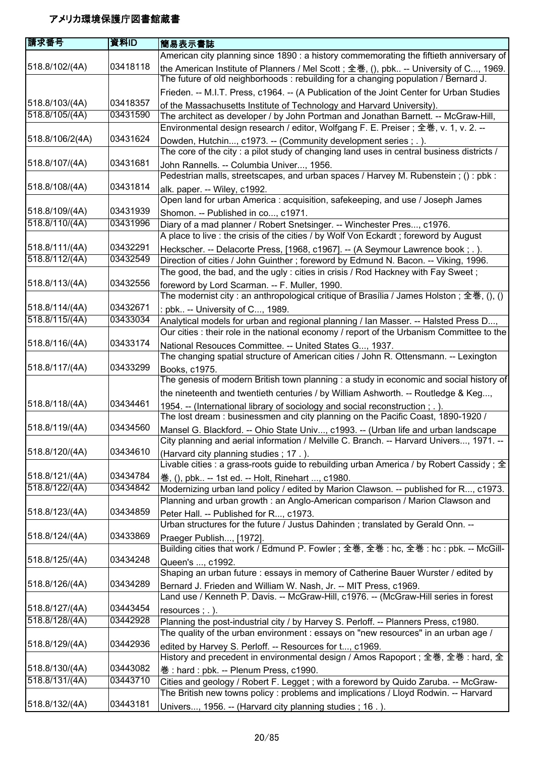| 請求番号            | 資料ID     | 簡易表示書誌                                                                                                                                                                           |
|-----------------|----------|----------------------------------------------------------------------------------------------------------------------------------------------------------------------------------|
|                 |          | American city planning since 1890 : a history commemorating the fiftieth anniversary of                                                                                          |
| 518.8/102/(4A)  | 03418118 | the American Institute of Planners / Mel Scott; 全巻, (), pbk -- University of C, 1969.<br>The future of old neighborhoods : rebuilding for a changing population / Bernard J.     |
|                 |          | Frieden. -- M.I.T. Press, c1964. -- (A Publication of the Joint Center for Urban Studies                                                                                         |
| 518.8/103/(4A)  | 03418357 | of the Massachusetts Institute of Technology and Harvard University).                                                                                                            |
| 518.8/105/(4A)  | 03431590 | The architect as developer / by John Portman and Jonathan Barnett. -- McGraw-Hill,<br>Environmental design research / editor, Wolfgang F. E. Preiser; 全巻, v. 1, v. 2. --         |
| 518.8/106/2(4A) | 03431624 | Dowden, Hutchin, c1973. -- (Community development series ; . ).                                                                                                                  |
|                 |          | The core of the city: a pilot study of changing land uses in central business districts /                                                                                        |
| 518.8/107/(4A)  | 03431681 | John Rannells. -- Columbia Univer, 1956.<br>Pedestrian malls, streetscapes, and urban spaces / Harvey M. Rubenstein; (): pbk:                                                    |
| 518.8/108/(4A)  | 03431814 | alk. paper. -- Wiley, c1992.<br>Open land for urban America : acquisition, safekeeping, and use / Joseph James                                                                   |
| 518.8/109/(4A)  | 03431939 | Shomon. -- Published in co, c1971.                                                                                                                                               |
| 518.8/110/(4A)  | 03431996 | Diary of a mad planner / Robert Snetsinger. -- Winchester Pres, c1976.<br>A place to live : the crisis of the cities / by Wolf Von Eckardt; foreword by August                   |
| 518.8/111/(4A)  | 03432291 | Heckscher. -- Delacorte Press, [1968, c1967]. -- (A Seymour Lawrence book; .).                                                                                                   |
| 518.8/112/(4A)  | 03432549 | Direction of cities / John Guinther; foreword by Edmund N. Bacon. -- Viking, 1996.                                                                                               |
|                 |          | The good, the bad, and the ugly : cities in crisis / Rod Hackney with Fay Sweet;                                                                                                 |
| 518.8/113/(4A)  | 03432556 | foreword by Lord Scarman. -- F. Muller, 1990.                                                                                                                                    |
| 518.8/114/(4A)  | 03432671 | The modernist city : an anthropological critique of Brasília / James Holston ; 全巻, (), ()                                                                                        |
| 518.8/115/(4A)  | 03433034 | : pbk -- University of C, 1989.                                                                                                                                                  |
|                 |          | Analytical models for urban and regional planning / Ian Masser. -- Halsted Press D,<br>Our cities : their role in the national economy / report of the Urbanism Committee to the |
| 518.8/116/(4A)  | 03433174 | National Resouces Committee. -- United States G, 1937.                                                                                                                           |
| 518.8/117/(4A)  | 03433299 | The changing spatial structure of American cities / John R. Ottensmann. -- Lexington<br>Books, c1975.                                                                            |
|                 |          | The genesis of modern British town planning : a study in economic and social history of                                                                                          |
|                 | 03434461 | the nineteenth and twentieth centuries / by William Ashworth. -- Routledge & Keg,                                                                                                |
| 518.8/118/(4A)  |          | 1954. -- (International library of sociology and social reconstruction; .).<br>The lost dream: businessmen and city planning on the Pacific Coast, 1890-1920 /                   |
| 518.8/119/(4A)  | 03434560 | Mansel G. Blackford. -- Ohio State Univ, c1993. -- (Urban life and urban landscape<br>City planning and aerial information / Melville C. Branch. -- Harvard Univers, 1971.       |
| 518.8/120/(4A)  | 03434610 | (Harvard city planning studies; 17.).                                                                                                                                            |
| 518.8/121/(4A)  | 03434784 | Livable cities : a grass-roots guide to rebuilding urban America / by Robert Cassidy ; $\pm$                                                                                     |
| 518.8/122/(4A)  | 03434842 | 巻, (), pbk -- 1st ed. -- Holt, Rinehart , c1980.<br>Modernizing urban land policy / edited by Marion Clawson. -- published for R, c1973.                                         |
|                 |          | Planning and urban growth : an Anglo-American comparison / Marion Clawson and                                                                                                    |
| 518.8/123/(4A)  | 03434859 | Peter Hall. -- Published for R, c1973.                                                                                                                                           |
|                 |          | Urban structures for the future / Justus Dahinden; translated by Gerald Onn. --                                                                                                  |
| 518.8/124/(4A)  | 03433869 | Praeger Publish, [1972].                                                                                                                                                         |
|                 |          | Building cities that work / Edmund P. Fowler; 全巻, 全巻: hc, 全巻: hc: pbk. -- McGill-                                                                                                |
| 518.8/125/(4A)  | 03434248 | Queen's , c1992.<br>Shaping an urban future : essays in memory of Catherine Bauer Wurster / edited by                                                                            |
| 518.8/126/(4A)  | 03434289 | Bernard J. Frieden and William W. Nash, Jr. -- MIT Press, c1969.                                                                                                                 |
|                 |          | Land use / Kenneth P. Davis. -- McGraw-Hill, c1976. -- (McGraw-Hill series in forest                                                                                             |
| 518.8/127/(4A)  | 03443454 | resources $;$ $.$ $).$                                                                                                                                                           |
| 518.8/128/(4A)  | 03442928 | Planning the post-industrial city / by Harvey S. Perloff. -- Planners Press, c1980.                                                                                              |
| 518.8/129/(4A)  | 03442936 | The quality of the urban environment : essays on "new resources" in an urban age /<br>edited by Harvey S. Perloff. -- Resources for t, c1969.                                    |
|                 |          | History and precedent in environmental design / Amos Rapoport; 全巻, 全巻 : hard, 全                                                                                                  |
| 518.8/130/(4A)  | 03443082 | 巻: hard: pbk. -- Plenum Press, c1990.                                                                                                                                            |
| 518.8/131/(4A)  | 03443710 | Cities and geology / Robert F. Legget; with a foreword by Quido Zaruba. -- McGraw-                                                                                               |
|                 | 03443181 | The British new towns policy: problems and implications / Lloyd Rodwin. -- Harvard                                                                                               |
| 518.8/132/(4A)  |          | Univers, 1956. -- (Harvard city planning studies; 16.).                                                                                                                          |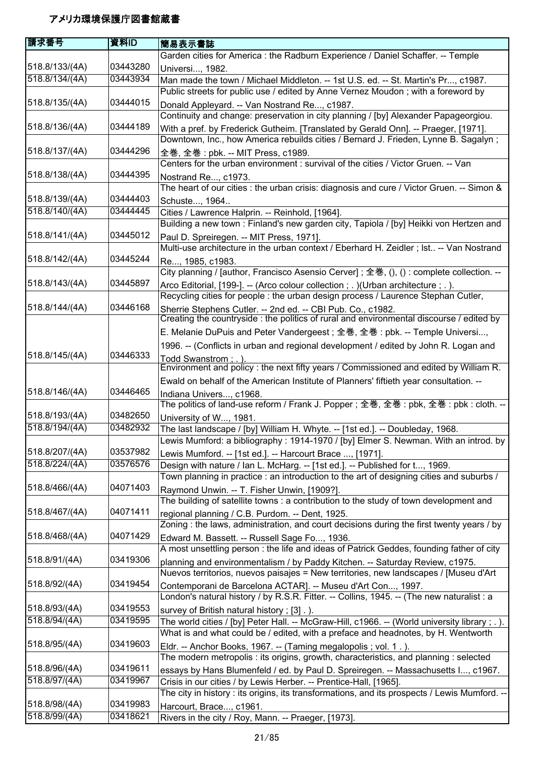| 請求番号           | 資料ID     | 簡易表示書誌                                                                                                                                                  |
|----------------|----------|---------------------------------------------------------------------------------------------------------------------------------------------------------|
|                |          | Garden cities for America : the Radburn Experience / Daniel Schaffer. -- Temple                                                                         |
| 518.8/133/(4A) | 03443280 | Universi, 1982.                                                                                                                                         |
| 518.8/134/(4A) | 03443934 | Man made the town / Michael Middleton. -- 1st U.S. ed. -- St. Martin's Pr, c1987.                                                                       |
|                |          | Public streets for public use / edited by Anne Vernez Moudon; with a foreword by                                                                        |
| 518.8/135/(4A) | 03444015 | Donald Appleyard. -- Van Nostrand Re, c1987.                                                                                                            |
|                |          | Continuity and change: preservation in city planning / [by] Alexander Papageorgiou.                                                                     |
| 518.8/136/(4A) | 03444189 | With a pref. by Frederick Gutheim. [Translated by Gerald Onn]. -- Praeger, [1971].                                                                      |
|                |          | Downtown, Inc., how America rebuilds cities / Bernard J. Frieden, Lynne B. Sagalyn;                                                                     |
| 518.8/137/(4A) | 03444296 | 全巻, 全巻 : pbk. -- MIT Press, c1989.                                                                                                                      |
|                |          | Centers for the urban environment : survival of the cities / Victor Gruen. -- Van                                                                       |
| 518.8/138/(4A) | 03444395 |                                                                                                                                                         |
|                |          | Nostrand Re, c1973.<br>The heart of our cities : the urban crisis: diagnosis and cure / Victor Gruen. -- Simon &                                        |
| 518.8/139/(4A) | 03444403 |                                                                                                                                                         |
| 518.8/140/(4A) | 03444445 | Schuste, 1964                                                                                                                                           |
|                |          | Cities / Lawrence Halprin. -- Reinhold, [1964].<br>Building a new town : Finland's new garden city, Tapiola / [by] Heikki von Hertzen and               |
| 518.8/141/(4A) | 03445012 |                                                                                                                                                         |
|                |          | Paul D. Spreiregen. -- MIT Press, 1971].                                                                                                                |
| 518.8/142/(4A) | 03445244 | Multi-use architecture in the urban context / Eberhard H. Zeidler; Ist -- Van Nostrand                                                                  |
|                |          | Re, 1985, c1983.                                                                                                                                        |
|                | 03445897 | City planning / [author, Francisco Asensio Cerver]; 全巻, (), (): complete collection. --                                                                 |
| 518.8/143/(4A) |          | Arco Editorial, [199-]. -- (Arco colour collection ; . ) (Urban architecture ; . ).                                                                     |
|                |          | Recycling cities for people : the urban design process / Laurence Stephan Cutler,                                                                       |
| 518.8/144/(4A) | 03446168 | Sherrie Stephens Cutler. -- 2nd ed. -- CBI Pub. Co., c1982.<br>Creating the countryside : the politics of rural and environmental discourse / edited by |
|                |          |                                                                                                                                                         |
|                |          | E. Melanie DuPuis and Peter Vandergeest; 全巻, 全巻: pbk. -- Temple Universi,                                                                               |
|                |          | 1996. -- (Conflicts in urban and regional development / edited by John R. Logan and                                                                     |
| 518.8/145/(4A) | 03446333 | Todd Swanstrom : . )                                                                                                                                    |
|                |          | Environment and policy : the next fifty years / Commissioned and edited by William R.                                                                   |
|                |          | Ewald on behalf of the American Institute of Planners' fiftieth year consultation. --                                                                   |
| 518.8/146/(4A) | 03446465 | Indiana Univers, c1968.<br>The politics of land-use reform / Frank J. Popper ; 全巻, 全巻 : pbk, 全巻 : pbk : cloth. --                                       |
| 518.8/193/(4A) | 03482650 | University of W, 1981.                                                                                                                                  |
| 518.8/194/(4A) | 03482932 | The last landscape / [by] William H. Whyte. -- [1st ed.]. -- Doubleday, 1968.                                                                           |
|                |          | Lewis Mumford: a bibliography: 1914-1970 / [by] Elmer S. Newman. With an introd. by                                                                     |
| 518.8/207/(4A) | 03537982 | Lewis Mumford. -- [1st ed.]. -- Harcourt Brace , [1971].                                                                                                |
| 518.8/224/(4A) | 03576576 | Design with nature / Ian L. McHarg. -- [1st ed.]. -- Published for t, 1969.                                                                             |
|                |          | Town planning in practice : an introduction to the art of designing cities and suburbs /                                                                |
| 518.8/466/(4A) | 04071403 | Raymond Unwin. -- T. Fisher Unwin, [1909?].                                                                                                             |
|                |          | The building of satellite towns: a contribution to the study of town development and                                                                    |
| 518.8/467/(4A) | 04071411 | regional planning / C.B. Purdom. -- Dent, 1925.                                                                                                         |
|                |          | Zoning : the laws, administration, and court decisions during the first twenty years / by                                                               |
| 518.8/468/(4A) | 04071429 | Edward M. Bassett. -- Russell Sage Fo, 1936.                                                                                                            |
|                |          | A most unsettling person : the life and ideas of Patrick Geddes, founding father of city                                                                |
| 518.8/91/(4A)  | 03419306 | planning and environmentalism / by Paddy Kitchen. -- Saturday Review, c1975.                                                                            |
|                |          | Nuevos territorios, nuevos paisajes = New territories, new landscapes / [Museu d'Art                                                                    |
| 518.8/92/(4A)  | 03419454 | Contemporani de Barcelona ACTAR]. -- Museu d'Art Con, 1997.                                                                                             |
|                |          | London's natural history / by R.S.R. Fitter. -- Collins, 1945. -- (The new naturalist : a                                                               |
| 518.8/93/(4A)  | 03419553 | survey of British natural history; [3].).                                                                                                               |
| 518.8/94/(4A)  | 03419595 | The world cities / [by] Peter Hall. -- McGraw-Hill, c1966. -- (World university library; .).                                                            |
|                |          | What is and what could be / edited, with a preface and headnotes, by H. Wentworth                                                                       |
| 518.8/95/(4A)  | 03419603 | Eldr. -- Anchor Books, 1967. -- (Taming megalopolis; vol. 1.).                                                                                          |
|                |          | The modern metropolis : its origins, growth, characteristics, and planning : selected                                                                   |
| 518.8/96/(4A)  | 03419611 | essays by Hans Blumenfeld / ed. by Paul D. Spreiregen. -- Massachusetts I, c1967.                                                                       |
| 518.8/97/(4A)  | 03419967 | Crisis in our cities / by Lewis Herber. -- Prentice-Hall, [1965].                                                                                       |
|                |          | The city in history : its origins, its transformations, and its prospects / Lewis Mumford. --                                                           |
| 518.8/98/(4A)  | 03419983 | Harcourt, Brace, c1961.                                                                                                                                 |
| 518.8/99/(4A)  | 03418621 | Rivers in the city / Roy, Mann. -- Praeger, [1973].                                                                                                     |
|                |          |                                                                                                                                                         |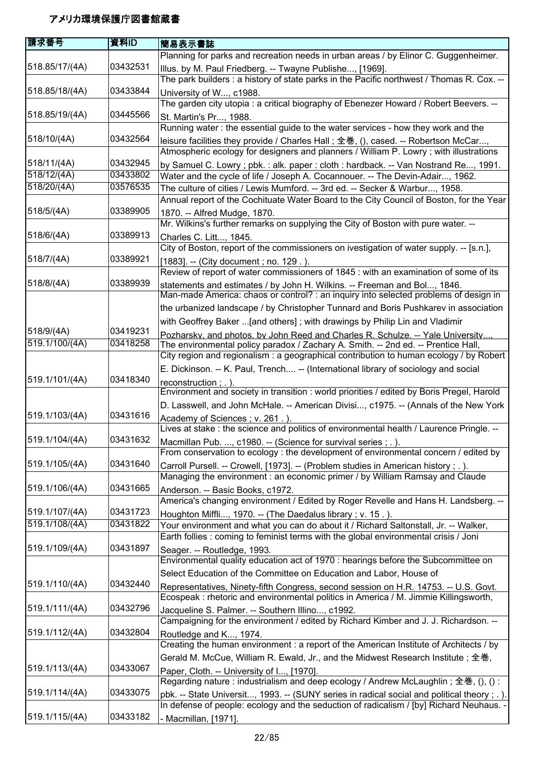| 請求番号           | 資料ID     | 簡易表示書誌                                                                                                                                                           |
|----------------|----------|------------------------------------------------------------------------------------------------------------------------------------------------------------------|
|                |          | Planning for parks and recreation needs in urban areas / by Elinor C. Guggenheimer.                                                                              |
| 518.85/17/(4A) | 03432531 | Illus. by M. Paul Friedberg. -- Twayne Publishe, [1969].                                                                                                         |
|                |          | The park builders : a history of state parks in the Pacific northwest / Thomas R. Cox. --                                                                        |
| 518.85/18/(4A) | 03433844 |                                                                                                                                                                  |
|                |          | University of W, c1988.                                                                                                                                          |
|                |          | The garden city utopia: a critical biography of Ebenezer Howard / Robert Beevers. --                                                                             |
| 518.85/19/(4A) | 03445566 | St. Martin's Pr, 1988.                                                                                                                                           |
|                |          | Running water: the essential guide to the water services - how they work and the                                                                                 |
| 518/10/(4A)    | 03432564 | leisure facilities they provide / Charles Hall; 全巻, (), cased. -- Robertson McCar,                                                                               |
|                |          | Atmospheric ecology for designers and planners / William P. Lowry; with illustrations                                                                            |
| 518/11/(4A)    | 03432945 | by Samuel C. Lowry ; pbk. : alk. paper : cloth : hardback. -- Van Nostrand Re, 1991.                                                                             |
| 518/12/(4A)    | 03433802 | Water and the cycle of life / Joseph A. Cocannouer. -- The Devin-Adair, 1962.                                                                                    |
| 518/20/(4A)    | 03576535 | The culture of cities / Lewis Mumford. -- 3rd ed. -- Secker & Warbur, 1958.                                                                                      |
|                |          | Annual report of the Cochituate Water Board to the City Council of Boston, for the Year                                                                          |
| 518/5/(4A)     | 03389905 | 1870. -- Alfred Mudge, 1870.                                                                                                                                     |
|                |          | Mr. Wilkins's further remarks on supplying the City of Boston with pure water. --                                                                                |
| 518/6/(4A)     | 03389913 | Charles C. Litt, 1845.                                                                                                                                           |
|                |          | City of Boston, report of the commissioners on ivestigation of water supply. -- [s.n.],                                                                          |
| 518/7/(4A)     | 03389921 |                                                                                                                                                                  |
|                |          | [1883]. -- (City document; no. 129.).<br>Review of report of water commissioners of 1845 : with an examination of some of its                                    |
| 518/8/(4A)     | 03389939 |                                                                                                                                                                  |
|                |          | statements and estimates / by John H. Wilkins. -- Freeman and Bol, 1846.<br>Man-made America: chaos or control? : an inquiry into selected problems of design in |
|                |          |                                                                                                                                                                  |
|                |          | the urbanized landscape / by Christopher Tunnard and Boris Pushkarev in association                                                                              |
|                |          | with Geoffrey Baker  [and others]; with drawings by Philip Lin and Vladimir                                                                                      |
| 518/9/(4A)     | 03419231 | Pozharsky, and photos. by John Reed and Charles R. Schulze. -- Yale University                                                                                   |
| 519.1/100/(4A) | 03418258 | The environmental policy paradox / Zachary A. Smith. -- 2nd ed. -- Prentice Hall,                                                                                |
|                |          | City region and regionalism: a geographical contribution to human ecology / by Robert                                                                            |
|                |          | E. Dickinson. -- K. Paul, Trench -- (International library of sociology and social                                                                               |
| 519.1/101/(4A) | 03418340 | reconstruction; $\ldots$ ).                                                                                                                                      |
|                |          | Environment and society in transition : world priorities / edited by Boris Pregel, Harold                                                                        |
|                |          | D. Lasswell, and John McHale. -- American Divisi, c1975. -- (Annals of the New York                                                                              |
| 519.1/103/(4A) | 03431616 | Academy of Sciences; v. 261.).                                                                                                                                   |
|                |          | Lives at stake : the science and politics of environmental health / Laurence Pringle. --                                                                         |
| 519.1/104/(4A) | 03431632 | Macmillan Pub. , c1980. -- (Science for survival series ; . ).                                                                                                   |
|                |          | From conservation to ecology : the development of environmental concern / edited by                                                                              |
| 519.1/105/(4A) | 03431640 | Carroll Pursell. -- Crowell, [1973]. -- (Problem studies in American history ; . ).                                                                              |
|                |          | Managing the environment : an economic primer / by William Ramsay and Claude                                                                                     |
| 519.1/106/(4A) | 03431665 | Anderson. -- Basic Books, c1972.                                                                                                                                 |
|                |          | America's changing environment / Edited by Roger Revelle and Hans H. Landsberg. --                                                                               |
| 519.1/107/(4A) | 03431723 | Houghton Miffli, 1970. -- (The Daedalus library; v. 15.).                                                                                                        |
| 519.1/108/(4A) | 03431822 | Your environment and what you can do about it / Richard Saltonstall, Jr. -- Walker,                                                                              |
|                |          | Earth follies : coming to feminist terms with the global environmental crisis / Joni                                                                             |
| 519.1/109/(4A) | 03431897 | Seager. -- Routledge, 1993.                                                                                                                                      |
|                |          | Environmental quality education act of 1970 : hearings before the Subcommittee on                                                                                |
|                |          |                                                                                                                                                                  |
| 519.1/110/(4A) | 03432440 | Select Education of the Committee on Education and Labor, House of                                                                                               |
|                |          | Representatives, Ninety-fifth Congress, second session on H.R. 14753. -- U.S. Govt.                                                                              |
|                |          | Ecospeak : rhetoric and environmental politics in America / M. Jimmie Killingsworth,                                                                             |
| 519.1/111/(4A) | 03432796 | Jacqueline S. Palmer. -- Southern Illino, c1992.                                                                                                                 |
|                |          | Campaigning for the environment / edited by Richard Kimber and J. J. Richardson. --                                                                              |
| 519.1/112/(4A) | 03432804 | Routledge and K, 1974.                                                                                                                                           |
|                |          | Creating the human environment : a report of the American Institute of Architects / by                                                                           |
|                |          | Gerald M. McCue, William R. Ewald, Jr., and the Midwest Research Institute; 全巻,                                                                                  |
| 519.1/113/(4A) | 03433067 | Paper, Cloth. -- University of I, [1970].                                                                                                                        |
|                |          | Regarding nature : industrialism and deep ecology / Andrew McLaughlin; 全巻, (), () :                                                                              |
| 519.1/114/(4A) | 03433075 | pbk. -- State Universit, 1993. -- (SUNY series in radical social and political theory; .).                                                                       |
|                |          | In defense of people: ecology and the seduction of radicalism / [by] Richard Neuhaus. -                                                                          |
| 519.1/115/(4A) | 03433182 | - Macmillan, [1971].                                                                                                                                             |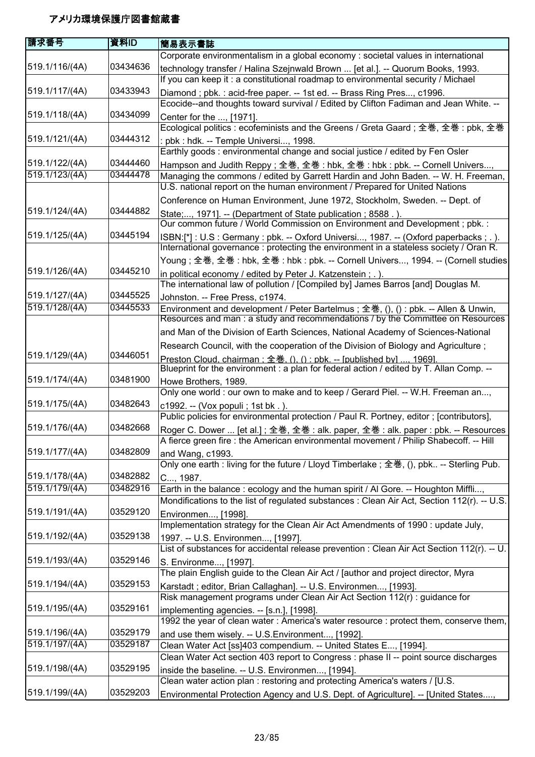| 請求番号           | 資料ID     | 簡易表示書誌                                                                                      |
|----------------|----------|---------------------------------------------------------------------------------------------|
|                |          | Corporate environmentalism in a global economy : societal values in international           |
| 519.1/116/(4A) | 03434636 | technology transfer / Halina Szejnwald Brown  [et al.]. -- Quorum Books, 1993.              |
|                |          | If you can keep it : a constitutional roadmap to environmental security / Michael           |
| 519.1/117/(4A) | 03433943 | Diamond; pbk.: acid-free paper. -- 1st ed. -- Brass Ring Pres, c1996.                       |
|                |          | Ecocide--and thoughts toward survival / Edited by Clifton Fadiman and Jean White. --        |
| 519.1/118/(4A) | 03434099 | Center for the , [1971].                                                                    |
|                |          | Ecological politics : ecofeminists and the Greens / Greta Gaard; 全巻, 全巻 : pbk, 全巻           |
| 519.1/121/(4A) | 03444312 | : pbk : hdk. -- Temple Universi, 1998.                                                      |
|                |          | Earthly goods: environmental change and social justice / edited by Fen Osler                |
| 519.1/122/(4A) | 03444460 | Hampson and Judith Reppy; 全巻, 全巻: hbk, 全巻: hbk: pbk. -- Cornell Univers,                    |
| 519.1/123/(4A) | 03444478 | Managing the commons / edited by Garrett Hardin and John Baden. -- W. H. Freeman,           |
|                |          | U.S. national report on the human environment / Prepared for United Nations                 |
|                |          | Conference on Human Environment, June 1972, Stockholm, Sweden. -- Dept. of                  |
| 519.1/124/(4A) | 03444882 | State;, 1971]. -- (Department of State publication; 8588.).                                 |
|                |          | Our common future / World Commission on Environment and Development ; pbk. :                |
| 519.1/125/(4A) | 03445194 | ISBN:[*]: U.S: Germany: pbk. -- Oxford Universi, 1987. -- (Oxford paperbacks;.).            |
|                |          | International governance : protecting the environment in a stateless society / Oran R.      |
|                |          | Young ; 全巻, 全巻 : hbk, 全巻 : hbk : pbk. -- Cornell Univers, 1994. -- (Cornell studies         |
| 519.1/126/(4A) | 03445210 | in political economy / edited by Peter J. Katzenstein; .).                                  |
|                |          | The international law of pollution / [Compiled by] James Barros [and] Douglas M.            |
| 519.1/127/(4A) | 03445525 | Johnston. -- Free Press, c1974.                                                             |
| 519.1/128/(4A) | 03445533 | Environment and development / Peter Bartelmus; 全巻, (), () : pbk. -- Allen & Unwin,          |
|                |          | Resources and man: a study and recommendations / by the Committee on Resources              |
|                |          | and Man of the Division of Earth Sciences, National Academy of Sciences-National            |
|                |          | Research Council, with the cooperation of the Division of Biology and Agriculture;          |
| 519.1/129/(4A) | 03446051 | Preston Cloud, chairman: 全巻. (), () : pbk. -- [published by] , 1969].                       |
|                |          | Blueprint for the environment : a plan for federal action / edited by T. Allan Comp. --     |
| 519.1/174/(4A) | 03481900 | Howe Brothers, 1989.                                                                        |
|                |          | Only one world : our own to make and to keep / Gerard Piel. -- W.H. Freeman an,             |
| 519.1/175/(4A) | 03482643 | c1992. -- (Vox populi ; 1st bk.).                                                           |
|                |          | Public policies for environmental protection / Paul R. Portney, editor; [contributors],     |
| 519.1/176/(4A) | 03482668 | Roger C. Dower  [et al.]; 全巻, 全巻 : alk. paper, 全巻 : alk. paper : pbk. -- Resources          |
|                |          | A fierce green fire : the American environmental movement / Philip Shabecoff. -- Hill       |
| 519.1/177/(4A) | 03482809 | and Wang, c1993.                                                                            |
|                |          | Only one earth : living for the future / Lloyd Timberlake ; 全巻, (), pbk -- Sterling Pub.    |
| 519.1/178/(4A) | 03482882 | C, 1987.                                                                                    |
| 519.1/179/(4A) | 03482916 | Earth in the balance: ecology and the human spirit / Al Gore. -- Houghton Miffli,           |
|                |          | Mondifications to the list of regulated substances : Clean Air Act, Section 112(r). -- U.S. |
| 519.1/191/(4A) | 03529120 | Environmen, [1998].                                                                         |
|                |          | Implementation strategy for the Clean Air Act Amendments of 1990 : update July,             |
| 519.1/192/(4A) | 03529138 | 1997. -- U.S. Environmen, [1997].                                                           |
|                |          | List of substances for accidental release prevention : Clean Air Act Section 112(r). -- U.  |
| 519.1/193/(4A) | 03529146 | S. Environme, [1997].                                                                       |
|                |          | The plain English guide to the Clean Air Act / [author and project director, Myra           |
| 519.1/194/(4A) | 03529153 | Karstadt; editor, Brian Callaghan]. -- U.S. Environmen, [1993].                             |
|                |          | Risk management programs under Clean Air Act Section 112(r) : guidance for                  |
| 519.1/195/(4A) | 03529161 | implementing agencies. -- [s.n.], [1998].                                                   |
|                |          | 1992 the year of clean water: America's water resource : protect them, conserve them,       |
| 519.1/196/(4A) | 03529179 | and use them wisely. -- U.S. Environment, [1992].                                           |
| 519.1/197/(4A) | 03529187 | Clean Water Act [ss]403 compendium. -- United States E, [1994].                             |
|                |          | Clean Water Act section 403 report to Congress : phase II -- point source discharges        |
| 519.1/198/(4A) | 03529195 | inside the baseline. -- U.S. Environmen, [1994].                                            |
|                |          | Clean water action plan : restoring and protecting America's waters / [U.S.                 |
| 519.1/199/(4A) | 03529203 | Environmental Protection Agency and U.S. Dept. of Agriculture]. -- [United States,          |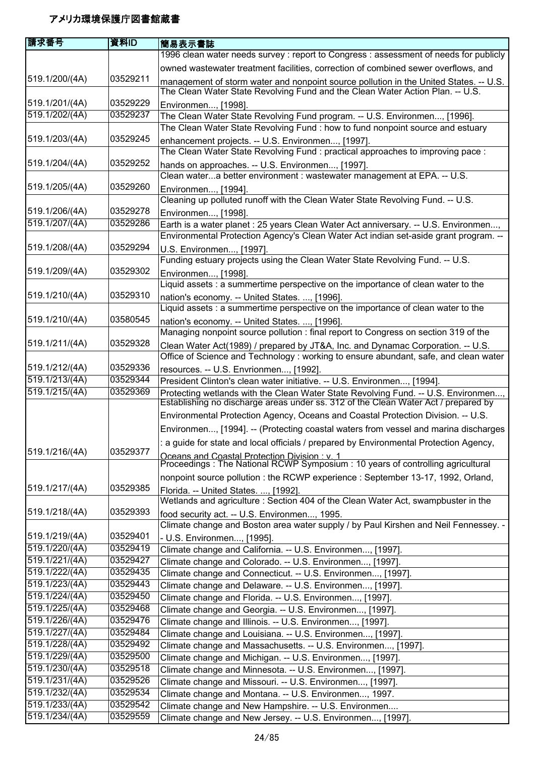| 請求番号                             | 資料ID                 | 簡易表示書誌                                                                                                                                                        |
|----------------------------------|----------------------|---------------------------------------------------------------------------------------------------------------------------------------------------------------|
|                                  |                      | 1996 clean water needs survey : report to Congress : assessment of needs for publicly                                                                         |
|                                  |                      | owned wastewater treatment facilities, correction of combined sewer overflows, and                                                                            |
| 519.1/200/(4A)                   | 03529211             | management of storm water and nonpoint source pollution in the United States. -- U.S.                                                                         |
|                                  |                      | The Clean Water State Revolving Fund and the Clean Water Action Plan. -- U.S.                                                                                 |
| 519.1/201/(4A)                   | 03529229             | Environmen, [1998].                                                                                                                                           |
| 519.1/202/(4A)                   | 03529237             | The Clean Water State Revolving Fund program. -- U.S. Environmen, [1996].                                                                                     |
|                                  |                      | The Clean Water State Revolving Fund : how to fund nonpoint source and estuary                                                                                |
| 519.1/203/(4A)                   | 03529245             | enhancement projects. -- U.S. Environmen, [1997].                                                                                                             |
|                                  |                      | The Clean Water State Revolving Fund : practical approaches to improving pace :                                                                               |
| 519.1/204/(4A)                   | 03529252             | hands on approaches. -- U.S. Environmen, [1997].                                                                                                              |
|                                  |                      | Clean watera better environment : wastewater management at EPA. -- U.S.                                                                                       |
| 519.1/205/(4A)                   | 03529260             | Environmen, [1994].                                                                                                                                           |
|                                  |                      | Cleaning up polluted runoff with the Clean Water State Revolving Fund. -- U.S.                                                                                |
| 519.1/206/(4A)                   | 03529278             | Environmen, [1998].                                                                                                                                           |
| 519.1/207/(4A)                   | 03529286             | Earth is a water planet : 25 years Clean Water Act anniversary. -- U.S. Environmen,                                                                           |
|                                  |                      | Environmental Protection Agency's Clean Water Act indian set-aside grant program. --                                                                          |
| 519.1/208/(4A)                   | 03529294             | U.S. Environmen, [1997].                                                                                                                                      |
|                                  |                      | Funding estuary projects using the Clean Water State Revolving Fund. -- U.S.                                                                                  |
| 519.1/209/(4A)                   | 03529302             | Environmen, [1998].                                                                                                                                           |
|                                  |                      | Liquid assets : a summertime perspective on the importance of clean water to the                                                                              |
| 519.1/210/(4A)                   | 03529310             | nation's economy. -- United States. , [1996].                                                                                                                 |
|                                  | 03580545             | Liquid assets : a summertime perspective on the importance of clean water to the                                                                              |
| 519.1/210/(4A)                   |                      | nation's economy. -- United States. , [1996].                                                                                                                 |
| 519.1/211/(4A)                   | 03529328             | Managing nonpoint source pollution : final report to Congress on section 319 of the                                                                           |
|                                  |                      | Clean Water Act(1989) / prepared by JT&A, Inc. and Dynamac Corporation. -- U.S.                                                                               |
| 519.1/212/(4A)                   | 03529336             | Office of Science and Technology: working to ensure abundant, safe, and clean water                                                                           |
| 519.1/213/(4A)                   | 03529344             | resources. -- U.S. Envrionmen, [1992].                                                                                                                        |
| 519.1/215/(4A)                   | 03529369             | President Clinton's clean water initiative. -- U.S. Environmen, [1994].<br>Protecting wetlands with the Clean Water State Revolving Fund. -- U.S. Environmen, |
|                                  |                      | Establishing no discharge areas under ss. 312 of the Clean Water Act / prepared by                                                                            |
|                                  |                      | Environmental Protection Agency, Oceans and Coastal Protection Division. -- U.S.                                                                              |
|                                  |                      | Environmen, [1994]. -- (Protecting coastal waters from vessel and marina discharges                                                                           |
|                                  |                      | a guide for state and local officials / prepared by Environmental Protection Agency,                                                                          |
| 519.1/216/(4A)                   | 03529377             |                                                                                                                                                               |
|                                  |                      | Oceans and Coastal Protection Division : v. 1<br>Proceedings : The National RCWP Symposium : 10 years of controlling agricultural                             |
|                                  |                      | nonpoint source pollution : the RCWP experience : September 13-17, 1992, Orland,                                                                              |
| 519.1/217/(4A)                   | 03529385             | Florida. -- United States. , [1992].                                                                                                                          |
|                                  |                      | Wetlands and agriculture : Section 404 of the Clean Water Act, swampbuster in the                                                                             |
| 519.1/218/(4A)                   | 03529393             | food security act. -- U.S. Environmen, 1995.                                                                                                                  |
|                                  |                      | Climate change and Boston area water supply / by Paul Kirshen and Neil Fennessey. -                                                                           |
| 519.1/219/(4A)                   | 03529401             | - U.S. Environmen, [1995].                                                                                                                                    |
| 519.1/220/(4A)                   | 03529419             | Climate change and California. -- U.S. Environmen, [1997].                                                                                                    |
| 519.1/221/(4A)                   | 03529427             | Climate change and Colorado. -- U.S. Environmen, [1997].                                                                                                      |
| 519.1/222/(4A)                   | 03529435             | Climate change and Connecticut. -- U.S. Environmen, [1997].                                                                                                   |
| 519.1/223/(4A)                   | 03529443             | Climate change and Delaware. -- U.S. Environmen, [1997].                                                                                                      |
| 519.1/224/(4A)                   | 03529450             | Climate change and Florida. -- U.S. Environmen, [1997].                                                                                                       |
| 519.1/225/(4A)                   | 03529468             | Climate change and Georgia. -- U.S. Environmen, [1997].                                                                                                       |
| 519.1/226/(4A)                   | 03529476             | Climate change and Illinois. -- U.S. Environmen, [1997].                                                                                                      |
| 519.1/227/(4A)                   | 03529484             | Climate change and Louisiana. -- U.S. Environmen, [1997].                                                                                                     |
| 519.1/228/(4A)                   | 03529492             | Climate change and Massachusetts. -- U.S. Environmen, [1997].                                                                                                 |
| 519.1/229/(4A)<br>519.1/230/(4A) | 03529500<br>03529518 | Climate change and Michigan. -- U.S. Environmen, [1997].                                                                                                      |
| 519.1/231/(4A)                   | 03529526             | Climate change and Minnesota. -- U.S. Environmen, [1997].                                                                                                     |
| 519.1/232/(4A)                   | 03529534             | Climate change and Missouri. -- U.S. Environmen, [1997].                                                                                                      |
| 519.1/233/(4A)                   | 03529542             | Climate change and Montana. -- U.S. Environmen, 1997.                                                                                                         |
| 519.1/234/(4A)                   | 03529559             | Climate change and New Hampshire. -- U.S. Environmen<br>Climate change and New Jersey. -- U.S. Environmen, [1997].                                            |
|                                  |                      |                                                                                                                                                               |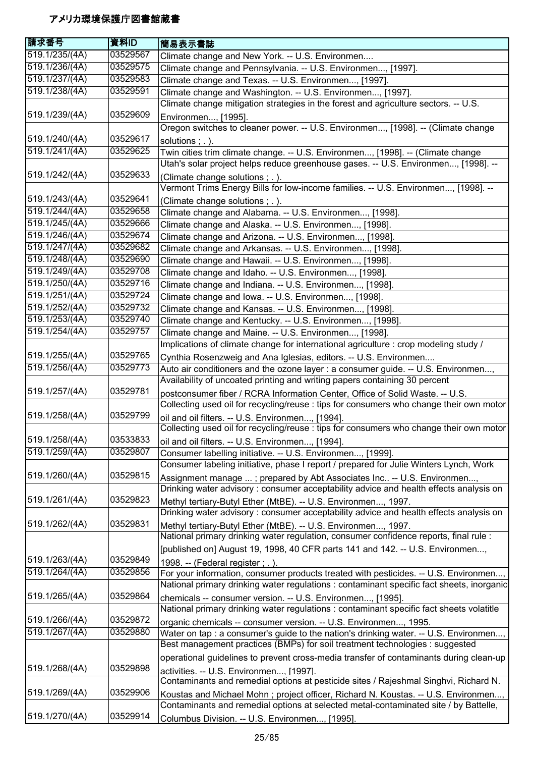| 請求番号           | 資料ID     | 簡易表示書誌                                                                                                                                                                     |
|----------------|----------|----------------------------------------------------------------------------------------------------------------------------------------------------------------------------|
| 519.1/235/(4A) | 03529567 | Climate change and New York. -- U.S. Environmen                                                                                                                            |
| 519.1/236/(4A) | 03529575 | Climate change and Pennsylvania. -- U.S. Environmen, [1997].                                                                                                               |
| 519.1/237/(4A) | 03529583 | Climate change and Texas. -- U.S. Environmen, [1997].                                                                                                                      |
| 519.1/238/(4A) | 03529591 | Climate change and Washington. -- U.S. Environmen, [1997].                                                                                                                 |
|                |          | Climate change mitigation strategies in the forest and agriculture sectors. -- U.S.                                                                                        |
| 519.1/239/(4A) | 03529609 | Environmen, [1995].                                                                                                                                                        |
|                |          | Oregon switches to cleaner power. -- U.S. Environmen, [1998]. -- (Climate change                                                                                           |
| 519.1/240/(4A) | 03529617 | solutions : . ).                                                                                                                                                           |
| 519.1/241/(4A) | 03529625 | Twin cities trim climate change. -- U.S. Environmen, [1998]. -- (Climate change                                                                                            |
|                |          | Utah's solar project helps reduce greenhouse gases. -- U.S. Environmen, [1998]. --                                                                                         |
| 519.1/242/(4A) | 03529633 | (Climate change solutions; .).                                                                                                                                             |
|                |          | Vermont Trims Energy Bills for low-income families. -- U.S. Environmen, [1998]. --                                                                                         |
| 519.1/243/(4A) | 03529641 | (Climate change solutions; .).                                                                                                                                             |
| 519.1/244/(4A) | 03529658 | Climate change and Alabama. -- U.S. Environmen, [1998].                                                                                                                    |
| 519.1/245/(4A) | 03529666 | Climate change and Alaska. -- U.S. Environmen, [1998].                                                                                                                     |
| 519.1/246/(4A) | 03529674 | Climate change and Arizona. -- U.S. Environmen, [1998].                                                                                                                    |
| 519.1/247/(4A) | 03529682 | Climate change and Arkansas. -- U.S. Environmen, [1998].                                                                                                                   |
| 519.1/248/(4A) | 03529690 | Climate change and Hawaii. -- U.S. Environmen, [1998].                                                                                                                     |
| 519.1/249/(4A) | 03529708 | Climate change and Idaho. -- U.S. Environmen, [1998].                                                                                                                      |
| 519.1/250/(4A) | 03529716 | Climate change and Indiana. -- U.S. Environmen, [1998].                                                                                                                    |
| 519.1/251/(4A) | 03529724 | Climate change and Iowa. -- U.S. Environmen, [1998].                                                                                                                       |
| 519.1/252/(4A) | 03529732 | Climate change and Kansas. -- U.S. Environmen, [1998].                                                                                                                     |
| 519.1/253/(4A) | 03529740 | Climate change and Kentucky. -- U.S. Environmen, [1998].                                                                                                                   |
| 519.1/254/(4A) | 03529757 | Climate change and Maine. -- U.S. Environmen, [1998].                                                                                                                      |
|                |          | Implications of climate change for international agriculture : crop modeling study /                                                                                       |
| 519.1/255/(4A) | 03529765 | Cynthia Rosenzweig and Ana Iglesias, editors. -- U.S. Environmen                                                                                                           |
| 519.1/256/(4A) | 03529773 | Auto air conditioners and the ozone layer : a consumer guide. -- U.S. Environmen,                                                                                          |
|                |          | Availability of uncoated printing and writing papers containing 30 percent                                                                                                 |
| 519.1/257/(4A) | 03529781 | postconsumer fiber / RCRA Information Center, Office of Solid Waste. -- U.S.                                                                                               |
|                |          | Collecting used oil for recycling/reuse : tips for consumers who change their own motor                                                                                    |
| 519.1/258/(4A) | 03529799 | oil and oil filters. -- U.S. Environmen, [1994].                                                                                                                           |
|                |          | Collecting used oil for recycling/reuse : tips for consumers who change their own motor                                                                                    |
| 519.1/258/(4A) | 03533833 | oil and oil filters. -- U.S. Environmen, [1994].                                                                                                                           |
| 519.1/259/(4A) | 03529807 | Consumer labelling initiative. -- U.S. Environmen, [1999].                                                                                                                 |
|                |          | Consumer labeling initiative, phase I report / prepared for Julie Winters Lynch, Work                                                                                      |
| 519.1/260/(4A) | 03529815 | Assignment manage ; prepared by Abt Associates Inc -- U.S. Environmen,                                                                                                     |
|                |          | Drinking water advisory: consumer acceptability advice and health effects analysis on                                                                                      |
| 519.1/261/(4A) | 03529823 | Methyl tertiary-Butyl Ether (MtBE). -- U.S. Environmen, 1997.                                                                                                              |
|                |          | Drinking water advisory: consumer acceptability advice and health effects analysis on                                                                                      |
| 519.1/262/(4A) | 03529831 | Methyl tertiary-Butyl Ether (MtBE). -- U.S. Environmen, 1997.                                                                                                              |
|                |          | National primary drinking water regulation, consumer confidence reports, final rule :                                                                                      |
|                |          | [published on] August 19, 1998, 40 CFR parts 141 and 142. -- U.S. Environmen,                                                                                              |
| 519.1/263/(4A) | 03529849 |                                                                                                                                                                            |
| 519.1/264/(4A) | 03529856 | 1998. -- (Federal register; .).<br>For your information, consumer products treated with pesticides. -- U.S. Environmen,                                                    |
|                |          | National primary drinking water regulations : contaminant specific fact sheets, inorganic                                                                                  |
| 519.1/265/(4A) | 03529864 |                                                                                                                                                                            |
|                |          | chemicals -- consumer version. -- U.S. Environmen, [1995].<br>National primary drinking water regulations : contaminant specific fact sheets volatitle                     |
| 519.1/266/(4A) | 03529872 |                                                                                                                                                                            |
| 519.1/267/(4A) | 03529880 | organic chemicals -- consumer version. -- U.S. Environmen, 1995.<br>Water on tap : a consumer's guide to the nation's drinking water. -- U.S. Environmen,                  |
|                |          | Best management practices (BMPs) for soil treatment technologies : suggested                                                                                               |
|                |          |                                                                                                                                                                            |
| 519.1/268/(4A) | 03529898 | operational guidelines to prevent cross-media transfer of contaminants during clean-up                                                                                     |
|                |          | activities. -- U.S. Environmen, [1997].<br>Contaminants and remedial options at pesticide sites / Rajeshmal Singhvi, Richard N.                                            |
| 519.1/269/(4A) | 03529906 |                                                                                                                                                                            |
|                |          | Koustas and Michael Mohn; project officer, Richard N. Koustas. -- U.S. Environmen,<br>Contaminants and remedial options at selected metal-contaminated site / by Battelle, |
| 519.1/270/(4A) | 03529914 |                                                                                                                                                                            |
|                |          | Columbus Division. -- U.S. Environmen, [1995].                                                                                                                             |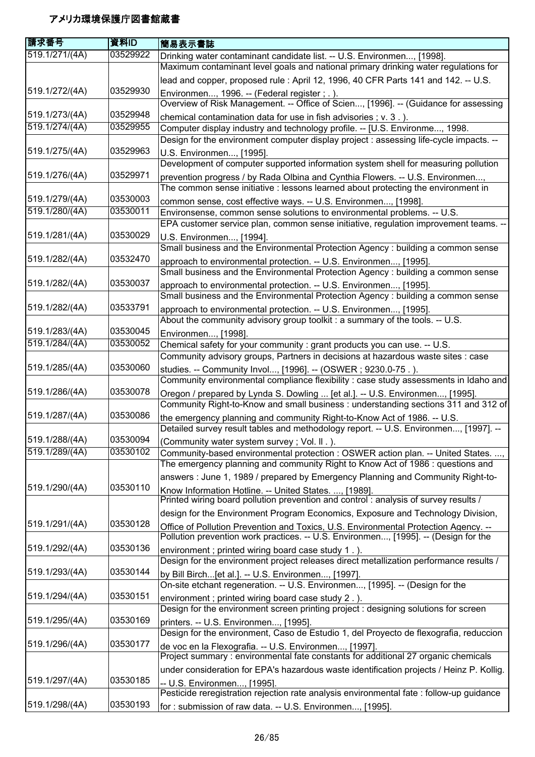| 請求番号           | 資料ID     | 簡易表示書誌                                                                                                                                                             |
|----------------|----------|--------------------------------------------------------------------------------------------------------------------------------------------------------------------|
| 519.1/271/(4A) | 03529922 | Drinking water contaminant candidate list. -- U.S. Environmen, [1998].                                                                                             |
|                |          | Maximum contaminant level goals and national primary drinking water regulations for                                                                                |
|                |          | lead and copper, proposed rule : April 12, 1996, 40 CFR Parts 141 and 142. -- U.S.                                                                                 |
| 519.1/272/(4A) | 03529930 | Environmen, 1996. -- (Federal register ; .).                                                                                                                       |
|                |          | Overview of Risk Management. -- Office of Scien, [1996]. -- (Guidance for assessing                                                                                |
| 519.1/273/(4A) | 03529948 | chemical contamination data for use in fish advisories; v. 3.).                                                                                                    |
| 519.1/274/(4A) | 03529955 | Computer display industry and technology profile. -- [U.S. Environme, 1998.                                                                                        |
|                |          | Design for the environment computer display project : assessing life-cycle impacts. --                                                                             |
| 519.1/275/(4A) | 03529963 | U.S. Environmen, [1995].                                                                                                                                           |
|                |          | Development of computer supported information system shell for measuring pollution                                                                                 |
| 519.1/276/(4A) | 03529971 |                                                                                                                                                                    |
|                |          | prevention progress / by Rada Olbina and Cynthia Flowers. -- U.S. Environmen,<br>The common sense initiative : lessons learned about protecting the environment in |
| 519.1/279/(4A) | 03530003 |                                                                                                                                                                    |
| 519.1/280/(4A) | 03530011 | common sense, cost effective ways. -- U.S. Environmen, [1998].                                                                                                     |
|                |          | Environsense, common sense solutions to environmental problems. -- U.S.<br>EPA customer service plan, common sense initiative, regulation improvement teams. --    |
| 519.1/281/(4A) | 03530029 |                                                                                                                                                                    |
|                |          | U.S. Environmen, [1994].<br>Small business and the Environmental Protection Agency : building a common sense                                                       |
| 519.1/282/(4A) | 03532470 |                                                                                                                                                                    |
|                |          | approach to environmental protection. -- U.S. Environmen, [1995].                                                                                                  |
| 519.1/282/(4A) | 03530037 | Small business and the Environmental Protection Agency : building a common sense                                                                                   |
|                |          | approach to environmental protection. -- U.S. Environmen, [1995].                                                                                                  |
|                | 03533791 | Small business and the Environmental Protection Agency : building a common sense                                                                                   |
| 519.1/282/(4A) |          | approach to environmental protection. -- U.S. Environmen, [1995].                                                                                                  |
|                |          | About the community advisory group toolkit : a summary of the tools. -- U.S.                                                                                       |
| 519.1/283/(4A) | 03530045 | Environmen, [1998].                                                                                                                                                |
| 519.1/284/(4A) | 03530052 | Chemical safety for your community : grant products you can use. -- U.S.                                                                                           |
|                |          | Community advisory groups, Partners in decisions at hazardous waste sites : case                                                                                   |
| 519.1/285/(4A) | 03530060 | studies. -- Community Invol, [1996]. -- (OSWER ; 9230.0-75.).                                                                                                      |
|                |          | Community environmental compliance flexibility : case study assessments in Idaho and                                                                               |
| 519.1/286/(4A) | 03530078 | Oregon / prepared by Lynda S. Dowling  [et al.]. -- U.S. Environmen, [1995].                                                                                       |
|                |          | Community Right-to-Know and small business: understanding sections 311 and 312 of                                                                                  |
| 519.1/287/(4A) | 03530086 | the emergency planning and community Right-to-Know Act of 1986. -- U.S.                                                                                            |
|                |          | Detailed survey result tables and methodology report. -- U.S. Environmen, [1997]. --                                                                               |
| 519.1/288/(4A) | 03530094 | (Community water system survey; Vol. II.).                                                                                                                         |
| 519.1/289/(4A) | 03530102 | Community-based environmental protection : OSWER action plan. -- United States. ,                                                                                  |
|                |          | The emergency planning and community Right to Know Act of 1986 : questions and                                                                                     |
|                |          | answers: June 1, 1989 / prepared by Emergency Planning and Community Right-to-                                                                                     |
| 519.1/290/(4A) | 03530110 | Know Information Hotline. -- United States. , [1989].                                                                                                              |
|                |          | Printed wiring board pollution prevention and control: analysis of survey results /                                                                                |
|                |          | design for the Environment Program Economics, Exposure and Technology Division,                                                                                    |
| 519.1/291/(4A) | 03530128 | Office of Pollution Prevention and Toxics, U.S. Environmental Protection Agency. --                                                                                |
|                |          | Pollution prevention work practices. -- U.S. Environmen, [1995]. -- (Design for the                                                                                |
| 519.1/292/(4A) | 03530136 | environment; printed wiring board case study 1.).                                                                                                                  |
|                |          | Design for the environment project releases direct metallization performance results /                                                                             |
| 519.1/293/(4A) | 03530144 | by Bill Birch[et al.]. -- U.S. Environmen, [1997].                                                                                                                 |
|                |          | On-site etchant regeneration. -- U.S. Environmen, [1995]. -- (Design for the                                                                                       |
| 519.1/294/(4A) | 03530151 | environment; printed wiring board case study 2.).                                                                                                                  |
|                |          | Design for the environment screen printing project : designing solutions for screen                                                                                |
| 519.1/295/(4A) | 03530169 | printers. -- U.S. Environmen, [1995].                                                                                                                              |
|                |          | Design for the environment, Caso de Estudio 1, del Proyecto de flexografia, reduccion                                                                              |
| 519.1/296/(4A) | 03530177 | de voc en la Flexografia. -- U.S. Environmen, [1997].                                                                                                              |
|                |          | Project summary : environmental fate constants for additional 27 organic chemicals                                                                                 |
|                |          | under consideration for EPA's hazardous waste identification projects / Heinz P. Kollig.                                                                           |
| 519.1/297/(4A) | 03530185 | -- U.S. Environmen, [1995].                                                                                                                                        |
|                |          | Pesticide reregistration rejection rate analysis environmental fate : follow-up guidance                                                                           |
| 519.1/298/(4A) | 03530193 | for: submission of raw data. -- U.S. Environmen, [1995].                                                                                                           |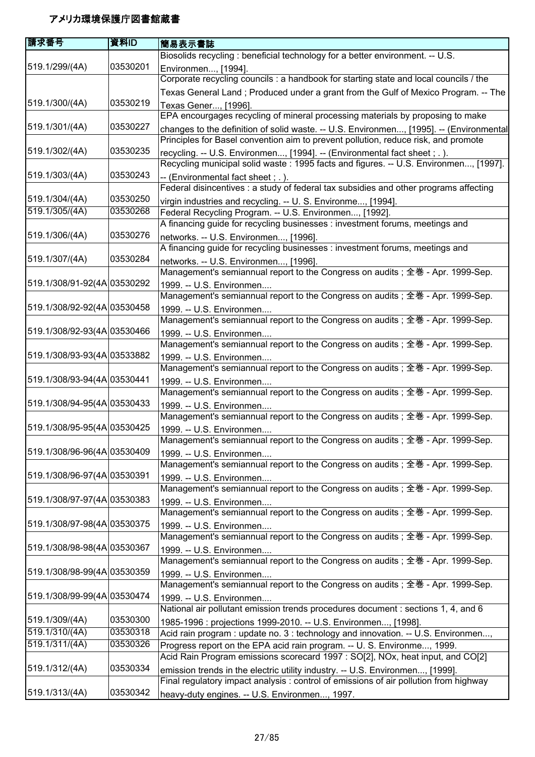| 請求番号                        | 資料ID     | 簡易表示書誌                                                                                                                                                                 |
|-----------------------------|----------|------------------------------------------------------------------------------------------------------------------------------------------------------------------------|
|                             |          | Biosolids recycling : beneficial technology for a better environment. -- U.S.                                                                                          |
| 519.1/299/(4A)              | 03530201 | Environmen, [1994].                                                                                                                                                    |
|                             |          | Corporate recycling councils : a handbook for starting state and local councils / the                                                                                  |
|                             |          | Texas General Land; Produced under a grant from the Gulf of Mexico Program. -- The                                                                                     |
| 519.1/300/(4A)              | 03530219 | Texas Gener, [1996].                                                                                                                                                   |
|                             |          | EPA encourgages recycling of mineral processing materials by proposing to make                                                                                         |
| 519.1/301/(4A)              | 03530227 | changes to the definition of solid waste. -- U.S. Environmen, [1995]. -- (Environmental                                                                                |
|                             |          | Principles for Basel convention aim to prevent pollution, reduce risk, and promote                                                                                     |
| 519.1/302/(4A)              | 03530235 | recycling. -- U.S. Environmen, [1994]. -- (Environmental fact sheet ; . ).                                                                                             |
|                             |          | Recycling municipal solid waste: 1995 facts and figures. -- U.S. Environmen, [1997].                                                                                   |
| 519.1/303/(4A)              | 03530243 | -- (Environmental fact sheet; .).                                                                                                                                      |
|                             |          | Federal disincentives : a study of federal tax subsidies and other programs affecting                                                                                  |
| 519.1/304/(4A)              | 03530250 | virgin industries and recycling. -- U. S. Environme, [1994].                                                                                                           |
| 519.1/305/(4A)              | 03530268 | Federal Recycling Program. -- U.S. Environmen, [1992].                                                                                                                 |
|                             |          | A financing guide for recycling businesses : investment forums, meetings and                                                                                           |
| 519.1/306/(4A)              | 03530276 |                                                                                                                                                                        |
|                             |          | networks. -- U.S. Environmen, [1996].<br>A financing guide for recycling businesses : investment forums, meetings and                                                  |
| 519.1/307/(4A)              | 03530284 |                                                                                                                                                                        |
|                             |          | networks. -- U.S. Environmen, [1996].                                                                                                                                  |
|                             |          | Management's semiannual report to the Congress on audits; 全巻 - Apr. 1999-Sep.                                                                                          |
| 519.1/308/91-92(4A)03530292 |          | 1999. -- U.S. Environmen                                                                                                                                               |
|                             |          | Management's semiannual report to the Congress on audits; 全巻 - Apr. 1999-Sep.                                                                                          |
| 519.1/308/92-92(4A)03530458 |          | 1999. -- U.S. Environmen                                                                                                                                               |
|                             |          | Management's semiannual report to the Congress on audits; 全巻 - Apr. 1999-Sep.                                                                                          |
| 519.1/308/92-93(4A)03530466 |          | 1999. -- U.S. Environmen                                                                                                                                               |
|                             |          | Management's semiannual report to the Congress on audits; 全巻 - Apr. 1999-Sep.                                                                                          |
| 519.1/308/93-93(4A)03533882 |          | 1999. -- U.S. Environmen                                                                                                                                               |
|                             |          | Management's semiannual report to the Congress on audits; 全巻 - Apr. 1999-Sep.                                                                                          |
| 519.1/308/93-94(4A)03530441 |          | 1999. -- U.S. Environmen                                                                                                                                               |
|                             |          | Management's semiannual report to the Congress on audits; 全巻 - Apr. 1999-Sep.                                                                                          |
| 519.1/308/94-95(4A)03530433 |          | 1999. -- U.S. Environmen                                                                                                                                               |
|                             |          | Management's semiannual report to the Congress on audits; 全巻 - Apr. 1999-Sep.                                                                                          |
| 519.1/308/95-95(4A)03530425 |          | 1999. -- U.S. Environmen                                                                                                                                               |
|                             |          | Management's semiannual report to the Congress on audits; 全巻 - Apr. 1999-Sep.                                                                                          |
| 519.1/308/96-96(4A)03530409 |          | 1999. -- U.S. Environmen                                                                                                                                               |
|                             |          | Management's semiannual report to the Congress on audits; 全巻 - Apr. 1999-Sep.                                                                                          |
| 519.1/308/96-97(4A)03530391 |          | 1999. -- U.S. Environmen                                                                                                                                               |
|                             |          | Management's semiannual report to the Congress on audits; 全巻 - Apr. 1999-Sep.                                                                                          |
| 519.1/308/97-97(4A)03530383 |          | 1999. -- U.S. Environmen                                                                                                                                               |
|                             |          | Management's semiannual report to the Congress on audits; 全巻 - Apr. 1999-Sep.                                                                                          |
| 519.1/308/97-98(4A)03530375 |          | 1999. -- U.S. Environmen                                                                                                                                               |
|                             |          | Management's semiannual report to the Congress on audits; 全巻 - Apr. 1999-Sep.                                                                                          |
| 519.1/308/98-98(4A)03530367 |          | 1999. -- U.S. Environmen                                                                                                                                               |
|                             |          | Management's semiannual report to the Congress on audits; 全巻 - Apr. 1999-Sep.                                                                                          |
| 519.1/308/98-99(4A)03530359 |          | 1999. -- U.S. Environmen                                                                                                                                               |
|                             |          | Management's semiannual report to the Congress on audits; 全巻 - Apr. 1999-Sep.                                                                                          |
| 519.1/308/99-99(4A)03530474 |          | 1999. -- U.S. Environmen                                                                                                                                               |
|                             |          | National air pollutant emission trends procedures document : sections 1, 4, and 6                                                                                      |
| 519.1/309/(4A)              | 03530300 | 1985-1996 : projections 1999-2010. -- U.S. Environmen, [1998].                                                                                                         |
| 519.1/310/(4A)              | 03530318 | Acid rain program : update no. 3 : technology and innovation. -- U.S. Environmen,                                                                                      |
| 519.1/311/(4A)              | 03530326 | Progress report on the EPA acid rain program. -- U. S. Environme, 1999.                                                                                                |
|                             |          | Acid Rain Program emissions scorecard 1997 : SO[2], NOx, heat input, and CO[2]                                                                                         |
| 519.1/312/(4A)              | 03530334 |                                                                                                                                                                        |
|                             |          | emission trends in the electric utility industry. -- U.S. Environmen, [1999].<br>Final regulatory impact analysis : control of emissions of air pollution from highway |
| 519.1/313/(4A)              | 03530342 |                                                                                                                                                                        |
|                             |          | heavy-duty engines. -- U.S. Environmen, 1997.                                                                                                                          |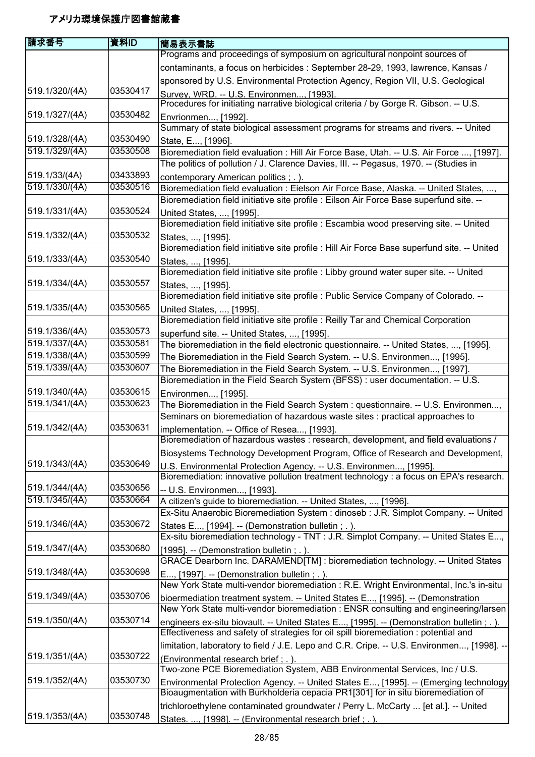| contaminants, a focus on herbicides : September 28-29, 1993, lawrence, Kansas /<br>sponsored by U.S. Environmental Protection Agency, Region VII, U.S. Geological<br>519.1/320/(4A)<br>03530417<br>Survey, WRD. -- U.S. Environmen, [1993].<br>Procedures for initiating narrative biological criteria / by Gorge R. Gibson. -- U.S.<br>519.1/327/(4A)<br>03530482<br>Envrionmen, [1992].<br>Summary of state biological assessment programs for streams and rivers. -- United<br>519.1/328/(4A)<br>03530490<br>State, E, [1996].<br>519.1/329/(4A)<br>03530508<br>Bioremediation field evaluation : Hill Air Force Base, Utah. -- U.S. Air Force , [1997].<br>The politics of pollution / J. Clarence Davies, III. -- Pegasus, 1970. -- (Studies in<br>519.1/33/(4A)<br>03433893<br>contemporary American politics ; . ).<br>519.1/330/(4A)<br>03530516<br>Bioremediation field evaluation : Eielson Air Force Base, Alaska. -- United States, ,<br>Bioremediation field initiative site profile : Eilson Air Force Base superfund site. --<br>519.1/331/(4A)<br>03530524<br>United States, , [1995].<br>Bioremediation field initiative site profile : Escambia wood preserving site. -- United<br>519.1/332/(4A)<br>03530532<br>States, , [1995].<br>Bioremediation field initiative site profile : Hill Air Force Base superfund site. -- United<br>519.1/333/(4A)<br>03530540<br>States, , [1995].<br>Bioremediation field initiative site profile : Libby ground water super site. -- United<br>519.1/334/(4A)<br>03530557<br>States, , [1995].<br>Bioremediation field initiative site profile : Public Service Company of Colorado. --<br>519.1/335/(4A)<br>03530565<br>United States, , [1995].<br>Bioremediation field initiative site profile : Reilly Tar and Chemical Corporation<br>519.1/336/(4A)<br>03530573<br>superfund site. -- United States, , [1995].<br>519.1/337/(4A)<br>03530581<br>The bioremediation in the field electronic questionnaire. -- United States, , [1995].<br>519.1/338/(4A)<br>03530599<br>The Bioremediation in the Field Search System. -- U.S. Environmen, [1995].<br>519.1/339/(4A)<br>03530607<br>The Bioremediation in the Field Search System. -- U.S. Environmen, [1997].<br>Bioremediation in the Field Search System (BFSS) : user documentation. -- U.S.<br>519.1/340/(4A)<br>03530615<br>Environmen, [1995].<br>519.1/341/(4A)<br>03530623<br>The Bioremediation in the Field Search System : questionnaire. -- U.S. Environmen,<br>Seminars on bioremediation of hazardous waste sites : practical approaches to<br>03530631<br>519.1/342/(4A)<br>implementation. -- Office of Resea, [1993].<br>Bioremediation of hazardous wastes : research, development, and field evaluations /<br>Biosystems Technology Development Program, Office of Research and Development,<br>519.1/343/(4A)<br>03530649<br>U.S. Environmental Protection Agency. -- U.S. Environmen, [1995].<br>Bioremediation: innovative pollution treatment technology : a focus on EPA's research.<br>519.1/344/(4A)<br>03530656<br>-- U.S. Environmen, [1993].<br>519.1/345/(4A)<br>03530664<br>A citizen's guide to bioremediation. -- United States, , [1996].<br>Ex-Situ Anaerobic Bioremediation System : dinoseb : J.R. Simplot Company. -- United<br>519.1/346/(4A)<br>03530672<br>States E, [1994]. -- (Demonstration bulletin; .).<br>Ex-situ bioremediation technology - TNT : J.R. Simplot Company. -- United States E,<br>03530680<br>519.1/347/(4A)<br>[1995]. -- (Demonstration bulletin; .).<br>GRACE Dearborn Inc. DARAMEND[TM] : bioremediation technology. -- United States<br>519.1/348/(4A)<br>03530698<br>E, [1997]. -- (Demonstration bulletin; .).<br>New York State multi-vendor bioremediation : R.E. Wright Environmental, Inc.'s in-situ<br>03530706<br>519.1/349/(4A)<br>bioermediation treatment system. -- United States E, [1995]. -- (Demonstration<br>New York State multi-vendor bioremediation : ENSR consulting and engineering/larsen<br>03530714<br>519.1/350/(4A)<br>engineers ex-situ biovault. -- United States E, [1995]. -- (Demonstration bulletin; .).<br>Effectiveness and safety of strategies for oil spill bioremediation : potential and<br>limitation, laboratory to field / J.E. Lepo and C.R. Cripe. -- U.S. Environmen, [1998]. --<br>519.1/351/(4A)<br>03530722<br>(Environmental research brief; .).<br>Two-zone PCE Bioremediation System, ABB Environmental Services, Inc / U.S.<br>519.1/352/(4A)<br>03530730<br>Bioaugmentation with Burkholderia cepacia PR1[301] for in situ bioremediation of<br>trichloroethylene contaminated groundwater / Perry L. McCarty  [et al.]. -- United<br>519.1/353/(4A)<br>03530748 | 庸求番号 | 資料ID | 簡易表示書誌                                                                    |
|---------------------------------------------------------------------------------------------------------------------------------------------------------------------------------------------------------------------------------------------------------------------------------------------------------------------------------------------------------------------------------------------------------------------------------------------------------------------------------------------------------------------------------------------------------------------------------------------------------------------------------------------------------------------------------------------------------------------------------------------------------------------------------------------------------------------------------------------------------------------------------------------------------------------------------------------------------------------------------------------------------------------------------------------------------------------------------------------------------------------------------------------------------------------------------------------------------------------------------------------------------------------------------------------------------------------------------------------------------------------------------------------------------------------------------------------------------------------------------------------------------------------------------------------------------------------------------------------------------------------------------------------------------------------------------------------------------------------------------------------------------------------------------------------------------------------------------------------------------------------------------------------------------------------------------------------------------------------------------------------------------------------------------------------------------------------------------------------------------------------------------------------------------------------------------------------------------------------------------------------------------------------------------------------------------------------------------------------------------------------------------------------------------------------------------------------------------------------------------------------------------------------------------------------------------------------------------------------------------------------------------------------------------------------------------------------------------------------------------------------------------------------------------------------------------------------------------------------------------------------------------------------------------------------------------------------------------------------------------------------------------------------------------------------------------------------------------------------------------------------------------------------------------------------------------------------------------------------------------------------------------------------------------------------------------------------------------------------------------------------------------------------------------------------------------------------------------------------------------------------------------------------------------------------------------------------------------------------------------------------------------------------------------------------------------------------------------------------------------------------------------------------------------------------------------------------------------------------------------------------------------------------------------------------------------------------------------------------------------------------------------------------------------------------------------------------------------------------------------------------------------------------------------------------------------------------------------------------------------------------------------------------------------------------------------------------------------------------------------------------------------------------------------------------------------------------------------------------------------------------------------------------------------------------------------------------------------------------------------------------------------------------------------------------------------------------------------|------|------|---------------------------------------------------------------------------|
|                                                                                                                                                                                                                                                                                                                                                                                                                                                                                                                                                                                                                                                                                                                                                                                                                                                                                                                                                                                                                                                                                                                                                                                                                                                                                                                                                                                                                                                                                                                                                                                                                                                                                                                                                                                                                                                                                                                                                                                                                                                                                                                                                                                                                                                                                                                                                                                                                                                                                                                                                                                                                                                                                                                                                                                                                                                                                                                                                                                                                                                                                                                                                                                                                                                                                                                                                                                                                                                                                                                                                                                                                                                                                                                                                                                                                                                                                                                                                                                                                                                                                                                                                                                                                                                                                                                                                                                                                                                                                                                                                                                                                                                                                                         |      |      | Programs and proceedings of symposium on agricultural nonpoint sources of |
|                                                                                                                                                                                                                                                                                                                                                                                                                                                                                                                                                                                                                                                                                                                                                                                                                                                                                                                                                                                                                                                                                                                                                                                                                                                                                                                                                                                                                                                                                                                                                                                                                                                                                                                                                                                                                                                                                                                                                                                                                                                                                                                                                                                                                                                                                                                                                                                                                                                                                                                                                                                                                                                                                                                                                                                                                                                                                                                                                                                                                                                                                                                                                                                                                                                                                                                                                                                                                                                                                                                                                                                                                                                                                                                                                                                                                                                                                                                                                                                                                                                                                                                                                                                                                                                                                                                                                                                                                                                                                                                                                                                                                                                                                                         |      |      |                                                                           |
|                                                                                                                                                                                                                                                                                                                                                                                                                                                                                                                                                                                                                                                                                                                                                                                                                                                                                                                                                                                                                                                                                                                                                                                                                                                                                                                                                                                                                                                                                                                                                                                                                                                                                                                                                                                                                                                                                                                                                                                                                                                                                                                                                                                                                                                                                                                                                                                                                                                                                                                                                                                                                                                                                                                                                                                                                                                                                                                                                                                                                                                                                                                                                                                                                                                                                                                                                                                                                                                                                                                                                                                                                                                                                                                                                                                                                                                                                                                                                                                                                                                                                                                                                                                                                                                                                                                                                                                                                                                                                                                                                                                                                                                                                                         |      |      |                                                                           |
|                                                                                                                                                                                                                                                                                                                                                                                                                                                                                                                                                                                                                                                                                                                                                                                                                                                                                                                                                                                                                                                                                                                                                                                                                                                                                                                                                                                                                                                                                                                                                                                                                                                                                                                                                                                                                                                                                                                                                                                                                                                                                                                                                                                                                                                                                                                                                                                                                                                                                                                                                                                                                                                                                                                                                                                                                                                                                                                                                                                                                                                                                                                                                                                                                                                                                                                                                                                                                                                                                                                                                                                                                                                                                                                                                                                                                                                                                                                                                                                                                                                                                                                                                                                                                                                                                                                                                                                                                                                                                                                                                                                                                                                                                                         |      |      |                                                                           |
|                                                                                                                                                                                                                                                                                                                                                                                                                                                                                                                                                                                                                                                                                                                                                                                                                                                                                                                                                                                                                                                                                                                                                                                                                                                                                                                                                                                                                                                                                                                                                                                                                                                                                                                                                                                                                                                                                                                                                                                                                                                                                                                                                                                                                                                                                                                                                                                                                                                                                                                                                                                                                                                                                                                                                                                                                                                                                                                                                                                                                                                                                                                                                                                                                                                                                                                                                                                                                                                                                                                                                                                                                                                                                                                                                                                                                                                                                                                                                                                                                                                                                                                                                                                                                                                                                                                                                                                                                                                                                                                                                                                                                                                                                                         |      |      |                                                                           |
|                                                                                                                                                                                                                                                                                                                                                                                                                                                                                                                                                                                                                                                                                                                                                                                                                                                                                                                                                                                                                                                                                                                                                                                                                                                                                                                                                                                                                                                                                                                                                                                                                                                                                                                                                                                                                                                                                                                                                                                                                                                                                                                                                                                                                                                                                                                                                                                                                                                                                                                                                                                                                                                                                                                                                                                                                                                                                                                                                                                                                                                                                                                                                                                                                                                                                                                                                                                                                                                                                                                                                                                                                                                                                                                                                                                                                                                                                                                                                                                                                                                                                                                                                                                                                                                                                                                                                                                                                                                                                                                                                                                                                                                                                                         |      |      |                                                                           |
|                                                                                                                                                                                                                                                                                                                                                                                                                                                                                                                                                                                                                                                                                                                                                                                                                                                                                                                                                                                                                                                                                                                                                                                                                                                                                                                                                                                                                                                                                                                                                                                                                                                                                                                                                                                                                                                                                                                                                                                                                                                                                                                                                                                                                                                                                                                                                                                                                                                                                                                                                                                                                                                                                                                                                                                                                                                                                                                                                                                                                                                                                                                                                                                                                                                                                                                                                                                                                                                                                                                                                                                                                                                                                                                                                                                                                                                                                                                                                                                                                                                                                                                                                                                                                                                                                                                                                                                                                                                                                                                                                                                                                                                                                                         |      |      |                                                                           |
|                                                                                                                                                                                                                                                                                                                                                                                                                                                                                                                                                                                                                                                                                                                                                                                                                                                                                                                                                                                                                                                                                                                                                                                                                                                                                                                                                                                                                                                                                                                                                                                                                                                                                                                                                                                                                                                                                                                                                                                                                                                                                                                                                                                                                                                                                                                                                                                                                                                                                                                                                                                                                                                                                                                                                                                                                                                                                                                                                                                                                                                                                                                                                                                                                                                                                                                                                                                                                                                                                                                                                                                                                                                                                                                                                                                                                                                                                                                                                                                                                                                                                                                                                                                                                                                                                                                                                                                                                                                                                                                                                                                                                                                                                                         |      |      |                                                                           |
|                                                                                                                                                                                                                                                                                                                                                                                                                                                                                                                                                                                                                                                                                                                                                                                                                                                                                                                                                                                                                                                                                                                                                                                                                                                                                                                                                                                                                                                                                                                                                                                                                                                                                                                                                                                                                                                                                                                                                                                                                                                                                                                                                                                                                                                                                                                                                                                                                                                                                                                                                                                                                                                                                                                                                                                                                                                                                                                                                                                                                                                                                                                                                                                                                                                                                                                                                                                                                                                                                                                                                                                                                                                                                                                                                                                                                                                                                                                                                                                                                                                                                                                                                                                                                                                                                                                                                                                                                                                                                                                                                                                                                                                                                                         |      |      |                                                                           |
|                                                                                                                                                                                                                                                                                                                                                                                                                                                                                                                                                                                                                                                                                                                                                                                                                                                                                                                                                                                                                                                                                                                                                                                                                                                                                                                                                                                                                                                                                                                                                                                                                                                                                                                                                                                                                                                                                                                                                                                                                                                                                                                                                                                                                                                                                                                                                                                                                                                                                                                                                                                                                                                                                                                                                                                                                                                                                                                                                                                                                                                                                                                                                                                                                                                                                                                                                                                                                                                                                                                                                                                                                                                                                                                                                                                                                                                                                                                                                                                                                                                                                                                                                                                                                                                                                                                                                                                                                                                                                                                                                                                                                                                                                                         |      |      |                                                                           |
|                                                                                                                                                                                                                                                                                                                                                                                                                                                                                                                                                                                                                                                                                                                                                                                                                                                                                                                                                                                                                                                                                                                                                                                                                                                                                                                                                                                                                                                                                                                                                                                                                                                                                                                                                                                                                                                                                                                                                                                                                                                                                                                                                                                                                                                                                                                                                                                                                                                                                                                                                                                                                                                                                                                                                                                                                                                                                                                                                                                                                                                                                                                                                                                                                                                                                                                                                                                                                                                                                                                                                                                                                                                                                                                                                                                                                                                                                                                                                                                                                                                                                                                                                                                                                                                                                                                                                                                                                                                                                                                                                                                                                                                                                                         |      |      |                                                                           |
|                                                                                                                                                                                                                                                                                                                                                                                                                                                                                                                                                                                                                                                                                                                                                                                                                                                                                                                                                                                                                                                                                                                                                                                                                                                                                                                                                                                                                                                                                                                                                                                                                                                                                                                                                                                                                                                                                                                                                                                                                                                                                                                                                                                                                                                                                                                                                                                                                                                                                                                                                                                                                                                                                                                                                                                                                                                                                                                                                                                                                                                                                                                                                                                                                                                                                                                                                                                                                                                                                                                                                                                                                                                                                                                                                                                                                                                                                                                                                                                                                                                                                                                                                                                                                                                                                                                                                                                                                                                                                                                                                                                                                                                                                                         |      |      |                                                                           |
|                                                                                                                                                                                                                                                                                                                                                                                                                                                                                                                                                                                                                                                                                                                                                                                                                                                                                                                                                                                                                                                                                                                                                                                                                                                                                                                                                                                                                                                                                                                                                                                                                                                                                                                                                                                                                                                                                                                                                                                                                                                                                                                                                                                                                                                                                                                                                                                                                                                                                                                                                                                                                                                                                                                                                                                                                                                                                                                                                                                                                                                                                                                                                                                                                                                                                                                                                                                                                                                                                                                                                                                                                                                                                                                                                                                                                                                                                                                                                                                                                                                                                                                                                                                                                                                                                                                                                                                                                                                                                                                                                                                                                                                                                                         |      |      |                                                                           |
|                                                                                                                                                                                                                                                                                                                                                                                                                                                                                                                                                                                                                                                                                                                                                                                                                                                                                                                                                                                                                                                                                                                                                                                                                                                                                                                                                                                                                                                                                                                                                                                                                                                                                                                                                                                                                                                                                                                                                                                                                                                                                                                                                                                                                                                                                                                                                                                                                                                                                                                                                                                                                                                                                                                                                                                                                                                                                                                                                                                                                                                                                                                                                                                                                                                                                                                                                                                                                                                                                                                                                                                                                                                                                                                                                                                                                                                                                                                                                                                                                                                                                                                                                                                                                                                                                                                                                                                                                                                                                                                                                                                                                                                                                                         |      |      |                                                                           |
|                                                                                                                                                                                                                                                                                                                                                                                                                                                                                                                                                                                                                                                                                                                                                                                                                                                                                                                                                                                                                                                                                                                                                                                                                                                                                                                                                                                                                                                                                                                                                                                                                                                                                                                                                                                                                                                                                                                                                                                                                                                                                                                                                                                                                                                                                                                                                                                                                                                                                                                                                                                                                                                                                                                                                                                                                                                                                                                                                                                                                                                                                                                                                                                                                                                                                                                                                                                                                                                                                                                                                                                                                                                                                                                                                                                                                                                                                                                                                                                                                                                                                                                                                                                                                                                                                                                                                                                                                                                                                                                                                                                                                                                                                                         |      |      |                                                                           |
|                                                                                                                                                                                                                                                                                                                                                                                                                                                                                                                                                                                                                                                                                                                                                                                                                                                                                                                                                                                                                                                                                                                                                                                                                                                                                                                                                                                                                                                                                                                                                                                                                                                                                                                                                                                                                                                                                                                                                                                                                                                                                                                                                                                                                                                                                                                                                                                                                                                                                                                                                                                                                                                                                                                                                                                                                                                                                                                                                                                                                                                                                                                                                                                                                                                                                                                                                                                                                                                                                                                                                                                                                                                                                                                                                                                                                                                                                                                                                                                                                                                                                                                                                                                                                                                                                                                                                                                                                                                                                                                                                                                                                                                                                                         |      |      |                                                                           |
|                                                                                                                                                                                                                                                                                                                                                                                                                                                                                                                                                                                                                                                                                                                                                                                                                                                                                                                                                                                                                                                                                                                                                                                                                                                                                                                                                                                                                                                                                                                                                                                                                                                                                                                                                                                                                                                                                                                                                                                                                                                                                                                                                                                                                                                                                                                                                                                                                                                                                                                                                                                                                                                                                                                                                                                                                                                                                                                                                                                                                                                                                                                                                                                                                                                                                                                                                                                                                                                                                                                                                                                                                                                                                                                                                                                                                                                                                                                                                                                                                                                                                                                                                                                                                                                                                                                                                                                                                                                                                                                                                                                                                                                                                                         |      |      |                                                                           |
|                                                                                                                                                                                                                                                                                                                                                                                                                                                                                                                                                                                                                                                                                                                                                                                                                                                                                                                                                                                                                                                                                                                                                                                                                                                                                                                                                                                                                                                                                                                                                                                                                                                                                                                                                                                                                                                                                                                                                                                                                                                                                                                                                                                                                                                                                                                                                                                                                                                                                                                                                                                                                                                                                                                                                                                                                                                                                                                                                                                                                                                                                                                                                                                                                                                                                                                                                                                                                                                                                                                                                                                                                                                                                                                                                                                                                                                                                                                                                                                                                                                                                                                                                                                                                                                                                                                                                                                                                                                                                                                                                                                                                                                                                                         |      |      |                                                                           |
|                                                                                                                                                                                                                                                                                                                                                                                                                                                                                                                                                                                                                                                                                                                                                                                                                                                                                                                                                                                                                                                                                                                                                                                                                                                                                                                                                                                                                                                                                                                                                                                                                                                                                                                                                                                                                                                                                                                                                                                                                                                                                                                                                                                                                                                                                                                                                                                                                                                                                                                                                                                                                                                                                                                                                                                                                                                                                                                                                                                                                                                                                                                                                                                                                                                                                                                                                                                                                                                                                                                                                                                                                                                                                                                                                                                                                                                                                                                                                                                                                                                                                                                                                                                                                                                                                                                                                                                                                                                                                                                                                                                                                                                                                                         |      |      |                                                                           |
|                                                                                                                                                                                                                                                                                                                                                                                                                                                                                                                                                                                                                                                                                                                                                                                                                                                                                                                                                                                                                                                                                                                                                                                                                                                                                                                                                                                                                                                                                                                                                                                                                                                                                                                                                                                                                                                                                                                                                                                                                                                                                                                                                                                                                                                                                                                                                                                                                                                                                                                                                                                                                                                                                                                                                                                                                                                                                                                                                                                                                                                                                                                                                                                                                                                                                                                                                                                                                                                                                                                                                                                                                                                                                                                                                                                                                                                                                                                                                                                                                                                                                                                                                                                                                                                                                                                                                                                                                                                                                                                                                                                                                                                                                                         |      |      |                                                                           |
|                                                                                                                                                                                                                                                                                                                                                                                                                                                                                                                                                                                                                                                                                                                                                                                                                                                                                                                                                                                                                                                                                                                                                                                                                                                                                                                                                                                                                                                                                                                                                                                                                                                                                                                                                                                                                                                                                                                                                                                                                                                                                                                                                                                                                                                                                                                                                                                                                                                                                                                                                                                                                                                                                                                                                                                                                                                                                                                                                                                                                                                                                                                                                                                                                                                                                                                                                                                                                                                                                                                                                                                                                                                                                                                                                                                                                                                                                                                                                                                                                                                                                                                                                                                                                                                                                                                                                                                                                                                                                                                                                                                                                                                                                                         |      |      |                                                                           |
|                                                                                                                                                                                                                                                                                                                                                                                                                                                                                                                                                                                                                                                                                                                                                                                                                                                                                                                                                                                                                                                                                                                                                                                                                                                                                                                                                                                                                                                                                                                                                                                                                                                                                                                                                                                                                                                                                                                                                                                                                                                                                                                                                                                                                                                                                                                                                                                                                                                                                                                                                                                                                                                                                                                                                                                                                                                                                                                                                                                                                                                                                                                                                                                                                                                                                                                                                                                                                                                                                                                                                                                                                                                                                                                                                                                                                                                                                                                                                                                                                                                                                                                                                                                                                                                                                                                                                                                                                                                                                                                                                                                                                                                                                                         |      |      |                                                                           |
|                                                                                                                                                                                                                                                                                                                                                                                                                                                                                                                                                                                                                                                                                                                                                                                                                                                                                                                                                                                                                                                                                                                                                                                                                                                                                                                                                                                                                                                                                                                                                                                                                                                                                                                                                                                                                                                                                                                                                                                                                                                                                                                                                                                                                                                                                                                                                                                                                                                                                                                                                                                                                                                                                                                                                                                                                                                                                                                                                                                                                                                                                                                                                                                                                                                                                                                                                                                                                                                                                                                                                                                                                                                                                                                                                                                                                                                                                                                                                                                                                                                                                                                                                                                                                                                                                                                                                                                                                                                                                                                                                                                                                                                                                                         |      |      |                                                                           |
| Environmental Protection Agency. -- United States E, [1995]. -- (Emerging technology                                                                                                                                                                                                                                                                                                                                                                                                                                                                                                                                                                                                                                                                                                                                                                                                                                                                                                                                                                                                                                                                                                                                                                                                                                                                                                                                                                                                                                                                                                                                                                                                                                                                                                                                                                                                                                                                                                                                                                                                                                                                                                                                                                                                                                                                                                                                                                                                                                                                                                                                                                                                                                                                                                                                                                                                                                                                                                                                                                                                                                                                                                                                                                                                                                                                                                                                                                                                                                                                                                                                                                                                                                                                                                                                                                                                                                                                                                                                                                                                                                                                                                                                                                                                                                                                                                                                                                                                                                                                                                                                                                                                                    |      |      |                                                                           |
|                                                                                                                                                                                                                                                                                                                                                                                                                                                                                                                                                                                                                                                                                                                                                                                                                                                                                                                                                                                                                                                                                                                                                                                                                                                                                                                                                                                                                                                                                                                                                                                                                                                                                                                                                                                                                                                                                                                                                                                                                                                                                                                                                                                                                                                                                                                                                                                                                                                                                                                                                                                                                                                                                                                                                                                                                                                                                                                                                                                                                                                                                                                                                                                                                                                                                                                                                                                                                                                                                                                                                                                                                                                                                                                                                                                                                                                                                                                                                                                                                                                                                                                                                                                                                                                                                                                                                                                                                                                                                                                                                                                                                                                                                                         |      |      |                                                                           |
|                                                                                                                                                                                                                                                                                                                                                                                                                                                                                                                                                                                                                                                                                                                                                                                                                                                                                                                                                                                                                                                                                                                                                                                                                                                                                                                                                                                                                                                                                                                                                                                                                                                                                                                                                                                                                                                                                                                                                                                                                                                                                                                                                                                                                                                                                                                                                                                                                                                                                                                                                                                                                                                                                                                                                                                                                                                                                                                                                                                                                                                                                                                                                                                                                                                                                                                                                                                                                                                                                                                                                                                                                                                                                                                                                                                                                                                                                                                                                                                                                                                                                                                                                                                                                                                                                                                                                                                                                                                                                                                                                                                                                                                                                                         |      |      |                                                                           |
|                                                                                                                                                                                                                                                                                                                                                                                                                                                                                                                                                                                                                                                                                                                                                                                                                                                                                                                                                                                                                                                                                                                                                                                                                                                                                                                                                                                                                                                                                                                                                                                                                                                                                                                                                                                                                                                                                                                                                                                                                                                                                                                                                                                                                                                                                                                                                                                                                                                                                                                                                                                                                                                                                                                                                                                                                                                                                                                                                                                                                                                                                                                                                                                                                                                                                                                                                                                                                                                                                                                                                                                                                                                                                                                                                                                                                                                                                                                                                                                                                                                                                                                                                                                                                                                                                                                                                                                                                                                                                                                                                                                                                                                                                                         |      |      |                                                                           |
|                                                                                                                                                                                                                                                                                                                                                                                                                                                                                                                                                                                                                                                                                                                                                                                                                                                                                                                                                                                                                                                                                                                                                                                                                                                                                                                                                                                                                                                                                                                                                                                                                                                                                                                                                                                                                                                                                                                                                                                                                                                                                                                                                                                                                                                                                                                                                                                                                                                                                                                                                                                                                                                                                                                                                                                                                                                                                                                                                                                                                                                                                                                                                                                                                                                                                                                                                                                                                                                                                                                                                                                                                                                                                                                                                                                                                                                                                                                                                                                                                                                                                                                                                                                                                                                                                                                                                                                                                                                                                                                                                                                                                                                                                                         |      |      |                                                                           |
|                                                                                                                                                                                                                                                                                                                                                                                                                                                                                                                                                                                                                                                                                                                                                                                                                                                                                                                                                                                                                                                                                                                                                                                                                                                                                                                                                                                                                                                                                                                                                                                                                                                                                                                                                                                                                                                                                                                                                                                                                                                                                                                                                                                                                                                                                                                                                                                                                                                                                                                                                                                                                                                                                                                                                                                                                                                                                                                                                                                                                                                                                                                                                                                                                                                                                                                                                                                                                                                                                                                                                                                                                                                                                                                                                                                                                                                                                                                                                                                                                                                                                                                                                                                                                                                                                                                                                                                                                                                                                                                                                                                                                                                                                                         |      |      |                                                                           |
|                                                                                                                                                                                                                                                                                                                                                                                                                                                                                                                                                                                                                                                                                                                                                                                                                                                                                                                                                                                                                                                                                                                                                                                                                                                                                                                                                                                                                                                                                                                                                                                                                                                                                                                                                                                                                                                                                                                                                                                                                                                                                                                                                                                                                                                                                                                                                                                                                                                                                                                                                                                                                                                                                                                                                                                                                                                                                                                                                                                                                                                                                                                                                                                                                                                                                                                                                                                                                                                                                                                                                                                                                                                                                                                                                                                                                                                                                                                                                                                                                                                                                                                                                                                                                                                                                                                                                                                                                                                                                                                                                                                                                                                                                                         |      |      |                                                                           |
|                                                                                                                                                                                                                                                                                                                                                                                                                                                                                                                                                                                                                                                                                                                                                                                                                                                                                                                                                                                                                                                                                                                                                                                                                                                                                                                                                                                                                                                                                                                                                                                                                                                                                                                                                                                                                                                                                                                                                                                                                                                                                                                                                                                                                                                                                                                                                                                                                                                                                                                                                                                                                                                                                                                                                                                                                                                                                                                                                                                                                                                                                                                                                                                                                                                                                                                                                                                                                                                                                                                                                                                                                                                                                                                                                                                                                                                                                                                                                                                                                                                                                                                                                                                                                                                                                                                                                                                                                                                                                                                                                                                                                                                                                                         |      |      |                                                                           |
|                                                                                                                                                                                                                                                                                                                                                                                                                                                                                                                                                                                                                                                                                                                                                                                                                                                                                                                                                                                                                                                                                                                                                                                                                                                                                                                                                                                                                                                                                                                                                                                                                                                                                                                                                                                                                                                                                                                                                                                                                                                                                                                                                                                                                                                                                                                                                                                                                                                                                                                                                                                                                                                                                                                                                                                                                                                                                                                                                                                                                                                                                                                                                                                                                                                                                                                                                                                                                                                                                                                                                                                                                                                                                                                                                                                                                                                                                                                                                                                                                                                                                                                                                                                                                                                                                                                                                                                                                                                                                                                                                                                                                                                                                                         |      |      |                                                                           |
|                                                                                                                                                                                                                                                                                                                                                                                                                                                                                                                                                                                                                                                                                                                                                                                                                                                                                                                                                                                                                                                                                                                                                                                                                                                                                                                                                                                                                                                                                                                                                                                                                                                                                                                                                                                                                                                                                                                                                                                                                                                                                                                                                                                                                                                                                                                                                                                                                                                                                                                                                                                                                                                                                                                                                                                                                                                                                                                                                                                                                                                                                                                                                                                                                                                                                                                                                                                                                                                                                                                                                                                                                                                                                                                                                                                                                                                                                                                                                                                                                                                                                                                                                                                                                                                                                                                                                                                                                                                                                                                                                                                                                                                                                                         |      |      |                                                                           |
|                                                                                                                                                                                                                                                                                                                                                                                                                                                                                                                                                                                                                                                                                                                                                                                                                                                                                                                                                                                                                                                                                                                                                                                                                                                                                                                                                                                                                                                                                                                                                                                                                                                                                                                                                                                                                                                                                                                                                                                                                                                                                                                                                                                                                                                                                                                                                                                                                                                                                                                                                                                                                                                                                                                                                                                                                                                                                                                                                                                                                                                                                                                                                                                                                                                                                                                                                                                                                                                                                                                                                                                                                                                                                                                                                                                                                                                                                                                                                                                                                                                                                                                                                                                                                                                                                                                                                                                                                                                                                                                                                                                                                                                                                                         |      |      |                                                                           |
|                                                                                                                                                                                                                                                                                                                                                                                                                                                                                                                                                                                                                                                                                                                                                                                                                                                                                                                                                                                                                                                                                                                                                                                                                                                                                                                                                                                                                                                                                                                                                                                                                                                                                                                                                                                                                                                                                                                                                                                                                                                                                                                                                                                                                                                                                                                                                                                                                                                                                                                                                                                                                                                                                                                                                                                                                                                                                                                                                                                                                                                                                                                                                                                                                                                                                                                                                                                                                                                                                                                                                                                                                                                                                                                                                                                                                                                                                                                                                                                                                                                                                                                                                                                                                                                                                                                                                                                                                                                                                                                                                                                                                                                                                                         |      |      |                                                                           |
|                                                                                                                                                                                                                                                                                                                                                                                                                                                                                                                                                                                                                                                                                                                                                                                                                                                                                                                                                                                                                                                                                                                                                                                                                                                                                                                                                                                                                                                                                                                                                                                                                                                                                                                                                                                                                                                                                                                                                                                                                                                                                                                                                                                                                                                                                                                                                                                                                                                                                                                                                                                                                                                                                                                                                                                                                                                                                                                                                                                                                                                                                                                                                                                                                                                                                                                                                                                                                                                                                                                                                                                                                                                                                                                                                                                                                                                                                                                                                                                                                                                                                                                                                                                                                                                                                                                                                                                                                                                                                                                                                                                                                                                                                                         |      |      |                                                                           |
|                                                                                                                                                                                                                                                                                                                                                                                                                                                                                                                                                                                                                                                                                                                                                                                                                                                                                                                                                                                                                                                                                                                                                                                                                                                                                                                                                                                                                                                                                                                                                                                                                                                                                                                                                                                                                                                                                                                                                                                                                                                                                                                                                                                                                                                                                                                                                                                                                                                                                                                                                                                                                                                                                                                                                                                                                                                                                                                                                                                                                                                                                                                                                                                                                                                                                                                                                                                                                                                                                                                                                                                                                                                                                                                                                                                                                                                                                                                                                                                                                                                                                                                                                                                                                                                                                                                                                                                                                                                                                                                                                                                                                                                                                                         |      |      |                                                                           |
|                                                                                                                                                                                                                                                                                                                                                                                                                                                                                                                                                                                                                                                                                                                                                                                                                                                                                                                                                                                                                                                                                                                                                                                                                                                                                                                                                                                                                                                                                                                                                                                                                                                                                                                                                                                                                                                                                                                                                                                                                                                                                                                                                                                                                                                                                                                                                                                                                                                                                                                                                                                                                                                                                                                                                                                                                                                                                                                                                                                                                                                                                                                                                                                                                                                                                                                                                                                                                                                                                                                                                                                                                                                                                                                                                                                                                                                                                                                                                                                                                                                                                                                                                                                                                                                                                                                                                                                                                                                                                                                                                                                                                                                                                                         |      |      |                                                                           |
|                                                                                                                                                                                                                                                                                                                                                                                                                                                                                                                                                                                                                                                                                                                                                                                                                                                                                                                                                                                                                                                                                                                                                                                                                                                                                                                                                                                                                                                                                                                                                                                                                                                                                                                                                                                                                                                                                                                                                                                                                                                                                                                                                                                                                                                                                                                                                                                                                                                                                                                                                                                                                                                                                                                                                                                                                                                                                                                                                                                                                                                                                                                                                                                                                                                                                                                                                                                                                                                                                                                                                                                                                                                                                                                                                                                                                                                                                                                                                                                                                                                                                                                                                                                                                                                                                                                                                                                                                                                                                                                                                                                                                                                                                                         |      |      |                                                                           |
|                                                                                                                                                                                                                                                                                                                                                                                                                                                                                                                                                                                                                                                                                                                                                                                                                                                                                                                                                                                                                                                                                                                                                                                                                                                                                                                                                                                                                                                                                                                                                                                                                                                                                                                                                                                                                                                                                                                                                                                                                                                                                                                                                                                                                                                                                                                                                                                                                                                                                                                                                                                                                                                                                                                                                                                                                                                                                                                                                                                                                                                                                                                                                                                                                                                                                                                                                                                                                                                                                                                                                                                                                                                                                                                                                                                                                                                                                                                                                                                                                                                                                                                                                                                                                                                                                                                                                                                                                                                                                                                                                                                                                                                                                                         |      |      |                                                                           |
|                                                                                                                                                                                                                                                                                                                                                                                                                                                                                                                                                                                                                                                                                                                                                                                                                                                                                                                                                                                                                                                                                                                                                                                                                                                                                                                                                                                                                                                                                                                                                                                                                                                                                                                                                                                                                                                                                                                                                                                                                                                                                                                                                                                                                                                                                                                                                                                                                                                                                                                                                                                                                                                                                                                                                                                                                                                                                                                                                                                                                                                                                                                                                                                                                                                                                                                                                                                                                                                                                                                                                                                                                                                                                                                                                                                                                                                                                                                                                                                                                                                                                                                                                                                                                                                                                                                                                                                                                                                                                                                                                                                                                                                                                                         |      |      |                                                                           |
|                                                                                                                                                                                                                                                                                                                                                                                                                                                                                                                                                                                                                                                                                                                                                                                                                                                                                                                                                                                                                                                                                                                                                                                                                                                                                                                                                                                                                                                                                                                                                                                                                                                                                                                                                                                                                                                                                                                                                                                                                                                                                                                                                                                                                                                                                                                                                                                                                                                                                                                                                                                                                                                                                                                                                                                                                                                                                                                                                                                                                                                                                                                                                                                                                                                                                                                                                                                                                                                                                                                                                                                                                                                                                                                                                                                                                                                                                                                                                                                                                                                                                                                                                                                                                                                                                                                                                                                                                                                                                                                                                                                                                                                                                                         |      |      |                                                                           |
|                                                                                                                                                                                                                                                                                                                                                                                                                                                                                                                                                                                                                                                                                                                                                                                                                                                                                                                                                                                                                                                                                                                                                                                                                                                                                                                                                                                                                                                                                                                                                                                                                                                                                                                                                                                                                                                                                                                                                                                                                                                                                                                                                                                                                                                                                                                                                                                                                                                                                                                                                                                                                                                                                                                                                                                                                                                                                                                                                                                                                                                                                                                                                                                                                                                                                                                                                                                                                                                                                                                                                                                                                                                                                                                                                                                                                                                                                                                                                                                                                                                                                                                                                                                                                                                                                                                                                                                                                                                                                                                                                                                                                                                                                                         |      |      |                                                                           |
|                                                                                                                                                                                                                                                                                                                                                                                                                                                                                                                                                                                                                                                                                                                                                                                                                                                                                                                                                                                                                                                                                                                                                                                                                                                                                                                                                                                                                                                                                                                                                                                                                                                                                                                                                                                                                                                                                                                                                                                                                                                                                                                                                                                                                                                                                                                                                                                                                                                                                                                                                                                                                                                                                                                                                                                                                                                                                                                                                                                                                                                                                                                                                                                                                                                                                                                                                                                                                                                                                                                                                                                                                                                                                                                                                                                                                                                                                                                                                                                                                                                                                                                                                                                                                                                                                                                                                                                                                                                                                                                                                                                                                                                                                                         |      |      |                                                                           |
|                                                                                                                                                                                                                                                                                                                                                                                                                                                                                                                                                                                                                                                                                                                                                                                                                                                                                                                                                                                                                                                                                                                                                                                                                                                                                                                                                                                                                                                                                                                                                                                                                                                                                                                                                                                                                                                                                                                                                                                                                                                                                                                                                                                                                                                                                                                                                                                                                                                                                                                                                                                                                                                                                                                                                                                                                                                                                                                                                                                                                                                                                                                                                                                                                                                                                                                                                                                                                                                                                                                                                                                                                                                                                                                                                                                                                                                                                                                                                                                                                                                                                                                                                                                                                                                                                                                                                                                                                                                                                                                                                                                                                                                                                                         |      |      |                                                                           |
|                                                                                                                                                                                                                                                                                                                                                                                                                                                                                                                                                                                                                                                                                                                                                                                                                                                                                                                                                                                                                                                                                                                                                                                                                                                                                                                                                                                                                                                                                                                                                                                                                                                                                                                                                                                                                                                                                                                                                                                                                                                                                                                                                                                                                                                                                                                                                                                                                                                                                                                                                                                                                                                                                                                                                                                                                                                                                                                                                                                                                                                                                                                                                                                                                                                                                                                                                                                                                                                                                                                                                                                                                                                                                                                                                                                                                                                                                                                                                                                                                                                                                                                                                                                                                                                                                                                                                                                                                                                                                                                                                                                                                                                                                                         |      |      |                                                                           |
|                                                                                                                                                                                                                                                                                                                                                                                                                                                                                                                                                                                                                                                                                                                                                                                                                                                                                                                                                                                                                                                                                                                                                                                                                                                                                                                                                                                                                                                                                                                                                                                                                                                                                                                                                                                                                                                                                                                                                                                                                                                                                                                                                                                                                                                                                                                                                                                                                                                                                                                                                                                                                                                                                                                                                                                                                                                                                                                                                                                                                                                                                                                                                                                                                                                                                                                                                                                                                                                                                                                                                                                                                                                                                                                                                                                                                                                                                                                                                                                                                                                                                                                                                                                                                                                                                                                                                                                                                                                                                                                                                                                                                                                                                                         |      |      |                                                                           |
|                                                                                                                                                                                                                                                                                                                                                                                                                                                                                                                                                                                                                                                                                                                                                                                                                                                                                                                                                                                                                                                                                                                                                                                                                                                                                                                                                                                                                                                                                                                                                                                                                                                                                                                                                                                                                                                                                                                                                                                                                                                                                                                                                                                                                                                                                                                                                                                                                                                                                                                                                                                                                                                                                                                                                                                                                                                                                                                                                                                                                                                                                                                                                                                                                                                                                                                                                                                                                                                                                                                                                                                                                                                                                                                                                                                                                                                                                                                                                                                                                                                                                                                                                                                                                                                                                                                                                                                                                                                                                                                                                                                                                                                                                                         |      |      |                                                                           |
|                                                                                                                                                                                                                                                                                                                                                                                                                                                                                                                                                                                                                                                                                                                                                                                                                                                                                                                                                                                                                                                                                                                                                                                                                                                                                                                                                                                                                                                                                                                                                                                                                                                                                                                                                                                                                                                                                                                                                                                                                                                                                                                                                                                                                                                                                                                                                                                                                                                                                                                                                                                                                                                                                                                                                                                                                                                                                                                                                                                                                                                                                                                                                                                                                                                                                                                                                                                                                                                                                                                                                                                                                                                                                                                                                                                                                                                                                                                                                                                                                                                                                                                                                                                                                                                                                                                                                                                                                                                                                                                                                                                                                                                                                                         |      |      |                                                                           |
|                                                                                                                                                                                                                                                                                                                                                                                                                                                                                                                                                                                                                                                                                                                                                                                                                                                                                                                                                                                                                                                                                                                                                                                                                                                                                                                                                                                                                                                                                                                                                                                                                                                                                                                                                                                                                                                                                                                                                                                                                                                                                                                                                                                                                                                                                                                                                                                                                                                                                                                                                                                                                                                                                                                                                                                                                                                                                                                                                                                                                                                                                                                                                                                                                                                                                                                                                                                                                                                                                                                                                                                                                                                                                                                                                                                                                                                                                                                                                                                                                                                                                                                                                                                                                                                                                                                                                                                                                                                                                                                                                                                                                                                                                                         |      |      |                                                                           |
|                                                                                                                                                                                                                                                                                                                                                                                                                                                                                                                                                                                                                                                                                                                                                                                                                                                                                                                                                                                                                                                                                                                                                                                                                                                                                                                                                                                                                                                                                                                                                                                                                                                                                                                                                                                                                                                                                                                                                                                                                                                                                                                                                                                                                                                                                                                                                                                                                                                                                                                                                                                                                                                                                                                                                                                                                                                                                                                                                                                                                                                                                                                                                                                                                                                                                                                                                                                                                                                                                                                                                                                                                                                                                                                                                                                                                                                                                                                                                                                                                                                                                                                                                                                                                                                                                                                                                                                                                                                                                                                                                                                                                                                                                                         |      |      |                                                                           |
|                                                                                                                                                                                                                                                                                                                                                                                                                                                                                                                                                                                                                                                                                                                                                                                                                                                                                                                                                                                                                                                                                                                                                                                                                                                                                                                                                                                                                                                                                                                                                                                                                                                                                                                                                                                                                                                                                                                                                                                                                                                                                                                                                                                                                                                                                                                                                                                                                                                                                                                                                                                                                                                                                                                                                                                                                                                                                                                                                                                                                                                                                                                                                                                                                                                                                                                                                                                                                                                                                                                                                                                                                                                                                                                                                                                                                                                                                                                                                                                                                                                                                                                                                                                                                                                                                                                                                                                                                                                                                                                                                                                                                                                                                                         |      |      |                                                                           |
|                                                                                                                                                                                                                                                                                                                                                                                                                                                                                                                                                                                                                                                                                                                                                                                                                                                                                                                                                                                                                                                                                                                                                                                                                                                                                                                                                                                                                                                                                                                                                                                                                                                                                                                                                                                                                                                                                                                                                                                                                                                                                                                                                                                                                                                                                                                                                                                                                                                                                                                                                                                                                                                                                                                                                                                                                                                                                                                                                                                                                                                                                                                                                                                                                                                                                                                                                                                                                                                                                                                                                                                                                                                                                                                                                                                                                                                                                                                                                                                                                                                                                                                                                                                                                                                                                                                                                                                                                                                                                                                                                                                                                                                                                                         |      |      |                                                                           |
|                                                                                                                                                                                                                                                                                                                                                                                                                                                                                                                                                                                                                                                                                                                                                                                                                                                                                                                                                                                                                                                                                                                                                                                                                                                                                                                                                                                                                                                                                                                                                                                                                                                                                                                                                                                                                                                                                                                                                                                                                                                                                                                                                                                                                                                                                                                                                                                                                                                                                                                                                                                                                                                                                                                                                                                                                                                                                                                                                                                                                                                                                                                                                                                                                                                                                                                                                                                                                                                                                                                                                                                                                                                                                                                                                                                                                                                                                                                                                                                                                                                                                                                                                                                                                                                                                                                                                                                                                                                                                                                                                                                                                                                                                                         |      |      |                                                                           |
|                                                                                                                                                                                                                                                                                                                                                                                                                                                                                                                                                                                                                                                                                                                                                                                                                                                                                                                                                                                                                                                                                                                                                                                                                                                                                                                                                                                                                                                                                                                                                                                                                                                                                                                                                                                                                                                                                                                                                                                                                                                                                                                                                                                                                                                                                                                                                                                                                                                                                                                                                                                                                                                                                                                                                                                                                                                                                                                                                                                                                                                                                                                                                                                                                                                                                                                                                                                                                                                                                                                                                                                                                                                                                                                                                                                                                                                                                                                                                                                                                                                                                                                                                                                                                                                                                                                                                                                                                                                                                                                                                                                                                                                                                                         |      |      |                                                                           |
|                                                                                                                                                                                                                                                                                                                                                                                                                                                                                                                                                                                                                                                                                                                                                                                                                                                                                                                                                                                                                                                                                                                                                                                                                                                                                                                                                                                                                                                                                                                                                                                                                                                                                                                                                                                                                                                                                                                                                                                                                                                                                                                                                                                                                                                                                                                                                                                                                                                                                                                                                                                                                                                                                                                                                                                                                                                                                                                                                                                                                                                                                                                                                                                                                                                                                                                                                                                                                                                                                                                                                                                                                                                                                                                                                                                                                                                                                                                                                                                                                                                                                                                                                                                                                                                                                                                                                                                                                                                                                                                                                                                                                                                                                                         |      |      |                                                                           |
|                                                                                                                                                                                                                                                                                                                                                                                                                                                                                                                                                                                                                                                                                                                                                                                                                                                                                                                                                                                                                                                                                                                                                                                                                                                                                                                                                                                                                                                                                                                                                                                                                                                                                                                                                                                                                                                                                                                                                                                                                                                                                                                                                                                                                                                                                                                                                                                                                                                                                                                                                                                                                                                                                                                                                                                                                                                                                                                                                                                                                                                                                                                                                                                                                                                                                                                                                                                                                                                                                                                                                                                                                                                                                                                                                                                                                                                                                                                                                                                                                                                                                                                                                                                                                                                                                                                                                                                                                                                                                                                                                                                                                                                                                                         |      |      | States. , [1998]. -- (Environmental research brief ; . ).                 |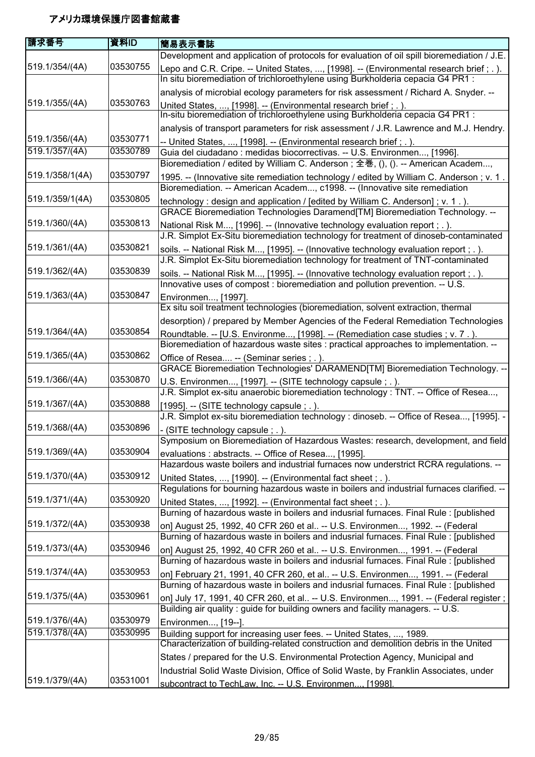| 請求番号            | 資料ID     | 簡易表示書誌                                                                                                                                                                    |
|-----------------|----------|---------------------------------------------------------------------------------------------------------------------------------------------------------------------------|
|                 |          | Development and application of protocols for evaluation of oil spill bioremediation / J.E.                                                                                |
| 519.1/354/(4A)  | 03530755 | Lepo and C.R. Cripe. -- United States, , [1998]. -- (Environmental research brief; .).<br>In situ bioremediation of trichloroethylene using Burkholderia cepacia G4 PR1 : |
|                 |          | analysis of microbial ecology parameters for risk assessment / Richard A. Snyder. --                                                                                      |
| 519.1/355/(4A)  | 03530763 | United States, , [1998]. -- (Environmental research brief; .).<br>In-situ bioremediation of trichloroethylene using Burkholderia cepacia G4 PR1 :                         |
|                 |          | analysis of transport parameters for risk assessment / J.R. Lawrence and M.J. Hendry.                                                                                     |
| 519.1/356/(4A)  | 03530771 | -- United States, , [1998]. -- (Environmental research brief; .).                                                                                                         |
| 519.1/357/(4A)  | 03530789 | Guia del ciudadano : medidas biocorrectivas. -- U.S. Environmen, [1996].<br>Bioremediation / edited by William C. Anderson; 全巻, (), (). -- American Academ,               |
| 519.1/358/1(4A) | 03530797 | 1995. -- (Innovative site remediation technology / edited by William C. Anderson; v. 1.<br>Bioremediation. -- American Academ, c1998. -- (Innovative site remediation     |
| 519.1/359/1(4A) | 03530805 | technology : design and application / [edited by William C. Anderson] ; v. 1.).<br>GRACE Bioremediation Technologies Daramend[TM] Bioremediation Technology. --           |
| 519.1/360/(4A)  | 03530813 | National Risk M, [1996]. -- (Innovative technology evaluation report ; . ).<br>J.R. Simplot Ex-Situ bioremediation technology for treatment of dinoseb-contaminated       |
| 519.1/361/(4A)  | 03530821 | soils. -- National Risk M, [1995]. -- (Innovative technology evaluation report ; . ).                                                                                     |
|                 |          | J.R. Simplot Ex-Situ bioremediation technology for treatment of TNT-contaminated                                                                                          |
| 519.1/362/(4A)  | 03530839 | soils. -- National Risk M, [1995]. -- (Innovative technology evaluation report; .).<br>Innovative uses of compost : bioremediation and pollution prevention. -- U.S.      |
| 519.1/363/(4A)  | 03530847 | Environmen, [1997].                                                                                                                                                       |
|                 |          | Ex situ soil treatment technologies (bioremediation, solvent extraction, thermal                                                                                          |
|                 |          | desorption) / prepared by Member Agencies of the Federal Remediation Technologies                                                                                         |
| 519.1/364/(4A)  | 03530854 | Roundtable. -- [U.S. Environme, [1998]. -- (Remediation case studies ; v. 7.).                                                                                            |
| 519.1/365/(4A)  | 03530862 | Bioremediation of hazardous waste sites : practical approaches to implementation. --<br>Office of Resea -- (Seminar series ; .).                                          |
|                 |          | GRACE Bioremediation Technologies' DARAMEND[TM] Bioremediation Technology. --                                                                                             |
| 519.1/366/(4A)  | 03530870 | U.S. Environmen, [1997]. -- (SITE technology capsule; .).                                                                                                                 |
| 519.1/367/(4A)  | 03530888 | J.R. Simplot ex-situ anaerobic bioremediation technology: TNT. -- Office of Resea,                                                                                        |
|                 |          | $[1995]$ . -- (SITE technology capsule; .).<br>J.R. Simplot ex-situ bioremediation technology : dinoseb. -- Office of Resea, [1995]. -                                    |
| 519.1/368/(4A)  | 03530896 | - (SITE technology capsule ; . ).                                                                                                                                         |
|                 |          | Symposium on Bioremediation of Hazardous Wastes: research, development, and field                                                                                         |
| 519.1/369/(4A)  | 03530904 | evaluations: abstracts. -- Office of Resea, [1995].                                                                                                                       |
|                 |          | Hazardous waste boilers and industrial furnaces now understrict RCRA regulations. --                                                                                      |
| 519.1/370/(4A)  | 03530912 | United States, , [1990]. -- (Environmental fact sheet; .).                                                                                                                |
|                 |          | Regulations for bourning hazardous waste in boilers and industrial furnaces clarified. --                                                                                 |
| 519.1/371/(4A)  | 03530920 | United States, , [1992]. -- (Environmental fact sheet; .).                                                                                                                |
|                 | 03530938 | Burning of hazardous waste in boilers and indusrial furnaces. Final Rule: [published]                                                                                     |
| 519.1/372/(4A)  |          | on] August 25, 1992, 40 CFR 260 et al -- U.S. Environmen, 1992. -- (Federal<br>Burning of hazardous waste in boilers and indusrial furnaces. Final Rule : [published      |
| 519.1/373/(4A)  | 03530946 |                                                                                                                                                                           |
|                 |          | on] August 25, 1992, 40 CFR 260 et al -- U.S. Environmen, 1991. -- (Federal<br>Burning of hazardous waste in boilers and indusrial furnaces. Final Rule : [published      |
| 519.1/374/(4A)  | 03530953 | on] February 21, 1991, 40 CFR 260, et al -- U.S. Environmen, 1991. -- (Federal                                                                                            |
|                 |          | Burning of hazardous waste in boilers and indusrial furnaces. Final Rule: [published                                                                                      |
| 519.1/375/(4A)  | 03530961 | on] July 17, 1991, 40 CFR 260, et al -- U.S. Environmen, 1991. -- (Federal register ;                                                                                     |
|                 |          | Building air quality: guide for building owners and facility managers. -- U.S.                                                                                            |
| 519.1/376/(4A)  | 03530979 | Environmen, [19--].                                                                                                                                                       |
| 519.1/378/(4A)  | 03530995 | Building support for increasing user fees. -- United States, , 1989.                                                                                                      |
|                 |          | Characterization of building-related construction and demolition debris in the United                                                                                     |
|                 |          | States / prepared for the U.S. Environmental Protection Agency, Municipal and                                                                                             |
|                 |          | Industrial Solid Waste Division, Office of Solid Waste, by Franklin Associates, under                                                                                     |
| 519.1/379/(4A)  | 03531001 | subcontract to TechLaw. Inc. -- U.S. Environmen [1998].                                                                                                                   |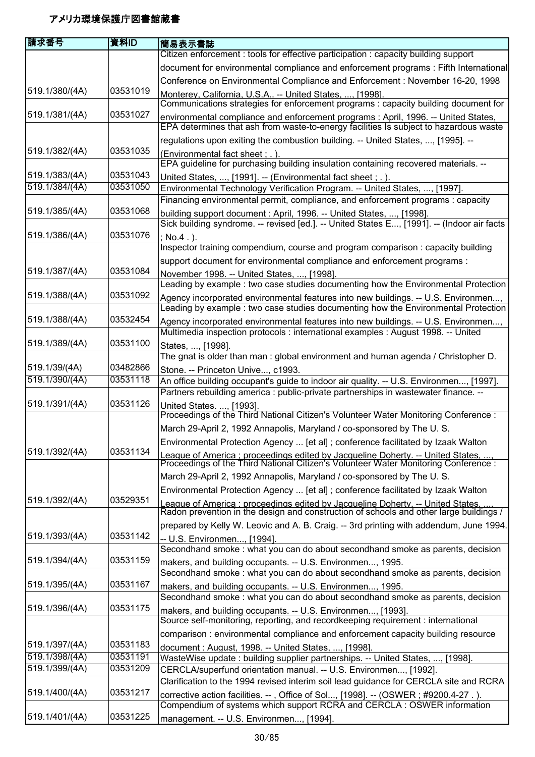| Citizen enforcement : tools for effective participation : capacity building support<br>Conference on Environmental Compliance and Enforcement : November 16-20, 1998<br>03531019<br>519.1/380/(4A)<br>Monterey, California, U.S.A -- United States, , [1998].<br>Communications strategies for enforcement programs : capacity building document for<br>519.1/381/(4A)<br>03531027<br>environmental compliance and enforcement programs : April, 1996. -- United States,<br>EPA determines that ash from waste-to-energy facilities Is subject to hazardous waste<br>regulations upon exiting the combustion building. -- United States, , [1995]. --<br>519.1/382/(4A)<br>03531035<br>(Environmental fact sheet; .).<br>EPA guideline for purchasing building insulation containing recovered materials. --<br>519.1/383/(4A)<br>03531043<br>United States, , [1991]. -- (Environmental fact sheet; .).<br>519.1/384/(4A)<br>03531050<br>Environmental Technology Verification Program. -- United States, , [1997].<br>Financing environmental permit, compliance, and enforcement programs : capacity<br>519.1/385/(4A)<br>03531068<br>building support document : April, 1996. -- United States, , [1998].<br>Sick building syndrome. -- revised [ed.]. -- United States E, [1991]. -- (Indoor air facts<br>03531076<br>519.1/386/(4A)<br>$: No.4.$ ).<br>Inspector training compendium, course and program comparison : capacity building<br>support document for environmental compliance and enforcement programs :<br>519.1/387/(4A)<br>03531084<br>November 1998. -- United States, , [1998].<br>Leading by example : two case studies documenting how the Environmental Protection<br>03531092<br>519.1/388/(4A)<br>Agency incorporated environmental features into new buildings. -- U.S. Environmen,<br>Leading by example : two case studies documenting how the Environmental Protection<br>519.1/388/(4A)<br>03532454<br>Agency incorporated environmental features into new buildings. -- U.S. Environmen,<br>Multimedia inspection protocols : international examples : August 1998. -- United<br>519.1/389/(4A)<br>03531100<br>States, , [1998].<br>The gnat is older than man: global environment and human agenda / Christopher D.<br>519.1/39/(4A)<br>03482866<br>Stone. -- Princeton Unive, c1993.<br>519.1/390/(4A)<br>03531118<br>An office building occupant's guide to indoor air quality. -- U.S. Environmen, [1997].<br>Partners rebuilding america : public-private partnerships in wastewater finance. -- | 請求番号 | 資料ID | 簡易表示書誌                                                                                 |
|----------------------------------------------------------------------------------------------------------------------------------------------------------------------------------------------------------------------------------------------------------------------------------------------------------------------------------------------------------------------------------------------------------------------------------------------------------------------------------------------------------------------------------------------------------------------------------------------------------------------------------------------------------------------------------------------------------------------------------------------------------------------------------------------------------------------------------------------------------------------------------------------------------------------------------------------------------------------------------------------------------------------------------------------------------------------------------------------------------------------------------------------------------------------------------------------------------------------------------------------------------------------------------------------------------------------------------------------------------------------------------------------------------------------------------------------------------------------------------------------------------------------------------------------------------------------------------------------------------------------------------------------------------------------------------------------------------------------------------------------------------------------------------------------------------------------------------------------------------------------------------------------------------------------------------------------------------------------------------------------------------------------------------------------------------------------------------------------------------------------------------------------------------------------------------------------------------------------------------------------------------------------------------------------------------------------------------------------------------------------------------------------------------------------------------------------------------------------------------------------------------------------------------------|------|------|----------------------------------------------------------------------------------------|
|                                                                                                                                                                                                                                                                                                                                                                                                                                                                                                                                                                                                                                                                                                                                                                                                                                                                                                                                                                                                                                                                                                                                                                                                                                                                                                                                                                                                                                                                                                                                                                                                                                                                                                                                                                                                                                                                                                                                                                                                                                                                                                                                                                                                                                                                                                                                                                                                                                                                                                                                        |      |      |                                                                                        |
|                                                                                                                                                                                                                                                                                                                                                                                                                                                                                                                                                                                                                                                                                                                                                                                                                                                                                                                                                                                                                                                                                                                                                                                                                                                                                                                                                                                                                                                                                                                                                                                                                                                                                                                                                                                                                                                                                                                                                                                                                                                                                                                                                                                                                                                                                                                                                                                                                                                                                                                                        |      |      | document for environmental compliance and enforcement programs : Fifth International   |
|                                                                                                                                                                                                                                                                                                                                                                                                                                                                                                                                                                                                                                                                                                                                                                                                                                                                                                                                                                                                                                                                                                                                                                                                                                                                                                                                                                                                                                                                                                                                                                                                                                                                                                                                                                                                                                                                                                                                                                                                                                                                                                                                                                                                                                                                                                                                                                                                                                                                                                                                        |      |      |                                                                                        |
|                                                                                                                                                                                                                                                                                                                                                                                                                                                                                                                                                                                                                                                                                                                                                                                                                                                                                                                                                                                                                                                                                                                                                                                                                                                                                                                                                                                                                                                                                                                                                                                                                                                                                                                                                                                                                                                                                                                                                                                                                                                                                                                                                                                                                                                                                                                                                                                                                                                                                                                                        |      |      |                                                                                        |
|                                                                                                                                                                                                                                                                                                                                                                                                                                                                                                                                                                                                                                                                                                                                                                                                                                                                                                                                                                                                                                                                                                                                                                                                                                                                                                                                                                                                                                                                                                                                                                                                                                                                                                                                                                                                                                                                                                                                                                                                                                                                                                                                                                                                                                                                                                                                                                                                                                                                                                                                        |      |      |                                                                                        |
|                                                                                                                                                                                                                                                                                                                                                                                                                                                                                                                                                                                                                                                                                                                                                                                                                                                                                                                                                                                                                                                                                                                                                                                                                                                                                                                                                                                                                                                                                                                                                                                                                                                                                                                                                                                                                                                                                                                                                                                                                                                                                                                                                                                                                                                                                                                                                                                                                                                                                                                                        |      |      |                                                                                        |
|                                                                                                                                                                                                                                                                                                                                                                                                                                                                                                                                                                                                                                                                                                                                                                                                                                                                                                                                                                                                                                                                                                                                                                                                                                                                                                                                                                                                                                                                                                                                                                                                                                                                                                                                                                                                                                                                                                                                                                                                                                                                                                                                                                                                                                                                                                                                                                                                                                                                                                                                        |      |      |                                                                                        |
|                                                                                                                                                                                                                                                                                                                                                                                                                                                                                                                                                                                                                                                                                                                                                                                                                                                                                                                                                                                                                                                                                                                                                                                                                                                                                                                                                                                                                                                                                                                                                                                                                                                                                                                                                                                                                                                                                                                                                                                                                                                                                                                                                                                                                                                                                                                                                                                                                                                                                                                                        |      |      |                                                                                        |
|                                                                                                                                                                                                                                                                                                                                                                                                                                                                                                                                                                                                                                                                                                                                                                                                                                                                                                                                                                                                                                                                                                                                                                                                                                                                                                                                                                                                                                                                                                                                                                                                                                                                                                                                                                                                                                                                                                                                                                                                                                                                                                                                                                                                                                                                                                                                                                                                                                                                                                                                        |      |      |                                                                                        |
|                                                                                                                                                                                                                                                                                                                                                                                                                                                                                                                                                                                                                                                                                                                                                                                                                                                                                                                                                                                                                                                                                                                                                                                                                                                                                                                                                                                                                                                                                                                                                                                                                                                                                                                                                                                                                                                                                                                                                                                                                                                                                                                                                                                                                                                                                                                                                                                                                                                                                                                                        |      |      |                                                                                        |
|                                                                                                                                                                                                                                                                                                                                                                                                                                                                                                                                                                                                                                                                                                                                                                                                                                                                                                                                                                                                                                                                                                                                                                                                                                                                                                                                                                                                                                                                                                                                                                                                                                                                                                                                                                                                                                                                                                                                                                                                                                                                                                                                                                                                                                                                                                                                                                                                                                                                                                                                        |      |      |                                                                                        |
|                                                                                                                                                                                                                                                                                                                                                                                                                                                                                                                                                                                                                                                                                                                                                                                                                                                                                                                                                                                                                                                                                                                                                                                                                                                                                                                                                                                                                                                                                                                                                                                                                                                                                                                                                                                                                                                                                                                                                                                                                                                                                                                                                                                                                                                                                                                                                                                                                                                                                                                                        |      |      |                                                                                        |
|                                                                                                                                                                                                                                                                                                                                                                                                                                                                                                                                                                                                                                                                                                                                                                                                                                                                                                                                                                                                                                                                                                                                                                                                                                                                                                                                                                                                                                                                                                                                                                                                                                                                                                                                                                                                                                                                                                                                                                                                                                                                                                                                                                                                                                                                                                                                                                                                                                                                                                                                        |      |      |                                                                                        |
|                                                                                                                                                                                                                                                                                                                                                                                                                                                                                                                                                                                                                                                                                                                                                                                                                                                                                                                                                                                                                                                                                                                                                                                                                                                                                                                                                                                                                                                                                                                                                                                                                                                                                                                                                                                                                                                                                                                                                                                                                                                                                                                                                                                                                                                                                                                                                                                                                                                                                                                                        |      |      |                                                                                        |
|                                                                                                                                                                                                                                                                                                                                                                                                                                                                                                                                                                                                                                                                                                                                                                                                                                                                                                                                                                                                                                                                                                                                                                                                                                                                                                                                                                                                                                                                                                                                                                                                                                                                                                                                                                                                                                                                                                                                                                                                                                                                                                                                                                                                                                                                                                                                                                                                                                                                                                                                        |      |      |                                                                                        |
|                                                                                                                                                                                                                                                                                                                                                                                                                                                                                                                                                                                                                                                                                                                                                                                                                                                                                                                                                                                                                                                                                                                                                                                                                                                                                                                                                                                                                                                                                                                                                                                                                                                                                                                                                                                                                                                                                                                                                                                                                                                                                                                                                                                                                                                                                                                                                                                                                                                                                                                                        |      |      |                                                                                        |
|                                                                                                                                                                                                                                                                                                                                                                                                                                                                                                                                                                                                                                                                                                                                                                                                                                                                                                                                                                                                                                                                                                                                                                                                                                                                                                                                                                                                                                                                                                                                                                                                                                                                                                                                                                                                                                                                                                                                                                                                                                                                                                                                                                                                                                                                                                                                                                                                                                                                                                                                        |      |      |                                                                                        |
|                                                                                                                                                                                                                                                                                                                                                                                                                                                                                                                                                                                                                                                                                                                                                                                                                                                                                                                                                                                                                                                                                                                                                                                                                                                                                                                                                                                                                                                                                                                                                                                                                                                                                                                                                                                                                                                                                                                                                                                                                                                                                                                                                                                                                                                                                                                                                                                                                                                                                                                                        |      |      |                                                                                        |
|                                                                                                                                                                                                                                                                                                                                                                                                                                                                                                                                                                                                                                                                                                                                                                                                                                                                                                                                                                                                                                                                                                                                                                                                                                                                                                                                                                                                                                                                                                                                                                                                                                                                                                                                                                                                                                                                                                                                                                                                                                                                                                                                                                                                                                                                                                                                                                                                                                                                                                                                        |      |      |                                                                                        |
|                                                                                                                                                                                                                                                                                                                                                                                                                                                                                                                                                                                                                                                                                                                                                                                                                                                                                                                                                                                                                                                                                                                                                                                                                                                                                                                                                                                                                                                                                                                                                                                                                                                                                                                                                                                                                                                                                                                                                                                                                                                                                                                                                                                                                                                                                                                                                                                                                                                                                                                                        |      |      |                                                                                        |
|                                                                                                                                                                                                                                                                                                                                                                                                                                                                                                                                                                                                                                                                                                                                                                                                                                                                                                                                                                                                                                                                                                                                                                                                                                                                                                                                                                                                                                                                                                                                                                                                                                                                                                                                                                                                                                                                                                                                                                                                                                                                                                                                                                                                                                                                                                                                                                                                                                                                                                                                        |      |      |                                                                                        |
|                                                                                                                                                                                                                                                                                                                                                                                                                                                                                                                                                                                                                                                                                                                                                                                                                                                                                                                                                                                                                                                                                                                                                                                                                                                                                                                                                                                                                                                                                                                                                                                                                                                                                                                                                                                                                                                                                                                                                                                                                                                                                                                                                                                                                                                                                                                                                                                                                                                                                                                                        |      |      |                                                                                        |
|                                                                                                                                                                                                                                                                                                                                                                                                                                                                                                                                                                                                                                                                                                                                                                                                                                                                                                                                                                                                                                                                                                                                                                                                                                                                                                                                                                                                                                                                                                                                                                                                                                                                                                                                                                                                                                                                                                                                                                                                                                                                                                                                                                                                                                                                                                                                                                                                                                                                                                                                        |      |      |                                                                                        |
|                                                                                                                                                                                                                                                                                                                                                                                                                                                                                                                                                                                                                                                                                                                                                                                                                                                                                                                                                                                                                                                                                                                                                                                                                                                                                                                                                                                                                                                                                                                                                                                                                                                                                                                                                                                                                                                                                                                                                                                                                                                                                                                                                                                                                                                                                                                                                                                                                                                                                                                                        |      |      |                                                                                        |
|                                                                                                                                                                                                                                                                                                                                                                                                                                                                                                                                                                                                                                                                                                                                                                                                                                                                                                                                                                                                                                                                                                                                                                                                                                                                                                                                                                                                                                                                                                                                                                                                                                                                                                                                                                                                                                                                                                                                                                                                                                                                                                                                                                                                                                                                                                                                                                                                                                                                                                                                        |      |      |                                                                                        |
|                                                                                                                                                                                                                                                                                                                                                                                                                                                                                                                                                                                                                                                                                                                                                                                                                                                                                                                                                                                                                                                                                                                                                                                                                                                                                                                                                                                                                                                                                                                                                                                                                                                                                                                                                                                                                                                                                                                                                                                                                                                                                                                                                                                                                                                                                                                                                                                                                                                                                                                                        |      |      |                                                                                        |
|                                                                                                                                                                                                                                                                                                                                                                                                                                                                                                                                                                                                                                                                                                                                                                                                                                                                                                                                                                                                                                                                                                                                                                                                                                                                                                                                                                                                                                                                                                                                                                                                                                                                                                                                                                                                                                                                                                                                                                                                                                                                                                                                                                                                                                                                                                                                                                                                                                                                                                                                        |      |      |                                                                                        |
|                                                                                                                                                                                                                                                                                                                                                                                                                                                                                                                                                                                                                                                                                                                                                                                                                                                                                                                                                                                                                                                                                                                                                                                                                                                                                                                                                                                                                                                                                                                                                                                                                                                                                                                                                                                                                                                                                                                                                                                                                                                                                                                                                                                                                                                                                                                                                                                                                                                                                                                                        |      |      |                                                                                        |
| 03531126<br>519.1/391/(4A)<br>United States. , [1993].                                                                                                                                                                                                                                                                                                                                                                                                                                                                                                                                                                                                                                                                                                                                                                                                                                                                                                                                                                                                                                                                                                                                                                                                                                                                                                                                                                                                                                                                                                                                                                                                                                                                                                                                                                                                                                                                                                                                                                                                                                                                                                                                                                                                                                                                                                                                                                                                                                                                                 |      |      |                                                                                        |
| Proceedings of the Third National Citizen's Volunteer Water Monitoring Conference :                                                                                                                                                                                                                                                                                                                                                                                                                                                                                                                                                                                                                                                                                                                                                                                                                                                                                                                                                                                                                                                                                                                                                                                                                                                                                                                                                                                                                                                                                                                                                                                                                                                                                                                                                                                                                                                                                                                                                                                                                                                                                                                                                                                                                                                                                                                                                                                                                                                    |      |      |                                                                                        |
| March 29-April 2, 1992 Annapolis, Maryland / co-sponsored by The U.S.                                                                                                                                                                                                                                                                                                                                                                                                                                                                                                                                                                                                                                                                                                                                                                                                                                                                                                                                                                                                                                                                                                                                                                                                                                                                                                                                                                                                                                                                                                                                                                                                                                                                                                                                                                                                                                                                                                                                                                                                                                                                                                                                                                                                                                                                                                                                                                                                                                                                  |      |      |                                                                                        |
| Environmental Protection Agency  [et al]; conference facilitated by Izaak Walton                                                                                                                                                                                                                                                                                                                                                                                                                                                                                                                                                                                                                                                                                                                                                                                                                                                                                                                                                                                                                                                                                                                                                                                                                                                                                                                                                                                                                                                                                                                                                                                                                                                                                                                                                                                                                                                                                                                                                                                                                                                                                                                                                                                                                                                                                                                                                                                                                                                       |      |      |                                                                                        |
| 03531134<br>519.1/392/(4A)                                                                                                                                                                                                                                                                                                                                                                                                                                                                                                                                                                                                                                                                                                                                                                                                                                                                                                                                                                                                                                                                                                                                                                                                                                                                                                                                                                                                                                                                                                                                                                                                                                                                                                                                                                                                                                                                                                                                                                                                                                                                                                                                                                                                                                                                                                                                                                                                                                                                                                             |      |      |                                                                                        |
| League of America : proceedings edited by Jacqueline Doherty. -- United States.<br>Proceedings of the Third National Citizen's Volunteer Water Monitoring Conference :                                                                                                                                                                                                                                                                                                                                                                                                                                                                                                                                                                                                                                                                                                                                                                                                                                                                                                                                                                                                                                                                                                                                                                                                                                                                                                                                                                                                                                                                                                                                                                                                                                                                                                                                                                                                                                                                                                                                                                                                                                                                                                                                                                                                                                                                                                                                                                 |      |      |                                                                                        |
| March 29-April 2, 1992 Annapolis, Maryland / co-sponsored by The U.S.                                                                                                                                                                                                                                                                                                                                                                                                                                                                                                                                                                                                                                                                                                                                                                                                                                                                                                                                                                                                                                                                                                                                                                                                                                                                                                                                                                                                                                                                                                                                                                                                                                                                                                                                                                                                                                                                                                                                                                                                                                                                                                                                                                                                                                                                                                                                                                                                                                                                  |      |      |                                                                                        |
| Environmental Protection Agency  [et al] ; conference facilitated by Izaak Walton                                                                                                                                                                                                                                                                                                                                                                                                                                                                                                                                                                                                                                                                                                                                                                                                                                                                                                                                                                                                                                                                                                                                                                                                                                                                                                                                                                                                                                                                                                                                                                                                                                                                                                                                                                                                                                                                                                                                                                                                                                                                                                                                                                                                                                                                                                                                                                                                                                                      |      |      |                                                                                        |
| 03529351<br>519.1/392/(4A)<br>League of America : proceedings edited by Jacqueline Doherty. -- United States.<br>Radon prevention in the design and construction of schools and other large buildings /                                                                                                                                                                                                                                                                                                                                                                                                                                                                                                                                                                                                                                                                                                                                                                                                                                                                                                                                                                                                                                                                                                                                                                                                                                                                                                                                                                                                                                                                                                                                                                                                                                                                                                                                                                                                                                                                                                                                                                                                                                                                                                                                                                                                                                                                                                                                |      |      |                                                                                        |
|                                                                                                                                                                                                                                                                                                                                                                                                                                                                                                                                                                                                                                                                                                                                                                                                                                                                                                                                                                                                                                                                                                                                                                                                                                                                                                                                                                                                                                                                                                                                                                                                                                                                                                                                                                                                                                                                                                                                                                                                                                                                                                                                                                                                                                                                                                                                                                                                                                                                                                                                        |      |      |                                                                                        |
|                                                                                                                                                                                                                                                                                                                                                                                                                                                                                                                                                                                                                                                                                                                                                                                                                                                                                                                                                                                                                                                                                                                                                                                                                                                                                                                                                                                                                                                                                                                                                                                                                                                                                                                                                                                                                                                                                                                                                                                                                                                                                                                                                                                                                                                                                                                                                                                                                                                                                                                                        |      |      | prepared by Kelly W. Leovic and A. B. Craig. -- 3rd printing with addendum, June 1994. |
| 519.1/393/(4A)<br>03531142<br>-- U.S. Environmen, [1994].                                                                                                                                                                                                                                                                                                                                                                                                                                                                                                                                                                                                                                                                                                                                                                                                                                                                                                                                                                                                                                                                                                                                                                                                                                                                                                                                                                                                                                                                                                                                                                                                                                                                                                                                                                                                                                                                                                                                                                                                                                                                                                                                                                                                                                                                                                                                                                                                                                                                              |      |      |                                                                                        |
| Secondhand smoke: what you can do about secondhand smoke as parents, decision                                                                                                                                                                                                                                                                                                                                                                                                                                                                                                                                                                                                                                                                                                                                                                                                                                                                                                                                                                                                                                                                                                                                                                                                                                                                                                                                                                                                                                                                                                                                                                                                                                                                                                                                                                                                                                                                                                                                                                                                                                                                                                                                                                                                                                                                                                                                                                                                                                                          |      |      |                                                                                        |
| 03531159<br>519.1/394/(4A)<br>makers, and building occupants. -- U.S. Environmen, 1995.                                                                                                                                                                                                                                                                                                                                                                                                                                                                                                                                                                                                                                                                                                                                                                                                                                                                                                                                                                                                                                                                                                                                                                                                                                                                                                                                                                                                                                                                                                                                                                                                                                                                                                                                                                                                                                                                                                                                                                                                                                                                                                                                                                                                                                                                                                                                                                                                                                                |      |      |                                                                                        |
| Secondhand smoke: what you can do about secondhand smoke as parents, decision                                                                                                                                                                                                                                                                                                                                                                                                                                                                                                                                                                                                                                                                                                                                                                                                                                                                                                                                                                                                                                                                                                                                                                                                                                                                                                                                                                                                                                                                                                                                                                                                                                                                                                                                                                                                                                                                                                                                                                                                                                                                                                                                                                                                                                                                                                                                                                                                                                                          |      |      |                                                                                        |
| 519.1/395/(4A)<br>03531167<br>makers, and building occupants. -- U.S. Environmen, 1995.                                                                                                                                                                                                                                                                                                                                                                                                                                                                                                                                                                                                                                                                                                                                                                                                                                                                                                                                                                                                                                                                                                                                                                                                                                                                                                                                                                                                                                                                                                                                                                                                                                                                                                                                                                                                                                                                                                                                                                                                                                                                                                                                                                                                                                                                                                                                                                                                                                                |      |      |                                                                                        |
| Secondhand smoke: what you can do about secondhand smoke as parents, decision                                                                                                                                                                                                                                                                                                                                                                                                                                                                                                                                                                                                                                                                                                                                                                                                                                                                                                                                                                                                                                                                                                                                                                                                                                                                                                                                                                                                                                                                                                                                                                                                                                                                                                                                                                                                                                                                                                                                                                                                                                                                                                                                                                                                                                                                                                                                                                                                                                                          |      |      |                                                                                        |
| 519.1/396/(4A)<br>03531175<br>makers, and building occupants. -- U.S. Environmen, [1993].<br>Source self-monitoring, reporting, and recordkeeping requirement : international                                                                                                                                                                                                                                                                                                                                                                                                                                                                                                                                                                                                                                                                                                                                                                                                                                                                                                                                                                                                                                                                                                                                                                                                                                                                                                                                                                                                                                                                                                                                                                                                                                                                                                                                                                                                                                                                                                                                                                                                                                                                                                                                                                                                                                                                                                                                                          |      |      |                                                                                        |
|                                                                                                                                                                                                                                                                                                                                                                                                                                                                                                                                                                                                                                                                                                                                                                                                                                                                                                                                                                                                                                                                                                                                                                                                                                                                                                                                                                                                                                                                                                                                                                                                                                                                                                                                                                                                                                                                                                                                                                                                                                                                                                                                                                                                                                                                                                                                                                                                                                                                                                                                        |      |      |                                                                                        |
| comparison : environmental compliance and enforcement capacity building resource<br>519.1/397/(4A)<br>03531183                                                                                                                                                                                                                                                                                                                                                                                                                                                                                                                                                                                                                                                                                                                                                                                                                                                                                                                                                                                                                                                                                                                                                                                                                                                                                                                                                                                                                                                                                                                                                                                                                                                                                                                                                                                                                                                                                                                                                                                                                                                                                                                                                                                                                                                                                                                                                                                                                         |      |      |                                                                                        |
| document: August, 1998. -- United States, , [1998].<br>03531191<br>519.1/398/(4A)                                                                                                                                                                                                                                                                                                                                                                                                                                                                                                                                                                                                                                                                                                                                                                                                                                                                                                                                                                                                                                                                                                                                                                                                                                                                                                                                                                                                                                                                                                                                                                                                                                                                                                                                                                                                                                                                                                                                                                                                                                                                                                                                                                                                                                                                                                                                                                                                                                                      |      |      |                                                                                        |
| WasteWise update: building supplier partnerships. -- United States, , [1998].<br>519.1/399/(4A)<br>03531209<br>CERCLA/superfund orientation manual. -- U.S. Environmen, [1992].                                                                                                                                                                                                                                                                                                                                                                                                                                                                                                                                                                                                                                                                                                                                                                                                                                                                                                                                                                                                                                                                                                                                                                                                                                                                                                                                                                                                                                                                                                                                                                                                                                                                                                                                                                                                                                                                                                                                                                                                                                                                                                                                                                                                                                                                                                                                                        |      |      |                                                                                        |
| Clarification to the 1994 revised interim soil lead guidance for CERCLA site and RCRA                                                                                                                                                                                                                                                                                                                                                                                                                                                                                                                                                                                                                                                                                                                                                                                                                                                                                                                                                                                                                                                                                                                                                                                                                                                                                                                                                                                                                                                                                                                                                                                                                                                                                                                                                                                                                                                                                                                                                                                                                                                                                                                                                                                                                                                                                                                                                                                                                                                  |      |      |                                                                                        |
| 519.1/400/(4A)<br>03531217                                                                                                                                                                                                                                                                                                                                                                                                                                                                                                                                                                                                                                                                                                                                                                                                                                                                                                                                                                                                                                                                                                                                                                                                                                                                                                                                                                                                                                                                                                                                                                                                                                                                                                                                                                                                                                                                                                                                                                                                                                                                                                                                                                                                                                                                                                                                                                                                                                                                                                             |      |      |                                                                                        |
| corrective action facilities. --, Office of Sol, [1998]. -- (OSWER; #9200.4-27.).<br>Compendium of systems which support RCRA and CERCLA : OSWER information                                                                                                                                                                                                                                                                                                                                                                                                                                                                                                                                                                                                                                                                                                                                                                                                                                                                                                                                                                                                                                                                                                                                                                                                                                                                                                                                                                                                                                                                                                                                                                                                                                                                                                                                                                                                                                                                                                                                                                                                                                                                                                                                                                                                                                                                                                                                                                           |      |      |                                                                                        |
| 519.1/401/(4A)<br>03531225<br>management. -- U.S. Environmen, [1994].                                                                                                                                                                                                                                                                                                                                                                                                                                                                                                                                                                                                                                                                                                                                                                                                                                                                                                                                                                                                                                                                                                                                                                                                                                                                                                                                                                                                                                                                                                                                                                                                                                                                                                                                                                                                                                                                                                                                                                                                                                                                                                                                                                                                                                                                                                                                                                                                                                                                  |      |      |                                                                                        |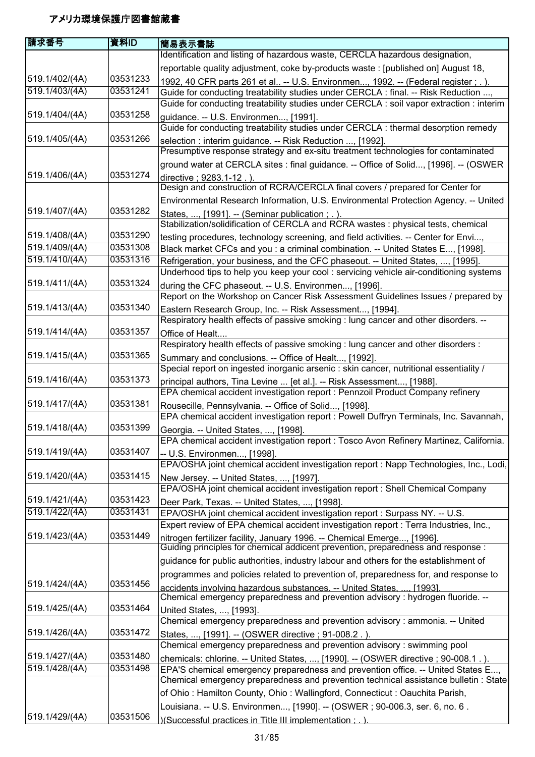| 庸求番号           | 資料ID     | 簡易表示書誌                                                                                                                       |
|----------------|----------|------------------------------------------------------------------------------------------------------------------------------|
|                |          | Identification and listing of hazardous waste, CERCLA hazardous designation,                                                 |
|                |          | reportable quality adjustment, coke by-products waste : [published on] August 18,                                            |
| 519.1/402/(4A) | 03531233 | 1992, 40 CFR parts 261 et al -- U.S. Environmen, 1992. -- (Federal register ; . ).                                           |
| 519.1/403/(4A) | 03531241 | Guide for conducting treatability studies under CERCLA: final. -- Risk Reduction ,                                           |
|                |          | Guide for conducting treatability studies under CERCLA : soil vapor extraction : interim                                     |
| 519.1/404/(4A) | 03531258 | guidance. -- U.S. Environmen, [1991].                                                                                        |
|                |          | Guide for conducting treatability studies under CERCLA : thermal desorption remedy                                           |
| 519.1/405/(4A) | 03531266 | selection : interim guidance. -- Risk Reduction , [1992].                                                                    |
|                |          | Presumptive response strategy and ex-situ treatment technologies for contaminated                                            |
|                |          | ground water at CERCLA sites : final guidance. -- Office of Solid, [1996]. -- (OSWER                                         |
| 519.1/406/(4A) | 03531274 | directive; 9283.1-12.).                                                                                                      |
|                |          | Design and construction of RCRA/CERCLA final covers / prepared for Center for                                                |
|                |          | Environmental Research Information, U.S. Environmental Protection Agency. -- United                                          |
| 519.1/407/(4A) | 03531282 | States, , [1991]. -- (Seminar publication; .).                                                                               |
|                |          | Stabilization/solidification of CERCLA and RCRA wastes: physical tests, chemical                                             |
| 519.1/408/(4A) | 03531290 | testing procedures, technology screening, and field activities. -- Center for Envi,                                          |
| 519.1/409/(4A) | 03531308 | Black market CFCs and you : a criminal combination. -- United States E, [1998].                                              |
| 519.1/410/(4A) | 03531316 | Refrigeration, your business, and the CFC phaseout. -- United States, , [1995].                                              |
|                |          | Underhood tips to help you keep your cool: servicing vehicle air-conditioning systems                                        |
| 519.1/411/(4A) | 03531324 | during the CFC phaseout. -- U.S. Environmen, [1996].                                                                         |
|                |          | Report on the Workshop on Cancer Risk Assessment Guidelines Issues / prepared by                                             |
| 519.1/413/(4A) | 03531340 | Eastern Research Group, Inc. -- Risk Assessment, [1994].                                                                     |
|                |          | Respiratory health effects of passive smoking : lung cancer and other disorders. --                                          |
| 519.1/414/(4A) | 03531357 | Office of Healt                                                                                                              |
|                |          | Respiratory health effects of passive smoking : lung cancer and other disorders :                                            |
| 519.1/415/(4A) | 03531365 | Summary and conclusions. -- Office of Healt, [1992].                                                                         |
|                |          | Special report on ingested inorganic arsenic : skin cancer, nutritional essentiality /                                       |
| 519.1/416/(4A) | 03531373 | principal authors, Tina Levine  [et al.]. -- Risk Assessment, [1988].                                                        |
|                |          | EPA chemical accident investigation report : Pennzoil Product Company refinery                                               |
| 519.1/417/(4A) | 03531381 | Rousecille, Pennsylvania. -- Office of Solid, [1998].                                                                        |
|                |          | EPA chemical accident investigation report : Powell Duffryn Terminals, Inc. Savannah,                                        |
| 519.1/418/(4A) | 03531399 | Georgia. -- United States, , [1998].                                                                                         |
|                |          | EPA chemical accident investigation report : Tosco Avon Refinery Martinez, California.                                       |
| 519.1/419/(4A) | 03531407 | -- U.S. Environmen, [1998].                                                                                                  |
| 519.1/420/(4A) | 03531415 | EPA/OSHA joint chemical accident investigation report : Napp Technologies, Inc., Lodi,                                       |
|                |          | New Jersey. -- United States, , [1997].<br>EPA/OSHA joint chemical accident investigation report : Shell Chemical Company    |
| 519.1/421/(4A) | 03531423 |                                                                                                                              |
| 519.1/422/(4A) | 03531431 | Deer Park, Texas. -- United States, , [1998].<br>EPA/OSHA joint chemical accident investigation report : Surpass NY. -- U.S. |
|                |          | Expert review of EPA chemical accident investigation report : Terra Industries, Inc.,                                        |
| 519.1/423/(4A) | 03531449 | nitrogen fertilizer facility, January 1996. -- Chemical Emerge, [1996].                                                      |
|                |          | Guiding principles for chemical addicent prevention, preparedness and response :                                             |
|                |          | guidance for public authorities, industry labour and others for the establishment of                                         |
|                |          | programmes and policies related to prevention of, preparedness for, and response to                                          |
| 519.1/424/(4A) | 03531456 | accidents involving hazardous substances. -- United States.  [1993].                                                         |
|                |          | Chemical emergency preparedness and prevention advisory : hydrogen fluoride. --                                              |
| 519.1/425/(4A) | 03531464 | United States, , [1993].                                                                                                     |
|                |          | Chemical emergency preparedness and prevention advisory: ammonia. -- United                                                  |
| 519.1/426/(4A) | 03531472 | States, , [1991]. -- (OSWER directive ; 91-008.2.).                                                                          |
|                |          | Chemical emergency preparedness and prevention advisory: swimming pool                                                       |
| 519.1/427/(4A) | 03531480 | chemicals: chlorine. -- United States, , [1990]. -- (OSWER directive ; 90-008.1.).                                           |
| 519.1/428/(4A) | 03531498 | EPA'S chemical emergency preparedness and prevention office. -- United States E,                                             |
|                |          | Chemical emergency preparedness and prevention technical assistance bulletin : State                                         |
|                |          | of Ohio: Hamilton County, Ohio: Wallingford, Connecticut: Oauchita Parish,                                                   |
|                |          | Louisiana. -- U.S. Environmen, [1990]. -- (OSWER; 90-006.3, ser. 6, no. 6.                                                   |
| 519.1/429/(4A) | 03531506 | )(Successful practices in Title III implementation : . )                                                                     |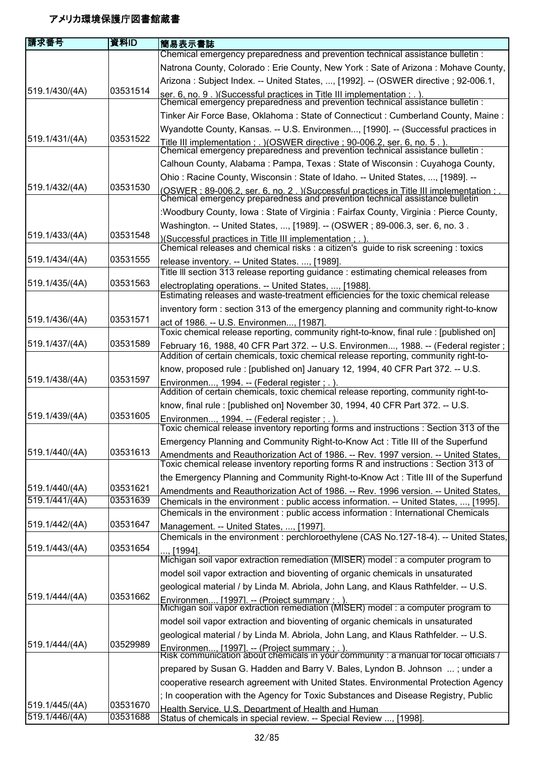| 請求番号                             | 資料ID                 | 簡易表示書誌                                                                                                                                                                       |
|----------------------------------|----------------------|------------------------------------------------------------------------------------------------------------------------------------------------------------------------------|
|                                  |                      | Chemical emergency preparedness and prevention technical assistance bulletin :                                                                                               |
|                                  |                      | Natrona County, Colorado: Erie County, New York: Sate of Arizona: Mohave County,                                                                                             |
|                                  |                      | Arizona: Subject Index. -- United States, , [1992]. -- (OSWER directive ; 92-006.1,                                                                                          |
| 519.1/430/(4A)                   | 03531514             | ser. 6, no. 9. ) (Successful practices in Title III implementation : . ).<br>Chemical emergency preparedness and prevention technical assistance bulletin :                  |
|                                  |                      | Tinker Air Force Base, Oklahoma: State of Connecticut: Cumberland County, Maine:                                                                                             |
|                                  |                      | Wyandotte County, Kansas. -- U.S. Environmen, [1990]. -- (Successful practices in                                                                                            |
| 519.1/431/(4A)                   | 03531522             | Title III implementation : . )(OSWER directive : 90-006.2. ser. 6. no. 5 . ).<br>Chemical emergency preparedness and prevention technical assistance bulletin :              |
|                                  |                      |                                                                                                                                                                              |
|                                  |                      | Calhoun County, Alabama: Pampa, Texas: State of Wisconsin: Cuyahoga County,                                                                                                  |
| 519.1/432/(4A)                   | 03531530             | Ohio: Racine County, Wisconsin: State of Idaho. -- United States, , [1989]. --                                                                                               |
|                                  |                      | (OSWER: 89-006.2. ser. 6. no. 2. ) (Successful practices in Title III implementation : .<br>Chemical emergency preparedness and prevention technical assistance bulletin     |
|                                  |                      | :Woodbury County, Iowa: State of Virginia: Fairfax County, Virginia: Pierce County,                                                                                          |
|                                  |                      | Washington. -- United States, , [1989]. -- (OSWER; 89-006.3, ser. 6, no. 3.                                                                                                  |
| 519.1/433/(4A)                   | 03531548             | )(Successful practices in Title III implementation : . ).                                                                                                                    |
| 519.1/434/(4A)                   | 03531555             | Chemical releases and chemical risks : a citizen's guide to risk screening : toxics                                                                                          |
|                                  |                      | release inventory. -- United States. , [1989].<br>Title III section 313 release reporting guidance: estimating chemical releases from                                        |
| 519.1/435/(4A)                   | 03531563             | electroplating operations. -- United States, , [1988].                                                                                                                       |
|                                  |                      | Estimating releases and waste-treatment efficiencies for the toxic chemical release                                                                                          |
|                                  |                      | inventory form : section 313 of the emergency planning and community right-to-know                                                                                           |
| 519.1/436/(4A)                   | 03531571             | act of 1986. -- U.S. Environmen, [1987].                                                                                                                                     |
|                                  | 03531589             | Toxic chemical release reporting, community right-to-know, final rule : [published on]                                                                                       |
| 519.1/437/(4A)                   |                      | February 16, 1988, 40 CFR Part 372. -- U.S. Environmen, 1988. -- (Federal register;<br>Addition of certain chemicals, toxic chemical release reporting, community right-to-  |
|                                  |                      | know, proposed rule: [published on] January 12, 1994, 40 CFR Part 372. -- U.S.                                                                                               |
| 519.1/438/(4A)                   | 03531597             | Environmen, 1994. -- (Federal register ; .).                                                                                                                                 |
|                                  |                      | Addition of certain chemicals, toxic chemical release reporting, community right-to-                                                                                         |
|                                  |                      | know, final rule: [published on] November 30, 1994, 40 CFR Part 372. -- U.S.                                                                                                 |
| 519.1/439/(4A)                   | 03531605             | Environmen, 1994. -- (Federal register ; .).<br>Toxic chemical release inventory reporting forms and instructions: Section 313 of the                                        |
|                                  |                      | Emergency Planning and Community Right-to-Know Act: Title III of the Superfund                                                                                               |
| 519.1/440/(4A)                   | 03531613             | Amendments and Reauthorization Act of 1986. -- Rev. 1997 version. -- United States,                                                                                          |
|                                  |                      | Toxic chemical release inventory reporting forms R and instructions : Section 313 of                                                                                         |
|                                  |                      | the Emergency Planning and Community Right-to-Know Act: Title III of the Superfund                                                                                           |
| 519.1/440/(4A)<br>519.1/441/(4A) | 03531621<br>03531639 | Amendments and Reauthorization Act of 1986. -- Rev. 1996 version. -- United States,<br>Chemicals in the environment : public access information. -- United States, , [1995]. |
|                                  |                      | Chemicals in the environment : public access information : International Chemicals                                                                                           |
| 519.1/442/(4A)                   | 03531647             | Management. -- United States, , [1997].                                                                                                                                      |
|                                  |                      | Chemicals in the environment : perchloroethylene (CAS No.127-18-4). -- United States,                                                                                        |
| 519.1/443/(4A)                   | 03531654             | [1994]                                                                                                                                                                       |
|                                  |                      | Michigan soil vapor extraction remediation (MISER) model : a computer program to                                                                                             |
|                                  |                      | model soil vapor extraction and bioventing of organic chemicals in unsaturated                                                                                               |
| 519.1/444/(4A)                   | 03531662             | geological material / by Linda M. Abriola, John Lang, and Klaus Rathfelder. -- U.S.                                                                                          |
|                                  |                      | Environmen [1997]. -- (Project summary : . ).<br>Michigan soil vapor extraction remediation (MISER) model : a computer program to                                            |
|                                  |                      | model soil vapor extraction and bioventing of organic chemicals in unsaturated                                                                                               |
|                                  |                      | geological material / by Linda M. Abriola, John Lang, and Klaus Rathfelder. -- U.S.                                                                                          |
| 519.1/444/(4A)                   | 03529989             | Environmen [1997]. -- (Project summary : . ).<br>Risk communication about chemicals in your community : a manual for local officials /                                       |
|                                  |                      |                                                                                                                                                                              |
|                                  |                      | prepared by Susan G. Hadden and Barry V. Bales, Lyndon B. Johnson ; under a                                                                                                  |
|                                  |                      | cooperative research agreement with United States. Environmental Protection Agency                                                                                           |
| 519.1/445/(4A)                   | 03531670             | ; In cooperation with the Agency for Toxic Substances and Disease Registry, Public                                                                                           |
| 519.1/446/(4A)                   | 03531688             | Health Service, U.S. Department of Health and Human<br>Status of chemicals in special review. -- Special Review , [1998].                                                    |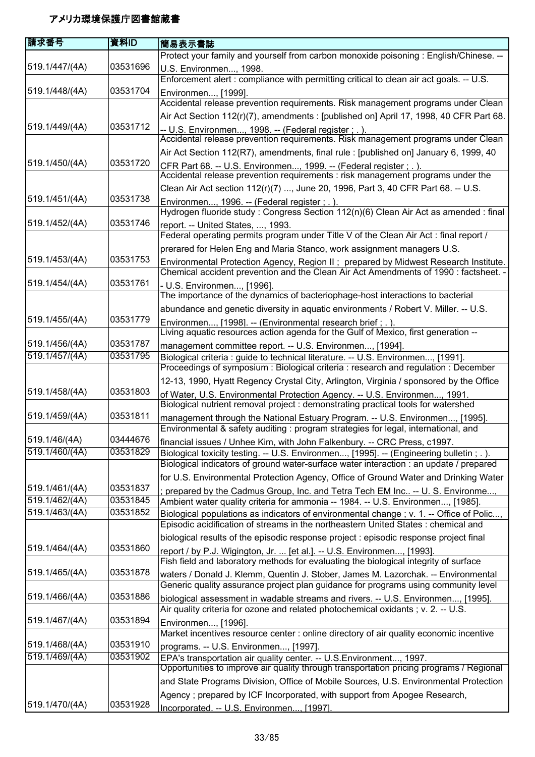| 請求番号           | 資料ID     | 簡易表示書誌                                                                                                                                                                      |
|----------------|----------|-----------------------------------------------------------------------------------------------------------------------------------------------------------------------------|
|                |          | Protect your family and yourself from carbon monoxide poisoning : English/Chinese. --                                                                                       |
| 519.1/447/(4A) | 03531696 | U.S. Environmen, 1998.                                                                                                                                                      |
|                |          | Enforcement alert : compliance with permitting critical to clean air act goals. -- U.S.                                                                                     |
| 519.1/448/(4A) | 03531704 | Environmen, [1999].                                                                                                                                                         |
|                |          | Accidental release prevention requirements. Risk management programs under Clean                                                                                            |
|                |          | Air Act Section 112(r)(7), amendments : [published on] April 17, 1998, 40 CFR Part 68.                                                                                      |
| 519.1/449/(4A) | 03531712 | <u>-- U.S. Environmen, 1998. -- (Federal register ; .).</u><br>Accidental release prevention requirements. Risk management programs under Clean                             |
|                |          | Air Act Section 112(R7), amendments, final rule : [published on] January 6, 1999, 40                                                                                        |
| 519.1/450/(4A) | 03531720 | CFR Part 68. -- U.S. Environmen, 1999. -- (Federal register ; .).                                                                                                           |
|                |          | Accidental release prevention requirements : risk management programs under the                                                                                             |
|                |          | Clean Air Act section 112(r)(7) , June 20, 1996, Part 3, 40 CFR Part 68. -- U.S.                                                                                            |
| 519.1/451/(4A) | 03531738 | Environmen, 1996. -- (Federal register ; .).                                                                                                                                |
|                | 03531746 | Hydrogen fluoride study: Congress Section 112(n)(6) Clean Air Act as amended: final                                                                                         |
| 519.1/452/(4A) |          | report. -- United States, , 1993.<br>Federal operating permits program under Title V of the Clean Air Act : final report /                                                  |
|                |          | prerared for Helen Eng and Maria Stanco, work assignment managers U.S.                                                                                                      |
| 519.1/453/(4A) | 03531753 |                                                                                                                                                                             |
|                |          | Environmental Protection Agency, Region II; prepared by Midwest Research Institute.<br>Chemical accident prevention and the Clean Air Act Amendments of 1990 : factsheet. - |
| 519.1/454/(4A) | 03531761 | - U.S. Environmen, [1996].                                                                                                                                                  |
|                |          | The importance of the dynamics of bacteriophage-host interactions to bacterial                                                                                              |
|                |          | abundance and genetic diversity in aquatic environments / Robert V. Miller. -- U.S.                                                                                         |
| 519.1/455/(4A) | 03531779 | Environmen, [1998]. -- (Environmental research brief; .).                                                                                                                   |
|                |          | Living aquatic resources action agenda for the Gulf of Mexico, first generation --                                                                                          |
| 519.1/456/(4A) | 03531787 | management committee report. -- U.S. Environmen, [1994].                                                                                                                    |
| 519.1/457/(4A) | 03531795 | Biological criteria : guide to technical literature. -- U.S. Environmen, [1991].                                                                                            |
|                |          | Proceedings of symposium: Biological criteria: research and regulation: December                                                                                            |
|                |          | 12-13, 1990, Hyatt Regency Crystal City, Arlington, Virginia / sponsored by the Office                                                                                      |
| 519.1/458/(4A) | 03531803 | of Water, U.S. Environmental Protection Agency. -- U.S. Environmen, 1991.<br>Biological nutrient removal project : demonstrating practical tools for watershed              |
| 519.1/459/(4A) | 03531811 |                                                                                                                                                                             |
|                |          | management through the National Estuary Program. -- U.S. Environmen, [1995].<br>Environmental & safety auditing : program strategies for legal, international, and          |
| 519.1/46/(4A)  | 03444676 | financial issues / Unhee Kim, with John Falkenbury. -- CRC Press, c1997.                                                                                                    |
| 519.1/460/(4A) | 03531829 | Biological toxicity testing. -- U.S. Environmen, [1995]. -- (Engineering bulletin; .).                                                                                      |
|                |          | Biological indicators of ground water-surface water interaction : an update / prepared                                                                                      |
|                |          | for U.S. Environmental Protection Agency, Office of Ground Water and Drinking Water                                                                                         |
| 519.1/461/(4A) | 03531837 | prepared by the Cadmus Group, Inc. and Tetra Tech EM Inc -- U. S. Environme,                                                                                                |
| 519.1/462/(4A) | 03531845 | Ambient water quality criteria for ammonia -- 1984. -- U.S. Environmen, [1985].                                                                                             |
| 519.1/463/(4A) | 03531852 | Biological populations as indicators of environmental change ; v. 1. -- Office of Polic,                                                                                    |
|                |          | Episodic acidification of streams in the northeastern United States : chemical and                                                                                          |
| 519.1/464/(4A) | 03531860 | biological results of the episodic response project : episodic response project final                                                                                       |
|                |          | report / by P.J. Wigington, Jr.  [et al.]. -- U.S. Environmen, [1993].<br>Fish field and laboratory methods for evaluating the biological integrity of surface              |
| 519.1/465/(4A) | 03531878 | waters / Donald J. Klemm, Quentin J. Stober, James M. Lazorchak. -- Environmental                                                                                           |
|                |          | Generic quality assurance project plan guidance for programs using community level                                                                                          |
| 519.1/466/(4A) | 03531886 | biological assessment in wadable streams and rivers. -- U.S. Environmen, [1995].                                                                                            |
|                |          | Air quality criteria for ozone and related photochemical oxidants; v. 2. -- U.S.                                                                                            |
| 519.1/467/(4A) | 03531894 | Environmen, [1996].                                                                                                                                                         |
|                |          | Market incentives resource center : online directory of air quality economic incentive                                                                                      |
| 519.1/468/(4A) | 03531910 | programs. -- U.S. Environmen, [1997].                                                                                                                                       |
| 519.1/469/(4A) | 03531902 | EPA's transportation air quality center. -- U.S. Environment, 1997.                                                                                                         |
|                |          | Opportunities to improve air quality through transportation pricing programs / Regional                                                                                     |
|                |          | and State Programs Division, Office of Mobile Sources, U.S. Environmental Protection                                                                                        |
| 519.1/470/(4A) | 03531928 | Agency ; prepared by ICF Incorporated, with support from Apogee Research,                                                                                                   |
|                |          | Incorporated. -- U.S. Environmen [1997].                                                                                                                                    |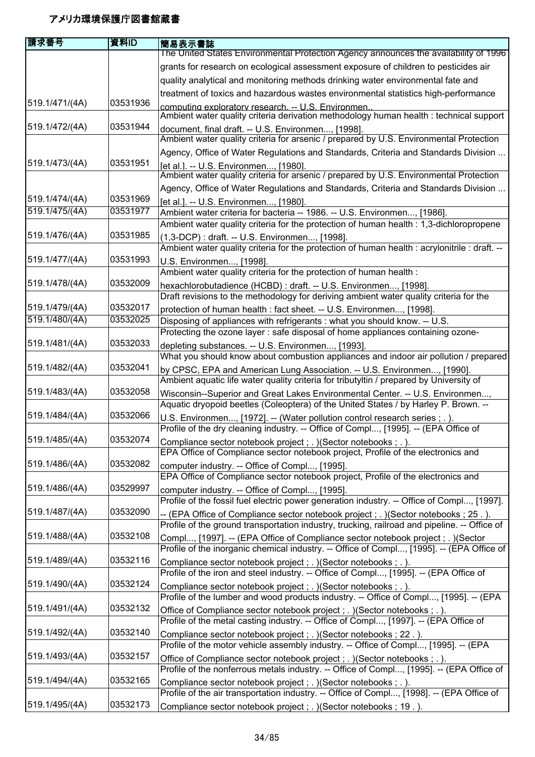| 請求番号           | 資料ID     | 簡易表示書誌                                                                                                                                                                       |
|----------------|----------|------------------------------------------------------------------------------------------------------------------------------------------------------------------------------|
|                |          | The United States Environmental Protection Agency announces the availability of 1996                                                                                         |
|                |          | grants for research on ecological assessment exposure of children to pesticides air                                                                                          |
|                |          | quality analytical and monitoring methods drinking water environmental fate and                                                                                              |
|                |          | treatment of toxics and hazardous wastes environmental statistics high-performance                                                                                           |
| 519.1/471/(4A) | 03531936 | computing exploratory research. -- U.S. Environmen.<br>Ambient water quality criteria derivation methodology human health : technical support                                |
| 519.1/472/(4A) | 03531944 | document, final draft. -- U.S. Environmen, [1998].<br>Ambient water quality criteria for arsenic / prepared by U.S. Environmental Protection                                 |
|                |          | Agency, Office of Water Regulations and Standards, Criteria and Standards Division                                                                                           |
| 519.1/473/(4A) | 03531951 | [et al.]. -- U.S. Environmen, [1980].                                                                                                                                        |
|                |          | Ambient water quality criteria for arsenic / prepared by U.S. Environmental Protection                                                                                       |
| 519.1/474/(4A) | 03531969 | Agency, Office of Water Regulations and Standards, Criteria and Standards Division                                                                                           |
| 519.1/475/(4A) | 03531977 | [et al.]. -- U.S. Environmen, [1980].<br>Ambient water criteria for bacteria -- 1986. -- U.S. Environmen, [1986].                                                            |
|                |          | Ambient water quality criteria for the protection of human health : 1,3-dichloropropene                                                                                      |
| 519.1/476/(4A) | 03531985 | (1,3-DCP) : draft. -- U.S. Environmen, [1998].<br>Ambient water quality criteria for the protection of human health : acrylonitrile : draft. --                              |
| 519.1/477/(4A) | 03531993 | U.S. Environmen, [1998].                                                                                                                                                     |
|                |          | Ambient water quality criteria for the protection of human health :                                                                                                          |
| 519.1/478/(4A) | 03532009 | hexachlorobutadience (HCBD) : draft. -- U.S. Environmen, [1998].                                                                                                             |
|                |          | Draft revisions to the methodology for deriving ambient water quality criteria for the                                                                                       |
| 519.1/479/(4A) | 03532017 | protection of human health : fact sheet. -- U.S. Environmen, [1998].                                                                                                         |
| 519.1/480/(4A) | 03532025 | Disposing of appliances with refrigerants : what you should know. -- U.S.                                                                                                    |
|                |          | Protecting the ozone layer : safe disposal of home appliances containing ozone-                                                                                              |
| 519.1/481/(4A) | 03532033 | depleting substances. -- U.S. Environmen, [1993].                                                                                                                            |
|                |          | What you should know about combustion appliances and indoor air pollution / prepared                                                                                         |
| 519.1/482/(4A) | 03532041 | by CPSC, EPA and American Lung Association. -- U.S. Environmen, [1990].                                                                                                      |
|                |          | Ambient aquatic life water quality criteria for tributyltin / prepared by University of                                                                                      |
| 519.1/483/(4A) | 03532058 | Wisconsin--Superior and Great Lakes Environmental Center. -- U.S. Environmen,                                                                                                |
| 519.1/484/(4A) | 03532066 | Aquatic dryopoid beetles (Coleoptera) of the United States / by Harley P. Brown. --                                                                                          |
|                |          | U.S. Environmen, [1972]. -- (Water pollution control research series ; . ).<br>Profile of the dry cleaning industry. -- Office of Compl, [1995]. -- (EPA Office of           |
| 519.1/485/(4A) | 03532074 | Compliance sector notebook project; . )(Sector notebooks; . ).                                                                                                               |
|                |          | EPA Office of Compliance sector notebook project, Profile of the electronics and                                                                                             |
| 519.1/486/(4A) | 03532082 | computer industry. -- Office of Compl, [1995].<br>EPA Office of Compliance sector notebook project, Profile of the electronics and                                           |
| 519.1/486/(4A) | 03529997 |                                                                                                                                                                              |
|                |          | computer industry. -- Office of Compl, [1995].<br>Profile of the fossil fuel electric power generation industry. -- Office of Compl, [1997].                                 |
| 519.1/487/(4A) | 03532090 | (EPA Office of Compliance sector notebook project; .) (Sector notebooks; 25.).                                                                                               |
|                |          | Profile of the ground transportation industry, trucking, railroad and pipeline. -- Office of                                                                                 |
| 519.1/488/(4A) | 03532108 | Compl, [1997]. -- (EPA Office of Compliance sector notebook project; .) (Sector<br>Profile of the inorganic chemical industry. -- Office of Compl, [1995]. -- (EPA Office of |
| 519.1/489/(4A) | 03532116 | Compliance sector notebook project; . ) (Sector notebooks; . ).                                                                                                              |
|                |          | Profile of the iron and steel industry. -- Office of Compl, [1995]. -- (EPA Office of                                                                                        |
| 519.1/490/(4A) | 03532124 | Compliance sector notebook project; . ) (Sector notebooks; . ).                                                                                                              |
|                |          | Profile of the lumber and wood products industry. -- Office of Compl, [1995]. -- (EPA                                                                                        |
| 519.1/491/(4A) | 03532132 | Office of Compliance sector notebook project; . ) (Sector notebooks; . ).<br>Profile of the metal casting industry. -- Office of Compl, [1997]. -- (EPA Office of            |
| 519.1/492/(4A) | 03532140 | Compliance sector notebook project; . ) (Sector notebooks; 22.).                                                                                                             |
|                |          | Profile of the motor vehicle assembly industry. -- Office of Compl, [1995]. -- (EPA                                                                                          |
| 519.1/493/(4A) | 03532157 | Office of Compliance sector notebook project; . ) (Sector notebooks; . ).                                                                                                    |
|                |          | Profile of the nonferrous metals industry. -- Office of Compl, [1995]. -- (EPA Office of                                                                                     |
| 519.1/494/(4A) | 03532165 | Compliance sector notebook project; . ) (Sector notebooks; . ).                                                                                                              |
| 519.1/495/(4A) | 03532173 | Profile of the air transportation industry. -- Office of Compl, [1998]. -- (EPA Office of                                                                                    |
|                |          | Compliance sector notebook project; . ) (Sector notebooks; 19.).                                                                                                             |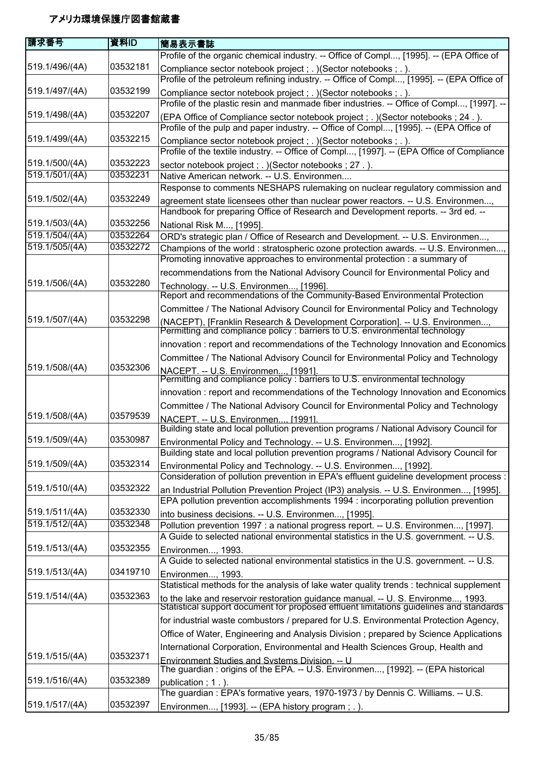| 請求番号           | 資料ID     | 簡易表示書誌                                                                                                                                                                      |
|----------------|----------|-----------------------------------------------------------------------------------------------------------------------------------------------------------------------------|
|                |          | Profile of the organic chemical industry. -- Office of Compl, [1995]. -- (EPA Office of                                                                                     |
| 519.1/496/(4A) | 03532181 | Compliance sector notebook project; . ) (Sector notebooks; . ).<br>Profile of the petroleum refining industry. -- Office of Compl, [1995]. -- (EPA Office of                |
| 519.1/497/(4A) | 03532199 | Compliance sector notebook project; . ) (Sector notebooks; . ).                                                                                                             |
|                |          | Profile of the plastic resin and manmade fiber industries. -- Office of Compl, [1997]. --                                                                                   |
| 519.1/498/(4A) | 03532207 | (EPA Office of Compliance sector notebook project; .) (Sector notebooks; 24.).                                                                                              |
|                |          | Profile of the pulp and paper industry. -- Office of Compl, [1995]. -- (EPA Office of                                                                                       |
| 519.1/499/(4A) | 03532215 | Compliance sector notebook project; . ) (Sector notebooks; . ).                                                                                                             |
|                |          | Profile of the textile industry. -- Office of Compl, [1997]. -- (EPA Office of Compliance                                                                                   |
| 519.1/500/(4A) | 03532223 | sector notebook project; .) (Sector notebooks; 27.).                                                                                                                        |
| 519.1/501/(4A) | 03532231 | Native American network. -- U.S. Environmen                                                                                                                                 |
|                |          | Response to comments NESHAPS rulemaking on nuclear regulatory commission and                                                                                                |
| 519.1/502/(4A) | 03532249 | agreement state licensees other than nuclear power reactors. -- U.S. Environmen,                                                                                            |
|                |          | Handbook for preparing Office of Research and Development reports. -- 3rd ed. --                                                                                            |
| 519.1/503/(4A) | 03532256 | National Risk M, [1995].                                                                                                                                                    |
| 519.1/504/(4A) | 03532264 | ORD's strategic plan / Office of Research and Development. -- U.S. Environmen,                                                                                              |
| 519.1/505/(4A) | 03532272 | Champions of the world: stratospheric ozone protection awards. -- U.S. Environmen,<br>Promoting innovative approaches to environmental protection : a summary of            |
|                |          | recommendations from the National Advisory Council for Environmental Policy and                                                                                             |
| 519.1/506/(4A) | 03532280 | Technology. -- U.S. Environmen, [1996].                                                                                                                                     |
|                |          | Report and recommendations of the Community-Based Environmental Protection                                                                                                  |
|                |          | Committee / The National Advisory Council for Environmental Policy and Technology                                                                                           |
| 519.1/507/(4A) | 03532298 | (NACEPT), [Franklin Research & Development Corporation]. -- U.S. Environmen, Permitting and compliance policy : barriers to U.S. environmental technology                   |
|                |          | innovation: report and recommendations of the Technology Innovation and Economics                                                                                           |
|                |          | Committee / The National Advisory Council for Environmental Policy and Technology                                                                                           |
| 519.1/508/(4A) | 03532306 | NACEPT. -- U.S. Environmen, [1991].<br>Permitting and compliance policy : barriers to U.S. environmental technology                                                         |
|                |          | innovation: report and recommendations of the Technology Innovation and Economics                                                                                           |
|                |          | Committee / The National Advisory Council for Environmental Policy and Technology                                                                                           |
| 519.1/508/(4A) | 03579539 | NACEPT. -- U.S. Environmen, [1991].                                                                                                                                         |
|                |          | Building state and local pollution prevention programs / National Advisory Council for                                                                                      |
| 519.1/509/(4A) | 03530987 | Environmental Policy and Technology. -- U.S. Environmen, [1992].                                                                                                            |
|                |          | Building state and local pollution prevention programs / National Advisory Council for                                                                                      |
| 519.1/509/(4A) | 03532314 | Environmental Policy and Technology. -- U.S. Environmen, [1992].<br>Consideration of pollution prevention in EPA's effluent guideline development process :                 |
| 519.1/510/(4A) | 03532322 | an Industrial Pollution Prevention Project (IP3) analysis. -- U.S. Environmen, [1995].                                                                                      |
|                |          | EPA pollution prevention accomplishments 1994 : incorporating pollution prevention                                                                                          |
| 519.1/511/(4A) | 03532330 | into business decisions. -- U.S. Environmen, [1995].                                                                                                                        |
| 519.1/512/(4A) | 03532348 | Pollution prevention 1997 : a national progress report. -- U.S. Environmen, [1997].                                                                                         |
|                |          | A Guide to selected national environmental statistics in the U.S. government. -- U.S.                                                                                       |
| 519.1/513/(4A) | 03532355 | Environmen, 1993.                                                                                                                                                           |
|                |          | A Guide to selected national environmental statistics in the U.S. government. -- U.S.                                                                                       |
| 519.1/513/(4A) | 03419710 | Environmen, 1993.                                                                                                                                                           |
|                |          | Statistical methods for the analysis of lake water quality trends : technical supplement                                                                                    |
| 519.1/514/(4A) | 03532363 | to the lake and reservoir restoration guidance manual. -- U. S. Environme, 1993.<br>Statistical support document for proposed effluent limitations guidelines and standards |
|                |          | for industrial waste combustors / prepared for U.S. Environmental Protection Agency,                                                                                        |
|                |          | Office of Water, Engineering and Analysis Division; prepared by Science Applications                                                                                        |
|                |          | International Corporation, Environmental and Health Sciences Group, Health and                                                                                              |
| 519.1/515/(4A) | 03532371 | Environment Studies and Systems Division. -- U                                                                                                                              |
|                |          | The guardian : origins of the EPA. -- U.S. Environmen, [1992]. -- (EPA historical                                                                                           |
| 519.1/516/(4A) | 03532389 | publication; 1.).                                                                                                                                                           |
|                |          | The guardian: EPA's formative years, 1970-1973 / by Dennis C. Williams. -- U.S.                                                                                             |
| 519.1/517/(4A) | 03532397 | Environmen, [1993]. -- (EPA history program; .).                                                                                                                            |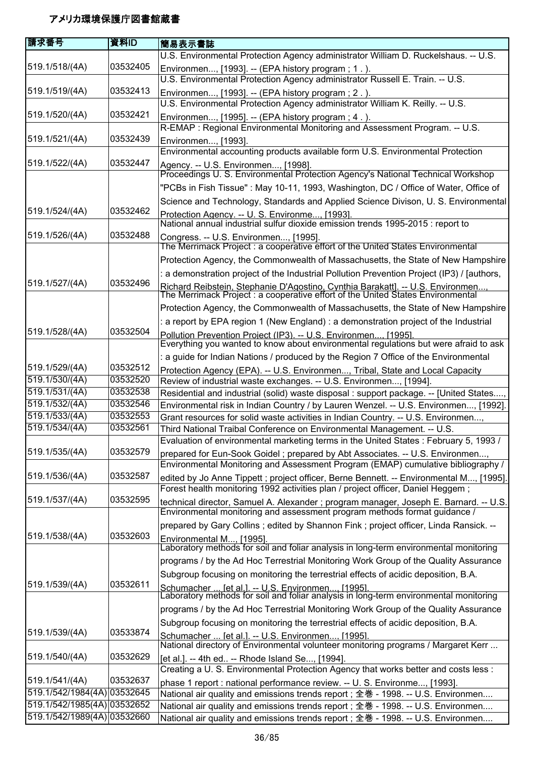| 請求番号                        | 資料ID     | 簡易表示書誌                                                                                                                                                                    |
|-----------------------------|----------|---------------------------------------------------------------------------------------------------------------------------------------------------------------------------|
|                             |          | U.S. Environmental Protection Agency administrator William D. Ruckelshaus. -- U.S.                                                                                        |
| 519.1/518/(4A)              | 03532405 | Environmen, [1993]. -- (EPA history program; 1.).                                                                                                                         |
|                             |          | U.S. Environmental Protection Agency administrator Russell E. Train. -- U.S.                                                                                              |
| 519.1/519/(4A)              | 03532413 | Environmen, [1993]. -- (EPA history program; 2.).                                                                                                                         |
|                             |          | U.S. Environmental Protection Agency administrator William K. Reilly. -- U.S.                                                                                             |
| 519.1/520/(4A)              | 03532421 | Environmen, [1995]. -- (EPA history program; 4.).                                                                                                                         |
|                             |          | R-EMAP: Regional Environmental Monitoring and Assessment Program. -- U.S.                                                                                                 |
| 519.1/521/(4A)              | 03532439 | Environmen, [1993].                                                                                                                                                       |
| 519.1/522/(4A)              | 03532447 | Environmental accounting products available form U.S. Environmental Protection                                                                                            |
|                             |          | Agency. -- U.S. Environmen, [1998].<br>Proceedings U. S. Environmental Protection Agency's National Technical Workshop                                                    |
|                             |          | "PCBs in Fish Tissue": May 10-11, 1993, Washington, DC / Office of Water, Office of                                                                                       |
|                             |          | Science and Technology, Standards and Applied Science Divison, U. S. Environmental                                                                                        |
| 519.1/524/(4A)              | 03532462 | Protection Agency. -- U. S. Environme [1993].                                                                                                                             |
|                             |          | National annual industrial sulfur dioxide emission trends 1995-2015 : report to                                                                                           |
| 519.1/526/(4A)              | 03532488 | Congress. -- U.S. Environmen, [1995].                                                                                                                                     |
|                             |          | The Merrimack Project : a cooperative effort of the United States Environmental                                                                                           |
|                             |          | Protection Agency, the Commonwealth of Massachusetts, the State of New Hampshire                                                                                          |
|                             |          | : a demonstration project of the Industrial Pollution Prevention Project (IP3) / [authors,                                                                                |
| 519.1/527/(4A)              | 03532496 | Richard Reibstein. Stephanie D'Agostino. Cynthia Barakattl. -- U.S. Environmen<br>The Merrimack Project : a cooperative effort of the United States Environmental         |
|                             |          | Protection Agency, the Commonwealth of Massachusetts, the State of New Hampshire                                                                                          |
|                             |          | : a report by EPA region 1 (New England) : a demonstration project of the Industrial                                                                                      |
| 519.1/528/(4A)              | 03532504 |                                                                                                                                                                           |
|                             |          | Pollution Prevention Project (IP3). -- U.S. Environmen, [1995]<br>Everything you wanted to know about environmental regulations but were afraid to ask                    |
|                             |          | : a guide for Indian Nations / produced by the Region 7 Office of the Environmental                                                                                       |
| 519.1/529/(4A)              | 03532512 | Protection Agency (EPA). -- U.S. Environmen, Tribal, State and Local Capacity                                                                                             |
| 519.1/530/(4A)              | 03532520 | Review of industrial waste exchanges. -- U.S. Environmen, [1994].                                                                                                         |
| 519.1/531/(4A)              | 03532538 | Residential and industrial (solid) waste disposal : support package. -- [United States,                                                                                   |
| 519.1/532/(4A)              | 03532546 | Environmental risk in Indian Country / by Lauren Wenzel. -- U.S. Environmen, [1992].                                                                                      |
| 519.1/533/(4A)              | 03532553 | Grant resources for solid waste activities in Indian Country. -- U.S. Environmen,                                                                                         |
| 519.1/534/(4A)              | 03532561 | Third National Traibal Conference on Environmental Management. -- U.S.                                                                                                    |
|                             |          | Evaluation of environmental marketing terms in the United States : February 5, 1993 /                                                                                     |
| 519.1/535/(4A)              | 03532579 | prepared for Eun-Sook Goidel; prepared by Abt Associates. -- U.S. Environmen,                                                                                             |
| 519.1/536/(4A)              | 03532587 | Environmental Monitoring and Assessment Program (EMAP) cumulative bibliography /                                                                                          |
|                             |          | edited by Jo Anne Tippett; project officer, Berne Bennett. -- Environmental M, [1995].<br>Forest health monitoring 1992 activities plan / project officer, Daniel Heggem; |
| 519.1/537/(4A)              | 03532595 | technical director, Samuel A. Alexander ; program manager, Joseph E. Barnard. -- U.S.                                                                                     |
|                             |          | Environmental monitoring and assessment program methods format guidance /                                                                                                 |
|                             |          | prepared by Gary Collins; edited by Shannon Fink; project officer, Linda Ransick. --                                                                                      |
| 519.1/538/(4A)              | 03532603 | Environmental M, [1995].                                                                                                                                                  |
|                             |          | Laboratory methods for soil and foliar analysis in long-term environmental monitoring                                                                                     |
|                             |          | programs / by the Ad Hoc Terrestrial Monitoring Work Group of the Quality Assurance                                                                                       |
|                             |          | Subgroup focusing on monitoring the terrestrial effects of acidic deposition, B.A.                                                                                        |
| 519.1/539/(4A)              | 03532611 | Schumacher  [et al.]. -- U.S. Environmen, [1995].<br>Laboratory methods for soil and foliar analysis in long-term environmental monitoring                                |
|                             |          |                                                                                                                                                                           |
|                             |          | programs / by the Ad Hoc Terrestrial Monitoring Work Group of the Quality Assurance                                                                                       |
| 519.1/539/(4A)              | 03533874 | Subgroup focusing on monitoring the terrestrial effects of acidic deposition, B.A.                                                                                        |
|                             |          | Schumacher  [et al.]. -- U.S. Environmen, [1995].<br>National directory of Environmental volunteer monitoring programs / Margaret Kerr                                    |
| 519.1/540/(4A)              | 03532629 |                                                                                                                                                                           |
|                             |          | [et al.]. -- 4th ed -- Rhode Island Se, [1994].<br>Creating a U. S. Environmental Protection Agency that works better and costs less:                                     |
| 519.1/541/(4A)              | 03532637 | phase 1 report : national performance review. -- U. S. Environme, [1993].                                                                                                 |
| 519.1/542/1984(4A) 03532645 |          | National air quality and emissions trends report; 全巻 - 1998. -- U.S. Environmen                                                                                           |
| 519.1/542/1985(4A) 03532652 |          | National air quality and emissions trends report; 全巻 - 1998. -- U.S. Environmen                                                                                           |
| 519.1/542/1989(4A) 03532660 |          | National air quality and emissions trends report; 全巻 - 1998. -- U.S. Environmen                                                                                           |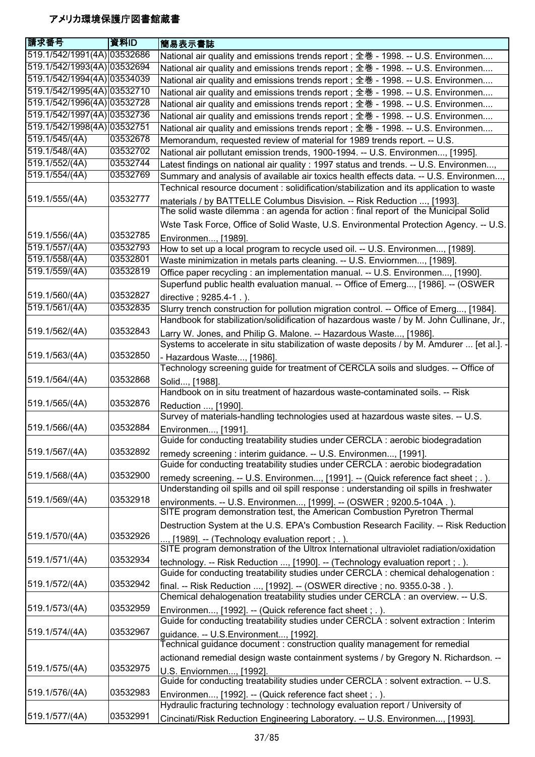| <b>請求番号</b>                 | 資料ID     | 簡易表示書誌                                                                                                           |
|-----------------------------|----------|------------------------------------------------------------------------------------------------------------------|
| 519.1/542/1991(4A) 03532686 |          | National air quality and emissions trends report; 全巻 - 1998. -- U.S. Environmen                                  |
| 519.1/542/1993(4A) 03532694 |          | National air quality and emissions trends report; 全巻 - 1998. -- U.S. Environmen                                  |
| 519.1/542/1994(4A) 03534039 |          | National air quality and emissions trends report; 全巻 - 1998. -- U.S. Environmen                                  |
| 519.1/542/1995(4A) 03532710 |          | National air quality and emissions trends report; 全巻 - 1998. -- U.S. Environmen                                  |
| 519.1/542/1996(4A) 03532728 |          | National air quality and emissions trends report; 全巻 - 1998. -- U.S. Environmen                                  |
| 519.1/542/1997(4A) 03532736 |          | National air quality and emissions trends report ; 全巻 - 1998. -- U.S. Environmen                                 |
| 519.1/542/1998(4A) 03532751 |          | National air quality and emissions trends report; 全巻 - 1998. -- U.S. Environmen                                  |
| 519.1/545/(4A)              | 03532678 | Memorandum, requested review of material for 1989 trends report. -- U.S.                                         |
| 519.1/548/(4A)              | 03532702 | National air pollutant emission trends, 1900-1994. -- U.S. Environmen, [1995].                                   |
| 519.1/552/(4A)              | 03532744 | Latest findings on national air quality : 1997 status and trends. -- U.S. Environmen,                            |
| 519.1/554/(4A)              | 03532769 | Summary and analysis of available air toxics health effects data. -- U.S. Environmen,                            |
|                             |          | Technical resource document : solidification/stabilization and its application to waste                          |
| 519.1/555/(4A)              | 03532777 | materials / by BATTELLE Columbus Disvision. -- Risk Reduction , [1993].                                          |
|                             |          | The solid waste dilemma: an agenda for action: final report of the Municipal Solid                               |
|                             |          | Wste Task Force, Office of Solid Waste, U.S. Environmental Protection Agency. -- U.S.                            |
| 519.1/556/(4A)              | 03532785 | Environmen, [1989].                                                                                              |
| 519.1/557/(4A)              | 03532793 | How to set up a local program to recycle used oil. -- U.S. Environmen, [1989].                                   |
| 519.1/558/(4A)              | 03532801 | Waste minimization in metals parts cleaning. -- U.S. Enviornmen, [1989].                                         |
| 519.1/559/(4A)              | 03532819 | Office paper recycling : an implementation manual. -- U.S. Environmen, [1990].                                   |
|                             |          | Superfund public health evaluation manual. -- Office of Emerg, [1986]. -- (OSWER                                 |
| 519.1/560/(4A)              | 03532827 | directive; 9285.4-1.).                                                                                           |
| 519.1/561/(4A)              | 03532835 | Slurry trench construction for pollution migration control. -- Office of Emerg, [1984].                          |
|                             | 03532843 | Handbook for stabilization/solidification of hazardous waste / by M. John Cullinane, Jr.,                        |
| 519.1/562/(4A)              |          | Larry W. Jones, and Philip G. Malone. -- Hazardous Waste, [1986].                                                |
| 519.1/563/(4A)              | 03532850 | Systems to accelerate in situ stabilization of waste deposits / by M. Amdurer  [et al.]. -                       |
|                             |          | - Hazardous Waste, [1986].<br>Technology screening guide for treatment of CERCLA soils and sludges. -- Office of |
| 519.1/564/(4A)              | 03532868 |                                                                                                                  |
|                             |          | Solid, [1988].<br>Handbook on in situ treatment of hazardous waste-contaminated soils. -- Risk                   |
| 519.1/565/(4A)              | 03532876 |                                                                                                                  |
|                             |          | Reduction , [1990].<br>Survey of materials-handling technologies used at hazardous waste sites. -- U.S.          |
| 519.1/566/(4A)              | 03532884 | Environmen, [1991].                                                                                              |
|                             |          | Guide for conducting treatability studies under CERCLA : aerobic biodegradation                                  |
| 519.1/567/(4A)              | 03532892 | remedy screening : interim guidance. -- U.S. Environmen, [1991].                                                 |
|                             |          | Guide for conducting treatability studies under CERCLA : aerobic biodegradation                                  |
| 519.1/568/(4A)              | 03532900 | remedy screening. -- U.S. Environmen, [1991]. -- (Quick reference fact sheet; .).                                |
|                             |          | Understanding oil spills and oil spill response : understanding oil spills in freshwater                         |
| 519.1/569/(4A)              | 03532918 | environments. -- U.S. Environmen, [1999]. -- (OSWER ; 9200.5-104A.).                                             |
|                             |          | SITE program demonstration test, the American Combustion Pyretron Thermal                                        |
|                             |          | Destruction System at the U.S. EPA's Combustion Research Facility. -- Risk Reduction                             |
| 519.1/570/(4A)              | 03532926 | , [1989]. -- (Technology evaluation report ; .).                                                                 |
|                             |          | SITE program demonstration of the Ultrox International ultraviolet radiation/oxidation                           |
| 519.1/571/(4A)              | 03532934 | technology. -- Risk Reduction , [1990]. -- (Technology evaluation report ; . ).                                  |
|                             |          | Guide for conducting treatability studies under CERCLA: chemical dehalogenation:                                 |
| 519.1/572/(4A)              | 03532942 | final. -- Risk Reduction , [1992]. -- (OSWER directive ; no. 9355.0-38.).                                        |
|                             |          | Chemical dehalogenation treatability studies under CERCLA : an overview. -- U.S.                                 |
| 519.1/573/(4A)              | 03532959 | Environmen, [1992]. -- (Quick reference fact sheet; .).                                                          |
|                             |          | Guide for conducting treatability studies under CERCLA : solvent extraction : Interim                            |
| 519.1/574/(4A)              | 03532967 | guidance. -- U.S.Environment, [1992].                                                                            |
|                             |          | Technical guidance document : construction quality management for remedial                                       |
|                             |          | actionand remedial design waste containment systems / by Gregory N. Richardson. --                               |
| 519.1/575/(4A)              | 03532975 | U.S. Enviornmen, [1992].                                                                                         |
|                             |          | Guide for conducting treatability studies under CERCLA: solvent extraction. -- U.S.                              |
| 519.1/576/(4A)              | 03532983 | Environmen, [1992]. -- (Quick reference fact sheet ; . ).                                                        |
|                             |          | Hydraulic fracturing technology: technology evaluation report / University of                                    |
| 519.1/577/(4A)              | 03532991 | Cincinati/Risk Reduction Engineering Laboratory. -- U.S. Environmen, [1993].                                     |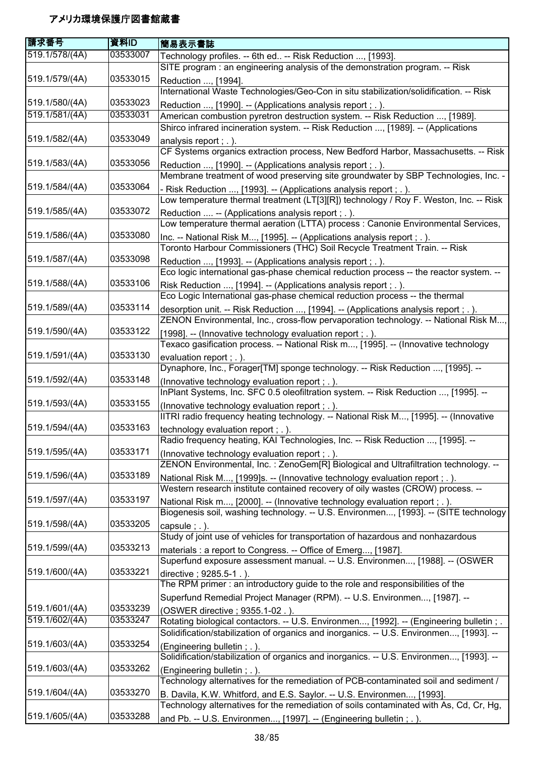| 請求番号           | 資料ID     | 簡易表示書誌                                                                                                                                                           |
|----------------|----------|------------------------------------------------------------------------------------------------------------------------------------------------------------------|
| 519.1/578/(4A) | 03533007 | Technology profiles. -- 6th ed -- Risk Reduction , [1993].                                                                                                       |
|                |          | SITE program : an engineering analysis of the demonstration program. -- Risk                                                                                     |
| 519.1/579/(4A) | 03533015 | Reduction , [1994].                                                                                                                                              |
|                |          | International Waste Technologies/Geo-Con in situ stabilization/solidification. -- Risk                                                                           |
| 519.1/580/(4A) | 03533023 | Reduction , [1990]. -- (Applications analysis report ; . ).                                                                                                      |
| 519.1/581/(4A) | 03533031 | American combustion pyretron destruction system. -- Risk Reduction , [1989].                                                                                     |
|                |          | Shirco infrared incineration system. -- Risk Reduction , [1989]. -- (Applications                                                                                |
| 519.1/582/(4A) | 03533049 | analysis report ; . ).                                                                                                                                           |
|                |          | CF Systems organics extraction process, New Bedford Harbor, Massachusetts. -- Risk                                                                               |
| 519.1/583/(4A) | 03533056 | Reduction , [1990]. -- (Applications analysis report ; . ).                                                                                                      |
|                |          | Membrane treatment of wood preserving site groundwater by SBP Technologies, Inc. -                                                                               |
| 519.1/584/(4A) | 03533064 | Risk Reduction , [1993]. -- (Applications analysis report ; . ).                                                                                                 |
|                |          | Low temperature thermal treatment (LT[3][R]) technology / Roy F. Weston, Inc. -- Risk                                                                            |
| 519.1/585/(4A) | 03533072 | Reduction  -- (Applications analysis report ; . ).                                                                                                               |
|                |          | Low temperature thermal aeration (LTTA) process : Canonie Environmental Services,                                                                                |
| 519.1/586/(4A) | 03533080 | Inc. -- National Risk M, [1995]. -- (Applications analysis report ; . ).                                                                                         |
|                |          | Toronto Harbour Commissioners (THC) Soil Recycle Treatment Train. -- Risk                                                                                        |
| 519.1/587/(4A) | 03533098 | Reduction , [1993]. -- (Applications analysis report ; . ).                                                                                                      |
|                |          | Eco logic international gas-phase chemical reduction process -- the reactor system. --                                                                           |
| 519.1/588/(4A) | 03533106 | Risk Reduction , [1994]. -- (Applications analysis report ; . ).                                                                                                 |
|                |          | Eco Logic International gas-phase chemical reduction process -- the thermal                                                                                      |
| 519.1/589/(4A) | 03533114 | desorption unit. -- Risk Reduction , [1994]. -- (Applications analysis report ; . ).                                                                             |
|                |          | ZENON Environmental, Inc., cross-flow pervaporation technology. -- National Risk M                                                                               |
| 519.1/590/(4A) | 03533122 | [1998]. -- (Innovative technology evaluation report ; . ).                                                                                                       |
|                | 03533130 | Texaco gasification process. -- National Risk m, [1995]. -- (Innovative technology                                                                               |
| 519.1/591/(4A) |          | evaluation report ; . ).<br>Dynaphore, Inc., Forager[TM] sponge technology. -- Risk Reduction , [1995]. --                                                       |
| 519.1/592/(4A) | 03533148 |                                                                                                                                                                  |
|                |          | (Innovative technology evaluation report ; .).<br>InPlant Systems, Inc. SFC 0.5 oleofiltration system. -- Risk Reduction , [1995]. --                            |
| 519.1/593/(4A) | 03533155 |                                                                                                                                                                  |
|                |          | (Innovative technology evaluation report ; .).<br>IITRI radio frequency heating technology. -- National Risk M, [1995]. -- (Innovative                           |
| 519.1/594/(4A) | 03533163 | technology evaluation report ; . ).                                                                                                                              |
|                |          | Radio frequency heating, KAI Technologies, Inc. -- Risk Reduction , [1995].                                                                                      |
| 519.1/595/(4A) | 03533171 | (Innovative technology evaluation report; .).                                                                                                                    |
|                |          | ZENON Environmental, Inc.: ZenoGem[R] Biological and Ultrafiltration technology. --                                                                              |
| 519.1/596/(4A) | 03533189 | National Risk M, [1999]s. -- (Innovative technology evaluation report; .).                                                                                       |
|                |          | Western research institute contained recovery of oily wastes (CROW) process. --                                                                                  |
| 519.1/597/(4A) | 03533197 | National Risk m, [2000]. -- (Innovative technology evaluation report ; . ).                                                                                      |
|                |          | Biogenesis soil, washing technology. -- U.S. Environmen, [1993]. -- (SITE technology                                                                             |
| 519.1/598/(4A) | 03533205 | capsule; $.$ ).                                                                                                                                                  |
|                |          | Study of joint use of vehicles for transportation of hazardous and nonhazardous                                                                                  |
| 519.1/599/(4A) | 03533213 | materials : a report to Congress. -- Office of Emerg, [1987].                                                                                                    |
|                |          | Superfund exposure assessment manual. -- U.S. Environmen, [1988]. -- (OSWER                                                                                      |
| 519.1/600/(4A) | 03533221 | directive; 9285.5-1.).                                                                                                                                           |
|                |          | The RPM primer: an introductory guide to the role and responsibilities of the                                                                                    |
|                |          | Superfund Remedial Project Manager (RPM). -- U.S. Environmen, [1987]. --                                                                                         |
| 519.1/601/(4A) | 03533239 | (OSWER directive; 9355.1-02.).                                                                                                                                   |
| 519.1/602/(4A) | 03533247 | Rotating biological contactors. -- U.S. Environmen, [1992]. -- (Engineering bulletin ; .                                                                         |
|                |          | Solidification/stabilization of organics and inorganics. -- U.S. Environmen, [1993]. --                                                                          |
| 519.1/603/(4A) | 03533254 | (Engineering bulletin; .).                                                                                                                                       |
|                |          | Solidification/stabilization of organics and inorganics. -- U.S. Environmen, [1993]. --                                                                          |
| 519.1/603/(4A) | 03533262 | (Engineering bulletin; .).                                                                                                                                       |
| 519.1/604/(4A) | 03533270 | Technology alternatives for the remediation of PCB-contaminated soil and sediment /                                                                              |
|                |          | B. Davila, K.W. Whitford, and E.S. Saylor. -- U.S. Environmen, [1993].<br>Technology alternatives for the remediation of soils contaminated with As, Cd, Cr, Hg, |
| 519.1/605/(4A) | 03533288 |                                                                                                                                                                  |
|                |          | and Pb. -- U.S. Environmen, [1997]. -- (Engineering bulletin; .).                                                                                                |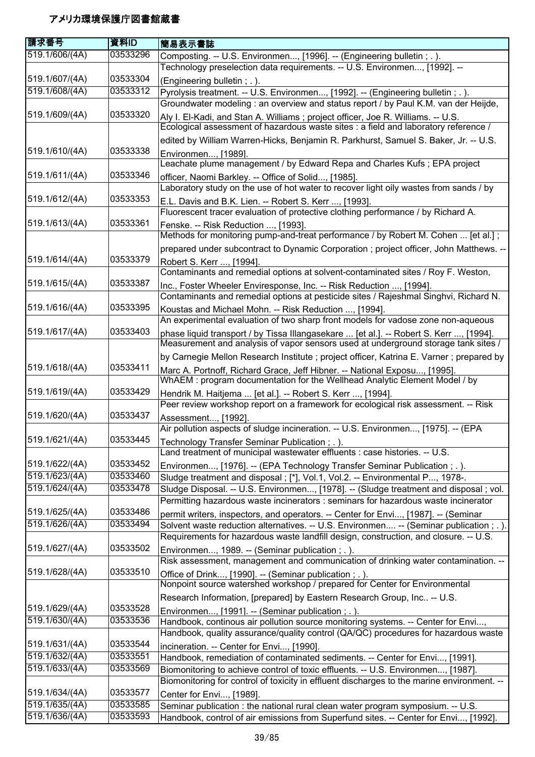| 請求番号                             | 資料ID                 | 簡易表示書誌                                                                                                                                                                       |
|----------------------------------|----------------------|------------------------------------------------------------------------------------------------------------------------------------------------------------------------------|
| 519.1/606/(4A)                   | 03533296             | Composting. -- U.S. Environmen, [1996]. -- (Engineering bulletin ; . ).<br>Technology preselection data requirements. -- U.S. Environmen, [1992]. --                         |
| 519.1/607/(4A)                   | 03533304             | (Engineering bulletin; .).                                                                                                                                                   |
| 519.1/608/(4A)                   | 03533312             | Pyrolysis treatment. -- U.S. Environmen, [1992]. -- (Engineering bulletin ; . ).                                                                                             |
|                                  |                      | Groundwater modeling : an overview and status report / by Paul K.M. van der Heijde,                                                                                          |
| 519.1/609/(4A)                   | 03533320             | Aly I. El-Kadi, and Stan A. Williams ; project officer, Joe R. Williams. -- U.S.<br>Ecological assessment of hazardous waste sites : a field and laboratory reference /      |
|                                  |                      | edited by William Warren-Hicks, Benjamin R. Parkhurst, Samuel S. Baker, Jr. -- U.S.                                                                                          |
| 519.1/610/(4A)                   | 03533338             | Environmen, [1989].                                                                                                                                                          |
|                                  |                      | Leachate plume management / by Edward Repa and Charles Kufs ; EPA project                                                                                                    |
| 519.1/611/(4A)                   | 03533346             | officer, Naomi Barkley. -- Office of Solid, [1985].                                                                                                                          |
|                                  | 03533353             | Laboratory study on the use of hot water to recover light oily wastes from sands / by                                                                                        |
| 519.1/612/(4A)                   |                      | E.L. Davis and B.K. Lien. -- Robert S. Kerr , [1993].<br>Fluorescent tracer evaluation of protective clothing performance / by Richard A.                                    |
| 519.1/613/(4A)                   | 03533361             | Fenske. -- Risk Reduction , [1993].                                                                                                                                          |
|                                  |                      | Methods for monitoring pump-and-treat performance / by Robert M. Cohen  [et al.];                                                                                            |
| 519.1/614/(4A)                   | 03533379             | prepared under subcontract to Dynamic Corporation ; project officer, John Matthews. --                                                                                       |
|                                  |                      | Robert S. Kerr , [1994].<br>Contaminants and remedial options at solvent-contaminated sites / Roy F. Weston,                                                                 |
| 519.1/615/(4A)                   | 03533387             | Inc., Foster Wheeler Enviresponse, Inc. -- Risk Reduction , [1994].                                                                                                          |
|                                  |                      | Contaminants and remedial options at pesticide sites / Rajeshmal Singhvi, Richard N.                                                                                         |
| 519.1/616/(4A)                   | 03533395             | Koustas and Michael Mohn. -- Risk Reduction , [1994].                                                                                                                        |
|                                  |                      | An experimental evaluation of two sharp front models for vadose zone non-aqueous                                                                                             |
| 519.1/617/(4A)                   | 03533403             | phase liquid transport / by Tissa Illangasekare  [et al.]. -- Robert S. Kerr , [1994].<br>Measurement and analysis of vapor sensors used at underground storage tank sites / |
|                                  |                      | by Carnegie Mellon Research Institute ; project officer, Katrina E. Varner ; prepared by                                                                                     |
| 519.1/618/(4A)                   | 03533411             | Marc A. Portnoff, Richard Grace, Jeff Hibner. -- National Exposu, [1995].<br>WhAEM: program documentation for the Wellhead Analytic Element Model / by                       |
| 519.1/619/(4A)                   | 03533429             | Hendrik M. Haitjema  [et al.]. -- Robert S. Kerr , [1994].                                                                                                                   |
|                                  |                      | Peer review workshop report on a framework for ecological risk assessment. -- Risk                                                                                           |
| 519.1/620/(4A)                   | 03533437             | Assessment, [1992].<br>Air pollution aspects of sludge incineration. -- U.S. Environmen, [1975]. -- (EPA                                                                     |
| 519.1/621/(4A)                   | 03533445             | Technology Transfer Seminar Publication; .).                                                                                                                                 |
|                                  |                      | Land treatment of municipal wastewater effluents : case histories. -- U.S.                                                                                                   |
| 519.1/622/(4A)                   | 03533452             | Environmen, [1976]. -- (EPA Technology Transfer Seminar Publication; .).                                                                                                     |
| 519.1/623/(4A)                   | 03533460             | Sludge treatment and disposal ; [*], Vol.1, Vol.2. -- Environmental P, 1978-.                                                                                                |
| 519.1/624/(4A)                   | 03533478             | Sludge Disposal. -- U.S. Environmen, [1978]. -- (Sludge treatment and disposal ; vol.                                                                                        |
|                                  |                      | Permitting hazardous waste incinerators : seminars for hazardous waste incinerator                                                                                           |
| 519.1/625/(4A)                   | 03533486             | permit writers, inspectors, and operators. -- Center for Envi, [1987]. -- (Seminar                                                                                           |
| 519.1/626/(4A)                   | 03533494             | Solvent waste reduction alternatives. -- U.S. Environmen -- (Seminar publication ; . ).                                                                                      |
| 519.1/627/(4A)                   | 03533502             | Requirements for hazardous waste landfill design, construction, and closure. -- U.S.                                                                                         |
|                                  |                      | Environmen, 1989. -- (Seminar publication; .).<br>Risk assessment, management and communication of drinking water contamination. --                                          |
| 519.1/628/(4A)                   | 03533510             | Office of Drink, [1990]. -- (Seminar publication ; . ).                                                                                                                      |
|                                  |                      | Nonpoint source watershed workshop / prepared for Center for Environmental                                                                                                   |
|                                  |                      | Research Information, [prepared] by Eastern Research Group, Inc -- U.S.                                                                                                      |
| 519.1/629/(4A)                   | 03533528             | Environmen, [1991]. -- (Seminar publication; .).                                                                                                                             |
| 519.1/630/(4A)                   | 03533536             | Handbook, continous air pollution source monitoring systems. -- Center for Envi,                                                                                             |
|                                  |                      | Handbook, quality assurance/quality control (QA/QC) procedures for hazardous waste                                                                                           |
| 519.1/631/(4A)                   | 03533544             | incineration. -- Center for Envi, [1990].                                                                                                                                    |
| 519.1/632/(4A)                   | 03533551             | Handbook, remediation of contaminated sediments. -- Center for Envi, [1991].                                                                                                 |
| 519.1/633/(4A)                   | 03533569             | Biomonitoring to achieve control of toxic effluents. -- U.S. Environmen, [1987].                                                                                             |
|                                  |                      | Biomonitoring for control of toxicity in effluent discharges to the marine environment. --                                                                                   |
| 519.1/634/(4A)<br>519.1/635/(4A) | 03533577<br>03533585 | Center for Envi, [1989].                                                                                                                                                     |
| 519.1/636/(4A)                   | 03533593             | Seminar publication : the national rural clean water program symposium. -- U.S.<br>Handbook, control of air emissions from Superfund sites. -- Center for Envi, [1992].      |
|                                  |                      |                                                                                                                                                                              |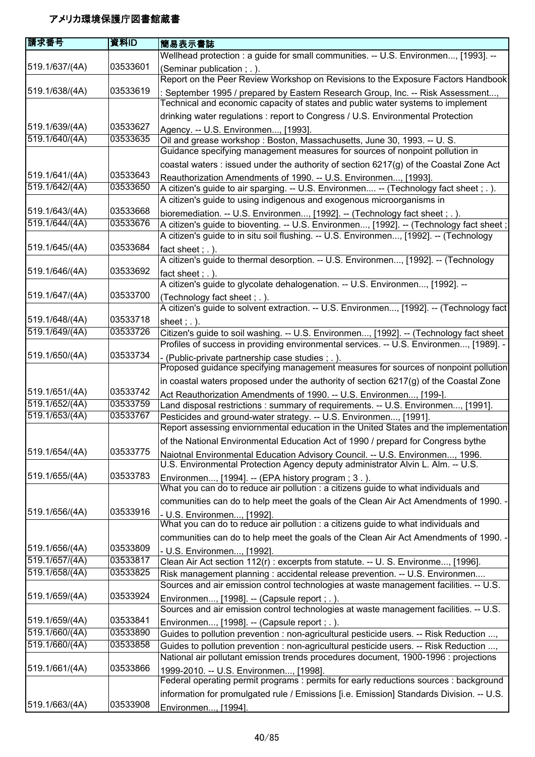| 請求番号           | 資料ID                 | 簡易表示書誌                                                                                                                                                          |
|----------------|----------------------|-----------------------------------------------------------------------------------------------------------------------------------------------------------------|
|                |                      | Wellhead protection : a guide for small communities. -- U.S. Environmen, [1993]. --                                                                             |
| 519.1/637/(4A) | 03533601             | (Seminar publication; .).                                                                                                                                       |
|                |                      | Report on the Peer Review Workshop on Revisions to the Exposure Factors Handbook                                                                                |
| 519.1/638/(4A) | 03533619             | : September 1995 / prepared by Eastern Research Group, Inc. -- Risk Assessment,                                                                                 |
|                |                      | Technical and economic capacity of states and public water systems to implement                                                                                 |
|                |                      | drinking water regulations : report to Congress / U.S. Environmental Protection                                                                                 |
| 519.1/639/(4A) | 03533627             | Agency. -- U.S. Environmen, [1993].                                                                                                                             |
| 519.1/640/(4A) | 03533635             | Oil and grease workshop: Boston, Massachusetts, June 30, 1993. -- U. S.                                                                                         |
|                |                      | Guidance specifying management measures for sources of nonpoint pollution in                                                                                    |
|                |                      | coastal waters : issued under the authority of section 6217(g) of the Coastal Zone Act                                                                          |
| 519.1/641/(4A) | 03533643             | Reauthorization Amendments of 1990. -- U.S. Environmen, [1993].                                                                                                 |
| 519.1/642/(4A) | 03533650             | A citizen's guide to air sparging. -- U.S. Environmen -- (Technology fact sheet; .).                                                                            |
|                |                      | A citizen's guide to using indigenous and exogenous microorganisms in                                                                                           |
| 519.1/643/(4A) | 03533668             | bioremediation. -- U.S. Environmen, [1992]. -- (Technology fact sheet; .).                                                                                      |
| 519.1/644/(4A) | 03533676             | A citizen's guide to bioventing. -- U.S. Environmen, [1992]. -- (Technology fact sheet;                                                                         |
|                |                      | A citizen's guide to in situ soil flushing. -- U.S. Environmen, [1992]. -- (Technology                                                                          |
| 519.1/645/(4A) | 03533684             | fact sheet; $.$ ).                                                                                                                                              |
|                |                      | A citizen's guide to thermal desorption. -- U.S. Environmen, [1992]. -- (Technology                                                                             |
| 519.1/646/(4A) | 03533692             | fact sheet; $.$ ).                                                                                                                                              |
|                |                      | A citizen's guide to glycolate dehalogenation. -- U.S. Environmen, [1992]. --                                                                                   |
| 519.1/647/(4A) | 03533700             | (Technology fact sheet; .).                                                                                                                                     |
|                |                      | A citizen's guide to solvent extraction. -- U.S. Environmen, [1992]. -- (Technology fact                                                                        |
| 519.1/648/(4A) | 03533718             | sheet $: .$ ).                                                                                                                                                  |
| 519.1/649/(4A) | 03533726             | Citizen's guide to soil washing. -- U.S. Environmen, [1992]. -- (Technology fact sheet                                                                          |
|                |                      | Profiles of success in providing environmental services. -- U.S. Environmen, [1989]. -                                                                          |
| 519.1/650/(4A) | 03533734             | - (Public-private partnership case studies; .).                                                                                                                 |
|                |                      | Proposed guidance specifying management measures for sources of nonpoint pollution                                                                              |
|                |                      | in coastal waters proposed under the authority of section 6217(g) of the Coastal Zone                                                                           |
| 519.1/651/(4A) | 03533742<br>03533759 | Act Reauthorization Amendments of 1990. -- U.S. Environmen, [199-].                                                                                             |
| 519.1/652/(4A) | 03533767             | Land disposal restrictions: summary of requirements. -- U.S. Environmen, [1991].                                                                                |
| 519.1/653/(4A) |                      | Pesticides and ground-water strategy. -- U.S. Environmen, [1991].<br>Report assessing enviornmental education in the United States and the implementation       |
|                |                      | of the National Environmental Education Act of 1990 / prepard for Congress bythe                                                                                |
| 519.1/654/(4A) | 03533775             | Naiotnal Environmental Education Advisory Council. -- U.S. Environmen, 1996.<br>U.S. Environmental Protection Agency deputy administrator Alvin L. Alm. -- U.S. |
| 519.1/655/(4A) | 03533783             | Environmen, [1994]. -- (EPA history program; 3.).                                                                                                               |
|                |                      | What you can do to reduce air pollution : a citizens guide to what individuals and                                                                              |
|                |                      | communities can do to help meet the goals of the Clean Air Act Amendments of 1990. -                                                                            |
| 519.1/656/(4A) | 03533916             | - U.S. Environmen, [1992].                                                                                                                                      |
|                |                      | What you can do to reduce air pollution : a citizens guide to what individuals and                                                                              |
|                |                      | communities can do to help meet the goals of the Clean Air Act Amendments of 1990. -                                                                            |
| 519.1/656/(4A) | 03533809             | - U.S. Environmen, [1992].                                                                                                                                      |
| 519.1/657/(4A) | 03533817             | Clean Air Act section 112(r) : excerpts from statute. -- U. S. Environme, [1996].                                                                               |
| 519.1/658/(4A) | 03533825             | Risk management planning : accidental release prevention. -- U.S. Environmen                                                                                    |
|                |                      | Sources and air emission control technologies at waste management facilities. -- U.S.                                                                           |
| 519.1/659/(4A) | 03533924             | Environmen, [1998]. -- (Capsule report ; . ).                                                                                                                   |
|                |                      | Sources and air emission control technologies at waste management facilities. -- U.S.                                                                           |
| 519.1/659/(4A) | 03533841             | Environmen, [1998]. -- (Capsule report ; . ).                                                                                                                   |
| 519.1/660/(4A) | 03533890             | Guides to pollution prevention : non-agricultural pesticide users. -- Risk Reduction ,                                                                          |
| 519.1/660/(4A) | 03533858             | Guides to pollution prevention : non-agricultural pesticide users. -- Risk Reduction ,                                                                          |
|                |                      | National air pollutant emission trends procedures document, 1900-1996 : projections                                                                             |
| 519.1/661/(4A) | 03533866             | 1999-2010. -- U.S. Environmen, [1998].                                                                                                                          |
|                |                      | Federal operating permit programs : permits for early reductions sources : background                                                                           |
|                |                      | information for promulgated rule / Emissions [i.e. Emission] Standards Division. -- U.S.                                                                        |
| 519.1/663/(4A) | 03533908             | Environmen, [1994].                                                                                                                                             |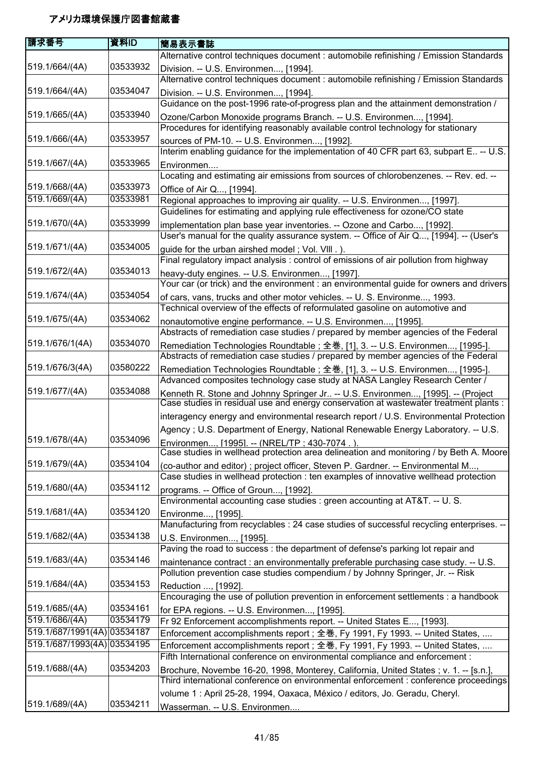| 請求番号                        | 資料ID     | 簡易表示書誌                                                                                                                                                                   |
|-----------------------------|----------|--------------------------------------------------------------------------------------------------------------------------------------------------------------------------|
|                             |          | Alternative control techniques document : automobile refinishing / Emission Standards                                                                                    |
| 519.1/664/(4A)              | 03533932 | Division. -- U.S. Environmen, [1994].                                                                                                                                    |
|                             |          | Alternative control techniques document : automobile refinishing / Emission Standards                                                                                    |
| 519.1/664/(4A)              | 03534047 | Division. -- U.S. Environmen, [1994].                                                                                                                                    |
|                             |          | Guidance on the post-1996 rate-of-progress plan and the attainment demonstration /                                                                                       |
| 519.1/665/(4A)              | 03533940 | Ozone/Carbon Monoxide programs Branch. -- U.S. Environmen, [1994].                                                                                                       |
|                             |          | Procedures for identifying reasonably available control technology for stationary                                                                                        |
| 519.1/666/(4A)              | 03533957 | sources of PM-10. -- U.S. Environmen, [1992].                                                                                                                            |
| 519.1/667/(4A)              | 03533965 | Interim enabling guidance for the implementation of 40 CFR part 63, subpart E. -- U.S.                                                                                   |
|                             |          | Environmen<br>Locating and estimating air emissions from sources of chlorobenzenes. -- Rev. ed. --                                                                       |
| 519.1/668/(4A)              | 03533973 |                                                                                                                                                                          |
| 519.1/669/(4A)              | 03533981 | Office of Air Q, [1994].<br>Regional approaches to improving air quality. -- U.S. Environmen, [1997].                                                                    |
|                             |          | Guidelines for estimating and applying rule effectiveness for ozone/CO state                                                                                             |
| 519.1/670/(4A)              | 03533999 | implementation plan base year inventories. -- Ozone and Carbo, [1992].                                                                                                   |
|                             |          | User's manual for the quality assurance system. -- Office of Air Q, [1994]. -- (User's                                                                                   |
| 519.1/671/(4A)              | 03534005 | guide for the urban airshed model; Vol. VIII.).                                                                                                                          |
|                             |          | Final regulatory impact analysis : control of emissions of air pollution from highway                                                                                    |
| 519.1/672/(4A)              | 03534013 | heavy-duty engines. -- U.S. Environmen, [1997].                                                                                                                          |
|                             |          | Your car (or trick) and the environment : an environmental guide for owners and drivers                                                                                  |
| 519.1/674/(4A)              | 03534054 | of cars, vans, trucks and other motor vehicles. -- U. S. Environme, 1993.                                                                                                |
|                             |          | Technical overview of the effects of reformulated gasoline on automotive and                                                                                             |
| 519.1/675/(4A)              | 03534062 | nonautomotive engine performance. -- U.S. Environmen, [1995].                                                                                                            |
|                             |          | Abstracts of remediation case studies / prepared by member agencies of the Federal                                                                                       |
| 519.1/676/1(4A)             | 03534070 | Remediation Technologies Roundtable; 全巻, [1], 3. -- U.S. Environmen, [1995-].                                                                                            |
|                             |          | Abstracts of remediation case studies / prepared by member agencies of the Federal                                                                                       |
| 519.1/676/3(4A)             | 03580222 | Remediation Technologies Roundtable; 全巻, [1], 3. -- U.S. Environmen, [1995-].                                                                                            |
|                             | 03534088 | Advanced composites technology case study at NASA Langley Research Center /                                                                                              |
| 519.1/677/(4A)              |          | Kenneth R. Stone and Johnny Springer Jr -- U.S. Environmen, [1995]. -- (Project<br>Case studies in residual use and energy conservation at wastewater treatment plants : |
|                             |          | interagency energy and environmental research report / U.S. Environmental Protection                                                                                     |
|                             |          | Agency; U.S. Department of Energy, National Renewable Energy Laboratory. -- U.S.                                                                                         |
| 519.1/678/(4A)              | 03534096 | Environmen, [1995]. -- (NREL/TP ; 430-7074.).                                                                                                                            |
|                             |          | Case studies in wellhead protection area delineation and monitoring / by Beth A. Moore                                                                                   |
| 519.1/679/(4A)              | 03534104 | (co-author and editor); project officer, Steven P. Gardner. -- Environmental M,                                                                                          |
|                             |          | Case studies in wellhead protection : ten examples of innovative wellhead protection                                                                                     |
| 519.1/680/(4A)              | 03534112 | programs. -- Office of Groun, [1992].                                                                                                                                    |
|                             |          | Environmental accounting case studies : green accounting at AT&T. -- U. S.                                                                                               |
| 519.1/681/(4A)              | 03534120 | Environme, [1995].                                                                                                                                                       |
|                             |          | Manufacturing from recyclables : 24 case studies of successful recycling enterprises. --                                                                                 |
| 519.1/682/(4A)              | 03534138 | U.S. Environmen, [1995].                                                                                                                                                 |
|                             |          | Paving the road to success : the department of defense's parking lot repair and                                                                                          |
| 519.1/683/(4A)              | 03534146 | maintenance contract : an environmentally preferable purchasing case study. -- U.S.                                                                                      |
|                             |          | Pollution prevention case studies compendium / by Johnny Springer, Jr. -- Risk                                                                                           |
| 519.1/684/(4A)              | 03534153 | Reduction , [1992].                                                                                                                                                      |
| 519.1/685/(4A)              | 03534161 | Encouraging the use of pollution prevention in enforcement settlements : a handbook                                                                                      |
| 519.1/686/(4A)              | 03534179 | for EPA regions. -- U.S. Environmen, [1995].<br>Fr 92 Enforcement accomplishments report. -- United States E, [1993].                                                    |
| 519.1/687/1991(4A) 03534187 |          | Enforcement accomplishments report; 全巻, Fy 1991, Fy 1993. -- United States,                                                                                              |
| 519.1/687/1993(4A) 03534195 |          | Enforcement accomplishments report; 全巻, Fy 1991, Fy 1993. -- United States,                                                                                              |
|                             |          | Fifth International conference on environmental compliance and enforcement :                                                                                             |
| 519.1/688/(4A)              | 03534203 | Brochure, Novembe 16-20, 1998, Monterey, California, United States; v. 1. -- [s.n.],                                                                                     |
|                             |          | Third international conference on environmental enforcement : conference proceedings                                                                                     |
|                             |          | volume 1 : April 25-28, 1994, Oaxaca, México / editors, Jo. Geradu, Cheryl.                                                                                              |
| 519.1/689/(4A)              | 03534211 | Wasserman. -- U.S. Environmen                                                                                                                                            |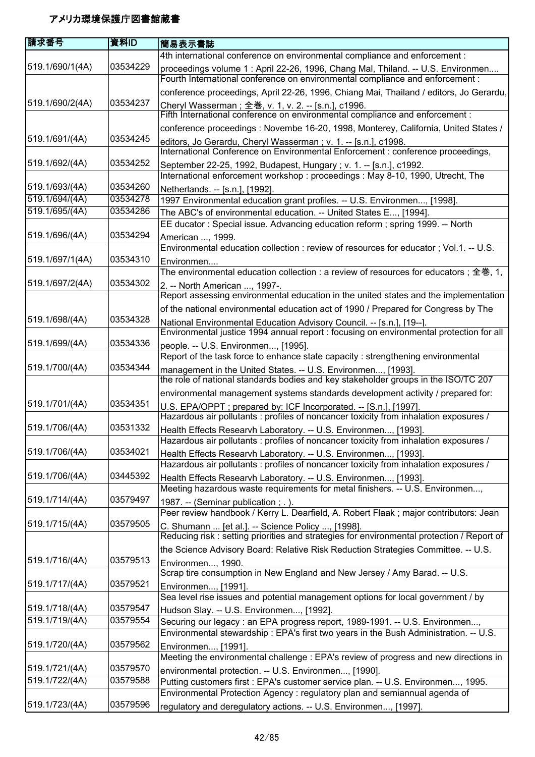| 請求番号            | 資料ID     | 簡易表示書誌                                                                                                                                                   |
|-----------------|----------|----------------------------------------------------------------------------------------------------------------------------------------------------------|
|                 |          | 4th international conference on environmental compliance and enforcement :                                                                               |
| 519.1/690/1(4A) | 03534229 | proceedings volume 1: April 22-26, 1996, Chang Mal, Thiland. -- U.S. Environmen                                                                          |
|                 |          | Fourth International conference on environmental compliance and enforcement :                                                                            |
|                 |          | conference proceedings, April 22-26, 1996, Chiang Mai, Thailand / editors, Jo Gerardu,                                                                   |
| 519.1/690/2(4A) | 03534237 |                                                                                                                                                          |
|                 |          | Cheryl Wasserman ; 全巻, v. 1, v. 2. -- [s.n.], c1996.<br>Fifth International conference on environmental compliance and enforcement :                     |
|                 |          | conference proceedings : Novembe 16-20, 1998, Monterey, California, United States /                                                                      |
| 519.1/691/(4A)  | 03534245 | editors, Jo Gerardu, Cheryl Wasserman; v. 1. -- [s.n.], c1998.                                                                                           |
|                 |          | International Conference on Environmental Enforcement : conference proceedings,                                                                          |
| 519.1/692/(4A)  | 03534252 | September 22-25, 1992, Budapest, Hungary; v. 1. -- [s.n.], c1992.                                                                                        |
|                 |          | International enforcement workshop : proceedings : May 8-10, 1990, Utrecht, The                                                                          |
| 519.1/693/(4A)  | 03534260 | Netherlands. -- [s.n.], [1992].                                                                                                                          |
| 519.1/694/(4A)  | 03534278 | 1997 Environmental education grant profiles. -- U.S. Environmen, [1998].                                                                                 |
| 519.1/695/(4A)  | 03534286 | The ABC's of environmental education. -- United States E, [1994].                                                                                        |
|                 |          | EE ducator: Special issue. Advancing education reform; spring 1999. -- North                                                                             |
| 519.1/696/(4A)  | 03534294 | American , 1999.                                                                                                                                         |
|                 |          | Environmental education collection : review of resources for educator ; Vol.1. -- U.S.                                                                   |
| 519.1/697/1(4A) | 03534310 | Environmen                                                                                                                                               |
|                 |          | The environmental education collection : a review of resources for educators ; 全巻, 1,                                                                    |
| 519.1/697/2(4A) | 03534302 | 2. -- North American , 1997-.                                                                                                                            |
|                 |          | Report assessing environmental education in the united states and the implementation                                                                     |
|                 |          | of the national environmental education act of 1990 / Prepared for Congress by The                                                                       |
| 519.1/698/(4A)  | 03534328 | National Environmental Education Advisory Council. -- [s.n.], [19--].                                                                                    |
|                 |          | Environmental justice 1994 annual report : focusing on environmental protection for all                                                                  |
| 519.1/699/(4A)  | 03534336 | people. -- U.S. Environmen, [1995].                                                                                                                      |
|                 |          | Report of the task force to enhance state capacity : strengthening environmental                                                                         |
| 519.1/700/(4A)  | 03534344 | management in the United States. -- U.S. Environmen, [1993].                                                                                             |
|                 |          | the role of national standards bodies and key stakeholder groups in the ISO/TC 207                                                                       |
|                 |          | environmental management systems standards development activity / prepared for:                                                                          |
| 519.1/701/(4A)  | 03534351 | U.S. EPA/OPPT; prepared by: ICF Incorporated. -- [S.n.], [1997].                                                                                         |
|                 |          | Hazardous air pollutants : profiles of noncancer toxicity from inhalation exposures /                                                                    |
| 519.1/706/(4A)  | 03531332 | Health Effects Researvh Laboratory. -- U.S. Environmen, [1993].<br>Hazardous air pollutants : profiles of noncancer toxicity from inhalation exposures / |
| 519.1/706/(4A)  | 03534021 |                                                                                                                                                          |
|                 |          | Health Effects Researvh Laboratory. -- U.S. Environmen, [1993].<br>Hazardous air pollutants : profiles of noncancer toxicity from inhalation exposures / |
| 519.1/706/(4A)  | 03445392 |                                                                                                                                                          |
|                 |          | Health Effects Researvh Laboratory. -- U.S. Environmen, [1993].<br>Meeting hazardous waste requirements for metal finishers. -- U.S. Environmen,         |
| 519.1/714/(4A)  | 03579497 |                                                                                                                                                          |
|                 |          | 1987. -- (Seminar publication; .).<br>Peer review handbook / Kerry L. Dearfield, A. Robert Flaak; major contributors: Jean                               |
| 519.1/715/(4A)  | 03579505 | C. Shumann  [et al.]. -- Science Policy , [1998].                                                                                                        |
|                 |          | Reducing risk: setting priorities and strategies for environmental protection / Report of                                                                |
|                 |          | the Science Advisory Board: Relative Risk Reduction Strategies Committee. -- U.S.                                                                        |
| 519.1/716/(4A)  | 03579513 | Environmen, 1990.                                                                                                                                        |
|                 |          | Scrap tire consumption in New England and New Jersey / Amy Barad. -- U.S.                                                                                |
| 519.1/717/(4A)  | 03579521 | Environmen, [1991].                                                                                                                                      |
|                 |          | Sea level rise issues and potential management options for local government / by                                                                         |
| 519.1/718/(4A)  | 03579547 | Hudson Slay. -- U.S. Environmen, [1992].                                                                                                                 |
| 519.1/719/(4A)  | 03579554 | Securing our legacy : an EPA progress report, 1989-1991. -- U.S. Environmen,                                                                             |
|                 |          | Environmental stewardship: EPA's first two years in the Bush Administration. -- U.S.                                                                     |
| 519.1/720/(4A)  | 03579562 | Environmen, [1991].                                                                                                                                      |
|                 |          | Meeting the environmental challenge : EPA's review of progress and new directions in                                                                     |
| 519.1/721/(4A)  | 03579570 | environmental protection. -- U.S. Environmen, [1990].                                                                                                    |
| 519.1/722/(4A)  | 03579588 | Putting customers first : EPA's customer service plan. -- U.S. Environmen, 1995.                                                                         |
|                 |          | Environmental Protection Agency : regulatory plan and semiannual agenda of                                                                               |
| 519.1/723/(4A)  | 03579596 | regulatory and deregulatory actions. -- U.S. Environmen, [1997].                                                                                         |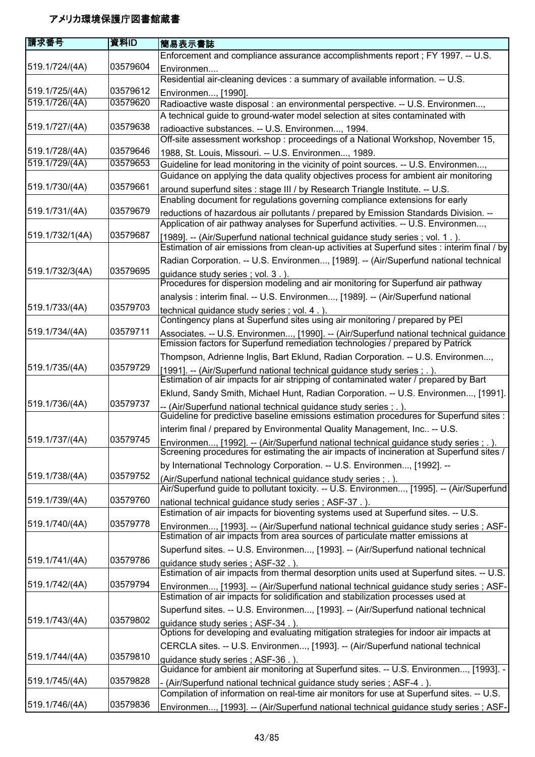| 請求番号            | 資料ID     | 簡易表示書誌                                                                                                                                                                          |
|-----------------|----------|---------------------------------------------------------------------------------------------------------------------------------------------------------------------------------|
|                 |          | Enforcement and compliance assurance accomplishments report ; FY 1997. -- U.S.                                                                                                  |
| 519.1/724/(4A)  | 03579604 | Environmen                                                                                                                                                                      |
|                 |          | Residential air-cleaning devices : a summary of available information. -- U.S.                                                                                                  |
| 519.1/725/(4A)  | 03579612 | Environmen, [1990].                                                                                                                                                             |
| 519.1/726/(4A)  | 03579620 | Radioactive waste disposal : an environmental perspective. -- U.S. Environmen,                                                                                                  |
|                 |          | A technical guide to ground-water model selection at sites contaminated with                                                                                                    |
| 519.1/727/(4A)  | 03579638 | radioactive substances. -- U.S. Environmen, 1994.<br>Off-site assessment workshop: proceedings of a National Workshop, November 15,                                             |
| 519.1/728/(4A)  | 03579646 | 1988, St. Louis, Missouri. -- U.S. Environmen, 1989.                                                                                                                            |
| 519.1/729/(4A)  | 03579653 | Guideline for lead monitoring in the vicinity of point sources. -- U.S. Environmen,<br>Guidance on applying the data quality objectives process for ambient air monitoring      |
| 519.1/730/(4A)  | 03579661 | around superfund sites : stage III / by Research Triangle Institute. -- U.S.<br>Enabling document for regulations governing compliance extensions for early                     |
| 519.1/731/(4A)  | 03579679 | reductions of hazardous air pollutants / prepared by Emission Standards Division. --                                                                                            |
|                 |          | Application of air pathway analyses for Superfund activities. -- U.S. Environmen,                                                                                               |
| 519.1/732/1(4A) | 03579687 | [1989]. -- (Air/Superfund national technical guidance study series; vol. 1.).<br>Estimation of air emissions from clean-up activities at Superfund sites : interim final / by   |
|                 |          | Radian Corporation. -- U.S. Environmen, [1989]. -- (Air/Superfund national technical                                                                                            |
| 519.1/732/3(4A) | 03579695 | guidance study series; vol. 3.).<br>Procedures for dispersion modeling and air monitoring for Superfund air pathway                                                             |
|                 |          | analysis : interim final. -- U.S. Environmen, [1989]. -- (Air/Superfund national                                                                                                |
| 519.1/733/(4A)  | 03579703 | technical guidance study series; vol. 4.).                                                                                                                                      |
|                 |          | Contingency plans at Superfund sites using air monitoring / prepared by PEI                                                                                                     |
| 519.1/734/(4A)  | 03579711 | Associates. -- U.S. Environmen, [1990]. -- (Air/Superfund national technical guidance<br>Emission factors for Superfund remediation technologies / prepared by Patrick          |
|                 |          | Thompson, Adrienne Inglis, Bart Eklund, Radian Corporation. -- U.S. Environmen,                                                                                                 |
| 519.1/735/(4A)  | 03579729 | [1991]. -- (Air/Superfund national technical guidance study series; .)                                                                                                          |
|                 |          | Estimation of air impacts for air stripping of contaminated water / prepared by Bart                                                                                            |
|                 |          | Eklund, Sandy Smith, Michael Hunt, Radian Corporation. -- U.S. Environmen, [1991].                                                                                              |
| 519.1/736/(4A)  | 03579737 | -- (Air/Superfund national technical guidance study series ; . ).<br>Guideline for predictive baseline emissions estimation procedures for Superfund sites :                    |
|                 |          | interim final / prepared by Environmental Quality Management, Inc -- U.S.                                                                                                       |
| 519.1/737/(4A)  | 03579745 | Environmen, [1992]. -- (Air/Superfund national technical guidance study series; .).<br>Screening procedures for estimating the air impacts of incineration at Superfund sites / |
|                 |          | by International Technology Corporation. -- U.S. Environmen, [1992]. --                                                                                                         |
| 519.1/738/(4A)  | 03579752 | (Air/Superfund national technical guidance study series ; .).                                                                                                                   |
|                 |          | Air/Superfund guide to pollutant toxicity. -- U.S. Environmen, [1995]. -- (Air/Superfund                                                                                        |
| 519.1/739/(4A)  | 03579760 | national technical guidance study series; ASF-37.).<br>Estimation of air impacts for bioventing systems used at Superfund sites. -- U.S.                                        |
| 519.1/740/(4A)  | 03579778 | Environmen, [1993]. -- (Air/Superfund national technical guidance study series ; ASF-<br>Estimation of air impacts from area sources of particulate matter emissions at         |
|                 |          | Superfund sites. -- U.S. Environmen, [1993]. -- (Air/Superfund national technical                                                                                               |
| 519.1/741/(4A)  | 03579786 | guidance study series; ASF-32.).                                                                                                                                                |
|                 |          | Estimation of air impacts from thermal desorption units used at Superfund sites. -- U.S.                                                                                        |
| 519.1/742/(4A)  | 03579794 | Environmen, [1993]. -- (Air/Superfund national technical guidance study series ; ASF-                                                                                           |
|                 |          | Estimation of air impacts for solidification and stabilization processes used at                                                                                                |
| 519.1/743/(4A)  | 03579802 | Superfund sites. -- U.S. Environmen, [1993]. -- (Air/Superfund national technical                                                                                               |
|                 |          | guidance study series; ASF-34.)<br>Options for developing and evaluating mitigation strategies for indoor air impacts at                                                        |
|                 |          | CERCLA sites. -- U.S. Environmen, [1993]. -- (Air/Superfund national technical                                                                                                  |
| 519.1/744/(4A)  | 03579810 | guidance study series; ASF-36.).                                                                                                                                                |
| 519.1/745/(4A)  | 03579828 | Guidance for ambient air monitoring at Superfund sites. -- U.S. Environmen, [1993]. -                                                                                           |
|                 |          | - (Air/Superfund national technical guidance study series ; ASF-4.).<br>Compilation of information on real-time air monitors for use at Superfund sites. -- U.S.                |
| 519.1/746/(4A)  | 03579836 | Environmen, [1993]. -- (Air/Superfund national technical guidance study series ; ASF-                                                                                           |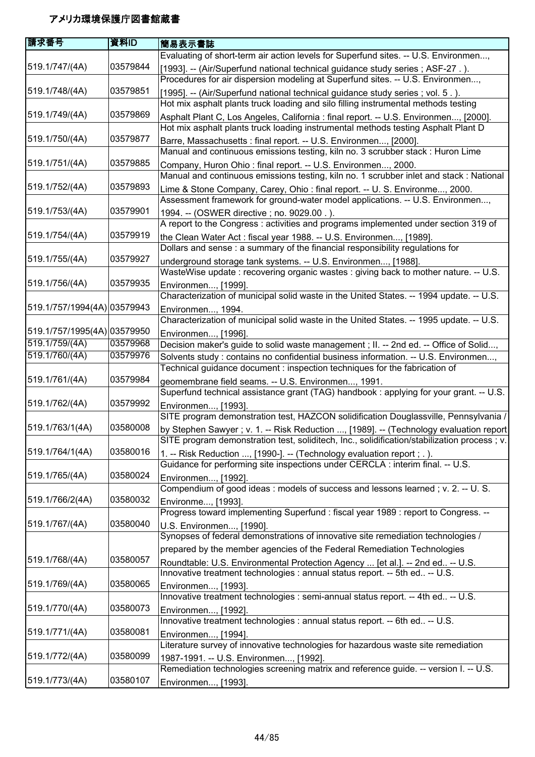| 請求番号                        | 資料ID     | 簡易表示書誌                                                                                                                                              |
|-----------------------------|----------|-----------------------------------------------------------------------------------------------------------------------------------------------------|
|                             |          | Evaluating of short-term air action levels for Superfund sites. -- U.S. Environmen,                                                                 |
| 519.1/747/(4A)              | 03579844 | [1993]. -- (Air/Superfund national technical guidance study series; ASF-27.).                                                                       |
|                             |          | Procedures for air dispersion modeling at Superfund sites. -- U.S. Environmen,                                                                      |
| 519.1/748/(4A)              | 03579851 | [1995]. -- (Air/Superfund national technical guidance study series; vol. 5.).                                                                       |
|                             |          | Hot mix asphalt plants truck loading and silo filling instrumental methods testing                                                                  |
| 519.1/749/(4A)              | 03579869 | Asphalt Plant C, Los Angeles, California : final report. -- U.S. Environmen, [2000].                                                                |
|                             |          | Hot mix asphalt plants truck loading instrumental methods testing Asphalt Plant D                                                                   |
| 519.1/750/(4A)              | 03579877 | Barre, Massachusetts : final report. -- U.S. Environmen, [2000].                                                                                    |
|                             |          | Manual and continuous emissions testing, kiln no. 3 scrubber stack : Huron Lime                                                                     |
| 519.1/751/(4A)              | 03579885 | Company, Huron Ohio: final report. -- U.S. Environmen, 2000.                                                                                        |
|                             |          | Manual and continuous emissions testing, kiln no. 1 scrubber inlet and stack : National                                                             |
| 519.1/752/(4A)              | 03579893 | Lime & Stone Company, Carey, Ohio: final report. -- U. S. Environme, 2000.                                                                          |
|                             | 03579901 | Assessment framework for ground-water model applications. -- U.S. Environmen,                                                                       |
| 519.1/753/(4A)              |          | 1994. -- (OSWER directive ; no. 9029.00.).<br>A report to the Congress : activities and programs implemented under section 319 of                   |
| 519.1/754/(4A)              | 03579919 |                                                                                                                                                     |
|                             |          | the Clean Water Act: fiscal year 1988. -- U.S. Environmen, [1989].<br>Dollars and sense : a summary of the financial responsibility regulations for |
| 519.1/755/(4A)              | 03579927 | underground storage tank systems. -- U.S. Environmen, [1988].                                                                                       |
|                             |          | WasteWise update: recovering organic wastes: giving back to mother nature. -- U.S.                                                                  |
| 519.1/756/(4A)              | 03579935 | Environmen, [1999].                                                                                                                                 |
|                             |          | Characterization of municipal solid waste in the United States. -- 1994 update. -- U.S.                                                             |
| 519.1/757/1994(4A) 03579943 |          | Environmen, 1994.                                                                                                                                   |
|                             |          | Characterization of municipal solid waste in the United States. -- 1995 update. -- U.S.                                                             |
| 519.1/757/1995(4A) 03579950 |          | Environmen, [1996].                                                                                                                                 |
| 519.1/759/(4A)              | 03579968 | Decision maker's guide to solid waste management; II. -- 2nd ed. -- Office of Solid,                                                                |
| 519.1/760/(4A)              | 03579976 | Solvents study : contains no confidential business information. -- U.S. Environmen,                                                                 |
|                             |          | Technical guidance document : inspection techniques for the fabrication of                                                                          |
| 519.1/761/(4A)              | 03579984 | geomembrane field seams. -- U.S. Environmen, 1991.                                                                                                  |
|                             |          | Superfund technical assistance grant (TAG) handbook : applying for your grant. -- U.S.                                                              |
| 519.1/762/(4A)              | 03579992 | Environmen, [1993].                                                                                                                                 |
|                             |          | SITE program demonstration test, HAZCON solidification Douglassville, Pennsylvania /                                                                |
| 519.1/763/1(4A)             | 03580008 | by Stephen Sawyer ; v. 1. -- Risk Reduction , [1989]. -- (Technology evaluation report                                                              |
|                             |          | SITE program demonstration test, soliditech, Inc., solidification/stabilization process ; v.                                                        |
| 519.1/764/1(4A)             | 03580016 | 1. -- Risk Reduction , [1990-]. -- (Technology evaluation report ; . ).                                                                             |
|                             | 03580024 | Guidance for performing site inspections under CERCLA : interim final. -- U.S.                                                                      |
| 519.1/765/(4A)              |          | Environmen, [1992].<br>Compendium of good ideas: models of success and lessons learned; v. 2. -- U. S.                                              |
| 519.1/766/2(4A)             | 03580032 |                                                                                                                                                     |
|                             |          | Environme, [1993].<br>Progress toward implementing Superfund : fiscal year 1989 : report to Congress. --                                            |
| 519.1/767/(4A)              | 03580040 | U.S. Environmen, [1990].                                                                                                                            |
|                             |          | Synopses of federal demonstrations of innovative site remediation technologies /                                                                    |
|                             |          | prepared by the member agencies of the Federal Remediation Technologies                                                                             |
| 519.1/768/(4A)              | 03580057 | Roundtable: U.S. Environmental Protection Agency  [et al.]. -- 2nd ed -- U.S.                                                                       |
|                             |          | Innovative treatment technologies : annual status report. -- 5th ed -- U.S.                                                                         |
| 519.1/769/(4A)              | 03580065 | Environmen, [1993].                                                                                                                                 |
|                             |          | Innovative treatment technologies : semi-annual status report. -- 4th ed -- U.S.                                                                    |
| 519.1/770/(4A)              | 03580073 | Environmen, [1992].                                                                                                                                 |
|                             |          | Innovative treatment technologies : annual status report. -- 6th ed -- U.S.                                                                         |
| 519.1/771/(4A)              | 03580081 | Environmen, [1994].                                                                                                                                 |
|                             |          | Literature survey of innovative technologies for hazardous waste site remediation                                                                   |
| 519.1/772/(4A)              | 03580099 | 1987-1991. -- U.S. Environmen, [1992].                                                                                                              |
|                             |          | Remediation technologies screening matrix and reference guide. -- version I. -- U.S.                                                                |
| 519.1/773/(4A)              | 03580107 | Environmen, [1993].                                                                                                                                 |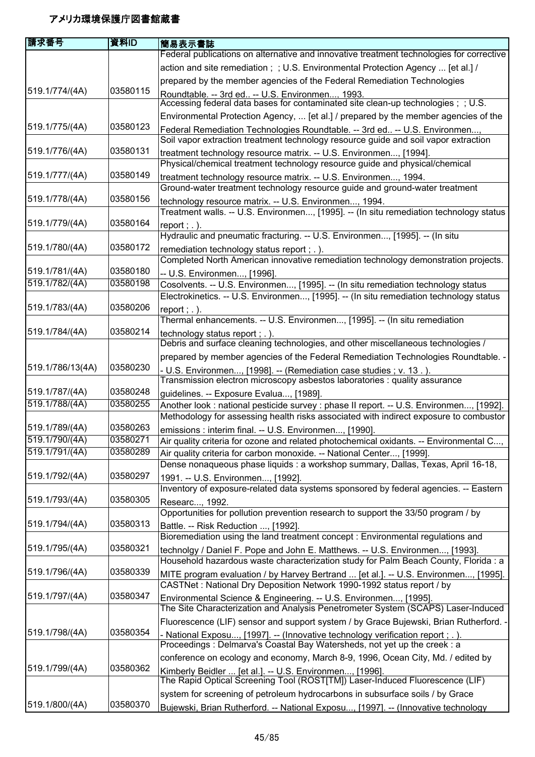| 請求番号             | 資料ID     | 簡易表示書誌                                                                                                                                  |
|------------------|----------|-----------------------------------------------------------------------------------------------------------------------------------------|
|                  |          | Federal publications on alternative and innovative treatment technologies for corrective                                                |
|                  |          | action and site remediation; ; U.S. Environmental Protection Agency  [et al.] /                                                         |
|                  |          | prepared by the member agencies of the Federal Remediation Technologies                                                                 |
| 519.1/774/(4A)   | 03580115 | Roundtable. -- 3rd ed -- U.S. Environmen, 1993.                                                                                         |
|                  |          | Accessing federal data bases for contaminated site clean-up technologies; ; U.S.                                                        |
|                  |          | Environmental Protection Agency,  [et al.] / prepared by the member agencies of the                                                     |
| 519.1/775/(4A)   | 03580123 | Federal Remediation Technologies Roundtable. -- 3rd ed -- U.S. Environmen,                                                              |
|                  |          | Soil vapor extraction treatment technology resource guide and soil vapor extraction                                                     |
| 519.1/776/(4A)   | 03580131 | treatment technology resource matrix. -- U.S. Environmen, [1994].                                                                       |
|                  |          | Physical/chemical treatment technology resource guide and physical/chemical                                                             |
| 519.1/777/(4A)   | 03580149 | treatment technology resource matrix. -- U.S. Environmen, 1994.                                                                         |
|                  |          | Ground-water treatment technology resource guide and ground-water treatment                                                             |
| 519.1/778/(4A)   | 03580156 | technology resource matrix. -- U.S. Environmen, 1994.                                                                                   |
|                  |          | Treatment walls. -- U.S. Environmen, [1995]. -- (In situ remediation technology status                                                  |
| 519.1/779/(4A)   | 03580164 | report $;$ $\ldots$ ).                                                                                                                  |
|                  |          | Hydraulic and pneumatic fracturing. -- U.S. Environmen, [1995]. -- (In situ                                                             |
| 519.1/780/(4A)   | 03580172 | remediation technology status report ; . ).                                                                                             |
|                  |          | Completed North American innovative remediation technology demonstration projects.                                                      |
| 519.1/781/(4A)   | 03580180 | -- U.S. Environmen, [1996].                                                                                                             |
| 519.1/782/(4A)   | 03580198 | Cosolvents. -- U.S. Environmen, [1995]. -- (In situ remediation technology status                                                       |
|                  |          | Electrokinetics. -- U.S. Environmen, [1995]. -- (In situ remediation technology status                                                  |
| 519.1/783/(4A)   | 03580206 | report $;$ $\ldots$ ).                                                                                                                  |
|                  |          | Thermal enhancements. -- U.S. Environmen, [1995]. -- (In situ remediation                                                               |
| 519.1/784/(4A)   | 03580214 | technology status report $;$ $\ldots$ ).                                                                                                |
|                  |          | Debris and surface cleaning technologies, and other miscellaneous technologies /                                                        |
|                  |          | prepared by member agencies of the Federal Remediation Technologies Roundtable. -                                                       |
| 519.1/786/13(4A) | 03580230 | - U.S. Environmen, [1998]. -- (Remediation case studies ; v. 13.).                                                                      |
|                  |          | Transmission electron microscopy asbestos laboratories : quality assurance                                                              |
| 519.1/787/(4A)   | 03580248 | guidelines. -- Exposure Evalua, [1989].                                                                                                 |
| 519.1/788/(4A)   | 03580255 | Another look : national pesticide survey : phase II report. -- U.S. Environmen, [1992].                                                 |
|                  |          | Methodology for assessing health risks associated with indirect exposure to combustor                                                   |
| 519.1/789/(4A)   | 03580263 | emissions : interim final. -- U.S. Environmen, [1990].                                                                                  |
| 519.1/790/(4A)   | 03580271 | Air quality criteria for ozone and related photochemical oxidants. -- Environmental C,                                                  |
| 519.1/791/(4A)   | 03580289 | Air quality criteria for carbon monoxide. -- National Center, [1999].                                                                   |
|                  |          | Dense nonaqueous phase liquids : a workshop summary, Dallas, Texas, April 16-18,                                                        |
| 519.1/792/(4A)   | 03580297 | 1991. -- U.S. Environmen, [1992].                                                                                                       |
|                  |          | Inventory of exposure-related data systems sponsored by federal agencies. -- Eastern                                                    |
| 519.1/793/(4A)   | 03580305 | Researc, 1992.                                                                                                                          |
|                  |          | Opportunities for pollution prevention research to support the 33/50 program / by                                                       |
| 519.1/794/(4A)   | 03580313 | Battle. -- Risk Reduction , [1992].                                                                                                     |
|                  |          | Bioremediation using the land treatment concept : Environmental regulations and                                                         |
| 519.1/795/(4A)   | 03580321 | technolgy / Daniel F. Pope and John E. Matthews. -- U.S. Environmen, [1993].                                                            |
|                  |          | Household hazardous waste characterization study for Palm Beach County, Florida : a                                                     |
| 519.1/796/(4A)   | 03580339 | MITE program evaluation / by Harvey Bertrand  [et al.]. -- U.S. Environmen, [1995].                                                     |
|                  |          | CASTNet: National Dry Deposition Network 1990-1992 status report / by                                                                   |
| 519.1/797/(4A)   | 03580347 | Environmental Science & Engineering. -- U.S. Environmen, [1995].                                                                        |
|                  |          | The Site Characterization and Analysis Penetrometer System (SCAPS) Laser-Induced                                                        |
|                  |          | Fluorescence (LIF) sensor and support system / by Grace Bujewski, Brian Rutherford. -                                                   |
| 519.1/798/(4A)   | 03580354 | - National Exposu, [1997]. -- (Innovative technology verification report ; . ).                                                         |
|                  |          | Proceedings: Delmarva's Coastal Bay Watersheds, not yet up the creek: a                                                                 |
|                  |          | conference on ecology and economy, March 8-9, 1996, Ocean City, Md. / edited by                                                         |
| 519.1/799/(4A)   | 03580362 |                                                                                                                                         |
|                  |          | Kimberly Beidler  [et al.]. -- U.S. Environmen, [1996].<br>The Rapid Optical Screening Tool (ROST[TM]) Laser-Induced Fluorescence (LIF) |
|                  |          | system for screening of petroleum hydrocarbons in subsurface soils / by Grace                                                           |
| 519.1/800/(4A)   | 03580370 | Bujewski, Brian Rutherford. -- National Exposu, [1997]. -- (Innovative technology                                                       |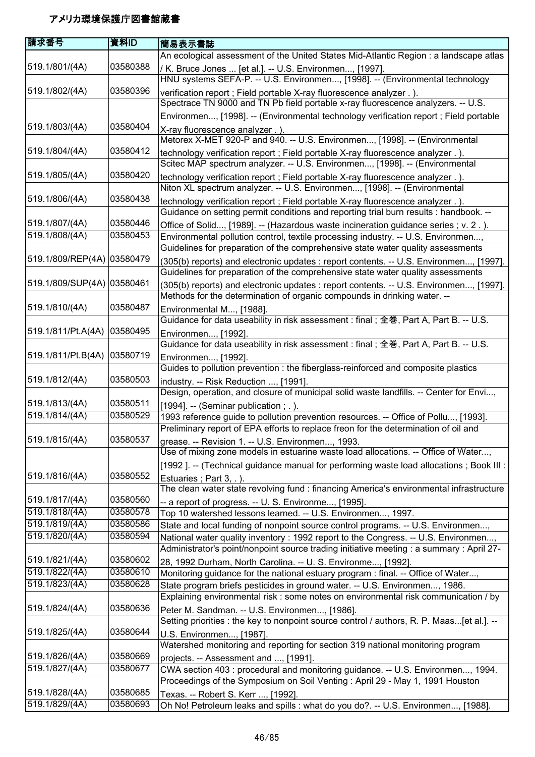| 請求番号                             | 資料ID                 | 簡易表示書誌                                                                                    |
|----------------------------------|----------------------|-------------------------------------------------------------------------------------------|
|                                  |                      | An ecological assessment of the United States Mid-Atlantic Region : a landscape atlas     |
| 519.1/801/(4A)                   | 03580388             | / K. Bruce Jones  [et al.]. -- U.S. Environmen, [1997].                                   |
|                                  |                      | HNU systems SEFA-P. -- U.S. Environmen, [1998]. -- (Environmental technology              |
| 519.1/802/(4A)                   | 03580396             | verification report ; Field portable X-ray fluorescence analyzer .).                      |
|                                  |                      | Spectrace TN 9000 and TN Pb field portable x-ray fluorescence analyzers. -- U.S.          |
|                                  |                      | Environmen, [1998]. -- (Environmental technology verification report ; Field portable     |
| 519.1/803/(4A)                   | 03580404             | X-ray fluorescence analyzer . ).                                                          |
|                                  |                      | Metorex X-MET 920-P and 940. -- U.S. Environmen, [1998]. -- (Environmental                |
| 519.1/804/(4A)                   | 03580412             | technology verification report ; Field portable X-ray fluorescence analyzer .).           |
|                                  |                      | Scitec MAP spectrum analyzer. -- U.S. Environmen, [1998]. -- (Environmental               |
| 519.1/805/(4A)                   | 03580420             | technology verification report ; Field portable X-ray fluorescence analyzer .).           |
|                                  |                      | Niton XL spectrum analyzer. -- U.S. Environmen, [1998]. -- (Environmental                 |
| 519.1/806/(4A)                   | 03580438             | technology verification report ; Field portable X-ray fluorescence analyzer .)            |
|                                  |                      | Guidance on setting permit conditions and reporting trial burn results : handbook. --     |
| 519.1/807/(4A)                   | 03580446             | Office of Solid, [1989]. -- (Hazardous waste incineration guidance series ; v. 2.).       |
| 519.1/808/(4A)                   | 03580453             | Environmental pollution control, textile processing industry. -- U.S. Environmen,         |
|                                  |                      | Guidelines for preparation of the comprehensive state water quality assessments           |
| 519.1/809/REP(4A) 03580479       |                      | (305(b) reports) and electronic updates : report contents. -- U.S. Environmen, [1997].    |
|                                  |                      | Guidelines for preparation of the comprehensive state water quality assessments           |
| 519.1/809/SUP(4A) 03580461       |                      | (305(b) reports) and electronic updates : report contents. -- U.S. Environmen, [1997].    |
|                                  |                      | Methods for the determination of organic compounds in drinking water. --                  |
| 519.1/810/(4A)                   | 03580487             | Environmental M, [1988].                                                                  |
|                                  |                      | Guidance for data useability in risk assessment : final ; 全巻, Part A, Part B. -- U.S.     |
| 519.1/811/Pt.A(4A)               | 03580495             | Environmen, [1992].                                                                       |
|                                  |                      | Guidance for data useability in risk assessment : final ; 全巻, Part A, Part B. -- U.S.     |
| 519.1/811/Pt.B(4A)               | 03580719             | Environmen, [1992].                                                                       |
|                                  |                      | Guides to pollution prevention : the fiberglass-reinforced and composite plastics         |
| 519.1/812/(4A)                   | 03580503             | industry. -- Risk Reduction , [1991].                                                     |
|                                  |                      | Design, operation, and closure of municipal solid waste landfills. -- Center for Envi,    |
| 519.1/813/(4A)                   | 03580511             | [1994]. -- (Seminar publication; .).                                                      |
| 519.1/814/(4A)                   | 03580529             | 1993 reference guide to pollution prevention resources. -- Office of Pollu, [1993].       |
|                                  |                      | Preliminary report of EPA efforts to replace freon for the determination of oil and       |
| 519.1/815/(4A)                   | 03580537             | grease. -- Revision 1. -- U.S. Environmen, 1993.                                          |
|                                  |                      | Use of mixing zone models in estuarine waste load allocations. -- Office of Water,        |
|                                  |                      | [1992]. -- (Technical guidance manual for performing waste load allocations ; Book III :  |
| 519.1/816/(4A)                   | 03580552             | Estuaries; Part 3, .).                                                                    |
|                                  |                      | The clean water state revolving fund : financing America's environmental infrastructure   |
| 519.1/817/(4A)                   | 03580560             | -- a report of progress. -- U. S. Environme, [1995].                                      |
| 519.1/818/(4A)                   | 03580578             | Top 10 watershed lessons learned. -- U.S. Environmen, 1997.                               |
| 519.1/819/(4A)                   | 03580586             | State and local funding of nonpoint source control programs. -- U.S. Environmen,          |
| 519.1/820/(4A)                   | 03580594             | National water quality inventory : 1992 report to the Congress. -- U.S. Environmen,       |
|                                  |                      | Administrator's point/nonpoint source trading initiative meeting : a summary : April 27-  |
| 519.1/821/(4A)                   | 03580602             | 28, 1992 Durham, North Carolina. -- U. S. Environme, [1992].                              |
| 519.1/822/(4A)                   | 03580610<br>03580628 | Monitoring guidance for the national estuary program : final. -- Office of Water,         |
| 519.1/823/(4A)                   |                      | State program briefs pesticides in ground water. -- U.S. Environmen, 1986.                |
|                                  |                      | Explaining environmental risk: some notes on environmental risk communication / by        |
| 519.1/824/(4A)                   | 03580636             | Peter M. Sandman. -- U.S. Environmen, [1986].                                             |
|                                  |                      | Setting priorities : the key to nonpoint source control / authors, R. P. Maas[et al.]. -- |
| 519.1/825/(4A)                   | 03580644             | U.S. Environmen, [1987].                                                                  |
|                                  | 03580669             | Watershed monitoring and reporting for section 319 national monitoring program            |
| 519.1/826/(4A)<br>519.1/827/(4A) | 03580677             | projects. -- Assessment and , [1991].                                                     |
|                                  |                      | CWA section 403 : procedural and monitoring guidance. -- U.S. Environmen, 1994.           |
| 519.1/828/(4A)                   | 03580685             | Proceedings of the Symposium on Soil Venting: April 29 - May 1, 1991 Houston              |
| 519.1/829/(4A)                   | 03580693             | Texas. -- Robert S. Kerr , [1992].                                                        |
|                                  |                      | Oh No! Petroleum leaks and spills : what do you do?. -- U.S. Environmen, [1988].          |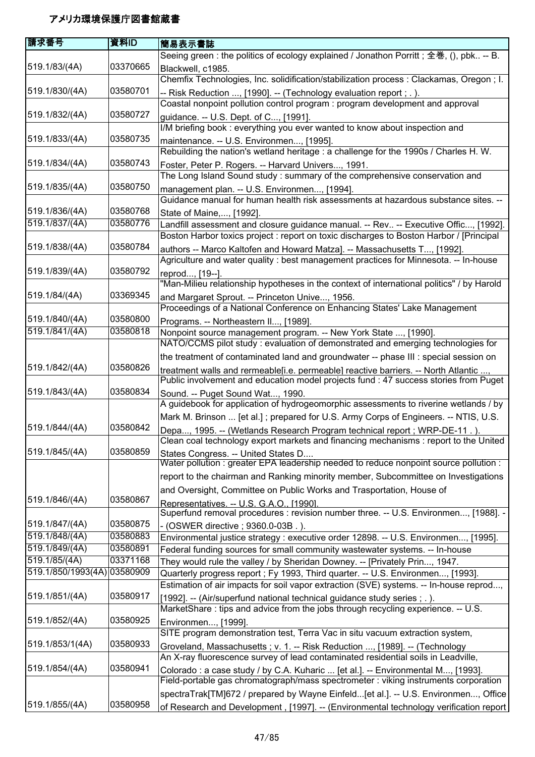| 請求番号                             | 資料ID                 | 簡易表示書誌                                                                                                                                                                  |
|----------------------------------|----------------------|-------------------------------------------------------------------------------------------------------------------------------------------------------------------------|
|                                  |                      | Seeing green : the politics of ecology explained / Jonathon Porritt; 全巻, (), pbk -- B.                                                                                  |
| 519.1/83/(4A)                    | 03370665             | Blackwell, c1985.                                                                                                                                                       |
|                                  |                      | Chemfix Technologies, Inc. solidification/stabilization process : Clackamas, Oregon ; I.                                                                                |
| 519.1/830/(4A)                   | 03580701             | -- Risk Reduction , [1990]. -- (Technology evaluation report ; . ).                                                                                                     |
|                                  |                      | Coastal nonpoint pollution control program : program development and approval                                                                                           |
| 519.1/832/(4A)                   | 03580727             | guidance. -- U.S. Dept. of C, [1991].                                                                                                                                   |
|                                  |                      | I/M briefing book: everything you ever wanted to know about inspection and                                                                                              |
| 519.1/833/(4A)                   | 03580735             | maintenance. -- U.S. Environmen, [1995].                                                                                                                                |
|                                  |                      | Rebuilding the nation's wetland heritage : a challenge for the 1990s / Charles H. W.                                                                                    |
| 519.1/834/(4A)                   | 03580743             | Foster, Peter P. Rogers. -- Harvard Univers, 1991.                                                                                                                      |
|                                  |                      | The Long Island Sound study: summary of the comprehensive conservation and                                                                                              |
| 519.1/835/(4A)                   | 03580750             | management plan. -- U.S. Environmen, [1994].                                                                                                                            |
|                                  |                      | Guidance manual for human health risk assessments at hazardous substance sites. --                                                                                      |
| 519.1/836/(4A)                   | 03580768             | State of Maine,, [1992].                                                                                                                                                |
| 519.1/837/(4A)                   | 03580776             | Landfill assessment and closure guidance manual. -- Rev -- Executive Offic, [1992].                                                                                     |
|                                  |                      | Boston Harbor toxics project : report on toxic discharges to Boston Harbor / [Principal                                                                                 |
| 519.1/838/(4A)                   | 03580784             | authors -- Marco Kaltofen and Howard Matza]. -- Massachusetts T, [1992].                                                                                                |
|                                  |                      | Agriculture and water quality : best management practices for Minnesota. -- In-house                                                                                    |
| 519.1/839/(4A)                   | 03580792             | reprod, [19--]                                                                                                                                                          |
|                                  |                      | "Man-Milieu relationship hypotheses in the context of international politics" / by Harold                                                                               |
| 519.1/84/(4A)                    | 03369345             | and Margaret Sprout. -- Princeton Unive, 1956.                                                                                                                          |
|                                  |                      | Proceedings of a National Conference on Enhancing States' Lake Management                                                                                               |
| 519.1/840/(4A)                   | 03580800             | Programs. -- Northeastern II, [1989].                                                                                                                                   |
| 519.1/841/(4A)                   | 03580818             | Nonpoint source management program. -- New York State , [1990].                                                                                                         |
|                                  |                      | NATO/CCMS pilot study : evaluation of demonstrated and emerging technologies for                                                                                        |
|                                  |                      | the treatment of contaminated land and groundwater -- phase III : special session on                                                                                    |
| 519.1/842/(4A)                   | 03580826             | treatment walls and rermeable[i.e. permeable] reactive barriers. -- North Atlantic ,                                                                                    |
|                                  |                      | Public involvement and education model projects fund : 47 success stories from Puget                                                                                    |
| 519.1/843/(4A)                   | 03580834             | Sound. -- Puget Sound Wat, 1990.                                                                                                                                        |
|                                  |                      | A guidebook for application of hydrogeomorphic assessments to riverine wetlands / by                                                                                    |
|                                  |                      | Mark M. Brinson  [et al.]; prepared for U.S. Army Corps of Engineers. -- NTIS, U.S.                                                                                     |
| 519.1/844/(4A)                   | 03580842             | Depa, 1995. -- (Wetlands Research Program technical report ; WRP-DE-11.).                                                                                               |
|                                  |                      | Clean coal technology export markets and financing mechanisms : report to the United                                                                                    |
| 519.1/845/(4A)                   | 03580859             | States Congress. -- United States D                                                                                                                                     |
|                                  |                      | Water pollution : greater EPA leadership needed to reduce nonpoint source pollution :                                                                                   |
|                                  |                      | report to the chairman and Ranking minority member, Subcommittee on Investigations                                                                                      |
|                                  |                      | and Oversight, Committee on Public Works and Trasportation, House of                                                                                                    |
| 519.1/846/(4A)                   | 03580867             | Representatives. -- U.S. G.A.O., [1990].                                                                                                                                |
|                                  |                      | Superfund removal procedures : revision number three. -- U.S. Environmen, [1988]. -                                                                                     |
| 519.1/847/(4A)                   | 03580875             | - (OSWER directive ; 9360.0-03B.).                                                                                                                                      |
| 519.1/848/(4A)<br>519.1/849/(4A) | 03580883<br>03580891 | Environmental justice strategy : executive order 12898. -- U.S. Environmen, [1995].                                                                                     |
| 519.1/85/(4A)                    | 03371168             | Federal funding sources for small community wastewater systems. -- In-house                                                                                             |
| 519.1/850/1993(4A) 03580909      |                      | They would rule the valley / by Sheridan Downey. -- [Privately Prin, 1947.                                                                                              |
|                                  |                      | Quarterly progress report; Fy 1993, Third quarter. -- U.S. Environmen, [1993].                                                                                          |
|                                  | 03580917             | Estimation of air impacts for soil vapor extraction (SVE) systems. -- In-house reprod,                                                                                  |
| 519.1/851/(4A)                   |                      | [1992]. -- (Air/superfund national technical guidance study series ; . ).                                                                                               |
|                                  | 03580925             | MarketShare : tips and advice from the jobs through recycling experience. -- U.S.                                                                                       |
| 519.1/852/(4A)                   |                      | Environmen, [1999].                                                                                                                                                     |
|                                  |                      | SITE program demonstration test, Terra Vac in situ vacuum extraction system,                                                                                            |
| 519.1/853/1(4A)                  | 03580933             | Groveland, Massachusetts; v. 1. -- Risk Reduction , [1989]. -- (Technology                                                                                              |
| 519.1/854/(4A)                   | 03580941             | An X-ray fluorescence survey of lead contaminated residential soils in Leadville,                                                                                       |
|                                  |                      | Colorado : a case study / by C.A. Kuharic  [et al.]. -- Environmental M, [1993].<br>Field-portable gas chromatograph/mass spectrometer : viking instruments corporation |
|                                  |                      |                                                                                                                                                                         |
|                                  |                      | spectraTrak[TM]672 / prepared by Wayne Einfeld[et al.]. -- U.S. Environmen, Office                                                                                      |
| 519.1/855/(4A)                   | 03580958             | of Research and Development, [1997]. -- (Environmental technology verification report                                                                                   |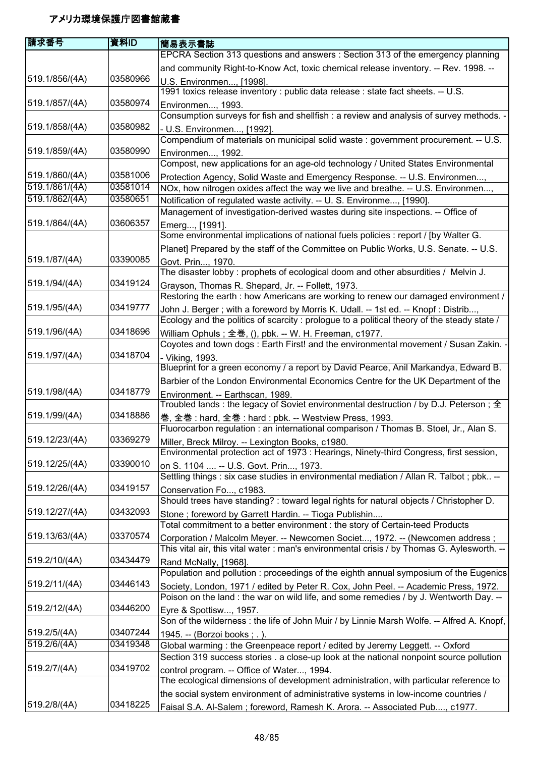| 請求番号           | 資料ID     | 簡易表示書誌                                                                                                                                                                        |
|----------------|----------|-------------------------------------------------------------------------------------------------------------------------------------------------------------------------------|
|                |          | EPCRA Section 313 questions and answers : Section 313 of the emergency planning                                                                                               |
|                |          | and community Right-to-Know Act, toxic chemical release inventory. -- Rev. 1998. --                                                                                           |
| 519.1/856/(4A) | 03580966 | U.S. Environmen, [1998].                                                                                                                                                      |
|                |          | 1991 toxics release inventory : public data release : state fact sheets. -- U.S.                                                                                              |
| 519.1/857/(4A) | 03580974 | Environmen, 1993.                                                                                                                                                             |
|                |          | Consumption surveys for fish and shellfish : a review and analysis of survey methods. -                                                                                       |
| 519.1/858/(4A) | 03580982 | - U.S. Environmen, [1992].                                                                                                                                                    |
|                |          | Compendium of materials on municipal solid waste : government procurement. -- U.S.                                                                                            |
| 519.1/859/(4A) | 03580990 | Environmen, 1992.                                                                                                                                                             |
|                |          | Compost, new applications for an age-old technology / United States Environmental                                                                                             |
| 519.1/860/(4A) | 03581006 | Protection Agency, Solid Waste and Emergency Response. -- U.S. Environmen,                                                                                                    |
| 519.1/861/(4A) | 03581014 | NOx, how nitrogen oxides affect the way we live and breathe. -- U.S. Environmen,                                                                                              |
| 519.1/862/(4A) | 03580651 | Notification of regulated waste activity. -- U. S. Environme, [1990].                                                                                                         |
|                |          | Management of investigation-derived wastes during site inspections. -- Office of                                                                                              |
| 519.1/864/(4A) | 03606357 | Emerg, [1991].                                                                                                                                                                |
|                |          | Some environmental implications of national fuels policies : report / [by Walter G.                                                                                           |
|                |          | Planet] Prepared by the staff of the Committee on Public Works, U.S. Senate. -- U.S.                                                                                          |
| 519.1/87/(4A)  | 03390085 | Govt. Prin, 1970.                                                                                                                                                             |
|                |          | The disaster lobby: prophets of ecological doom and other absurdities / Melvin J.                                                                                             |
| 519.1/94/(4A)  | 03419124 | Grayson, Thomas R. Shepard, Jr. -- Follett, 1973.                                                                                                                             |
|                |          | Restoring the earth : how Americans are working to renew our damaged environment /                                                                                            |
| 519.1/95/(4A)  | 03419777 | John J. Berger; with a foreword by Morris K. Udall. -- 1st ed. -- Knopf: Distrib,                                                                                             |
|                |          | Ecology and the politics of scarcity : prologue to a political theory of the steady state /                                                                                   |
| 519.1/96/(4A)  | 03418696 | William Ophuls; 全巻, (), pbk. -- W. H. Freeman, c1977.                                                                                                                         |
|                |          | Coyotes and town dogs: Earth First! and the environmental movement / Susan Zakin.                                                                                             |
| 519.1/97/(4A)  | 03418704 | - Viking, 1993.                                                                                                                                                               |
|                |          | Blueprint for a green economy / a report by David Pearce, Anil Markandya, Edward B.                                                                                           |
|                |          | Barbier of the London Environmental Economics Centre for the UK Department of the                                                                                             |
| 519.1/98/(4A)  | 03418779 | Environment. -- Earthscan, 1989.                                                                                                                                              |
|                |          | Troubled lands: the legacy of Soviet environmental destruction / by D.J. Peterson; $\pm$                                                                                      |
| 519.1/99/(4A)  | 03418886 | 巻, 全巻: hard, 全巻: hard: pbk. -- Westview Press, 1993.                                                                                                                          |
|                |          | Fluorocarbon regulation : an international comparison / Thomas B. Stoel, Jr., Alan S.                                                                                         |
| 519.12/23/(4A) | 03369279 | Miller, Breck Milroy. -- Lexington Books, c1980.                                                                                                                              |
|                |          | Environmental protection act of 1973 : Hearings, Ninety-third Congress, first session,                                                                                        |
| 519.12/25/(4A) | 03390010 | on S. 1104  -- U.S. Govt. Prin, 1973.                                                                                                                                         |
|                |          | Settling things : six case studies in environmental mediation / Allan R. Talbot ; pbk --                                                                                      |
| 519.12/26/(4A) | 03419157 | Conservation Fo, c1983.                                                                                                                                                       |
|                |          | Should trees have standing? : toward legal rights for natural objects / Christopher D.                                                                                        |
| 519.12/27/(4A) | 03432093 | Stone ; foreword by Garrett Hardin. -- Tioga Publishin                                                                                                                        |
|                | 03370574 | Total commitment to a better environment : the story of Certain-teed Products                                                                                                 |
| 519.13/63/(4A) |          | Corporation / Malcolm Meyer. -- Newcomen Societ, 1972. -- (Newcomen address;                                                                                                  |
| 519.2/10/(4A)  | 03434479 | This vital air, this vital water : man's environmental crisis / by Thomas G. Aylesworth. --                                                                                   |
|                |          | Rand McNally, [1968].<br>Population and pollution: proceedings of the eighth annual symposium of the Eugenics                                                                 |
| 519.2/11/(4A)  | 03446143 |                                                                                                                                                                               |
|                |          | Society, London, 1971 / edited by Peter R. Cox, John Peel. -- Academic Press, 1972.<br>Poison on the land : the war on wild life, and some remedies / by J. Wentworth Day. -- |
| 519.2/12/(4A)  | 03446200 |                                                                                                                                                                               |
|                |          | Eyre & Spottisw, 1957.<br>Son of the wilderness : the life of John Muir / by Linnie Marsh Wolfe. -- Alfred A. Knopf,                                                          |
| 519.2/5/(4A)   | 03407244 |                                                                                                                                                                               |
| 519.2/6/(4A)   | 03419348 | 1945. -- (Borzoi books; .).<br>Global warming: the Greenpeace report / edited by Jeremy Leggett. -- Oxford                                                                    |
|                |          | Section 319 success stories . a close-up look at the national nonpoint source pollution                                                                                       |
| 519.2/7/(4A)   | 03419702 |                                                                                                                                                                               |
|                |          | control program. -- Office of Water, 1994.<br>The ecological dimensions of development administration, with particular reference to                                           |
|                |          | the social system environment of administrative systems in low-income countries /                                                                                             |
| 519.2/8/(4A)   | 03418225 | Faisal S.A. Al-Salem ; foreword, Ramesh K. Arora. -- Associated Pub, c1977.                                                                                                   |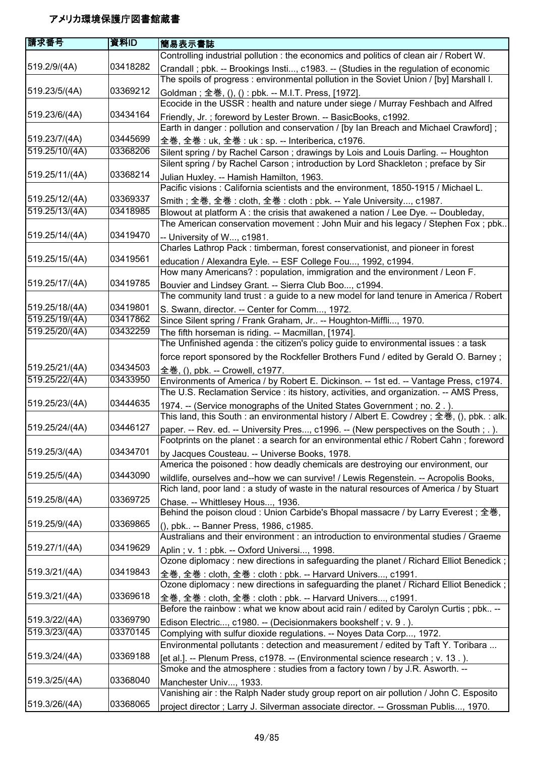| 請求番号           | 資料ID     | 簡易表示書誌                                                                                                                                                                           |
|----------------|----------|----------------------------------------------------------------------------------------------------------------------------------------------------------------------------------|
|                |          | Controlling industrial pollution : the economics and politics of clean air / Robert W.                                                                                           |
| 519.2/9/(4A)   | 03418282 | Crandall; pbk. -- Brookings Insti, c1983. -- (Studies in the regulation of economic<br>The spoils of progress: environmental pollution in the Soviet Union / [by] Marshall I.    |
| 519.23/5/(4A)  | 03369212 | Goldman ; 全巻, (), () : pbk. -- M.I.T. Press, [1972].                                                                                                                             |
|                |          | Ecocide in the USSR: health and nature under siege / Murray Feshbach and Alfred                                                                                                  |
| 519.23/6/(4A)  | 03434164 | Friendly, Jr.; foreword by Lester Brown. -- BasicBooks, c1992.                                                                                                                   |
|                |          | Earth in danger: pollution and conservation / [by Ian Breach and Michael Crawford];                                                                                              |
| 519.23/7/(4A)  | 03445699 | 全巻, 全巻 : uk, 全巻 : uk : sp. -- Interiberica, c1976.                                                                                                                               |
| 519.25/10/(4A) | 03368206 | Silent spring / by Rachel Carson; drawings by Lois and Louis Darling. -- Houghton                                                                                                |
|                |          | Silent spring / by Rachel Carson; introduction by Lord Shackleton; preface by Sir                                                                                                |
| 519.25/11/(4A) | 03368214 | Julian Huxley. -- Hamish Hamilton, 1963.<br>Pacific visions: California scientists and the environment, 1850-1915 / Michael L.                                                   |
| 519.25/12/(4A) | 03369337 | Smith; 全巻, 全巻: cloth, 全巻: cloth: pbk. -- Yale University, c1987.                                                                                                                 |
| 519.25/13/(4A) | 03418985 | Blowout at platform A : the crisis that awakened a nation / Lee Dye. -- Doubleday,<br>The American conservation movement : John Muir and his legacy / Stephen Fox ; pbk          |
| 519.25/14/(4A) | 03419470 | -- University of W, c1981.                                                                                                                                                       |
|                |          | Charles Lathrop Pack: timberman, forest conservationist, and pioneer in forest                                                                                                   |
| 519.25/15/(4A) | 03419561 | education / Alexandra Eyle. -- ESF College Fou, 1992, c1994.                                                                                                                     |
|                |          | How many Americans? : population, immigration and the environment / Leon F.                                                                                                      |
| 519.25/17/(4A) | 03419785 | Bouvier and Lindsey Grant. -- Sierra Club Boo, c1994.                                                                                                                            |
|                |          | The community land trust : a guide to a new model for land tenure in America / Robert                                                                                            |
| 519.25/18/(4A) | 03419801 | S. Swann, director. -- Center for Comm, 1972.                                                                                                                                    |
| 519.25/19/(4A) | 03417862 | Since Silent spring / Frank Graham, Jr -- Houghton-Miffli, 1970.                                                                                                                 |
| 519.25/20/(4A) | 03432259 | The fifth horseman is riding. -- Macmillan, [1974].                                                                                                                              |
|                |          | The Unfinished agenda: the citizen's policy guide to environmental issues: a task                                                                                                |
|                |          | force report sponsored by the Rockfeller Brothers Fund / edited by Gerald O. Barney;                                                                                             |
| 519.25/21/(4A) | 03434503 | 全巻, (), pbk. -- Crowell, c1977.                                                                                                                                                  |
| 519.25/22/(4A) | 03433950 | Environments of America / by Robert E. Dickinson. -- 1st ed. -- Vantage Press, c1974.<br>The U.S. Reclamation Service: its history, activities, and organization. -- AMS Press,  |
| 519.25/23/(4A) | 03444635 | 1974. -- (Service monographs of the United States Government; no. 2.).                                                                                                           |
|                |          | This land, this South : an environmental history / Albert E. Cowdrey ; 全巻, (), pbk. : alk.                                                                                       |
| 519.25/24/(4A) | 03446127 | paper. -- Rev. ed. -- University Pres, c1996. -- (New perspectives on the South ; . ).<br>Footprints on the planet : a search for an environmental ethic / Robert Cahn; foreword |
| 519.25/3/(4A)  | 03434701 | by Jacques Cousteau. -- Universe Books, 1978.                                                                                                                                    |
|                |          | America the poisoned : how deadly chemicals are destroying our environment, our                                                                                                  |
| 519.25/5/(4A)  | 03443090 | wildlife, ourselves and--how we can survive! / Lewis Regenstein. -- Acropolis Books,                                                                                             |
|                |          | Rich land, poor land : a study of waste in the natural resources of America / by Stuart                                                                                          |
| 519.25/8/(4A)  | 03369725 | Chase. -- Whittlesey Hous, 1936.                                                                                                                                                 |
|                |          | Behind the poison cloud : Union Carbide's Bhopal massacre / by Larry Everest; 全巻,                                                                                                |
| 519.25/9/(4A)  | 03369865 | (), pbk -- Banner Press, 1986, c1985.                                                                                                                                            |
|                | 03419629 | Australians and their environment : an introduction to environmental studies / Graeme                                                                                            |
| 519.27/1/(4A)  |          | Aplin ; v. 1 : pbk. -- Oxford Universi, 1998.<br>Ozone diplomacy: new directions in safeguarding the planet / Richard Elliot Benedick;                                           |
| 519.3/21/(4A)  | 03419843 |                                                                                                                                                                                  |
|                |          | 全巻, 全巻 : cloth, 全巻 : cloth : pbk. -- Harvard Univers, c1991.<br>Ozone diplomacy : new directions in safeguarding the planet / Richard Elliot Benedick;                           |
| 519.3/21/(4A)  | 03369618 |                                                                                                                                                                                  |
|                |          | 全巻, 全巻 : cloth, 全巻 : cloth : pbk. -- Harvard Univers, c1991.<br>Before the rainbow: what we know about acid rain / edited by Carolyn Curtis; pbk --                              |
| 519.3/22/(4A)  | 03369790 | Edison Electric, c1980. -- (Decisionmakers bookshelf; v. 9.).                                                                                                                    |
| 519.3/23/(4A)  | 03370145 | Complying with sulfur dioxide regulations. -- Noyes Data Corp, 1972.                                                                                                             |
|                |          | Environmental pollutants : detection and measurement / edited by Taft Y. Toribara                                                                                                |
| 519.3/24/(4A)  | 03369188 | [et al.]. -- Plenum Press, c1978. -- (Environmental science research; v. 13.).                                                                                                   |
|                |          | Smoke and the atmosphere : studies from a factory town / by J.R. Asworth. --                                                                                                     |
| 519.3/25/(4A)  | 03368040 | Manchester Univ, 1933.                                                                                                                                                           |
|                |          | Vanishing air: the Ralph Nader study group report on air pollution / John C. Esposito                                                                                            |
| 519.3/26/(4A)  | 03368065 | project director ; Larry J. Silverman associate director. -- Grossman Publis, 1970.                                                                                              |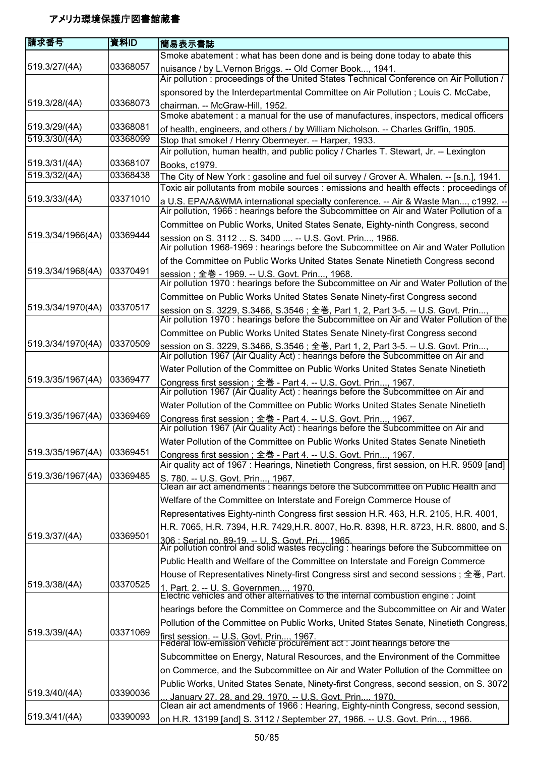| 庸求番号                           | 資料ID                 | 簡易表示書誌                                                                                                                                                                      |
|--------------------------------|----------------------|-----------------------------------------------------------------------------------------------------------------------------------------------------------------------------|
|                                |                      | Smoke abatement: what has been done and is being done today to abate this                                                                                                   |
| 519.3/27/(4A)                  | 03368057             | nuisance / by L.Vernon Briggs. -- Old Corner Book, 1941.                                                                                                                    |
|                                |                      | Air pollution : proceedings of the United States Technical Conference on Air Pollution /                                                                                    |
|                                |                      | sponsored by the Interdepartmental Committee on Air Pollution; Louis C. McCabe,                                                                                             |
| 519.3/28/(4A)                  | 03368073             | chairman. -- McGraw-Hill, 1952.                                                                                                                                             |
|                                |                      | Smoke abatement : a manual for the use of manufactures, inspectors, medical officers                                                                                        |
| 519.3/29/(4A)<br>519.3/30/(4A) | 03368081<br>03368099 | of health, engineers, and others / by William Nicholson. -- Charles Griffin, 1905.                                                                                          |
|                                |                      | Stop that smoke! / Henry Obermeyer. -- Harper, 1933.<br>Air pollution, human health, and public policy / Charles T. Stewart, Jr. -- Lexington                               |
| 519.3/31/(4A)                  | 03368107             |                                                                                                                                                                             |
| 519.3/32/(4A)                  | 03368438             | Books, c1979.<br>The City of New York: gasoline and fuel oil survey / Grover A. Whalen. -- [s.n.], 1941.                                                                    |
|                                |                      | Toxic air pollutants from mobile sources : emissions and health effects : proceedings of                                                                                    |
| 519.3/33/(4A)                  | 03371010             | a U.S. EPA/A&WMA international specialty conference. -- Air & Waste Man, c1992. --                                                                                          |
|                                |                      | Air pollution, 1966 : hearings before the Subcommittee on Air and Water Pollution of a                                                                                      |
|                                |                      | Committee on Public Works, United States Senate, Eighty-ninth Congress, second                                                                                              |
| 519.3/34/1966(4A)              | 03369444             | session on S. 3112  S. 3400  -- U.S. Govt. Prin, 1966.<br>Air pollution 1968-1969 : hearings before the Subcommittee on Air and Water Pollution                             |
|                                |                      | of the Committee on Public Works United States Senate Ninetieth Congress second                                                                                             |
| 519.3/34/1968(4A)              | 03370491             | session; 全巻 - 1969. -- U.S. Govt. Prin, 1968.                                                                                                                               |
|                                |                      | Air pollution 1970 : hearings before the Subcommittee on Air and Water Pollution of the                                                                                     |
|                                |                      | Committee on Public Works United States Senate Ninety-first Congress second                                                                                                 |
| 519.3/34/1970(4A)              | 03370517             | session on S. 3229, S.3466, S.3546; 全巻, Part 1, 2, Part 3-5. -- U.S. Govt. Prin,<br>Air pollution 1970 : hearings before the Subcommittee on Air and Water Pollution of the |
|                                |                      | Committee on Public Works United States Senate Ninety-first Congress second                                                                                                 |
| 519.3/34/1970(4A)              | 03370509             | session on S. 3229, S.3466, S.3546; 全巻, Part 1, 2, Part 3-5. -- U.S. Govt. Prin<br>Air pollution 1967 (Air Quality Act) : hearings before the Subcommittee on Air and       |
|                                |                      | Water Pollution of the Committee on Public Works United States Senate Ninetieth                                                                                             |
| 519.3/35/1967(4A)              | 03369477             | Congress first session ; 全巻 - Part 4. -- U.S. Govt. Prin, 1967.                                                                                                             |
|                                |                      | Air pollution 1967 (Air Quality Act) : hearings before the Subcommittee on Air and                                                                                          |
|                                |                      | Water Pollution of the Committee on Public Works United States Senate Ninetieth                                                                                             |
| 519.3/35/1967(4A)              | 03369469             | Congress first session; 全巻 - Part 4. -- U.S. Govt. Prin, 1967.                                                                                                              |
|                                |                      | Air pollution 1967 (Air Quality Act) : hearings before the Subcommittee on Air and                                                                                          |
| 519.3/35/1967(4A)              | 03369451             | Water Pollution of the Committee on Public Works United States Senate Ninetieth                                                                                             |
|                                |                      | Congress first session; 全巻 - Part 4. -- U.S. Govt. Prin, 1967.<br>Air quality act of 1967 : Hearings, Ninetieth Congress, first session, on H.R. 9509 [and]                 |
| 519.3/36/1967(4A)              | 03369485             | S. 780. -- U.S. Govt. Prin, 1967.                                                                                                                                           |
|                                |                      | Clean air act amendments : hearings before the Subcommittee on Public Health and                                                                                            |
|                                |                      | Welfare of the Committee on Interstate and Foreign Commerce House of                                                                                                        |
|                                |                      | Representatives Eighty-ninth Congress first session H.R. 463, H.R. 2105, H.R. 4001,                                                                                         |
|                                |                      | H.R. 7065, H.R. 7394, H.R. 7429, H.R. 8007, Ho.R. 8398, H.R. 8723, H.R. 8800, and S.                                                                                        |
| 519.3/37/(4A)                  | 03369501             | 306 : Serial no. 89-19. -- U. S. Govt. Pri 1965.<br>Air pollution control and solid wastes recycling : hearings before the Subcommittee on                                  |
|                                |                      |                                                                                                                                                                             |
|                                |                      | Public Health and Welfare of the Committee on Interstate and Foreign Commerce                                                                                               |
| 519.3/38/(4A)                  | 03370525             | House of Representatives Ninety-first Congress sirst and second sessions; 全巻, Part.                                                                                         |
|                                |                      | 1. Part. 2. -- U. S. Governmen 1970.<br>Electric vehicles and other alternatives to the internal combustion engine : Joint                                                  |
|                                |                      | hearings before the Committee on Commerce and the Subcommittee on Air and Water                                                                                             |
|                                |                      | Pollution of the Committee on Public Works, United States Senate, Ninetieth Congress,                                                                                       |
| 519.3/39/(4A)                  | 03371069             |                                                                                                                                                                             |
|                                |                      | first session. -- U.S. Govt. Prin, 1967.<br>Federal low-emission vehicle procurement act : Joint hearings before the                                                        |
|                                |                      | Subcommittee on Energy, Natural Resources, and the Environment of the Committee                                                                                             |
|                                |                      | on Commerce, and the Subcommittee on Air and Water Pollution of the Committee on                                                                                            |
|                                |                      | Public Works, United States Senate, Ninety-first Congress, second session, on S. 3072                                                                                       |
| 519.3/40/(4A)                  | 03390036             | January 27, 28, and 29, 1970. -- U.S. Govt. Prin, 1970.                                                                                                                     |
|                                | 03390093             | Clean air act amendments of 1966 : Hearing, Eighty-ninth Congress, second session,                                                                                          |
| 519.3/41/(4A)                  |                      | on H.R. 13199 [and] S. 3112 / September 27, 1966. -- U.S. Govt. Prin, 1966.                                                                                                 |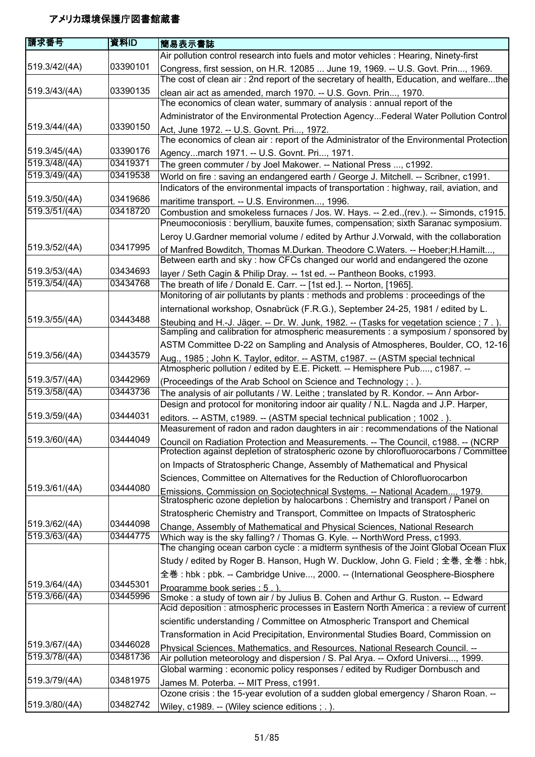| 請求番号          | 資料ID     | 簡易表示書誌                                                                                                                                                                       |
|---------------|----------|------------------------------------------------------------------------------------------------------------------------------------------------------------------------------|
|               |          | Air pollution control research into fuels and motor vehicles : Hearing, Ninety-first                                                                                         |
| 519.3/42/(4A) | 03390101 | Congress, first session, on H.R. 12085  June 19, 1969. -- U.S. Govt. Prin, 1969.                                                                                             |
|               |          | The cost of clean air: 2nd report of the secretary of health, Education, and welfarethe                                                                                      |
| 519.3/43/(4A) | 03390135 | clean air act as amended, march 1970. -- U.S. Govn. Prin, 1970.                                                                                                              |
|               |          | The economics of clean water, summary of analysis : annual report of the                                                                                                     |
|               |          | Administrator of the Environmental Protection AgencyFederal Water Pollution Control                                                                                          |
| 519.3/44/(4A) | 03390150 | Act, June 1972. -- U.S. Govnt. Pri, 1972.                                                                                                                                    |
|               |          | The economics of clean air: report of the Administrator of the Environmental Protection                                                                                      |
| 519.3/45/(4A) | 03390176 | Agencymarch 1971. -- U.S. Govnt. Pri, 1971.                                                                                                                                  |
| 519.3/48/(4A) | 03419371 | The green commuter / by Joel Makower. -- National Press , c1992.                                                                                                             |
| 519.3/49/(4A) | 03419538 | World on fire : saving an endangered earth / George J. Mitchell. -- Scribner, c1991.                                                                                         |
|               |          | Indicators of the environmental impacts of transportation : highway, rail, aviation, and                                                                                     |
| 519.3/50/(4A) | 03419686 | maritime transport. -- U.S. Environmen, 1996.                                                                                                                                |
| 519.3/51/(4A) | 03418720 | Combustion and smokeless furnaces / Jos. W. Hays. -- 2.ed., (rev.). -- Simonds, c1915.                                                                                       |
|               |          | Pneumoconiosis : beryllium, bauxite fumes, compensation; sixth Saranac symposium.                                                                                            |
|               |          | Leroy U.Gardner memorial volume / edited by Arthur J.Vorwald, with the collaboration                                                                                         |
| 519.3/52/(4A) | 03417995 | of Manfred Bowditch, Thomas M.Durkan. Theodore C.Waters. -- Hoeber; H.Hamilt<br>Between earth and sky : how CFCs changed our world and endangered the ozone                  |
| 519.3/53/(4A) | 03434693 | layer / Seth Cagin & Philip Dray. -- 1st ed. -- Pantheon Books, c1993.                                                                                                       |
| 519.3/54/(4A) | 03434768 | The breath of life / Donald E. Carr. -- [1st ed.]. -- Norton, [1965].                                                                                                        |
|               |          | Monitoring of air pollutants by plants : methods and problems : proceedings of the                                                                                           |
|               |          | international workshop, Osnabrück (F.R.G.), September 24-25, 1981 / edited by L.                                                                                             |
| 519.3/55/(4A) | 03443488 | Steubing and H.-J. Jäger. -- Dr. W. Junk, 1982. -- (Tasks for vegetation science; 7.).<br>Sampling and calibration for atmospheric measurements : a symposium / sponsored by |
|               |          | ASTM Committee D-22 on Sampling and Analysis of Atmospheres, Boulder, CO, 12-16                                                                                              |
| 519.3/56/(4A) | 03443579 | Aug., 1985; John K. Taylor, editor. -- ASTM, c1987. -- (ASTM special technical                                                                                               |
|               |          | Atmospheric pollution / edited by E.E. Pickett. -- Hemisphere Pub, c1987. --                                                                                                 |
| 519.3/57/(4A) | 03442969 | (Proceedings of the Arab School on Science and Technology; .).                                                                                                               |
| 519.3/58/(4A) | 03443736 | The analysis of air pollutants / W. Leithe; translated by R. Kondor. -- Ann Arbor-                                                                                           |
|               | 03444031 | Design and protocol for monitoring indoor air quality / N.L. Nagda and J.P. Harper,                                                                                          |
| 519.3/59/(4A) |          | editors. -- ASTM, c1989. -- (ASTM special technical publication; 1002.).                                                                                                     |
| 519.3/60/(4A) | 03444049 | Measurement of radon and radon daughters in air: recommendations of the National                                                                                             |
|               |          | Council on Radiation Protection and Measurements. -- The Council, c1988. -- (NCRP<br>Protection against depletion of stratospheric ozone by chlorofluorocarbons / Committee  |
|               |          | on Impacts of Stratospheric Change, Assembly of Mathematical and Physical                                                                                                    |
|               |          | Sciences, Committee on Alternatives for the Reduction of Chlorofluorocarbon                                                                                                  |
| 519.3/61/(4A) | 03444080 | Emissions. Commission on Sociotechnical Systems. -- National Academ 1979.<br>Stratospheric ozone depletion by halocarbons : Chemistry and transport / Panel on               |
|               |          | Stratospheric Chemistry and Transport, Committee on Impacts of Stratospheric                                                                                                 |
| 519.3/62/(4A) | 03444098 | Change, Assembly of Mathematical and Physical Sciences, National Research                                                                                                    |
| 519.3/63/(4A) | 03444775 | Which way is the sky falling? / Thomas G. Kyle. -- NorthWord Press, c1993.<br>The changing ocean carbon cycle : a midterm synthesis of the Joint Global Ocean Flux           |
|               |          | Study / edited by Roger B. Hanson, Hugh W. Ducklow, John G. Field; 全巻, 全巻: hbk,                                                                                              |
|               |          | 全巻: hbk: pbk. -- Cambridge Unive, 2000. -- (International Geosphere-Biosphere                                                                                                |
| 519.3/64/(4A) | 03445301 | Programme book series : 5.)                                                                                                                                                  |
| 519.3/66/(4A) | 03445996 | Smoke: a study of town air / by Julius B. Cohen and Arthur G. Ruston. -- Edward                                                                                              |
|               |          | Acid deposition : atmospheric processes in Eastern North America : a review of current                                                                                       |
|               |          | scientific understanding / Committee on Atmospheric Transport and Chemical                                                                                                   |
|               |          | Transformation in Acid Precipitation, Environmental Studies Board, Commission on                                                                                             |
| 519.3/67/(4A) | 03446028 | Physical Sciences. Mathematics. and Resources. National Research Council. --                                                                                                 |
| 519.3/78/(4A) | 03481736 | Air pollution meteorology and dispersion / S. Pal Arya. -- Oxford Universi, 1999.                                                                                            |
|               |          | Global warming: economic policy responses / edited by Rudiger Dornbusch and                                                                                                  |
| 519.3/79/(4A) | 03481975 | James M. Poterba. -- MIT Press, c1991.                                                                                                                                       |
| 519.3/80/(4A) | 03482742 | Ozone crisis : the 15-year evolution of a sudden global emergency / Sharon Roan. --                                                                                          |
|               |          | Wiley, c1989. -- (Wiley science editions; .).                                                                                                                                |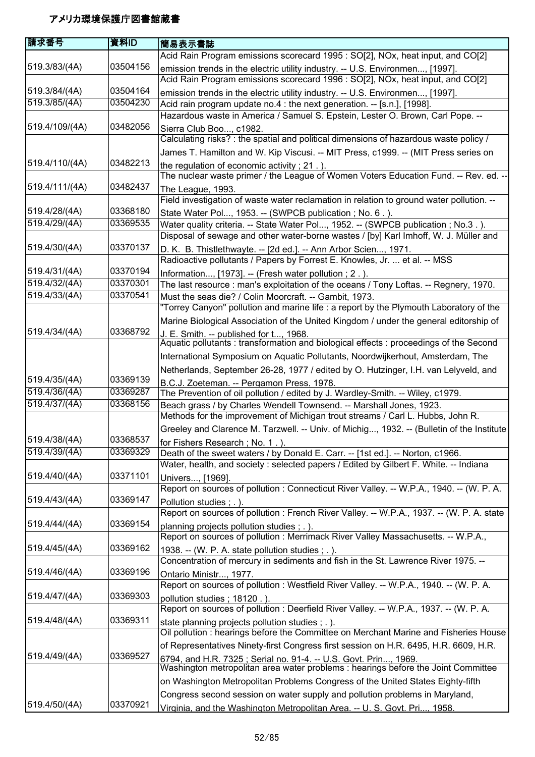| 請求番号                           | 資料ID                 | 簡易表示書誌                                                                                                                                                                    |
|--------------------------------|----------------------|---------------------------------------------------------------------------------------------------------------------------------------------------------------------------|
|                                |                      | Acid Rain Program emissions scorecard 1995 : SO[2], NOx, heat input, and CO[2]                                                                                            |
| 519.3/83/(4A)                  | 03504156             | emission trends in the electric utility industry. -- U.S. Environmen, [1997].                                                                                             |
|                                |                      | Acid Rain Program emissions scorecard 1996 : SO[2], NOx, heat input, and CO[2]                                                                                            |
| 519.3/84/(4A)                  | 03504164             | emission trends in the electric utility industry. -- U.S. Environmen, [1997].                                                                                             |
| 519.3/85/(4A)                  | 03504230             | Acid rain program update no.4 : the next generation. -- [s.n.], [1998].                                                                                                   |
|                                |                      | Hazardous waste in America / Samuel S. Epstein, Lester O. Brown, Carl Pope. --                                                                                            |
| 519.4/109/(4A)                 | 03482056             | Sierra Club Boo, c1982.<br>Calculating risks? : the spatial and political dimensions of hazardous waste policy /                                                          |
|                                |                      | James T. Hamilton and W. Kip Viscusi. -- MIT Press, c1999. -- (MIT Press series on                                                                                        |
| 519.4/110/(4A)                 | 03482213             | the regulation of economic activity; 21.)<br>The nuclear waste primer / the League of Women Voters Education Fund. -- Rev. ed. --                                         |
| 519.4/111/(4A)                 | 03482437             | The League, 1993.                                                                                                                                                         |
|                                |                      | Field investigation of waste water reclamation in relation to ground water pollution. --                                                                                  |
| 519.4/28/(4A)<br>519.4/29/(4A) | 03368180<br>03369535 | State Water Pol, 1953. -- (SWPCB publication; No. 6.).                                                                                                                    |
|                                |                      | Water quality criteria. -- State Water Pol, 1952. -- (SWPCB publication ; No.3.).<br>Disposal of sewage and other water-borne wastes / [by] Karl Imhoff, W. J. Müller and |
| 519.4/30/(4A)                  | 03370137             | D. K. B. Thistlethwayte. -- [2d ed.]. -- Ann Arbor Scien, 1971.                                                                                                           |
|                                |                      | Radioactive pollutants / Papers by Forrest E. Knowles, Jr.  et al. -- MSS                                                                                                 |
| 519.4/31/(4A)                  | 03370194             | Information, [1973]. -- (Fresh water pollution; 2.).                                                                                                                      |
| 519.4/32/(4A)                  | 03370301             | The last resource : man's exploitation of the oceans / Tony Loftas. -- Regnery, 1970.                                                                                     |
| 519.4/33/(4A)                  | 03370541             | Must the seas die? / Colin Moorcraft. -- Gambit, 1973.                                                                                                                    |
|                                |                      | "Torrey Canyon" pollution and marine life : a report by the Plymouth Laboratory of the                                                                                    |
|                                |                      | Marine Biological Association of the United Kingdom / under the general editorship of                                                                                     |
| 519.4/34/(4A)                  | 03368792             | J. E. Smith. -- published for t, 1968.<br>Aquatic pollutants : transformation and biological effects : proceedings of the Second                                          |
|                                |                      | International Symposium on Aquatic Pollutants, Noordwijkerhout, Amsterdam, The                                                                                            |
|                                |                      | Netherlands, September 26-28, 1977 / edited by O. Hutzinger, I.H. van Lelyveld, and                                                                                       |
| 519.4/35/(4A)                  | 03369139             | B.C.J. Zoeteman. -- Pergamon Press. 1978.                                                                                                                                 |
| 519.4/36/(4A)                  | 03369287             | The Prevention of oil pollution / edited by J. Wardley-Smith. -- Wiley, c1979.                                                                                            |
| 519.4/37/(4A)                  | 03368156             | Beach grass / by Charles Wendell Townsend. -- Marshall Jones, 1923.<br>Methods for the improvement of Michigan trout streams / Carl L. Hubbs, John R.                     |
|                                |                      | Greeley and Clarence M. Tarzwell. -- Univ. of Michig, 1932. -- (Bulletin of the Institute                                                                                 |
| 519.4/38/(4A)                  | 03368537             | for Fishers Research; No. 1.).                                                                                                                                            |
| 519.4/39/(4A)                  | 03369329             | Death of the sweet waters / by Donald E. Carr. -- [1st ed.]. -- Norton, c1966.                                                                                            |
|                                |                      | Water, health, and society: selected papers / Edited by Gilbert F. White. -- Indiana                                                                                      |
| 519.4/40/(4A)                  | 03371101             | Univers, [1969].                                                                                                                                                          |
|                                |                      | Report on sources of pollution : Connecticut River Valley. -- W.P.A., 1940. -- (W. P. A.                                                                                  |
| 519.4/43/(4A)                  | 03369147             | Pollution studies ; . ).                                                                                                                                                  |
|                                |                      | Report on sources of pollution : French River Valley. -- W.P.A., 1937. -- (W. P. A. state                                                                                 |
| 519.4/44/(4A)                  | 03369154             | planning projects pollution studies ; . ).                                                                                                                                |
|                                |                      | Report on sources of pollution : Merrimack River Valley Massachusetts. -- W.P.A.,                                                                                         |
| 519.4/45/(4A)                  | 03369162             | 1938. -- (W. P. A. state pollution studies; .).                                                                                                                           |
|                                |                      | Concentration of mercury in sediments and fish in the St. Lawrence River 1975. --                                                                                         |
| 519.4/46/(4A)                  | 03369196             | Ontario Ministr, 1977.                                                                                                                                                    |
|                                |                      | Report on sources of pollution : Westfield River Valley. -- W.P.A., 1940. -- (W. P. A.                                                                                    |
| 519.4/47/(4A)                  | 03369303             | pollution studies; 18120.).                                                                                                                                               |
|                                |                      | Report on sources of pollution : Deerfield River Valley. -- W.P.A., 1937. -- (W. P. A.                                                                                    |
| 519.4/48/(4A)                  | 03369311             | state planning projects pollution studies; .).<br>Oil pollution : hearings before the Committee on Merchant Marine and Fisheries House                                    |
|                                |                      | of Representatives Ninety-first Congress first session on H.R. 6495, H.R. 6609, H.R.                                                                                      |
| 519.4/49/(4A)                  | 03369527             | 6794, and H.R. 7325 ; Serial no. 91-4. -- U.S. Govt. Prin, 1969.<br>Washington metropolitan area water problems : hearings before the Joint Committee                     |
|                                |                      | on Washington Metropolitan Problems Congress of the United States Eighty-fifth                                                                                            |
|                                |                      | Congress second session on water supply and pollution problems in Maryland,                                                                                               |
| 519.4/50/(4A)                  | 03370921             | Virginia, and the Washington Metropolitan Area. -- U. S. Govt. Pri 1958.                                                                                                  |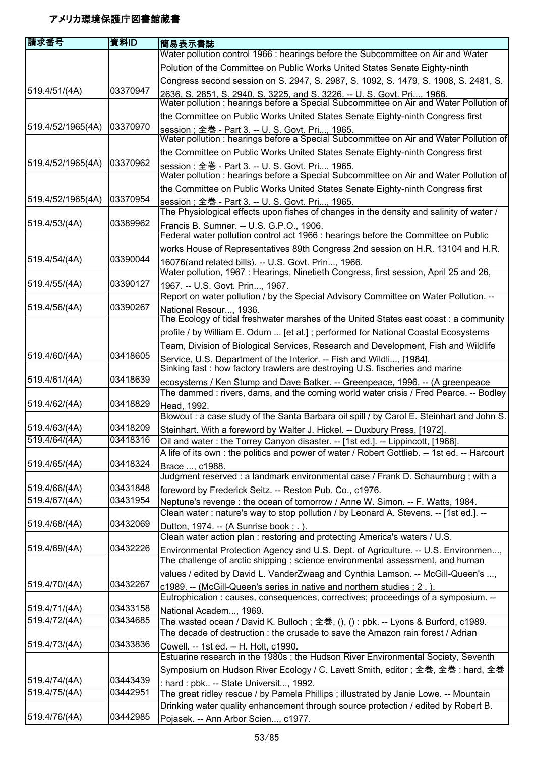| 請求番号                           | 資料ID                 | 簡易表示書誌                                                                                                                                                                 |
|--------------------------------|----------------------|------------------------------------------------------------------------------------------------------------------------------------------------------------------------|
|                                |                      | Water pollution control 1966 : hearings before the Subcommittee on Air and Water                                                                                       |
|                                |                      | Polution of the Committee on Public Works United States Senate Eighty-ninth                                                                                            |
|                                |                      | Congress second session on S. 2947, S. 2987, S. 1092, S. 1479, S. 1908, S. 2481, S.                                                                                    |
| 519.4/51/(4A)                  | 03370947             | 2636, S. 2851, S. 2940, S. 3225, and S. 3226. -- U. S. Govt. Pri, 1966.<br>Water pollution : hearings before a Special Subcommittee on Air and Water Pollution of      |
|                                |                      | the Committee on Public Works United States Senate Eighty-ninth Congress first                                                                                         |
| 519.4/52/1965(4A)              | 03370970             |                                                                                                                                                                        |
|                                |                      | session; 全巻 - Part 3. -- U. S. Govt. Pri, 1965.<br>Water pollution: hearings before a Special Subcommittee on Air and Water Pollution of                               |
|                                |                      | the Committee on Public Works United States Senate Eighty-ninth Congress first                                                                                         |
| 519.4/52/1965(4A)              | 03370962             | session; 全巻 - Part 3. -- U. S. Govt. Pri, 1965.<br>Water pollution : hearings before a Special Subcommittee on Air and Water Pollution of                              |
|                                |                      | the Committee on Public Works United States Senate Eighty-ninth Congress first                                                                                         |
| 519.4/52/1965(4A)              | 03370954             | session; 全巻 - Part 3. -- U. S. Govt. Pri, 1965.                                                                                                                        |
|                                |                      | The Physiological effects upon fishes of changes in the density and salinity of water /                                                                                |
| 519.4/53/(4A)                  | 03389962             | Francis B. Sumner. -- U.S. G.P.O., 1906.                                                                                                                               |
|                                |                      | Federal water pollution control act 1966 : hearings before the Committee on Public                                                                                     |
|                                | 03390044             | works House of Representatives 89th Congress 2nd session on H.R. 13104 and H.R.                                                                                        |
| 519.4/54/(4A)                  |                      | 16076(and related bills). -- U.S. Govt. Prin, 1966.                                                                                                                    |
| 519.4/55/(4A)                  | 03390127             | Water pollution, 1967: Hearings, Ninetieth Congress, first session, April 25 and 26,                                                                                   |
|                                |                      | 1967. -- U.S. Govt. Prin, 1967.<br>Report on water pollution / by the Special Advisory Committee on Water Pollution. --                                                |
| 519.4/56/(4A)                  | 03390267             |                                                                                                                                                                        |
|                                |                      | National Resour, 1936.<br>The Ecology of tidal freshwater marshes of the United States east coast : a community                                                        |
|                                |                      | profile / by William E. Odum  [et al.] ; performed for National Coastal Ecosystems                                                                                     |
|                                |                      | Team, Division of Biological Services, Research and Development, Fish and Wildlife                                                                                     |
| 519.4/60/(4A)                  | 03418605             |                                                                                                                                                                        |
|                                |                      | Service. U.S. Department of the Interior. -- Fish and Wildli [1984]<br>Sinking fast: how factory trawlers are destroying U.S. fischeries and marine                    |
| 519.4/61/(4A)                  | 03418639             | ecosystems / Ken Stump and Dave Batker. -- Greenpeace, 1996. -- (A greenpeace<br>The dammed : rivers, dams, and the coming world water crisis / Fred Pearce. -- Bodley |
| 519.4/62/(4A)                  | 03418829             | Head, 1992.<br>Blowout: a case study of the Santa Barbara oil spill / by Carol E. Steinhart and John S.                                                                |
| 519.4/63/(4A)                  | 03418209             | Steinhart. With a foreword by Walter J. Hickel. -- Duxbury Press, [1972].                                                                                              |
| 519.4/64/(4A)                  | 03418316             | Oil and water: the Torrey Canyon disaster. -- [1st ed.]. -- Lippincott, [1968].                                                                                        |
|                                |                      | A life of its own : the politics and power of water / Robert Gottlieb. -- 1st ed. -- Harcourt                                                                          |
| 519.4/65/(4A)                  | 03418324             | Brace , c1988.                                                                                                                                                         |
|                                |                      | Judgment reserved : a landmark environmental case / Frank D. Schaumburg ; with a                                                                                       |
| 519.4/66/(4A)                  | 03431848             | foreword by Frederick Seitz. -- Reston Pub. Co., c1976.                                                                                                                |
| 519.4/67/(4A)                  | 03431954             | Neptune's revenge : the ocean of tomorrow / Anne W. Simon. -- F. Watts, 1984.                                                                                          |
|                                |                      | Clean water: nature's way to stop pollution / by Leonard A. Stevens. -- [1st ed.]. --                                                                                  |
| 519.4/68/(4A)                  | 03432069             | Dutton, 1974. -- (A Sunrise book; .).                                                                                                                                  |
|                                |                      | Clean water action plan : restoring and protecting America's waters / U.S.                                                                                             |
| 519.4/69/(4A)                  | 03432226             | Environmental Protection Agency and U.S. Dept. of Agriculture. -- U.S. Environmen,<br>The challenge of arctic shipping : science environmental assessment, and human   |
|                                |                      | values / edited by David L. VanderZwaag and Cynthia Lamson. -- McGill-Queen's ,                                                                                        |
| 519.4/70/(4A)                  | 03432267             | c1989. -- (McGill-Queen's series in native and northern studies; 2.)                                                                                                   |
|                                |                      | Eutrophication : causes, consequences, correctives; proceedings of a symposium. --                                                                                     |
| 519.4/71/(4A)                  | 03433158             | National Academ, 1969.                                                                                                                                                 |
| 519.4/72/(4A)                  | 03434685             | The wasted ocean / David K. Bulloch; 全巻, (), () : pbk. -- Lyons & Burford, c1989.                                                                                      |
|                                |                      | The decade of destruction: the crusade to save the Amazon rain forest / Adrian                                                                                         |
| 519.4/73/(4A)                  | 03433836             | Cowell. -- 1st ed. -- H. Holt, c1990.                                                                                                                                  |
|                                |                      | Estuarine research in the 1980s : the Hudson River Environmental Society, Seventh                                                                                      |
|                                |                      | Symposium on Hudson River Ecology / C. Lavett Smith, editor ; 全巻, 全巻 : hard, 全巻                                                                                        |
| 519.4/74/(4A)<br>519.4/75/(4A) | 03443439<br>03442951 | : hard : pbk -- State Universit, 1992.                                                                                                                                 |
|                                |                      | The great ridley rescue / by Pamela Phillips ; illustrated by Janie Lowe. -- Mountain                                                                                  |
| 519.4/76/(4A)                  | 03442985             | Drinking water quality enhancement through source protection / edited by Robert B.                                                                                     |
|                                |                      | Pojasek. -- Ann Arbor Scien, c1977.                                                                                                                                    |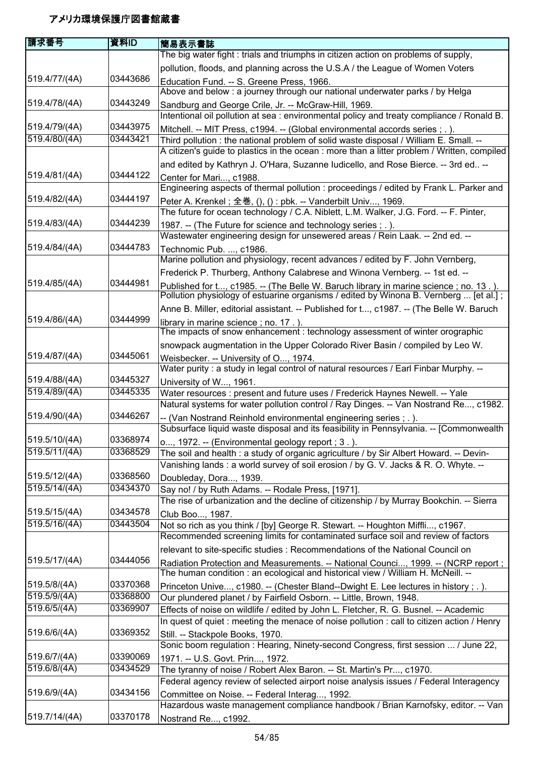| 請求番号          | 資料ID     | 簡易表示書誌                                                                                                                                                               |
|---------------|----------|----------------------------------------------------------------------------------------------------------------------------------------------------------------------|
|               |          | The big water fight : trials and triumphs in citizen action on problems of supply,                                                                                   |
|               |          | pollution, floods, and planning across the U.S.A / the League of Women Voters                                                                                        |
| 519.4/77/(4A) | 03443686 | Education Fund. -- S. Greene Press, 1966.                                                                                                                            |
|               |          | Above and below : a journey through our national underwater parks / by Helga                                                                                         |
| 519.4/78/(4A) | 03443249 | Sandburg and George Crile, Jr. -- McGraw-Hill, 1969.                                                                                                                 |
|               |          | Intentional oil pollution at sea : environmental policy and treaty compliance / Ronald B.                                                                            |
| 519.4/79/(4A) | 03443975 | Mitchell. -- MIT Press, c1994. -- (Global environmental accords series ; . ).                                                                                        |
| 519.4/80/(4A) | 03443421 | Third pollution: the national problem of solid waste disposal / William E. Small. --                                                                                 |
|               |          | A citizen's guide to plastics in the ocean : more than a litter problem / Written, compiled                                                                          |
|               |          | and edited by Kathryn J. O'Hara, Suzanne Iudicello, and Rose Bierce. -- 3rd ed --                                                                                    |
| 519.4/81/(4A) | 03444122 | Center for Mari, c1988.                                                                                                                                              |
|               |          | Engineering aspects of thermal pollution : proceedings / edited by Frank L. Parker and                                                                               |
| 519.4/82/(4A) | 03444197 | Peter A. Krenkel; 全巻, (), (): pbk. -- Vanderbilt Univ, 1969.                                                                                                         |
|               |          | The future for ocean technology / C.A. Niblett, L.M. Walker, J.G. Ford. -- F. Pinter,                                                                                |
| 519.4/83/(4A) | 03444239 | 1987. -- (The Future for science and technology series ; . ).                                                                                                        |
|               |          | Wastewater engineering design for unsewered areas / Rein Laak. -- 2nd ed. --                                                                                         |
| 519.4/84/(4A) | 03444783 | Technomic Pub. , c1986.                                                                                                                                              |
|               |          | Marine pollution and physiology, recent advances / edited by F. John Vernberg,                                                                                       |
|               |          | Frederick P. Thurberg, Anthony Calabrese and Winona Vernberg. -- 1st ed. --                                                                                          |
| 519.4/85/(4A) | 03444981 | Published for t, c1985. -- (The Belle W. Baruch library in marine science; no. 13.).                                                                                 |
|               |          | Pollution physiology of estuarine organisms / edited by Winona B. Vernberg  [et al.];                                                                                |
|               |          | Anne B. Miller, editorial assistant. -- Published for t, c1987. -- (The Belle W. Baruch                                                                              |
| 519.4/86/(4A) | 03444999 | library in marine science; no. 17. ).<br>The impacts of snow enhancement: technology assessment of winter orographic                                                 |
|               |          |                                                                                                                                                                      |
| 519.4/87/(4A) | 03445061 | snowpack augmentation in the Upper Colorado River Basin / compiled by Leo W.                                                                                         |
|               |          | Weisbecker. -- University of O, 1974.                                                                                                                                |
| 519.4/88/(4A) | 03445327 | Water purity : a study in legal control of natural resources / Earl Finbar Murphy. --                                                                                |
| 519.4/89/(4A) | 03445335 | University of W, 1961.                                                                                                                                               |
|               |          | Water resources : present and future uses / Frederick Haynes Newell. -- Yale<br>Natural systems for water pollution control / Ray Dinges. -- Van Nostrand Re, c1982. |
| 519.4/90/(4A) | 03446267 |                                                                                                                                                                      |
|               |          | -- (Van Nostrand Reinhold environmental engineering series ; .).<br>Subsurface liquid waste disposal and its feasibility in Pennsylvania. -- [Commonwealth           |
| 519.5/10/(4A) | 03368974 | o, 1972. -- (Environmental geology report ; 3.).                                                                                                                     |
| 519.5/11/(4A) | 03368529 | The soil and health : a study of organic agriculture / by Sir Albert Howard. -- Devin-                                                                               |
|               |          | Vanishing lands: a world survey of soil erosion / by G. V. Jacks & R. O. Whyte. --                                                                                   |
| 519.5/12/(4A) | 03368560 | Doubleday, Dora, 1939.                                                                                                                                               |
| 519.5/14/(4A) | 03434370 | Say no! / by Ruth Adams. -- Rodale Press, [1971].                                                                                                                    |
|               |          | The rise of urbanization and the decline of citizenship / by Murray Bookchin. -- Sierra                                                                              |
| 519.5/15/(4A) | 03434578 | Club Boo, 1987.                                                                                                                                                      |
| 519.5/16/(4A) | 03443504 | Not so rich as you think / [by] George R. Stewart. -- Houghton Miffli, c1967.                                                                                        |
|               |          | Recommended screening limits for contaminated surface soil and review of factors                                                                                     |
|               |          | relevant to site-specific studies : Recommendations of the National Council on                                                                                       |
| 519.5/17/(4A) | 03444056 | Radiation Protection and Measurements. -- National Counci, 1999. -- (NCRP report;                                                                                    |
|               |          | The human condition: an ecological and historical view / William H. McNeill. --                                                                                      |
| 519.5/8/(4A)  | 03370368 | Princeton Unive, c1980. -- (Chester Bland--Dwight E. Lee lectures in history ; . ).                                                                                  |
| 519.5/9/(4A)  | 03368800 | Our plundered planet / by Fairfield Osborn. -- Little, Brown, 1948.                                                                                                  |
| 519.6/5/(4A)  | 03369907 | Effects of noise on wildlife / edited by John L. Fletcher, R. G. Busnel. -- Academic                                                                                 |
|               |          | In quest of quiet : meeting the menace of noise pollution : call to citizen action / Henry                                                                           |
| 519.6/6/(4A)  | 03369352 | Still. -- Stackpole Books, 1970.                                                                                                                                     |
|               |          | Sonic boom regulation: Hearing, Ninety-second Congress, first session  / June 22,                                                                                    |
| 519.6/7/(4A)  | 03390069 | 1971. -- U.S. Govt. Prin, 1972.                                                                                                                                      |
| 519.6/8/(4A)  | 03434529 | The tyranny of noise / Robert Alex Baron. -- St. Martin's Pr, c1970.                                                                                                 |
|               |          | Federal agency review of selected airport noise analysis issues / Federal Interagency                                                                                |
| 519.6/9/(4A)  | 03434156 | Committee on Noise. -- Federal Interag, 1992.                                                                                                                        |
|               |          | Hazardous waste management compliance handbook / Brian Karnofsky, editor. -- Van                                                                                     |
| 519.7/14/(4A) | 03370178 | Nostrand Re, c1992.                                                                                                                                                  |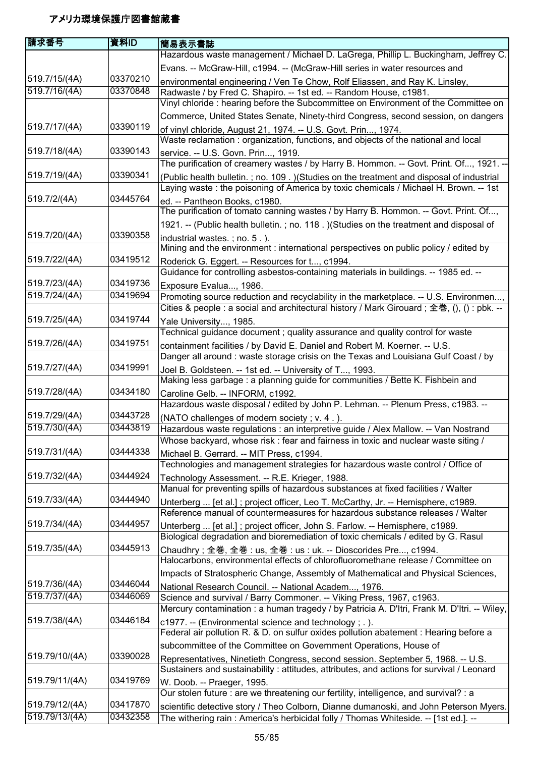| 請求番号           | 資料ID     | 簡易表示書誌                                                                                                                                                           |
|----------------|----------|------------------------------------------------------------------------------------------------------------------------------------------------------------------|
|                |          | Hazardous waste management / Michael D. LaGrega, Phillip L. Buckingham, Jeffrey C.                                                                               |
|                |          | Evans. -- McGraw-Hill, c1994. -- (McGraw-Hill series in water resources and                                                                                      |
| 519.7/15/(4A)  | 03370210 | environmental engineering / Ven Te Chow, Rolf Eliassen, and Ray K. Linsley,                                                                                      |
| 519.7/16/(4A)  | 03370848 | Radwaste / by Fred C. Shapiro. -- 1st ed. -- Random House, c1981.                                                                                                |
|                |          | Vinyl chloride : hearing before the Subcommittee on Environment of the Committee on                                                                              |
|                |          | Commerce, United States Senate, Ninety-third Congress, second session, on dangers                                                                                |
| 519.7/17/(4A)  | 03390119 | of vinyl chloride, August 21, 1974. -- U.S. Govt. Prin, 1974.                                                                                                    |
|                |          | Waste reclamation: organization, functions, and objects of the national and local                                                                                |
| 519.7/18/(4A)  | 03390143 | service. -- U.S. Govn. Prin, 1919.<br>The purification of creamery wastes / by Harry B. Hommon. -- Govt. Print. Of, 1921. --                                     |
| 519.7/19/(4A)  | 03390341 | (Public health bulletin.; no. 109.) (Studies on the treatment and disposal of industrial                                                                         |
|                |          | Laying waste: the poisoning of America by toxic chemicals / Michael H. Brown. -- 1st                                                                             |
| 519.7/2/(4A)   | 03445764 | ed. -- Pantheon Books, c1980.                                                                                                                                    |
|                |          | The purification of tomato canning wastes / by Harry B. Hommon. -- Govt. Print. Of,                                                                              |
|                |          | 1921. -- (Public health bulletin.; no. 118.) (Studies on the treatment and disposal of                                                                           |
| 519.7/20/(4A)  | 03390358 | industrial wastes.; no. 5. ).<br>Mining and the environment : international perspectives on public policy / edited by                                            |
| 519.7/22/(4A)  | 03419512 | Roderick G. Eggert. -- Resources for t, c1994.                                                                                                                   |
|                |          | Guidance for controlling asbestos-containing materials in buildings. -- 1985 ed. --                                                                              |
| 519.7/23/(4A)  | 03419736 | Exposure Evalua, 1986.                                                                                                                                           |
| 519.7/24/(4A)  | 03419694 | Promoting source reduction and recyclability in the marketplace. -- U.S. Environmen,                                                                             |
|                |          | Cities & people : a social and architectural history / Mark Girouard ; 全巻, (), () : pbk. --                                                                      |
| 519.7/25/(4A)  | 03419744 | Yale University, 1985.                                                                                                                                           |
|                |          | Technical guidance document; quality assurance and quality control for waste                                                                                     |
| 519.7/26/(4A)  | 03419751 | containment facilities / by David E. Daniel and Robert M. Koerner. -- U.S.                                                                                       |
|                |          | Danger all around : waste storage crisis on the Texas and Louisiana Gulf Coast / by                                                                              |
| 519.7/27/(4A)  | 03419991 | Joel B. Goldsteen. -- 1st ed. -- University of T, 1993.                                                                                                          |
|                |          | Making less garbage: a planning guide for communities / Bette K. Fishbein and                                                                                    |
| 519.7/28/(4A)  | 03434180 | Caroline Gelb. -- INFORM, c1992.                                                                                                                                 |
|                |          | Hazardous waste disposal / edited by John P. Lehman. -- Plenum Press, c1983. --                                                                                  |
| 519.7/29/(4A)  | 03443728 | (NATO challenges of modern society; v. 4.).                                                                                                                      |
| 519.7/30/(4A)  | 03443819 | Hazardous waste regulations : an interpretive guide / Alex Mallow. -- Van Nostrand                                                                               |
|                |          | Whose backyard, whose risk : fear and fairness in toxic and nuclear waste siting /                                                                               |
| 519.7/31/(4A)  | 03444338 | Michael B. Gerrard. -- MIT Press, c1994.                                                                                                                         |
|                |          | Technologies and management strategies for hazardous waste control / Office of                                                                                   |
| 519.7/32/(4A)  | 03444924 | Technology Assessment. -- R.E. Krieger, 1988.                                                                                                                    |
|                |          | Manual for preventing spills of hazardous substances at fixed facilities / Walter                                                                                |
| 519.7/33/(4A)  | 03444940 | Unterberg  [et al.]; project officer, Leo T. McCarthy, Jr. -- Hemisphere, c1989.                                                                                 |
|                |          | Reference manual of countermeasures for hazardous substance releases / Walter                                                                                    |
| 519.7/34/(4A)  | 03444957 | Unterberg  [et al.]; project officer, John S. Farlow. -- Hemisphere, c1989.<br>Biological degradation and bioremediation of toxic chemicals / edited by G. Rasul |
| 519.7/35/(4A)  | 03445913 | Chaudhry ; 全巻, 全巻 : us, 全巻 : us : uk. -- Dioscorides Pre, c1994.                                                                                                 |
|                |          | Halocarbons, environmental effects of chlorofluoromethane release / Committee on                                                                                 |
|                |          | Impacts of Stratospheric Change, Assembly of Mathematical and Physical Sciences,                                                                                 |
| 519.7/36/(4A)  | 03446044 | National Research Council. -- National Academ, 1976.                                                                                                             |
| 519.7/37/(4A)  | 03446069 | Science and survival / Barry Commoner. -- Viking Press, 1967, c1963.                                                                                             |
|                |          | Mercury contamination : a human tragedy / by Patricia A. D'Itri, Frank M. D'Itri. -- Wiley,                                                                      |
| 519.7/38/(4A)  | 03446184 | c1977. -- (Environmental science and technology; .).                                                                                                             |
|                |          | Federal air pollution R. & D. on sulfur oxides pollution abatement : Hearing before a                                                                            |
|                |          | subcommittee of the Committee on Government Operations, House of                                                                                                 |
| 519.79/10/(4A) | 03390028 | Representatives, Ninetieth Congress, second session. September 5, 1968. -- U.S.                                                                                  |
|                |          | Sustainers and sustainability : attitudes, attributes, and actions for survival / Leonard                                                                        |
| 519.79/11/(4A) | 03419769 | W. Doob. -- Praeger, 1995.                                                                                                                                       |
|                |          | Our stolen future : are we threatening our fertility, intelligence, and survival? : a                                                                            |
| 519.79/12/(4A) | 03417870 | scientific detective story / Theo Colborn, Dianne dumanoski, and John Peterson Myers.                                                                            |
| 519.79/13/(4A) | 03432358 | The withering rain: America's herbicidal folly / Thomas Whiteside. -- [1st ed.]. --                                                                              |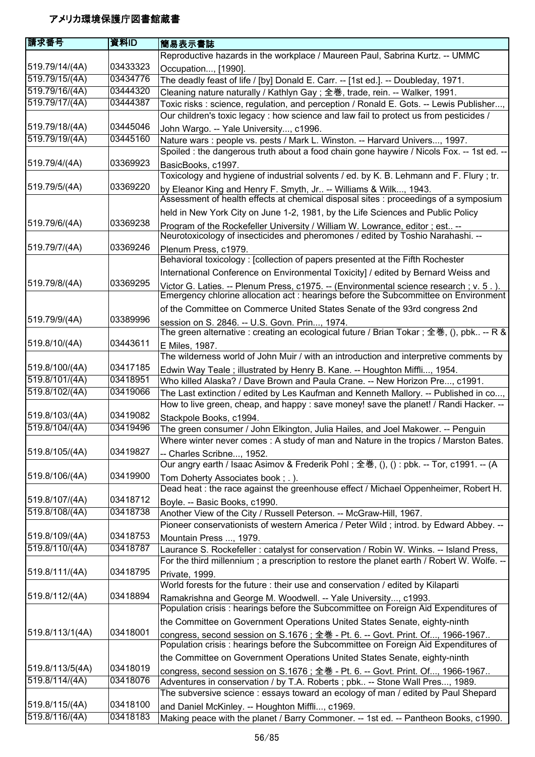| 請求番号            | 資料ID     | 簡易表示書誌                                                                                                                                                                        |
|-----------------|----------|-------------------------------------------------------------------------------------------------------------------------------------------------------------------------------|
|                 |          | Reproductive hazards in the workplace / Maureen Paul, Sabrina Kurtz. -- UMMC                                                                                                  |
| 519.79/14/(4A)  | 03433323 | Occupation, [1990].                                                                                                                                                           |
| 519.79/15/(4A)  | 03434776 | The deadly feast of life / [by] Donald E. Carr. -- [1st ed.]. -- Doubleday, 1971.                                                                                             |
| 519.79/16/(4A)  | 03444320 | Cleaning nature naturally / Kathlyn Gay; 全巻, trade, rein. -- Walker, 1991.                                                                                                    |
| 519.79/17/(4A)  | 03444387 | Toxic risks: science, regulation, and perception / Ronald E. Gots. -- Lewis Publisher,                                                                                        |
|                 |          | Our children's toxic legacy : how science and law fail to protect us from pesticides /                                                                                        |
| 519.79/18/(4A)  | 03445046 | John Wargo. -- Yale University, c1996.                                                                                                                                        |
| 519.79/19/(4A)  | 03445160 | Nature wars : people vs. pests / Mark L. Winston. -- Harvard Univers, 1997.                                                                                                   |
|                 |          | Spoiled : the dangerous truth about a food chain gone haywire / Nicols Fox. -- 1st ed. --                                                                                     |
| 519.79/4/(4A)   | 03369923 | BasicBooks, c1997.                                                                                                                                                            |
|                 |          | Toxicology and hygiene of industrial solvents / ed. by K. B. Lehmann and F. Flury; tr.                                                                                        |
| 519.79/5/(4A)   | 03369220 | by Eleanor King and Henry F. Smyth, Jr -- Williams & Wilk, 1943.                                                                                                              |
|                 |          | Assessment of health effects at chemical disposal sites : proceedings of a symposium                                                                                          |
|                 |          | held in New York City on June 1-2, 1981, by the Life Sciences and Public Policy                                                                                               |
| 519.79/6/(4A)   | 03369238 |                                                                                                                                                                               |
|                 |          | Program of the Rockefeller University / William W. Lowrance, editor; est --<br>Neurotoxicology of insecticides and pheromones / edited by Toshio Narahashi. --                |
| 519.79/7/(4A)   | 03369246 | Plenum Press, c1979.                                                                                                                                                          |
|                 |          | Behavioral toxicology: [collection of papers presented at the Fifth Rochester                                                                                                 |
|                 |          | International Conference on Environmental Toxicity] / edited by Bernard Weiss and                                                                                             |
| 519.79/8/(4A)   | 03369295 |                                                                                                                                                                               |
|                 |          | Victor G. Laties. -- Plenum Press, c1975. -- (Environmental science research ; v. 5.).<br>Emergency chlorine allocation act : hearings before the Subcommittee on Environment |
|                 |          |                                                                                                                                                                               |
| 519.79/9/(4A)   | 03389996 | of the Committee on Commerce United States Senate of the 93rd congress 2nd                                                                                                    |
|                 |          | session on S. 2846. -- U.S. Govn. Prin, 1974.                                                                                                                                 |
|                 |          | The green alternative : creating an ecological future / Brian Tokar ; 全巻, (), pbk -- R &                                                                                      |
| 519.8/10/(4A)   | 03443611 | E Miles, 1987.                                                                                                                                                                |
|                 |          | The wilderness world of John Muir / with an introduction and interpretive comments by                                                                                         |
| 519.8/100/(4A)  | 03417185 | Edwin Way Teale; illustrated by Henry B. Kane. -- Houghton Miffli, 1954.                                                                                                      |
| 519.8/101/(4A)  | 03418951 | Who killed Alaska? / Dave Brown and Paula Crane. -- New Horizon Pre, c1991.                                                                                                   |
| 519.8/102/(4A)  | 03419066 | The Last extinction / edited by Les Kaufman and Kenneth Mallory. -- Published in co,                                                                                          |
|                 |          | How to live green, cheap, and happy : save money! save the planet! / Randi Hacker. --                                                                                         |
| 519.8/103/(4A)  | 03419082 | Stackpole Books, c1994.                                                                                                                                                       |
| 519.8/104/(4A)  | 03419496 | The green consumer / John Elkington, Julia Hailes, and Joel Makower. -- Penguin                                                                                               |
|                 |          | Where winter never comes : A study of man and Nature in the tropics / Marston Bates.                                                                                          |
| 519.8/105/(4A)  | 03419827 | -- Charles Scribne, 1952.                                                                                                                                                     |
|                 |          | Our angry earth / Isaac Asimov & Frederik Pohl ; 全巻, (), () : pbk. -- Tor, c1991. -- (A                                                                                       |
| 519.8/106/(4A)  | 03419900 | Tom Doherty Associates book; .).                                                                                                                                              |
|                 |          | Dead heat : the race against the greenhouse effect / Michael Oppenheimer, Robert H.                                                                                           |
| 519.8/107/(4A)  | 03418712 | Boyle. -- Basic Books, c1990.                                                                                                                                                 |
| 519.8/108/(4A)  | 03418738 | Another View of the City / Russell Peterson. -- McGraw-Hill, 1967.                                                                                                            |
|                 |          | Pioneer conservationists of western America / Peter Wild; introd. by Edward Abbey. --                                                                                         |
| 519.8/109/(4A)  | 03418753 | Mountain Press , 1979.                                                                                                                                                        |
| 519.8/110/(4A)  | 03418787 | Laurance S. Rockefeller: catalyst for conservation / Robin W. Winks. -- Island Press,                                                                                         |
|                 |          | For the third millennium; a prescription to restore the planet earth / Robert W. Wolfe. --                                                                                    |
| 519.8/111/(4A)  | 03418795 | Private, 1999.                                                                                                                                                                |
|                 |          | World forests for the future : their use and conservation / edited by Kilaparti                                                                                               |
| 519.8/112/(4A)  | 03418894 | Ramakrishna and George M. Woodwell. -- Yale University, c1993.                                                                                                                |
|                 |          | Population crisis : hearings before the Subcommittee on Foreign Aid Expenditures of                                                                                           |
|                 |          | the Committee on Government Operations United States Senate, eighty-ninth                                                                                                     |
| 519.8/113/1(4A) | 03418001 | congress, second session on S.1676; 全巻 - Pt. 6. -- Govt. Print. Of, 1966-1967                                                                                                 |
|                 |          | Population crisis : hearings before the Subcommittee on Foreign Aid Expenditures of                                                                                           |
|                 |          | the Committee on Government Operations United States Senate, eighty-ninth                                                                                                     |
| 519.8/113/5(4A) | 03418019 | congress, second session on S.1676; 全巻 - Pt. 6. -- Govt. Print. Of, 1966-1967                                                                                                 |
| 519.8/114/(4A)  | 03418076 | Adventures in conservation / by T.A. Roberts ; pbk -- Stone Wall Pres, 1989.                                                                                                  |
|                 |          | The subversive science : essays toward an ecology of man / edited by Paul Shepard                                                                                             |
| 519.8/115/(4A)  | 03418100 | and Daniel McKinley. -- Houghton Miffli, c1969.                                                                                                                               |
| 519.8/116/(4A)  | 03418183 | Making peace with the planet / Barry Commoner. -- 1st ed. -- Pantheon Books, c1990.                                                                                           |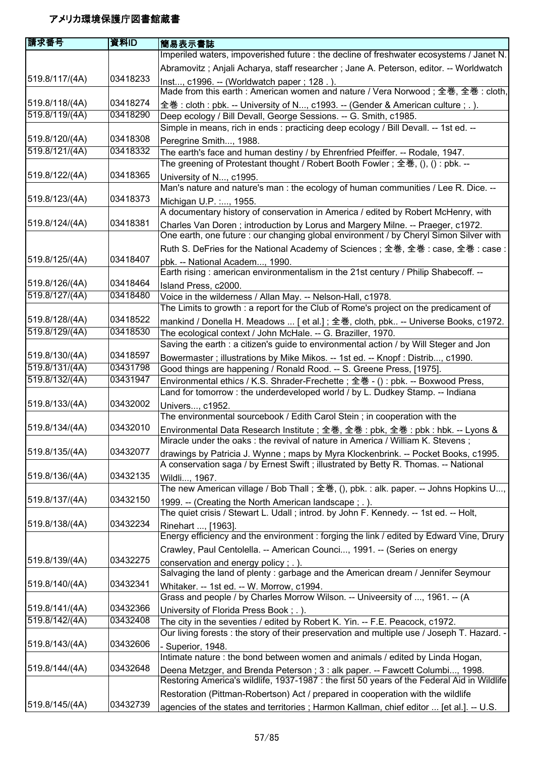| 請求番号           | 資料ID     | 簡易表示書誌                                                                                                                                                                  |
|----------------|----------|-------------------------------------------------------------------------------------------------------------------------------------------------------------------------|
|                |          | Imperiled waters, impoverished future : the decline of freshwater ecosystems / Janet N.                                                                                 |
|                |          | Abramovitz; Anjali Acharya, staff researcher; Jane A. Peterson, editor. -- Worldwatch                                                                                   |
| 519.8/117/(4A) | 03418233 | Inst, c1996. -- (Worldwatch paper; 128.).                                                                                                                               |
|                |          | Made from this earth : American women and nature / Vera Norwood; 全巻, 全巻 : cloth,                                                                                        |
| 519.8/118/(4A) | 03418274 | 全巻: cloth : pbk. -- University of N, c1993. -- (Gender & American culture ; .).                                                                                         |
| 519.8/119/(4A) | 03418290 | Deep ecology / Bill Devall, George Sessions. -- G. Smith, c1985.                                                                                                        |
|                |          | Simple in means, rich in ends : practicing deep ecology / Bill Devall. -- 1st ed. --                                                                                    |
| 519.8/120/(4A) | 03418308 | Peregrine Smith, 1988.                                                                                                                                                  |
| 519.8/121/(4A) | 03418332 | The earth's face and human destiny / by Ehrenfried Pfeiffer. -- Rodale, 1947.                                                                                           |
|                |          | The greening of Protestant thought / Robert Booth Fowler; 全巻, (), () : pbk. --                                                                                          |
| 519.8/122/(4A) | 03418365 | University of N, c1995.                                                                                                                                                 |
|                |          | Man's nature and nature's man : the ecology of human communities / Lee R. Dice. --                                                                                      |
| 519.8/123/(4A) | 03418373 | Michigan U.P. :, 1955.                                                                                                                                                  |
|                |          | A documentary history of conservation in America / edited by Robert McHenry, with                                                                                       |
| 519.8/124/(4A) | 03418381 | Charles Van Doren; introduction by Lorus and Margery Milne. -- Praeger, c1972.                                                                                          |
|                |          | One earth, one future : our changing global environment / by Cheryl Simon Silver with                                                                                   |
|                |          | Ruth S. DeFries for the National Academy of Sciences; 全巻, 全巻: case, 全巻: case:                                                                                           |
| 519.8/125/(4A) | 03418407 | pbk. -- National Academ, 1990.                                                                                                                                          |
|                |          | Earth rising: american environmentalism in the 21st century / Philip Shabecoff. --                                                                                      |
| 519.8/126/(4A) | 03418464 | Island Press, c2000.                                                                                                                                                    |
| 519.8/127/(4A) | 03418480 | Voice in the wilderness / Allan May. -- Nelson-Hall, c1978.                                                                                                             |
|                |          | The Limits to growth : a report for the Club of Rome's project on the predicament of                                                                                    |
| 519.8/128/(4A) | 03418522 | mankind / Donella H. Meadows  [ et al.]; 全巻, cloth, pbk -- Universe Books, c1972.                                                                                       |
| 519.8/129/(4A) | 03418530 | The ecological context / John McHale. -- G. Braziller, 1970.                                                                                                            |
|                |          | Saving the earth : a citizen's guide to environmental action / by Will Steger and Jon                                                                                   |
| 519.8/130/(4A) | 03418597 | Bowermaster ; illustrations by Mike Mikos. -- 1st ed. -- Knopf : Distrib, c1990.                                                                                        |
| 519.8/131/(4A) | 03431798 | Good things are happening / Ronald Rood. -- S. Greene Press, [1975].                                                                                                    |
| 519.8/132/(4A) | 03431947 | Environmental ethics / K.S. Shrader-Frechette; 全巻 - (): pbk. -- Boxwood Press,                                                                                          |
|                |          | Land for tomorrow: the underdeveloped world / by L. Dudkey Stamp. -- Indiana                                                                                            |
| 519.8/133/(4A) | 03432002 | Univers, c1952.                                                                                                                                                         |
| 519.8/134/(4A) | 03432010 | The environmental sourcebook / Edith Carol Stein; in cooperation with the                                                                                               |
|                |          | Environmental Data Research Institute; 全巻, 全巻: pbk, 全巻: pbk : hbk. -- Lyons &<br>Miracle under the oaks : the revival of nature in America / William K. Stevens;        |
| 519.8/135/(4A) | 03432077 |                                                                                                                                                                         |
|                |          | drawings by Patricia J. Wynne; maps by Myra Klockenbrink. -- Pocket Books, c1995.<br>A conservation saga / by Ernest Swift; illustrated by Betty R. Thomas. -- National |
| 519.8/136/(4A) | 03432135 |                                                                                                                                                                         |
|                |          | Wildli, 1967.<br>The new American village / Bob Thall ; 全巻, (), pbk. : alk. paper. -- Johns Hopkins U,                                                                  |
| 519.8/137/(4A) | 03432150 |                                                                                                                                                                         |
|                |          | 1999. -- (Creating the North American landscape; .).<br>The quiet crisis / Stewart L. Udall; introd. by John F. Kennedy. -- 1st ed. -- Holt,                            |
| 519.8/138/(4A) | 03432234 |                                                                                                                                                                         |
|                |          | Rinehart , [1963].<br>Energy efficiency and the environment : forging the link / edited by Edward Vine, Drury                                                           |
|                |          | Crawley, Paul Centolella. -- American Counci, 1991. -- (Series on energy                                                                                                |
| 519.8/139/(4A) | 03432275 | conservation and energy policy; .).                                                                                                                                     |
|                |          | Salvaging the land of plenty : garbage and the American dream / Jennifer Seymour                                                                                        |
| 519.8/140/(4A) | 03432341 | Whitaker. -- 1st ed. -- W. Morrow, c1994.                                                                                                                               |
|                |          | Grass and people / by Charles Morrow Wilson. -- Univeersity of , 1961. -- (A                                                                                            |
| 519.8/141/(4A) | 03432366 | University of Florida Press Book; .).                                                                                                                                   |
| 519.8/142/(4A) | 03432408 | The city in the seventies / edited by Robert K. Yin. -- F.E. Peacock, c1972.                                                                                            |
|                |          | Our living forests : the story of their preservation and multiple use / Joseph T. Hazard. -                                                                             |
| 519.8/143/(4A) | 03432606 | Superior, 1948.                                                                                                                                                         |
|                |          | Intimate nature : the bond between women and animals / edited by Linda Hogan,                                                                                           |
| 519.8/144/(4A) | 03432648 | Deena Metzger, and Brenda Peterson; 3: alk paper. -- Fawcett Columbi, 1998.                                                                                             |
|                |          | Restoring America's wildlife, 1937-1987 : the first 50 years of the Federal Aid in Wildlife                                                                             |
|                |          | Restoration (Pittman-Robertson) Act / prepared in cooperation with the wildlife                                                                                         |
| 519.8/145/(4A) | 03432739 | agencies of the states and territories; Harmon Kallman, chief editor  [et al.]. -- U.S.                                                                                 |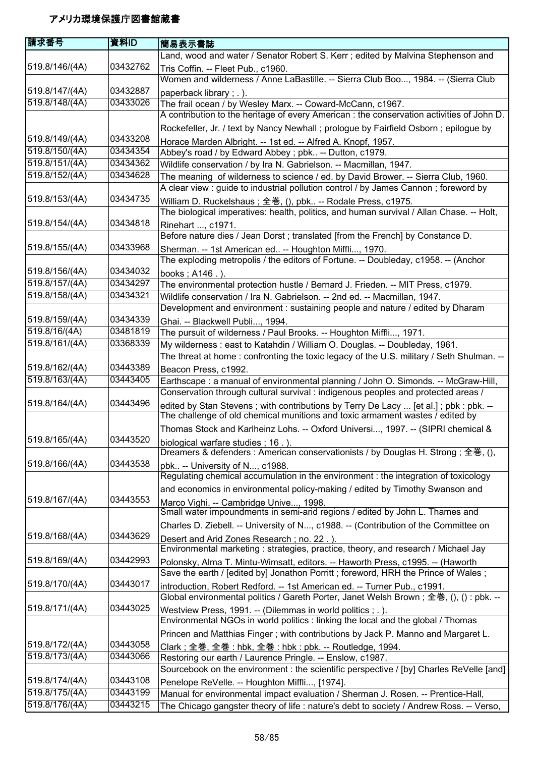| 請求番号           | 資料ID     | 簡易表示書誌                                                                                                                                      |
|----------------|----------|---------------------------------------------------------------------------------------------------------------------------------------------|
|                |          | Land, wood and water / Senator Robert S. Kerr; edited by Malvina Stephenson and                                                             |
| 519.8/146/(4A) | 03432762 | Tris Coffin. -- Fleet Pub., c1960.                                                                                                          |
|                |          | Women and wilderness / Anne LaBastille. -- Sierra Club Boo, 1984. -- (Sierra Club                                                           |
| 519.8/147/(4A) | 03432887 | paperback library; .).                                                                                                                      |
| 519.8/148/(4A) | 03433026 | The frail ocean / by Wesley Marx. -- Coward-McCann, c1967.                                                                                  |
|                |          | A contribution to the heritage of every American : the conservation activities of John D.                                                   |
|                |          | Rockefeller, Jr. / text by Nancy Newhall; prologue by Fairfield Osborn; epilogue by                                                         |
| 519.8/149/(4A) | 03433208 | Horace Marden Albright. -- 1st ed. -- Alfred A. Knopf, 1957.                                                                                |
| 519.8/150/(4A) | 03434354 | Abbey's road / by Edward Abbey ; pbk -- Dutton, c1979.                                                                                      |
| 519.8/151/(4A) | 03434362 | Wildlife conservation / by Ira N. Gabrielson. -- Macmillan, 1947.                                                                           |
| 519.8/152/(4A) | 03434628 | The meaning of wilderness to science / ed. by David Brower. -- Sierra Club, 1960.                                                           |
|                |          | A clear view : guide to industrial pollution control / by James Cannon ; foreword by                                                        |
| 519.8/153/(4A) | 03434735 | William D. Ruckelshaus; 全巻, (), pbk -- Rodale Press, c1975.                                                                                 |
| 519.8/154/(4A) | 03434818 | The biological imperatives: health, politics, and human survival / Allan Chase. -- Holt,                                                    |
|                |          | Rinehart , c1971.<br>Before nature dies / Jean Dorst ; translated [from the French] by Constance D.                                         |
| 519.8/155/(4A) | 03433968 |                                                                                                                                             |
|                |          | Sherman. -- 1st American ed -- Houghton Miffli, 1970.<br>The exploding metropolis / the editors of Fortune. -- Doubleday, c1958. -- (Anchor |
| 519.8/156/(4A) | 03434032 | books; A146.).                                                                                                                              |
| 519.8/157/(4A) | 03434297 | The environmental protection hustle / Bernard J. Frieden. -- MIT Press, c1979.                                                              |
| 519.8/158/(4A) | 03434321 | Wildlife conservation / Ira N. Gabrielson. -- 2nd ed. -- Macmillan, 1947.                                                                   |
|                |          | Development and environment : sustaining people and nature / edited by Dharam                                                               |
| 519.8/159/(4A) | 03434339 | Ghai. -- Blackwell Publi, 1994.                                                                                                             |
| 519.8/16/(4A)  | 03481819 | The pursuit of wilderness / Paul Brooks. -- Houghton Miffli, 1971.                                                                          |
| 519.8/161/(4A) | 03368339 | My wilderness: east to Katahdin / William O. Douglas. -- Doubleday, 1961.                                                                   |
|                |          | The threat at home: confronting the toxic legacy of the U.S. military / Seth Shulman. --                                                    |
| 519.8/162/(4A) | 03443389 | Beacon Press, c1992.                                                                                                                        |
| 519.8/163/(4A) | 03443405 | Earthscape: a manual of environmental planning / John O. Simonds. -- McGraw-Hill,                                                           |
|                |          | Conservation through cultural survival : indigenous peoples and protected areas /                                                           |
| 519.8/164/(4A) | 03443496 | edited by Stan Stevens; with contributions by Terry De Lacy  [et al.]; pbk : pbk. --                                                        |
|                |          | The challenge of old chemical munitions and toxic armament wastes / edited by                                                               |
|                |          | Thomas Stock and Karlheinz Lohs. -- Oxford Universi, 1997. -- (SIPRI chemical &                                                             |
| 519.8/165/(4A) | 03443520 | biological warfare studies; 16.).                                                                                                           |
|                |          | Dreamers & defenders : American conservationists / by Douglas H. Strong ; 全巻, (),                                                           |
| 519.8/166/(4A) | 03443538 | pbk -- University of N, c1988.<br>Regulating chemical accumulation in the environment : the integration of toxicology                       |
|                |          |                                                                                                                                             |
| 519.8/167/(4A) | 03443553 | and economics in environmental policy-making / edited by Timothy Swanson and                                                                |
|                |          | Marco Vighi. -- Cambridge Unive, 1998.<br>Small water impoundments in semi-arid regions / edited by John L. Thames and                      |
|                |          | Charles D. Ziebell. -- University of N, c1988. -- (Contribution of the Committee on                                                         |
| 519.8/168/(4A) | 03443629 | Desert and Arid Zones Research; no. 22.).                                                                                                   |
|                |          | Environmental marketing : strategies, practice, theory, and research / Michael Jay                                                          |
| 519.8/169/(4A) | 03442993 | Polonsky, Alma T. Mintu-Wimsatt, editors. -- Haworth Press, c1995. -- (Haworth                                                              |
|                |          | Save the earth / [edited by] Jonathon Porritt; foreword, HRH the Prince of Wales;                                                           |
| 519.8/170/(4A) | 03443017 | introduction, Robert Redford. -- 1st American ed. -- Turner Pub., c1991.                                                                    |
|                |          | Global environmental politics / Gareth Porter, Janet Welsh Brown; 全巻, (), (): pbk. --                                                       |
| 519.8/171/(4A) | 03443025 | Westview Press, 1991. -- (Dilemmas in world politics ; .).                                                                                  |
|                |          | Environmental NGOs in world politics : linking the local and the global / Thomas                                                            |
|                |          | Princen and Matthias Finger; with contributions by Jack P. Manno and Margaret L.                                                            |
| 519.8/172/(4A) | 03443058 | Clark; 全巻, 全巻: hbk, 全巻: hbk: pbk. -- Routledge, 1994.                                                                                       |
| 519.8/173/(4A) | 03443066 | Restoring our earth / Laurence Pringle. -- Enslow, c1987.                                                                                   |
| 519.8/174/(4A) | 03443108 | Sourcebook on the environment : the scientific perspective / [by] Charles ReVelle [and]                                                     |
| 519.8/175/(4A) | 03443199 | Penelope ReVelle. -- Houghton Miffli, [1974].                                                                                               |
| 519.8/176/(4A) | 03443215 | Manual for environmental impact evaluation / Sherman J. Rosen. -- Prentice-Hall,                                                            |
|                |          | The Chicago gangster theory of life: nature's debt to society / Andrew Ross. -- Verso,                                                      |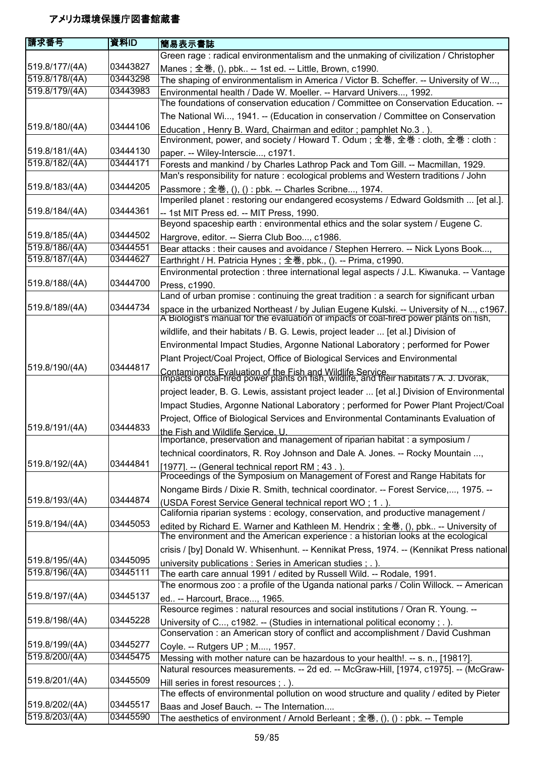| 請求番号                             | 資料ID                 | 簡易表示書誌                                                                                                                                                                           |
|----------------------------------|----------------------|----------------------------------------------------------------------------------------------------------------------------------------------------------------------------------|
|                                  |                      | Green rage: radical environmentalism and the unmaking of civilization / Christopher                                                                                              |
| 519.8/177/(4A)                   | 03443827             | Manes; 全巻, (), pbk -- 1st ed. -- Little, Brown, c1990.                                                                                                                           |
| 519.8/178/(4A)                   | 03443298             | The shaping of environmentalism in America / Victor B. Scheffer. -- University of W,                                                                                             |
| 519.8/179/(4A)                   | 03443983             | Environmental health / Dade W. Moeller. -- Harvard Univers, 1992.                                                                                                                |
|                                  |                      | The foundations of conservation education / Committee on Conservation Education. --                                                                                              |
|                                  |                      | The National Wi, 1941. -- (Education in conservation / Committee on Conservation                                                                                                 |
| 519.8/180/(4A)                   | 03444106             | Education, Henry B. Ward, Chairman and editor; pamphlet No.3.).                                                                                                                  |
|                                  |                      | Environment, power, and society / Howard T. Odum; 全巻, 全巻: cloth, 全巻: cloth:                                                                                                      |
| 519.8/181/(4A)                   | 03444130             | paper. -- Wiley-Interscie, c1971.                                                                                                                                                |
| 519.8/182/(4A)                   | 03444171             | Forests and mankind / by Charles Lathrop Pack and Tom Gill. -- Macmillan, 1929.                                                                                                  |
|                                  |                      | Man's responsibility for nature : ecological problems and Western traditions / John                                                                                              |
| 519.8/183/(4A)                   | 03444205             | Passmore; 全巻, (), () : pbk. -- Charles Scribne, 1974.                                                                                                                            |
|                                  |                      | Imperiled planet : restoring our endangered ecosystems / Edward Goldsmith  [et al.].                                                                                             |
| 519.8/184/(4A)                   | 03444361             | -- 1st MIT Press ed. -- MIT Press, 1990.                                                                                                                                         |
|                                  |                      | Beyond spaceship earth : environmental ethics and the solar system / Eugene C.                                                                                                   |
| 519.8/185/(4A)                   | 03444502             | Hargrove, editor. -- Sierra Club Boo, c1986.                                                                                                                                     |
| 519.8/186/(4A)                   | 03444551             | Bear attacks : their causes and avoidance / Stephen Herrero. -- Nick Lyons Book,                                                                                                 |
| 519.8/187/(4A)                   | 03444627             | Earthright / H. Patricia Hynes; 全巻, pbk., (). -- Prima, c1990.                                                                                                                   |
|                                  |                      | Environmental protection : three international legal aspects / J.L. Kiwanuka. -- Vantage                                                                                         |
| 519.8/188/(4A)                   | 03444700             | Press, c1990.                                                                                                                                                                    |
|                                  |                      | Land of urban promise: continuing the great tradition: a search for significant urban                                                                                            |
| 519.8/189/(4A)                   | 03444734             | space in the urbanized Northeast / by Julian Eugene Kulski. -- University of N, c1967.<br>A Biologist's manual for the evaluation of impacts of coal-fired power plants on fish, |
|                                  |                      | wildlife, and their habitats / B. G. Lewis, project leader  [et al.] Division of                                                                                                 |
|                                  |                      | Environmental Impact Studies, Argonne National Laboratory; performed for Power                                                                                                   |
|                                  |                      | Plant Project/Coal Project, Office of Biological Services and Environmental                                                                                                      |
| 519.8/190/(4A)                   | 03444817             | Contaminants Evaluation of the Fish and Wildlife Service.<br>Impacts of coal-fired power plants on fish, wildlife, and their habitats / A. J. Dvorak,                            |
|                                  |                      |                                                                                                                                                                                  |
|                                  |                      | project leader, B. G. Lewis, assistant project leader  [et al.] Division of Environmental                                                                                        |
|                                  |                      | Impact Studies, Argonne National Laboratory ; performed for Power Plant Project/Coal                                                                                             |
|                                  |                      | Project, Office of Biological Services and Environmental Contaminants Evaluation of                                                                                              |
| 519.8/191/(4A)                   | 03444833             | the Fish and Wildlife Service. U.<br>Importance, preservation and management of riparian habitat : a symposium /                                                                 |
|                                  |                      | technical coordinators, R. Roy Johnson and Dale A. Jones. -- Rocky Mountain ,                                                                                                    |
| 519.8/192/(4A)                   | 03444841             | [1977]. -- (General technical report RM; 43.).                                                                                                                                   |
|                                  |                      | Proceedings of the Symposium on Management of Forest and Range Habitats for                                                                                                      |
|                                  |                      | Nongame Birds / Dixie R. Smith, technical coordinator. -- Forest Service,, 1975. --                                                                                              |
| 519.8/193/(4A)                   | 03444874             | (USDA Forest Service General technical report WO; 1.).                                                                                                                           |
|                                  |                      | California riparian systems : ecology, conservation, and productive management /                                                                                                 |
| 519.8/194/(4A)                   | 03445053             | edited by Richard E. Warner and Kathleen M. Hendrix; 全巻, (), pbk -- University of                                                                                                |
|                                  |                      | The environment and the American experience : a historian looks at the ecological                                                                                                |
|                                  |                      | crisis / [by] Donald W. Whisenhunt. -- Kennikat Press, 1974. -- (Kennikat Press national                                                                                         |
| 519.8/195/(4A)<br>519.8/196/(4A) | 03445095<br>03445111 | university publications : Series in American studies ; . ).                                                                                                                      |
|                                  |                      | The earth care annual 1991 / edited by Russell Wild. -- Rodale, 1991.                                                                                                            |
|                                  | 03445137             | The enormous zoo : a profile of the Uganda national parks / Colin Willock. -- American                                                                                           |
| 519.8/197/(4A)                   |                      | ed -- Harcourt, Brace, 1965.                                                                                                                                                     |
| 519.8/198/(4A)                   | 03445228             | Resource regimes : natural resources and social institutions / Oran R. Young. --                                                                                                 |
|                                  |                      | University of C, c1982. -- (Studies in international political economy; .).<br>Conservation: an American story of conflict and accomplishment / David Cushman                    |
| 519.8/199/(4A)                   | 03445277             |                                                                                                                                                                                  |
| 519.8/200/(4A)                   | 03445475             | Coyle. -- Rutgers UP; M, 1957.                                                                                                                                                   |
|                                  |                      | Messing with mother nature can be hazardous to your health!. -- s. n., [1981?].<br>Natural resources measurements. -- 2d ed. -- McGraw-Hill, [1974, c1975]. -- (McGraw-          |
| 519.8/201/(4A)                   | 03445509             |                                                                                                                                                                                  |
|                                  |                      | Hill series in forest resources ; . ).<br>The effects of environmental pollution on wood structure and quality / edited by Pieter                                                |
| 519.8/202/(4A)                   | 03445517             | Baas and Josef Bauch. -- The Internation                                                                                                                                         |
| 519.8/203/(4A)                   | 03445590             | The aesthetics of environment / Arnold Berleant ; 全巻, (), () : pbk. -- Temple                                                                                                    |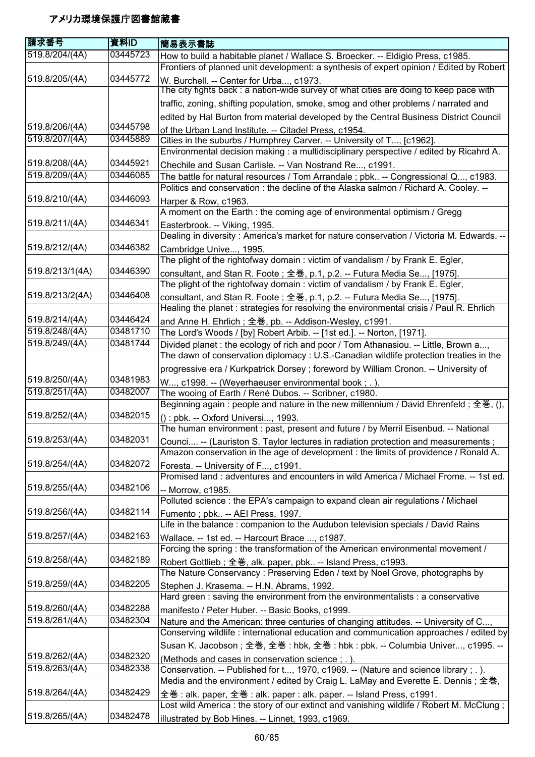| 請求番号            | 資料ID                 | 簡易表示書誌                                                                                                                                                               |
|-----------------|----------------------|----------------------------------------------------------------------------------------------------------------------------------------------------------------------|
| 519.8/204/(4A)  | 03445723             | How to build a habitable planet / Wallace S. Broecker. -- Eldigio Press, c1985.                                                                                      |
|                 |                      | Frontiers of planned unit development: a synthesis of expert opinion / Edited by Robert                                                                              |
| 519.8/205/(4A)  | 03445772             | W. Burchell. -- Center for Urba, c1973.                                                                                                                              |
|                 |                      | The city fights back: a nation-wide survey of what cities are doing to keep pace with                                                                                |
|                 |                      | traffic, zoning, shifting population, smoke, smog and other problems / narrated and                                                                                  |
|                 |                      | edited by Hal Burton from material developed by the Central Business District Council                                                                                |
| 519.8/206/(4A)  | 03445798             | of the Urban Land Institute. -- Citadel Press. c1954.                                                                                                                |
| 519.8/207/(4A)  | 03445889             | Cities in the suburbs / Humphrey Carver. -- University of T, [c1962].                                                                                                |
|                 |                      | Environmental decision making : a multidisciplinary perspective / edited by Ricahrd A.                                                                               |
| 519.8/208/(4A)  | 03445921             | Chechile and Susan Carlisle. -- Van Nostrand Re, c1991.                                                                                                              |
| 519.8/209/(4A)  | 03446085             | The battle for natural resources / Tom Arrandale ; pbk -- Congressional Q, c1983.                                                                                    |
|                 |                      | Politics and conservation : the decline of the Alaska salmon / Richard A. Cooley. --                                                                                 |
| 519.8/210/(4A)  | 03446093             | Harper & Row, c1963.                                                                                                                                                 |
|                 |                      | A moment on the Earth : the coming age of environmental optimism / Gregg                                                                                             |
| 519.8/211/(4A)  | 03446341             | Easterbrook. -- Viking, 1995.                                                                                                                                        |
|                 |                      | Dealing in diversity: America's market for nature conservation / Victoria M. Edwards. --                                                                             |
| 519.8/212/(4A)  | 03446382             | Cambridge Unive, 1995.                                                                                                                                               |
| 519.8/213/1(4A) | 03446390             | The plight of the rightofway domain : victim of vandalism / by Frank E. Egler,                                                                                       |
|                 |                      | consultant, and Stan R. Foote; 全巻, p.1, p.2. -- Futura Media Se, [1975].<br>The plight of the rightofway domain: victim of vandalism / by Frank E. Egler,            |
| 519.8/213/2(4A) | 03446408             |                                                                                                                                                                      |
|                 |                      | consultant, and Stan R. Foote; 全巻, p.1, p.2. -- Futura Media Se, [1975].<br>Healing the planet : strategies for resolving the environmental crisis / Paul R. Ehrlich |
| 519.8/214/(4A)  | 03446424             |                                                                                                                                                                      |
| 519.8/248/(4A)  | 03481710             | and Anne H. Ehrlich; 全巻, pb. -- Addison-Wesley, c1991.<br>The Lord's Woods / [by] Robert Arbib. -- [1st ed.]. -- Norton, [1971].                                     |
| 519.8/249/(4A)  | 03481744             | Divided planet : the ecology of rich and poor / Tom Athanasiou. -- Little, Brown a,                                                                                  |
|                 |                      | The dawn of conservation diplomacy : U.S.-Canadian wildlife protection treaties in the                                                                               |
|                 |                      | progressive era / Kurkpatrick Dorsey; foreword by William Cronon. -- University of                                                                                   |
| 519.8/250/(4A)  | 03481983             | W, c1998. -- (Weyerhaeuser environmental book; .).                                                                                                                   |
| 519.8/251/(4A)  | 03482007             | The wooing of Earth / René Dubos. -- Scribner, c1980.                                                                                                                |
|                 |                      | Beginning again : people and nature in the new millennium / David Ehrenfeld; 全巻, (),                                                                                 |
| 519.8/252/(4A)  | 03482015             | (): pbk. -- Oxford Universi, 1993.                                                                                                                                   |
|                 |                      | The human environment : past, present and future / by Merril Eisenbud. -- National                                                                                   |
| 519.8/253/(4A)  | 03482031             | Counci -- (Lauriston S. Taylor lectures in radiation protection and measurements;                                                                                    |
|                 |                      | Amazon conservation in the age of development : the limits of providence / Ronald A.                                                                                 |
| 519.8/254/(4A)  | 03482072             | Foresta. -- University of F, c1991.                                                                                                                                  |
|                 |                      | Promised land: adventures and encounters in wild America / Michael Frome. -- 1st ed.                                                                                 |
| 519.8/255/(4A)  | 03482106             | -- Morrow, c1985.                                                                                                                                                    |
|                 |                      | Polluted science: the EPA's campaign to expand clean air regulations / Michael                                                                                       |
| 519.8/256/(4A)  | 03482114             | Fumento; pbk -- AEI Press, 1997.                                                                                                                                     |
|                 |                      | Life in the balance: companion to the Audubon television specials / David Rains                                                                                      |
| 519.8/257/(4A)  | 03482163             | Wallace. -- 1st ed. -- Harcourt Brace , c1987.                                                                                                                       |
|                 |                      | Forcing the spring : the transformation of the American environmental movement /                                                                                     |
| 519.8/258/(4A)  | 03482189             | Robert Gottlieb; 全巻, alk. paper, pbk -- Island Press, c1993.                                                                                                         |
|                 |                      | The Nature Conservancy: Preserving Eden / text by Noel Grove, photographs by                                                                                         |
| 519.8/259/(4A)  | 03482205             | Stephen J. Krasema. -- H.N. Abrams, 1992.                                                                                                                            |
|                 |                      | Hard green: saving the environment from the environmentalists : a conservative                                                                                       |
| 519.8/260/(4A)  | 03482288             | manifesto / Peter Huber. -- Basic Books, c1999.                                                                                                                      |
| 519.8/261/(4A)  | 03482304             | Nature and the American: three centuries of changing attitudes. -- University of C,                                                                                  |
|                 |                      | Conserving wildlife: international education and communication approaches / edited by                                                                                |
|                 |                      | Susan K. Jacobson; 全巻, 全巻: hbk, 全巻: hbk: pbk. -- Columbia Univer, c1995. --                                                                                          |
| 519.8/262/(4A)  | 03482320<br>03482338 | (Methods and cases in conservation science; .).                                                                                                                      |
| 519.8/263/(4A)  |                      | Conservation. -- Published for t, 1970, c1969. -- (Nature and science library ; .).                                                                                  |
| 519.8/264/(4A)  | 03482429             | Media and the environment / edited by Craig L. LaMay and Everette E. Dennis; 全巻,                                                                                     |
|                 |                      | 全巻 : alk. paper, 全巻 : alk. paper : alk. paper. -- Island Press, c1991.<br>Lost wild America: the story of our extinct and vanishing wildlife / Robert M. McClung;    |
| 519.8/265/(4A)  | 03482478             |                                                                                                                                                                      |
|                 |                      | illustrated by Bob Hines. -- Linnet, 1993, c1969.                                                                                                                    |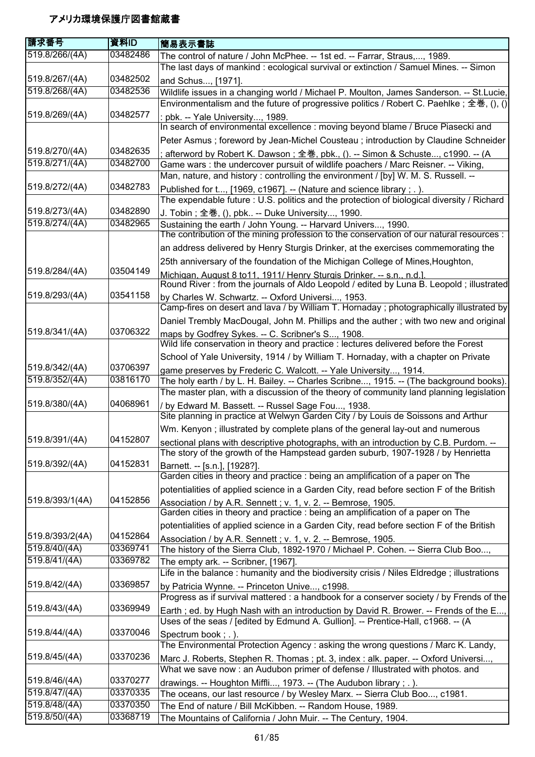| 請求番号                           | 資料ID                 | 簡易表示書誌                                                                                                                                                             |
|--------------------------------|----------------------|--------------------------------------------------------------------------------------------------------------------------------------------------------------------|
| 519.8/266/(4A)                 | 03482486             | The control of nature / John McPhee. -- 1st ed. -- Farrar, Straus,, 1989.<br>The last days of mankind : ecological survival or extinction / Samuel Mines. -- Simon |
| 519.8/267/(4A)                 | 03482502             |                                                                                                                                                                    |
| 519.8/268/(4A)                 | 03482536             | and Schus, [1971].<br>Wildlife issues in a changing world / Michael P. Moulton, James Sanderson. -- St.Lucie,                                                      |
|                                |                      | Environmentalism and the future of progressive politics / Robert C. Paehlke ; 全巻, $( )$ , $( )$                                                                    |
| 519.8/269/(4A)                 | 03482577             | : pbk. -- Yale University, 1989.                                                                                                                                   |
|                                |                      | In search of environmental excellence : moving beyond blame / Bruce Piasecki and                                                                                   |
|                                |                      | Peter Asmus ; foreword by Jean-Michel Cousteau ; introduction by Claudine Schneider                                                                                |
| 519.8/270/(4A)                 | 03482635             | afterword by Robert K. Dawson; 全巻, pbk., (). -- Simon & Schuste, c1990. -- (A                                                                                      |
| 519.8/271/(4A)                 | 03482700             | Game wars: the undercover pursuit of wildlife poachers / Marc Reisner. -- Viking,                                                                                  |
|                                |                      | Man, nature, and history: controlling the environment / [by] W. M. S. Russell. --                                                                                  |
| 519.8/272/(4A)                 | 03482783             | Published for t, [1969, c1967]. -- (Nature and science library ; . ).                                                                                              |
|                                |                      | The expendable future: U.S. politics and the protection of biological diversity / Richard                                                                          |
| 519.8/273/(4A)                 | 03482890             | J. Tobin; 全巻, (), pbk -- Duke University, 1990.                                                                                                                    |
| 519.8/274/(4A)                 | 03482965             | Sustaining the earth / John Young. -- Harvard Univers, 1990.                                                                                                       |
|                                |                      | The contribution of the mining profession to the conservation of our natural resources :                                                                           |
|                                |                      | an address delivered by Henry Sturgis Drinker, at the exercises commemorating the                                                                                  |
|                                |                      | 25th anniversary of the foundation of the Michigan College of Mines, Houghton,                                                                                     |
| 519.8/284/(4A)                 | 03504149             | Michigan, August 8 to 11, 1911/ Henry Sturgis Drinker. -- s.n., n.d.]                                                                                              |
|                                |                      | Round River: from the journals of Aldo Leopold / edited by Luna B. Leopold; illustrated                                                                            |
| 519.8/293/(4A)                 | 03541158             | by Charles W. Schwartz. -- Oxford Universi, 1953.                                                                                                                  |
|                                |                      | Camp-fires on desert and lava / by William T. Hornaday ; photographically illustrated by                                                                           |
| 519.8/341/(4A)                 | 03706322             | Daniel Trembly MacDougal, John M. Phillips and the auther; with two new and original                                                                               |
|                                |                      | maps by Godfrey Sykes. -- C. Scribner's S, 1908.<br>Wild life conservation in theory and practice : lectures delivered before the Forest                           |
|                                |                      |                                                                                                                                                                    |
| 519.8/342/(4A)                 | 03706397             | School of Yale University, 1914 / by William T. Hornaday, with a chapter on Private                                                                                |
| 519.8/352/(4A)                 | 03816170             | game preserves by Frederic C. Walcott. -- Yale University, 1914.<br>The holy earth / by L. H. Bailey. -- Charles Scribne, 1915. -- (The background books).         |
|                                |                      | The master plan, with a discussion of the theory of community land planning legislation                                                                            |
| 519.8/380/(4A)                 | 04068961             | / by Edward M. Bassett. -- Russel Sage Fou, 1938.                                                                                                                  |
|                                |                      | Site planning in practice at Welwyn Garden City / by Louis de Soissons and Arthur                                                                                  |
|                                |                      | Wm. Kenyon; illustrated by complete plans of the general lay-out and numerous                                                                                      |
| 519.8/391/(4A)                 | 04152807             | sectional plans with descriptive photographs, with an introduction by C.B. Purdom. --                                                                              |
|                                |                      | The story of the growth of the Hampstead garden suburb, 1907-1928 / by Henrietta                                                                                   |
| 519.8/392/(4A)                 | 04152831             | Barnett. -- [s.n.], [1928?].                                                                                                                                       |
|                                |                      | Garden cities in theory and practice : being an amplification of a paper on The                                                                                    |
|                                |                      | potentialities of applied science in a Garden City, read before section F of the British                                                                           |
| 519.8/393/1(4A)                | 04152856             | Association / by A.R. Sennett; v. 1, v. 2. -- Bemrose, 1905.<br>Garden cities in theory and practice : being an amplification of a paper on The                    |
|                                |                      |                                                                                                                                                                    |
| 519.8/393/2(4A)                | 04152864             | potentialities of applied science in a Garden City, read before section F of the British                                                                           |
| 519.8/40/(4A)                  | 03369741             | Association / by A.R. Sennett; v. 1, v. 2. -- Bemrose, 1905.<br>The history of the Sierra Club, 1892-1970 / Michael P. Cohen. -- Sierra Club Boo,                  |
| 519.8/41/(4A)                  | 03369782             | The empty ark. -- Scribner, [1967].                                                                                                                                |
|                                |                      | Life in the balance: humanity and the biodiversity crisis / Niles Eldredge; illustrations                                                                          |
| 519.8/42/(4A)                  | 03369857             | by Patricia Wynne. -- Princeton Unive, c1998.                                                                                                                      |
|                                |                      | Progress as if survival mattered : a handbook for a conserver society / by Frends of the                                                                           |
| 519.8/43/(4A)                  | 03369949             | Earth; ed. by Hugh Nash with an introduction by David R. Brower. -- Frends of the E,                                                                               |
|                                |                      | Uses of the seas / [edited by Edmund A. Gullion]. -- Prentice-Hall, c1968. -- (A                                                                                   |
| 519.8/44/(4A)                  | 03370046             | Spectrum book; .).                                                                                                                                                 |
|                                |                      | The Environmental Protection Agency: asking the wrong questions / Marc K. Landy,                                                                                   |
| 519.8/45/(4A)                  | 03370236             | Marc J. Roberts, Stephen R. Thomas; pt. 3, index: alk. paper. -- Oxford Universi,                                                                                  |
|                                |                      | What we save now : an Audubon primer of defense / Illustrated with photos. and                                                                                     |
| 519.8/46/(4A)                  | 03370277             | drawings. -- Houghton Miffli, 1973. -- (The Audubon library; .).                                                                                                   |
| 519.8/47/(4A)<br>519.8/48/(4A) | 03370335<br>03370350 | The oceans, our last resource / by Wesley Marx. -- Sierra Club Boo, c1981.                                                                                         |
| 519.8/50/(4A)                  | 03368719             | The End of nature / Bill McKibben. -- Random House, 1989.                                                                                                          |
|                                |                      | The Mountains of California / John Muir. -- The Century, 1904.                                                                                                     |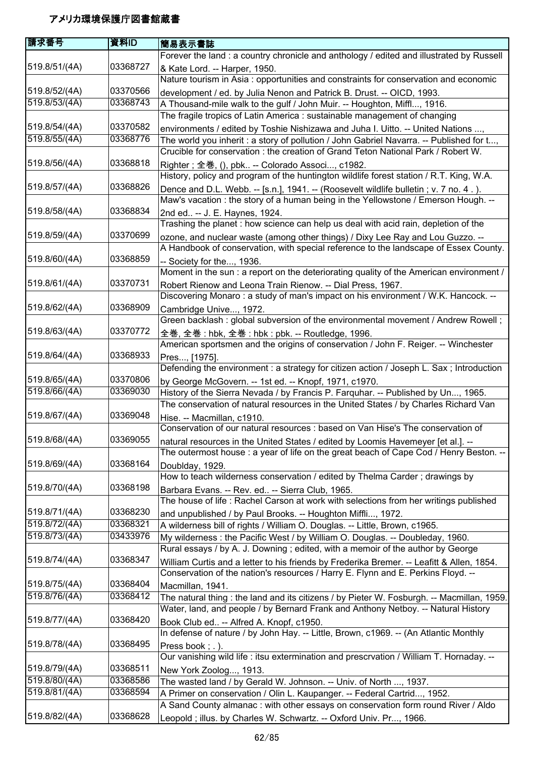| 請求番号          | 資料ID     | 簡易表示書誌                                                                                    |
|---------------|----------|-------------------------------------------------------------------------------------------|
|               |          | Forever the land : a country chronicle and anthology / edited and illustrated by Russell  |
| 519.8/51/(4A) | 03368727 | & Kate Lord. -- Harper, 1950.                                                             |
|               |          | Nature tourism in Asia : opportunities and constraints for conservation and economic      |
| 519.8/52/(4A) | 03370566 | development / ed. by Julia Nenon and Patrick B. Drust. -- OICD, 1993.                     |
| 519.8/53/(4A) | 03368743 | A Thousand-mile walk to the gulf / John Muir. -- Houghton, Miffl, 1916.                   |
|               |          | The fragile tropics of Latin America: sustainable management of changing                  |
| 519.8/54/(4A) | 03370582 | environments / edited by Toshie Nishizawa and Juha I. Uitto. -- United Nations ,          |
| 519.8/55/(4A) | 03368776 | The world you inherit: a story of pollution / John Gabriel Navarra. -- Published for t,   |
|               |          | Crucible for conservation: the creation of Grand Teton National Park / Robert W.          |
| 519.8/56/(4A) | 03368818 | Righter; 全巻, (), pbk -- Colorado Associ, c1982.                                           |
|               |          | History, policy and program of the huntington wildlife forest station / R.T. King, W.A.   |
| 519.8/57/(4A) | 03368826 | Dence and D.L. Webb. -- [s.n.], 1941. -- (Roosevelt wildlife bulletin; v. 7 no. 4.).      |
|               |          | Maw's vacation: the story of a human being in the Yellowstone / Emerson Hough. --         |
| 519.8/58/(4A) | 03368834 | 2nd ed -- J. E. Haynes, 1924.                                                             |
|               |          | Trashing the planet: how science can help us deal with acid rain, depletion of the        |
| 519.8/59/(4A) | 03370699 | ozone, and nuclear waste (among other things) / Dixy Lee Ray and Lou Guzzo. --            |
|               |          | A Handbook of conservation, with special reference to the landscape of Essex County.      |
| 519.8/60/(4A) | 03368859 | - Society for the, 1936.                                                                  |
|               |          | Moment in the sun : a report on the deteriorating quality of the American environment /   |
| 519.8/61/(4A) | 03370731 | Robert Rienow and Leona Train Rienow. -- Dial Press, 1967.                                |
|               |          | Discovering Monaro: a study of man's impact on his environment / W.K. Hancock. --         |
| 519.8/62/(4A) | 03368909 | Cambridge Unive, 1972.                                                                    |
|               |          | Green backlash: global subversion of the environmental movement / Andrew Rowell;          |
| 519.8/63/(4A) | 03370772 | 全巻, 全巻 : hbk, 全巻 : hbk : pbk. -- Routledge, 1996.                                         |
|               |          | American sportsmen and the origins of conservation / John F. Reiger. -- Winchester        |
| 519.8/64/(4A) | 03368933 | Pres, [1975].                                                                             |
|               |          | Defending the environment : a strategy for citizen action / Joseph L. Sax; Introduction   |
| 519.8/65/(4A) | 03370806 | by George McGovern. -- 1st ed. -- Knopf, 1971, c1970.                                     |
| 519.8/66/(4A) | 03369030 | History of the Sierra Nevada / by Francis P. Farquhar. -- Published by Un, 1965.          |
|               |          | The conservation of natural resources in the United States / by Charles Richard Van       |
| 519.8/67/(4A) | 03369048 | Hise. -- Macmillan, c1910.                                                                |
|               |          | Conservation of our natural resources : based on Van Hise's The conservation of           |
| 519.8/68/(4A) | 03369055 | natural resources in the United States / edited by Loomis Havemeyer [et al.]. --          |
|               |          | The outermost house : a year of life on the great beach of Cape Cod / Henry Beston. --    |
| 519.8/69/(4A) | 03368164 | Doublday, 1929.                                                                           |
|               |          | How to teach wilderness conservation / edited by Thelma Carder; drawings by               |
| 519.8/70/(4A) | 03368198 | Barbara Evans. -- Rev. ed -- Sierra Club, 1965.                                           |
|               |          | The house of life: Rachel Carson at work with selections from her writings published      |
| 519.8/71/(4A) | 03368230 | and unpublished / by Paul Brooks. -- Houghton Miffli, 1972.                               |
| 519.8/72/(4A) | 03368321 | A wilderness bill of rights / William O. Douglas. -- Little, Brown, c1965.                |
| 519.8/73/(4A) | 03433976 | My wilderness : the Pacific West / by William O. Douglas. -- Doubleday, 1960.             |
|               |          | Rural essays / by A. J. Downing ; edited, with a memoir of the author by George           |
| 519.8/74/(4A) | 03368347 | William Curtis and a letter to his friends by Frederika Bremer. -- Leafitt & Allen, 1854. |
|               |          | Conservation of the nation's resources / Harry E. Flynn and E. Perkins Floyd. --          |
| 519.8/75/(4A) | 03368404 | Macmillan, 1941.                                                                          |
| 519.8/76/(4A) | 03368412 | The natural thing: the land and its citizens / by Pieter W. Fosburgh. -- Macmillan, 1959. |
|               |          | Water, land, and people / by Bernard Frank and Anthony Netboy. -- Natural History         |
| 519.8/77/(4A) | 03368420 | Book Club ed -- Alfred A. Knopf, c1950.                                                   |
|               |          | In defense of nature / by John Hay. -- Little, Brown, c1969. -- (An Atlantic Monthly      |
| 519.8/78/(4A) | 03368495 | Press book; .).                                                                           |
|               |          | Our vanishing wild life : itsu extermination and prescrvation / William T. Hornaday. --   |
| 519.8/79/(4A) | 03368511 | New York Zoolog, 1913.                                                                    |
| 519.8/80/(4A) | 03368586 | The wasted land / by Gerald W. Johnson. -- Univ. of North , 1937.                         |
| 519.8/81/(4A) | 03368594 | A Primer on conservation / Olin L. Kaupanger. -- Federal Cartrid, 1952.                   |
|               |          | A Sand County almanac : with other essays on conservation form round River / Aldo         |
| 519.8/82/(4A) | 03368628 | Leopold; illus. by Charles W. Schwartz. -- Oxford Univ. Pr, 1966.                         |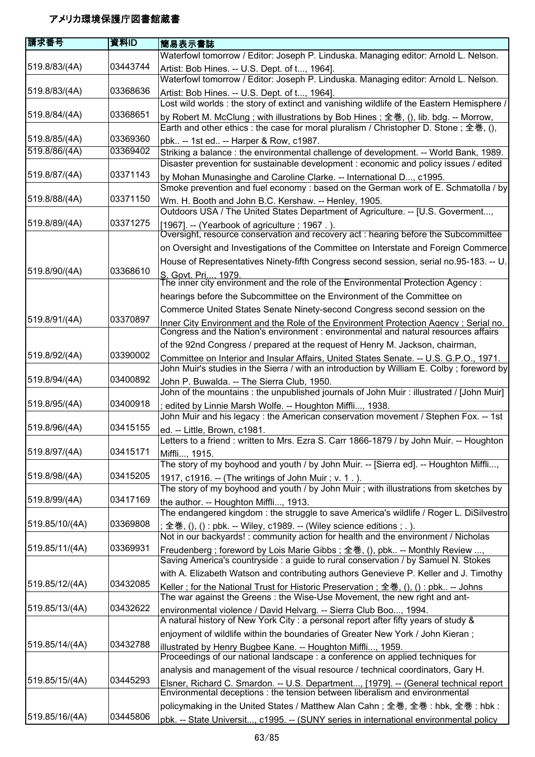| 請求番号           | 資料ID     | 簡易表示書誌                                                                                                                                                                              |
|----------------|----------|-------------------------------------------------------------------------------------------------------------------------------------------------------------------------------------|
|                |          | Waterfowl tomorrow / Editor: Joseph P. Linduska. Managing editor: Arnold L. Nelson.                                                                                                 |
| 519.8/83/(4A)  | 03443744 | Artist: Bob Hines. -- U.S. Dept. of t, 1964].                                                                                                                                       |
|                |          | Waterfowl tomorrow / Editor: Joseph P. Linduska. Managing editor: Arnold L. Nelson.                                                                                                 |
| 519.8/83/(4A)  | 03368636 | Artist: Bob Hines. -- U.S. Dept. of t, 1964].                                                                                                                                       |
|                |          | Lost wild worlds: the story of extinct and vanishing wildlife of the Eastern Hemisphere /                                                                                           |
| 519.8/84/(4A)  | 03368651 | by Robert M. McClung; with illustrations by Bob Hines; 全巻, (), lib. bdg. -- Morrow,                                                                                                 |
|                |          | Earth and other ethics : the case for moral pluralism / Christopher D. Stone ; 全巻, (),                                                                                              |
| 519.8/85/(4A)  | 03369360 | pbk -- 1st ed -- Harper & Row, c1987.                                                                                                                                               |
| 519.8/86/(4A)  | 03369402 | Striking a balance : the environmental challenge of development. -- World Bank, 1989.                                                                                               |
|                |          | Disaster prevention for sustainable development : economic and policy issues / edited                                                                                               |
| 519.8/87/(4A)  | 03371143 | by Mohan Munasinghe and Caroline Clarke. -- International D, c1995.                                                                                                                 |
|                |          | Smoke prevention and fuel economy : based on the German work of E. Schmatolla / by                                                                                                  |
| 519.8/88/(4A)  | 03371150 | Wm. H. Booth and John B.C. Kershaw. -- Henley, 1905.                                                                                                                                |
|                |          | Outdoors USA / The United States Department of Agriculture. -- [U.S. Goverment,                                                                                                     |
| 519.8/89/(4A)  | 03371275 | [1967]. -- (Yearbook of agriculture; 1967.).<br>Oversight, resource conservation and recovery act : hearing before the Subcommittee                                                 |
|                |          | on Oversight and Investigations of the Committee on Interstate and Foreign Commerce                                                                                                 |
|                |          | House of Representatives Ninety-fifth Congress second session, serial no.95-183. -- U.                                                                                              |
| 519.8/90/(4A)  | 03368610 | S. Govt. Pri, 1979.                                                                                                                                                                 |
|                |          | The inner city environment and the role of the Environmental Protection Agency :                                                                                                    |
|                |          | hearings before the Subcommittee on the Environment of the Committee on                                                                                                             |
|                |          | Commerce United States Senate Ninety-second Congress second session on the                                                                                                          |
| 519.8/91/(4A)  | 03370897 | Inner City Environment and the Role of the Environment Protection Agency : Serial no.<br>Congress and the Nation's environment : environmental and natural resources affairs        |
|                |          | of the 92nd Congress / prepared at the request of Henry M. Jackson, chairman,                                                                                                       |
| 519.8/92/(4A)  | 03390002 | Committee on Interior and Insular Affairs, United States Senate. -- U.S. G.P.O., 1971.<br>John Muir's studies in the Sierra / with an introduction by William E. Colby; foreword by |
| 519.8/94/(4A)  | 03400892 | John P. Buwalda. -- The Sierra Club, 1950.                                                                                                                                          |
|                |          | John of the mountains: the unpublished journals of John Muir: illustrated / [John Muir]                                                                                             |
| 519.8/95/(4A)  | 03400918 | edited by Linnie Marsh Wolfe. -- Houghton Miffli, 1938.                                                                                                                             |
|                |          | John Muir and his legacy: the American conservation movement / Stephen Fox. -- 1st                                                                                                  |
| 519.8/96/(4A)  | 03415155 | ed. -- Little, Brown, c1981.                                                                                                                                                        |
|                |          | Letters to a friend: written to Mrs. Ezra S. Carr 1866-1879 / by John Muir. -- Houghton                                                                                             |
| 519.8/97/(4A)  | 03415171 | Miffli, 1915.<br>The story of my boyhood and youth / by John Muir. -- [Sierra ed]. -- Houghton Miffli,                                                                              |
| 519.8/98/(4A)  | 03415205 | 1917, c1916. -- (The writings of John Muir ; v. 1.).                                                                                                                                |
|                |          | The story of my boyhood and youth / by John Muir; with illustrations from sketches by                                                                                               |
| 519.8/99/(4A)  | 03417169 | the author. -- Houghton Miffli, 1913.                                                                                                                                               |
|                |          | The endangered kingdom: the struggle to save America's wildlife / Roger L. DiSilvestro                                                                                              |
| 519.85/10/(4A) | 03369808 | 全巻, (), () : pbk. -- Wiley, c1989. -- (Wiley science editions ; . ).                                                                                                                |
|                |          | Not in our backyards!: community action for health and the environment / Nicholas                                                                                                   |
| 519.85/11/(4A) | 03369931 | Freudenberg; foreword by Lois Marie Gibbs; 全巻, (), pbk -- Monthly Review ,<br>Saving America's countryside : a guide to rural conservation / by Samuel N. Stokes                    |
|                |          | with A. Elizabeth Watson and contributing authors Genevieve P. Keller and J. Timothy                                                                                                |
| 519.85/12/(4A) | 03432085 | Keller; for the National Trust for Historic Preservation; 全巻, (), (): pbk -- Johns                                                                                                  |
|                |          | The war against the Greens: the Wise-Use Movement, the new right and ant-                                                                                                           |
| 519.85/13/(4A) | 03432622 | environmental violence / David Helvarg. -- Sierra Club Boo, 1994.                                                                                                                   |
|                |          | A natural history of New York City : a personal report after fifty years of study &                                                                                                 |
|                |          | enjoyment of wildlife within the boundaries of Greater New York / John Kieran;                                                                                                      |
| 519.85/14/(4A) | 03432788 | illustrated by Henry Bugbee Kane. -- Houghton Miffli, 1959.                                                                                                                         |
|                |          | Proceedings of our national landscape : a conference on applied techniques for                                                                                                      |
|                |          | analysis and management of the visual resource / technical coordinators, Gary H.                                                                                                    |
| 519.85/15/(4A) | 03445293 | Elsner, Richard C. Smardon. -- U.S. Department, [1979]. -- (General technical report                                                                                                |
|                |          | Environmental deceptions : the tension between liberalism and environmental                                                                                                         |
|                |          | policymaking in the United States / Matthew Alan Cahn; 全巻, 全巻 : hbk, 全巻 : hbk :                                                                                                     |
| 519.85/16/(4A) | 03445806 | pbk. -- State Universit, c1995. -- (SUNY series in international environmental policy                                                                                               |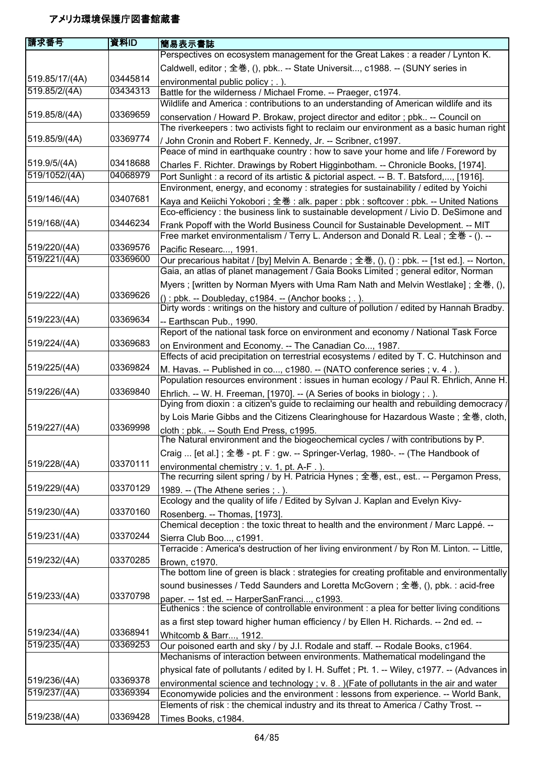| 請求番号           | 資料ID     | 簡易表示書誌                                                                                                                                                                     |
|----------------|----------|----------------------------------------------------------------------------------------------------------------------------------------------------------------------------|
|                |          | Perspectives on ecosystem management for the Great Lakes : a reader / Lynton K.                                                                                            |
|                |          | Caldwell, editor; 全巻, (), pbk -- State Universit, c1988. -- (SUNY series in                                                                                                |
| 519.85/17/(4A) | 03445814 | environmental public policy; .).                                                                                                                                           |
| 519.85/2/(4A)  | 03434313 | Battle for the wilderness / Michael Frome. -- Praeger, c1974.                                                                                                              |
|                |          | Wildlife and America: contributions to an understanding of American wildlife and its                                                                                       |
| 519.85/8/(4A)  | 03369659 | conservation / Howard P. Brokaw, project director and editor ; pbk -- Council on                                                                                           |
|                |          | The riverkeepers : two activists fight to reclaim our environment as a basic human right                                                                                   |
| 519.85/9/(4A)  | 03369774 | / John Cronin and Robert F. Kennedy, Jr. -- Scribner, c1997.                                                                                                               |
|                |          | Peace of mind in earthquake country : how to save your home and life / Foreword by                                                                                         |
| 519.9/5/(4A)   | 03418688 | Charles F. Richter. Drawings by Robert Higginbotham. -- Chronicle Books, [1974].                                                                                           |
| 519/1052/(4A)  | 04068979 | Port Sunlight : a record of its artistic & pictorial aspect. -- B. T. Batsford,, [1916].                                                                                   |
|                |          | Environment, energy, and economy : strategies for sustainability / edited by Yoichi                                                                                        |
| 519/146/(4A)   | 03407681 | Kaya and Keiichi Yokobori; 全巻: alk. paper: pbk: softcover: pbk. -- United Nations<br>Eco-efficiency : the business link to sustainable development / Livio D. DeSimone and |
| 519/168/(4A)   | 03446234 | Frank Popoff with the World Business Council for Sustainable Development. -- MIT                                                                                           |
|                |          | Free market environmentalism / Terry L. Anderson and Donald R. Leal; 全巻 - (). --                                                                                           |
| 519/220/(4A)   | 03369576 | Pacific Researc, 1991.                                                                                                                                                     |
| 519/221/(4A)   | 03369600 | Our precarious habitat / [by] Melvin A. Benarde; 全巻, (), () : pbk. -- [1st ed.]. -- Norton,                                                                                |
|                |          | Gaia, an atlas of planet management / Gaia Books Limited; general editor, Norman                                                                                           |
|                |          | Myers ; [written by Norman Myers with Uma Ram Nath and Melvin Westlake] ; 全巻, (),                                                                                          |
| 519/222/(4A)   | 03369626 | (): pbk. -- Doubleday, c1984. -- (Anchor books; .).                                                                                                                        |
| 519/223/(4A)   | 03369634 | Dirty words: writings on the history and culture of pollution / edited by Hannah Bradby.                                                                                   |
|                |          | -- Earthscan Pub., 1990.<br>Report of the national task force on environment and economy / National Task Force                                                             |
| 519/224/(4A)   | 03369683 |                                                                                                                                                                            |
|                |          | on Environment and Economy. -- The Canadian Co, 1987.<br>Effects of acid precipitation on terrestrial ecosystems / edited by T. C. Hutchinson and                          |
| 519/225/(4A)   | 03369824 | M. Havas. -- Published in co, c1980. -- (NATO conference series ; v. 4.).                                                                                                  |
|                |          | Population resources environment : issues in human ecology / Paul R. Ehrlich, Anne H.                                                                                      |
| 519/226/(4A)   | 03369840 | Ehrlich. -- W. H. Freeman, [1970]. -- (A Series of books in biology ; . ).                                                                                                 |
|                |          | Dying from dioxin: a citizen's guide to reclaiming our health and rebuilding democracy /                                                                                   |
|                |          | by Lois Marie Gibbs and the Citizens Clearinghouse for Hazardous Waste; 全巻, cloth,                                                                                         |
| 519/227/(4A)   | 03369998 | cloth : pbk -- South End Press, c1995.                                                                                                                                     |
|                |          | The Natural environment and the biogeochemical cycles / with contributions by P.                                                                                           |
|                |          | Craig  [et al.]; 全巻 - pt. F: gw. -- Springer-Verlag, 1980-. -- (The Handbook of                                                                                            |
| 519/228/(4A)   | 03370111 | environmental chemistry; v. 1, pt. A-F.).                                                                                                                                  |
|                |          | The recurring silent spring / by H. Patricia Hynes; 全巻, est., est -- Pergamon Press,                                                                                       |
| 519/229/(4A)   | 03370129 | 1989. -- (The Athene series ; . ).                                                                                                                                         |
|                |          | Ecology and the quality of life / Edited by Sylvan J. Kaplan and Evelyn Kivy-                                                                                              |
| 519/230/(4A)   | 03370160 | Rosenberg. -- Thomas, [1973].                                                                                                                                              |
|                | 03370244 | Chemical deception: the toxic threat to health and the environment / Marc Lappé. --                                                                                        |
| 519/231/(4A)   |          | Sierra Club Boo, c1991.<br>Terracide: America's destruction of her living environment / by Ron M. Linton. -- Little,                                                       |
| 519/232/(4A)   | 03370285 |                                                                                                                                                                            |
|                |          | Brown, c1970.<br>The bottom line of green is black: strategies for creating profitable and environmentally                                                                 |
|                |          | sound businesses / Tedd Saunders and Loretta McGovern; 全巻, (), pbk. : acid-free                                                                                            |
| 519/233/(4A)   | 03370798 | paper. -- 1st ed. -- HarperSanFranci, c1993.                                                                                                                               |
|                |          | Euthenics : the science of controllable environment : a plea for better living conditions                                                                                  |
|                |          | as a first step toward higher human efficiency / by Ellen H. Richards. -- 2nd ed. --                                                                                       |
| 519/234/(4A)   | 03368941 | Whitcomb & Barr, 1912.                                                                                                                                                     |
| 519/235/(4A)   | 03369253 | Our poisoned earth and sky / by J.I. Rodale and staff. -- Rodale Books, c1964.                                                                                             |
|                |          | Mechanisms of interaction between environments. Mathematical modelingand the                                                                                               |
|                |          | physical fate of pollutants / edited by I. H. Suffet; Pt. 1. -- Wiley, c1977. -- (Advances in                                                                              |
| 519/236/(4A)   | 03369378 | environmental science and technology; $v. 8.$ ) (Fate of pollutants in the air and water                                                                                   |
| 519/237/(4A)   | 03369394 | Economywide policies and the environment : lessons from experience. -- World Bank,                                                                                         |
|                |          | Elements of risk : the chemical industry and its threat to America / Cathy Trost. --                                                                                       |
| 519/238/(4A)   | 03369428 | Times Books, c1984.                                                                                                                                                        |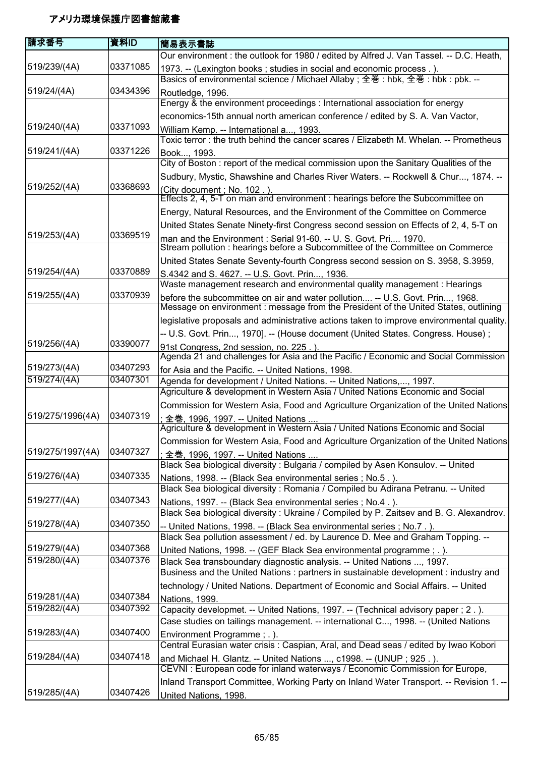| 請求番号             | 資料ID     | 簡易表示書誌                                                                                                                                                              |
|------------------|----------|---------------------------------------------------------------------------------------------------------------------------------------------------------------------|
|                  |          | Our environment : the outlook for 1980 / edited by Alfred J. Van Tassel. -- D.C. Heath,                                                                             |
| 519/239/(4A)     | 03371085 | 1973. -- (Lexington books; studies in social and economic process.).<br>Basics of environmental science / Michael Allaby; 全巻: hbk, 全巻: hbk: pbk. --                 |
| 519/24/(4A)      | 03434396 | Routledge, 1996.                                                                                                                                                    |
|                  |          | Energy & the environment proceedings : International association for energy                                                                                         |
|                  |          | economics-15th annual north american conference / edited by S. A. Van Vactor,                                                                                       |
| 519/240/(4A)     | 03371093 | William Kemp. -- International a, 1993.                                                                                                                             |
|                  |          | Toxic terror: the truth behind the cancer scares / Elizabeth M. Whelan. -- Prometheus                                                                               |
| 519/241/(4A)     | 03371226 | Book, 1993.                                                                                                                                                         |
|                  |          | City of Boston: report of the medical commission upon the Sanitary Qualities of the                                                                                 |
| 519/252/(4A)     | 03368693 | Sudbury, Mystic, Shawshine and Charles River Waters. -- Rockwell & Chur, 1874. --                                                                                   |
|                  |          | (City document; No. 102.).<br>Effects 2, 4, 5-T on man and environment : hearings before the Subcommittee on                                                        |
|                  |          | Energy, Natural Resources, and the Environment of the Committee on Commerce                                                                                         |
|                  |          | United States Senate Ninety-first Congress second session on Effects of 2, 4, 5-T on                                                                                |
| 519/253/(4A)     | 03369519 | man and the Environment : Serial 91-60. -- U. S. Govt. Pri, 1970.                                                                                                   |
|                  |          | Stream pollution : hearings before a Subcommittee of the Committee on Commerce                                                                                      |
|                  |          | United States Senate Seventy-fourth Congress second session on S. 3958, S.3959,                                                                                     |
| 519/254/(4A)     | 03370889 | S.4342 and S. 4627. -- U.S. Govt. Prin, 1936.                                                                                                                       |
|                  |          | Waste management research and environmental quality management : Hearings                                                                                           |
| 519/255/(4A)     | 03370939 | before the subcommittee on air and water pollution -- U.S. Govt. Prin, 1968.<br>Message on environment : message from the President of the United States, outlining |
|                  |          | legislative proposals and administrative actions taken to improve environmental quality.                                                                            |
|                  |          | -- U.S. Govt. Prin, 1970]. -- (House document (United States. Congress. House);                                                                                     |
| 519/256/(4A)     | 03390077 | 91st Congress, 2nd session, no. 225.).<br>Agenda 21 and challenges for Asia and the Pacific / Economic and Social Commission                                        |
| 519/273/(4A)     | 03407293 | for Asia and the Pacific. -- United Nations, 1998.                                                                                                                  |
| 519/274/(4A)     | 03407301 | Agenda for development / United Nations. -- United Nations,, 1997.                                                                                                  |
|                  |          | Agriculture & development in Western Asia / United Nations Economic and Social                                                                                      |
|                  |          | Commission for Western Asia, Food and Agriculture Organization of the United Nations                                                                                |
| 519/275/1996(4A) | 03407319 | 全巻, 1996, 1997. -- United Nations                                                                                                                                   |
|                  |          | Agriculture & development in Western Asia / United Nations Economic and Social                                                                                      |
| 519/275/1997(4A) | 03407327 | Commission for Western Asia, Food and Agriculture Organization of the United Nations                                                                                |
|                  |          | ; 全巻, 1996, 1997. -- United Nations<br>Black Sea biological diversity: Bulgaria / compiled by Asen Konsulov. -- United                                              |
| 519/276/(4A)     | 03407335 | Nations, 1998. -- (Black Sea environmental series; No.5.).                                                                                                          |
|                  |          | Black Sea biological diversity: Romania / Compiled bu Adirana Petranu. -- United                                                                                    |
| 519/277/(4A)     | 03407343 | Nations, 1997. -- (Black Sea environmental series; No.4.).                                                                                                          |
|                  |          | Black Sea biological diversity: Ukraine / Compiled by P. Zaitsev and B. G. Alexandrov.                                                                              |
| 519/278/(4A)     | 03407350 | -- United Nations, 1998. -- (Black Sea environmental series ; No.7.).                                                                                               |
|                  |          | Black Sea pollution assessment / ed. by Laurence D. Mee and Graham Topping. --                                                                                      |
| 519/279/(4A)     | 03407368 | United Nations, 1998. -- (GEF Black Sea environmental programme; .).                                                                                                |
| 519/280/(4A)     | 03407376 | Black Sea transboundary diagnostic analysis. -- United Nations , 1997.<br>Business and the United Nations : partners in sustainable development : industry and      |
|                  |          | technology / United Nations. Department of Economic and Social Affairs. -- United                                                                                   |
| 519/281/(4A)     | 03407384 | Nations, 1999.                                                                                                                                                      |
| 519/282/(4A)     | 03407392 | Capacity developmet. -- United Nations, 1997. -- (Technical advisory paper; 2.).                                                                                    |
|                  |          | Case studies on tailings management. -- international C, 1998. -- (United Nations                                                                                   |
| 519/283/(4A)     | 03407400 | Environment Programme; .).                                                                                                                                          |
|                  |          | Central Eurasian water crisis : Caspian, Aral, and Dead seas / edited by Iwao Kobori                                                                                |
| 519/284/(4A)     | 03407418 | and Michael H. Glantz. -- United Nations , c1998. -- (UNUP ; 925.).                                                                                                 |
|                  |          | CEVNI : European code for inland waterways / Economic Commission for Europe,                                                                                        |
|                  |          | Inland Transport Committee, Working Party on Inland Water Transport. -- Revision 1. --                                                                              |
| 519/285/(4A)     | 03407426 | United Nations, 1998.                                                                                                                                               |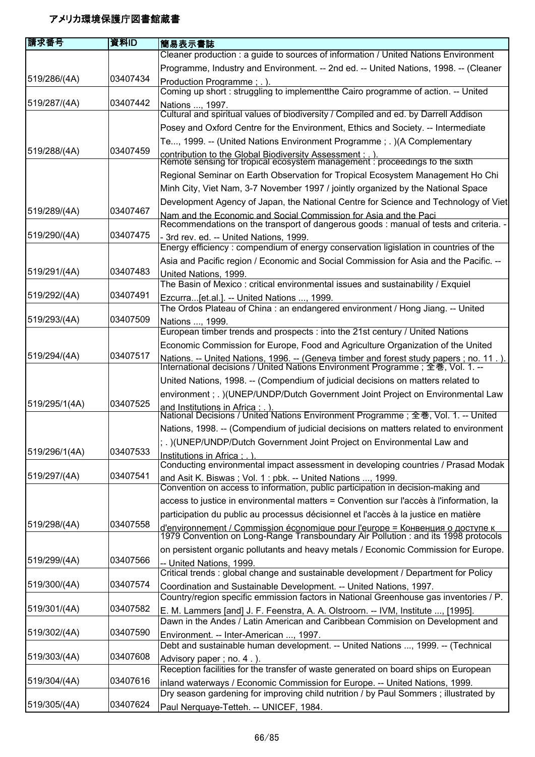| 請求番号          | 資料ID     | 簡易表示書誌                                                                                                                                                                     |
|---------------|----------|----------------------------------------------------------------------------------------------------------------------------------------------------------------------------|
|               |          | Cleaner production : a guide to sources of information / United Nations Environment                                                                                        |
|               |          | Programme, Industry and Environment. -- 2nd ed. -- United Nations, 1998. -- (Cleaner                                                                                       |
| 519/286/(4A)  | 03407434 | Production Programme; .).                                                                                                                                                  |
|               |          | Coming up short: struggling to implementthe Cairo programme of action. -- United                                                                                           |
| 519/287/(4A)  | 03407442 | Nations , 1997.                                                                                                                                                            |
|               |          | Cultural and spiritual values of biodiversity / Compiled and ed. by Darrell Addison                                                                                        |
|               |          | Posey and Oxford Centre for the Environment, Ethics and Society. -- Intermediate                                                                                           |
|               |          | Te, 1999. -- (United Nations Environment Programme ; .) (A Complementary                                                                                                   |
| 519/288/(4A)  | 03407459 | contribution to the Global Biodiversity Assessment : . ).<br>Remote sensing for tropical ecosystem management : proceedings fo the sixth                                   |
|               |          | Regional Seminar on Earth Observation for Tropical Ecosystem Management Ho Chi                                                                                             |
|               |          | Minh City, Viet Nam, 3-7 November 1997 / jointly organized by the National Space                                                                                           |
|               |          | Development Agency of Japan, the National Centre for Science and Technology of Viet                                                                                        |
| 519/289/(4A)  | 03407467 | Nam and the Economic and Social Commission for Asia and the Paci                                                                                                           |
|               |          | Recommendations on the transport of dangerous goods : manual of tests and criteria. -                                                                                      |
| 519/290/(4A)  | 03407475 | - 3rd rev. ed. -- United Nations, 1999.<br>Energy efficiency: compendium of energy conservation ligislation in countries of the                                            |
|               |          | Asia and Pacific region / Economic and Social Commission for Asia and the Pacific. --                                                                                      |
| 519/291/(4A)  | 03407483 | United Nations, 1999.                                                                                                                                                      |
|               |          | The Basin of Mexico: critical environmental issues and sustainability / Exquiel                                                                                            |
| 519/292/(4A)  | 03407491 | Ezcurra[et.al.]. -- United Nations , 1999.                                                                                                                                 |
|               |          | The Ordos Plateau of China: an endangered environment / Hong Jiang. -- United                                                                                              |
| 519/293/(4A)  | 03407509 | Nations , 1999.<br>European timber trends and prospects : into the 21st century / United Nations                                                                           |
|               |          | Economic Commission for Europe, Food and Agriculture Organization of the United                                                                                            |
| 519/294/(4A)  | 03407517 |                                                                                                                                                                            |
|               |          | Nations. -- United Nations, 1996. -- (Geneva timber and forest study papers ; no. 11.).<br>International decisions / United Nations Environment Programme ; 全巻, Vol. 1. -- |
|               |          | United Nations, 1998. -- (Compendium of judicial decisions on matters related to                                                                                           |
|               |          | environment ; . )(UNEP/UNDP/Dutch Government Joint Project on Environmental Law                                                                                            |
| 519/295/1(4A) | 03407525 | and Institutions in Africa : . ).<br>National Decisions / United Nations Environment Programme ; 全巻, Vol. 1. -- United                                                     |
|               |          | Nations, 1998. -- (Compendium of judicial decisions on matters related to environment                                                                                      |
|               |          | ; .) (UNEP/UNDP/Dutch Government Joint Project on Environmental Law and                                                                                                    |
| 519/296/1(4A) | 03407533 | Institutions in Africa : . )                                                                                                                                               |
|               |          | Conducting environmental impact assessment in developing countries / Prasad Modak                                                                                          |
| 519/297/(4A)  | 03407541 | and Asit K. Biswas; Vol. 1: pbk. -- United Nations , 1999.                                                                                                                 |
|               |          | Convention on access to information, public participation in decision-making and                                                                                           |
|               |          | access to justice in environmental matters = Convention sur l'accès à l'information, la                                                                                    |
|               |          | participation du public au processus décisionnel et l'accès à la justice en matière                                                                                        |
| 519/298/(4A)  | 03407558 | d'environnement / Commission économique pour l'europe = Конвенция о доступе к<br>1979 Convention on Long-Range Transboundary Air Pollution : and its 1998 protocols        |
|               |          | on persistent organic pollutants and heavy metals / Economic Commission for Europe.                                                                                        |
| 519/299/(4A)  | 03407566 | -- United Nations, 1999.<br>Critical trends : global change and sustainable development / Department for Policy                                                            |
| 519/300/(4A)  | 03407574 | Coordination and Sustainable Development. -- United Nations, 1997.                                                                                                         |
|               |          | Country/region specific emmission factors in National Greenhouse gas inventories / P.                                                                                      |
| 519/301/(4A)  | 03407582 | E. M. Lammers [and] J. F. Feenstra, A. A. Olstroorn. -- IVM, Institute , [1995].<br>Dawn in the Andes / Latin American and Caribbean Commision on Development and          |
| 519/302/(4A)  | 03407590 | Environment. -- Inter-American , 1997.                                                                                                                                     |
|               |          | Debt and sustainable human development. -- United Nations , 1999. -- (Technical                                                                                            |
| 519/303/(4A)  | 03407608 | Advisory paper; no. 4.).                                                                                                                                                   |
|               |          | Reception facilities for the transfer of waste generated on board ships on European                                                                                        |
| 519/304/(4A)  | 03407616 | inland waterways / Economic Commission for Europe. -- United Nations, 1999.                                                                                                |
|               |          | Dry season gardening for improving child nutrition / by Paul Sommers; illustrated by                                                                                       |
| 519/305/(4A)  | 03407624 | Paul Nerquaye-Tetteh. -- UNICEF, 1984.                                                                                                                                     |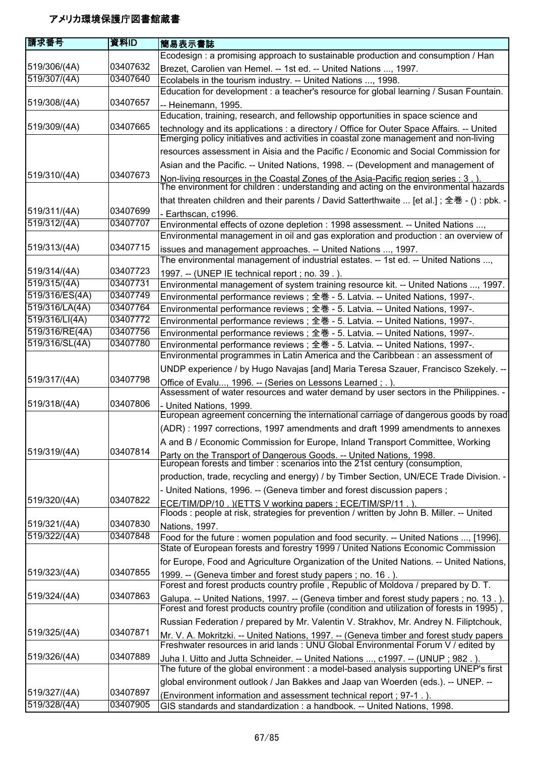| 請求番号           | 資料ID     | 簡易表示書誌                                                                                                                                                                       |
|----------------|----------|------------------------------------------------------------------------------------------------------------------------------------------------------------------------------|
|                |          | Ecodesign: a promising approach to sustainable production and consumption / Han                                                                                              |
| 519/306/(4A)   | 03407632 | Brezet, Carolien van Hemel. -- 1st ed. -- United Nations , 1997.                                                                                                             |
| 519/307/(4A)   | 03407640 | Ecolabels in the tourism industry. -- United Nations , 1998.                                                                                                                 |
|                |          | Education for development : a teacher's resource for global learning / Susan Fountain.                                                                                       |
| 519/308/(4A)   | 03407657 | -- Heinemann, 1995.                                                                                                                                                          |
|                |          | Education, training, research, and fellowship opportunities in space science and                                                                                             |
| 519/309/(4A)   | 03407665 | technology and its applications : a directory / Office for Outer Space Affairs. -- United                                                                                    |
|                |          | Emerging policy initiatives and activities in coastal zone management and non-living                                                                                         |
|                |          | resources assessment in Aisia and the Pacific / Economic and Social Commission for                                                                                           |
|                |          | Asian and the Pacific. -- United Nations, 1998. -- (Development and management of                                                                                            |
| 519/310/(4A)   | 03407673 | Non-living resources in the Coastal Zones of the Asia-Pacific region series : 3 . ).<br>The environment for children : understanding and acting on the environmental hazards |
|                |          | that threaten children and their parents / David Satterthwaite  [et al.]; 全巻 - () : pbk. -                                                                                   |
| 519/311/(4A)   | 03407699 | - Earthscan, c1996.                                                                                                                                                          |
| 519/312/(4A)   | 03407707 | Environmental effects of ozone depletion : 1998 assessment. -- United Nations ,<br>Environmental management in oil and gas exploration and production : an overview of       |
| 519/313/(4A)   | 03407715 | issues and management approaches. -- United Nations , 1997.                                                                                                                  |
|                |          | The environmental management of industrial estates. -- 1st ed. -- United Nations ,                                                                                           |
| 519/314/(4A)   | 03407723 | 1997. -- (UNEP IE technical report ; no. 39.).                                                                                                                               |
| 519/315/(4A)   | 03407731 | Environmental management of system training resource kit. -- United Nations , 1997.                                                                                          |
| 519/316/ES(4A) | 03407749 | Environmental performance reviews; 全巻 - 5. Latvia. -- United Nations, 1997-.                                                                                                 |
| 519/316/LA(4A) | 03407764 | Environmental performance reviews; 全巻 - 5. Latvia. -- United Nations, 1997-.                                                                                                 |
| 519/316/LI(4A) | 03407772 | Environmental performance reviews; 全巻 - 5. Latvia. -- United Nations, 1997-.                                                                                                 |
| 519/316/RE(4A) | 03407756 | Environmental performance reviews; 全巻 - 5. Latvia. -- United Nations, 1997-.                                                                                                 |
| 519/316/SL(4A) | 03407780 | Environmental performance reviews ; 全巻 - 5. Latvia. -- United Nations, 1997-.                                                                                                |
|                |          | Environmental programmes in Latin America and the Caribbean : an assessment of                                                                                               |
|                |          | UNDP experience / by Hugo Navajas [and] Maria Teresa Szauer, Francisco Szekely. --                                                                                           |
| 519/317/(4A)   | 03407798 | Office of Evalu, 1996. -- (Series on Lessons Learned; .).<br>Assessment of water resources and water demand by user sectors in the Philippines. -                            |
| 519/318/(4A)   | 03407806 | - United Nations, 1999.                                                                                                                                                      |
|                |          | European agreement concerning the international carriage of dangerous goods by road                                                                                          |
|                |          | (ADR): 1997 corrections, 1997 amendments and draft 1999 amendments to annexes                                                                                                |
|                |          | A and B / Economic Commission for Europe, Inland Transport Committee, Working                                                                                                |
| 519/319/(4A)   | 03407814 | Party on the Transport of Dangerous Goods. -- United Nations, 1998.<br>European forests and timber : scenarios into the 21st century (consumption,                           |
|                |          | production, trade, recycling and energy) / by Timber Section, UN/ECE Trade Division. -                                                                                       |
|                |          | - United Nations, 1996. -- (Geneva timber and forest discussion papers;                                                                                                      |
| 519/320/(4A)   | 03407822 | ECE/TIM/DP/10. ) (ETTS V working papers ; ECE/TIM/SP/11.)                                                                                                                    |
|                |          | Floods : people at risk, strategies for prevention / written by John B. Miller. -- United                                                                                    |
| 519/321/(4A)   | 03407830 | Nations, 1997.                                                                                                                                                               |
| 519/322/(4A)   | 03407848 | Food for the future: women population and food security. -- United Nations , [1996].<br>State of European forests and forestry 1999 / United Nations Economic Commission     |
|                |          | for Europe, Food and Agriculture Organization of the United Nations. -- United Nations,                                                                                      |
| 519/323/(4A)   | 03407855 | 1999. -- (Geneva timber and forest study papers; no. 16.).                                                                                                                   |
|                |          | Forest and forest products country profile, Republic of Moldova / prepared by D. T.                                                                                          |
| 519/324/(4A)   | 03407863 | Galupa. -- United Nations, 1997. -- (Geneva timber and forest study papers; no. 13.).                                                                                        |
|                |          | Forest and forest products country profile (condition and utilization of forests in 1995),                                                                                   |
|                |          | Russian Federation / prepared by Mr. Valentin V. Strakhov, Mr. Andrey N. Filiptchouk,                                                                                        |
| 519/325/(4A)   | 03407871 | Mr. V. A. Mokritzki. -- United Nations, 1997. -- (Geneva timber and forest study papers<br>Freshwater resources in arid lands : UNU Global Environmental Forum V / edited by |
| 519/326/(4A)   | 03407889 | Juha I. Uitto and Jutta Schneider. -- United Nations , c1997. -- (UNUP ; 982.).<br>The future of the global environment : a model-based analysis supporting UNEP's first     |
|                |          | global environment outlook / Jan Bakkes and Jaap van Woerden (eds.). -- UNEP. --                                                                                             |
| 519/327/(4A)   | 03407897 | (Environment information and assessment technical report ; 97-1.).                                                                                                           |
| 519/328/(4A)   | 03407905 | GIS standards and standardization : a handbook. -- United Nations, 1998.                                                                                                     |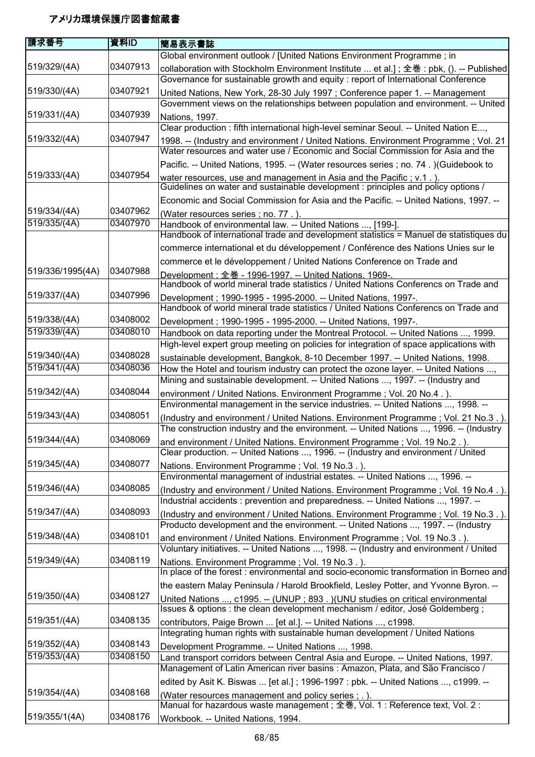| 請求番号             | 資料ID     | 簡易表示書誌                                                                                                                                                                      |
|------------------|----------|-----------------------------------------------------------------------------------------------------------------------------------------------------------------------------|
|                  |          | Global environment outlook / [United Nations Environment Programme; in                                                                                                      |
| 519/329/(4A)     | 03407913 | collaboration with Stockholm Environment Institute  et al.]; 全巻 : pbk, (). -- Published<br>Governance for sustainable growth and equity: report of International Conference |
| 519/330/(4A)     | 03407921 | United Nations, New York, 28-30 July 1997; Conference paper 1. -- Management<br>Government views on the relationships between population and environment. -- United         |
| 519/331/(4A)     | 03407939 | Nations, 1997.                                                                                                                                                              |
|                  |          | Clear production : fifth international high-level seminar Seoul. -- United Nation E,                                                                                        |
| 519/332/(4A)     | 03407947 | 1998. -- (Industry and environment / United Nations. Environment Programme; Vol. 21<br>Water resources and water use / Economic and Social Commission for Asia and the      |
|                  |          | Pacific. -- United Nations, 1995. -- (Water resources series ; no. 74.) (Guidebook to                                                                                       |
| 519/333/(4A)     | 03407954 | water resources, use and management in Asia and the Pacific; v.1.).<br>Guidelines on water and sustainable development : principles and policy options /                    |
|                  |          | Economic and Social Commission for Asia and the Pacific. -- United Nations, 1997. --                                                                                        |
| 519/334/(4A)     | 03407962 | (Water resources series; no. 77.)                                                                                                                                           |
| 519/335/(4A)     | 03407970 | Handbook of environmental law. -- United Nations , [199-].<br>Handbook of international trade and development statistics = Manuel de statistiques du                        |
|                  |          | commerce international et du développement / Conférence des Nations Unies sur le                                                                                            |
|                  |          | commerce et le développement / United Nations Conference on Trade and                                                                                                       |
| 519/336/1995(4A) | 03407988 | Development: 全巻 - 1996-1997. -- United Nations. 1969-.<br>Handbook of world mineral trade statistics / United Nations Conferencs on Trade and                               |
| 519/337/(4A)     | 03407996 | Development; 1990-1995 - 1995-2000. -- United Nations, 1997-.                                                                                                               |
|                  |          | Handbook of world mineral trade statistics / United Nations Conferencs on Trade and                                                                                         |
| 519/338/(4A)     | 03408002 | Development; 1990-1995 - 1995-2000. -- United Nations, 1997-.                                                                                                               |
| 519/339/(4A)     | 03408010 | Handbook on data reporting under the Montreal Protocol. -- United Nations , 1999.<br>High-level expert group meeting on policies for integration of space applications with |
| 519/340/(4A)     | 03408028 |                                                                                                                                                                             |
| 519/341/(4A)     | 03408036 | sustainable development, Bangkok, 8-10 December 1997. -- United Nations, 1998.                                                                                              |
|                  |          | How the Hotel and tourism industry can protect the ozone layer. -- United Nations ,<br>Mining and sustainable development. -- United Nations , 1997. -- (Industry and       |
| 519/342/(4A)     | 03408044 | environment / United Nations. Environment Programme; Vol. 20 No.4.).<br>Environmental management in the service industries. -- United Nations , 1998. --                    |
| 519/343/(4A)     | 03408051 | (Industry and environment / United Nations. Environment Programme; Vol. 21 No.3.).                                                                                          |
| 519/344/(4A)     | 03408069 | The construction industry and the environment. -- United Nations , 1996. -- (Industry<br>and environment / United Nations. Environment Programme ; Vol. 19 No.2.).          |
| 519/345/(4A)     | 03408077 | Clear production. -- United Nations , 1996. -- (Industry and environment / United<br>Nations. Environment Programme; Vol. 19 No.3.).                                        |
| 519/346/(4A)     | 03408085 | Environmental management of industrial estates. -- United Nations , 1996. --                                                                                                |
|                  |          | (Industry and environment / United Nations. Environment Programme; Vol. 19 No.4.).<br>Industrial accidents : prevention and preparedness. -- United Nations , 1997. --      |
| 519/347/(4A)     | 03408093 | (Industry and environment / United Nations. Environment Programme; Vol. 19 No.3.).<br>Producto development and the environment. -- United Nations , 1997. -- (Industry      |
| 519/348/(4A)     | 03408101 |                                                                                                                                                                             |
|                  |          | and environment / United Nations. Environment Programme; Vol. 19 No.3.).<br>Voluntary initiatives. -- United Nations , 1998. -- (Industry and environment / United          |
| 519/349/(4A)     | 03408119 | Nations. Environment Programme; Vol. 19 No.3.).<br>In place of the forest : environmental and socio-economic transformation in Borneo and                                   |
|                  |          | the eastern Malay Peninsula / Harold Brookfield, Lesley Potter, and Yvonne Byron. --                                                                                        |
| 519/350/(4A)     | 03408127 | United Nations , c1995. -- (UNUP ; 893.) (UNU studies on critical environmental                                                                                             |
| 519/351/(4A)     | 03408135 | Issues & options : the clean development mechanism / editor, José Goldemberg;                                                                                               |
|                  |          | contributors, Paige Brown  [et al.]. -- United Nations , c1998.<br>Integrating human rights with sustainable human development / United Nations                             |
| 519/352/(4A)     | 03408143 | Development Programme. -- United Nations , 1998.                                                                                                                            |
| 519/353/(4A)     | 03408150 | Land transport corridors between Central Asia and Europe. -- United Nations, 1997.                                                                                          |
|                  |          | Management of Latin American river basins : Amazon, Plata, and São Francisco /                                                                                              |
|                  |          | edited by Asit K. Biswas  [et al.]; 1996-1997 : pbk. -- United Nations , c1999. --                                                                                          |
| 519/354/(4A)     | 03408168 | (Water resources management and policy series; .).                                                                                                                          |
| 519/355/1(4A)    | 03408176 | Manual for hazardous waste management; 全巻, Vol. 1 : Reference text, Vol. 2 :                                                                                                |
|                  |          | Workbook. -- United Nations, 1994.                                                                                                                                          |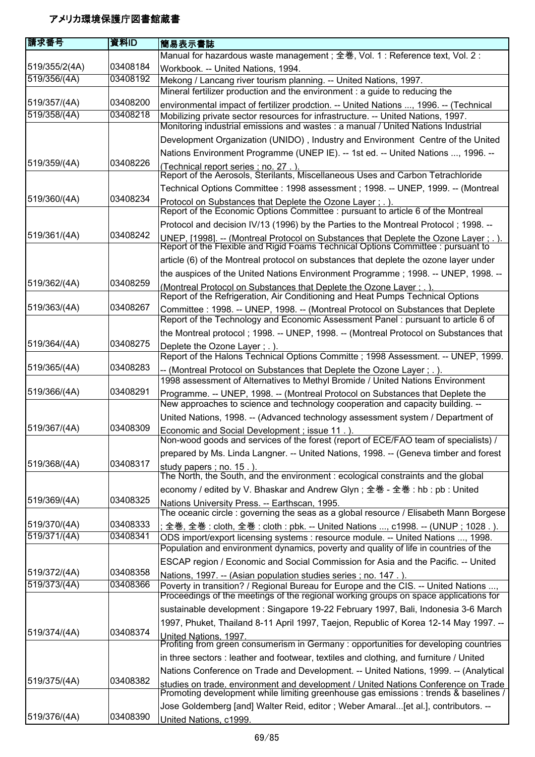| 請求番号          | 資料ID     | 簡易表示書誌                                                                                                                                                                       |
|---------------|----------|------------------------------------------------------------------------------------------------------------------------------------------------------------------------------|
|               |          | Manual for hazardous waste management; 全巻, Vol. 1 : Reference text, Vol. 2 :                                                                                                 |
| 519/355/2(4A) | 03408184 | Workbook. -- United Nations, 1994.                                                                                                                                           |
| 519/356/(4A)  | 03408192 | Mekong / Lancang river tourism planning. -- United Nations, 1997.                                                                                                            |
| 519/357/(4A)  | 03408200 | Mineral fertilizer production and the environment : a guide to reducing the                                                                                                  |
| 519/358/(4A)  | 03408218 | environmental impact of fertilizer prodction. -- United Nations , 1996. -- (Technical<br>Mobilizing private sector resources for infrastructure. -- United Nations, 1997.    |
|               |          | Monitoring industrial emissions and wastes : a manual / United Nations Industrial                                                                                            |
|               |          | Development Organization (UNIDO), Industry and Environment Centre of the United                                                                                              |
|               |          | Nations Environment Programme (UNEP IE). -- 1st ed. -- United Nations , 1996. --                                                                                             |
| 519/359/(4A)  | 03408226 | (Technical report series ; no. 27.)<br>Report of the Aerosols, Sterilants, Miscellaneous Uses and Carbon Tetrachloride                                                       |
|               |          | Technical Options Committee : 1998 assessment ; 1998. -- UNEP, 1999. -- (Montreal                                                                                            |
| 519/360/(4A)  | 03408234 | Protocol on Substances that Deplete the Ozone Layer; .).<br>Report of the Economic Options Committee : pursuant to article 6 of the Montreal                                 |
|               |          | Protocol and decision IV/13 (1996) by the Parties to the Montreal Protocol; 1998. --                                                                                         |
| 519/361/(4A)  | 03408242 | UNEP, [1998]. -- (Montreal Protocol on Substances that Deplete the Ozone Layer ; . ).<br>Report of the Flexible and Rigid Foams Technical Options Committee : pursuant to    |
|               |          | article (6) of the Montreal protocol on substances that deplete the ozone layer under                                                                                        |
|               |          | the auspices of the United Nations Environment Programme; 1998. -- UNEP, 1998. --                                                                                            |
| 519/362/(4A)  | 03408259 | (Montreal Protocol on Substances that Deplete the Ozone Laver: . ).<br>Report of the Refrigeration, Air Conditioning and Heat Pumps Technical Options                        |
| 519/363/(4A)  | 03408267 | Committee : 1998. -- UNEP, 1998. -- (Montreal Protocol on Substances that Deplete<br>Report of the Technology and Economic Assessment Panel: pursuant to article 6 of        |
|               |          | the Montreal protocol; 1998. -- UNEP, 1998. -- (Montreal Protocol on Substances that                                                                                         |
| 519/364/(4A)  | 03408275 | Deplete the Ozone Layer; .).                                                                                                                                                 |
| 519/365/(4A)  | 03408283 | Report of the Halons Technical Options Committe; 1998 Assessment. -- UNEP, 1999.                                                                                             |
|               |          | -- (Montreal Protocol on Substances that Deplete the Ozone Layer ; . ).<br>1998 assessment of Alternatives to Methyl Bromide / United Nations Environment                    |
| 519/366/(4A)  | 03408291 | Programme. -- UNEP, 1998. -- (Montreal Protocol on Substances that Deplete the                                                                                               |
|               |          | New approaches to science and technology cooperation and capacity building. --                                                                                               |
|               |          | United Nations, 1998. -- (Advanced technology assessment system / Department of                                                                                              |
| 519/367/(4A)  | 03408309 | Economic and Social Development; issue 11.).<br>Non-wood goods and services of the forest (report of ECE/FAO team of specialists) /                                          |
|               |          | prepared by Ms. Linda Langner. -- United Nations, 1998. -- (Geneva timber and forest                                                                                         |
| 519/368/(4A)  | 03408317 | study papers; no. 15.).<br>The North, the South, and the environment : ecological constraints and the global                                                                 |
|               |          | economy / edited by V. Bhaskar and Andrew Glyn; 全巻 - 全巻 : hb : pb : United                                                                                                   |
| 519/369/(4A)  | 03408325 | Nations University Press. -- Earthscan, 1995.                                                                                                                                |
|               |          | The oceanic circle : governing the seas as a global resource / Elisabeth Mann Borgese                                                                                        |
| 519/370/(4A)  | 03408333 | ; 全巻, 全巻 : cloth, 全巻 : cloth : pbk. -- United Nations , c1998. -- (UNUP ; 1028 . ).                                                                                          |
| 519/371/(4A)  | 03408341 | ODS import/export licensing systems : resource module. -- United Nations , 1998.<br>Population and environment dynamics, poverty and quality of life in countries of the     |
|               |          | ESCAP region / Economic and Social Commission for Asia and the Pacific. -- United                                                                                            |
| 519/372/(4A)  | 03408358 | Nations, 1997. -- (Asian population studies series; no. 147.).                                                                                                               |
| 519/373/(4A)  | 03408366 | Poverty in transition? / Regional Bureau for Europe and the CIS. -- United Nations ,<br>Proceedings of the meetings of the regional working groups on space applications for |
|               |          | sustainable development : Singapore 19-22 February 1997, Bali, Indonesia 3-6 March                                                                                           |
|               |          | 1997, Phuket, Thailand 8-11 April 1997, Taejon, Republic of Korea 12-14 May 1997. --                                                                                         |
| 519/374/(4A)  | 03408374 | United Nations, 1997.<br>Profiting from green consumerism in Germany : opportunities for developing countries                                                                |
|               |          | in three sectors : leather and footwear, textiles and clothing, and furniture / United                                                                                       |
|               |          | Nations Conference on Trade and Development. -- United Nations, 1999. -- (Analytical                                                                                         |
| 519/375/(4A)  | 03408382 | studies on trade, environment and development / United Nations Conference on Trade<br>Promoting development while limiting greenhouse gas emissions : trends & baselines /   |
|               |          | Jose Goldemberg [and] Walter Reid, editor; Weber Amaral[et al.], contributors. --                                                                                            |
| 519/376/(4A)  | 03408390 | United Nations, c1999.                                                                                                                                                       |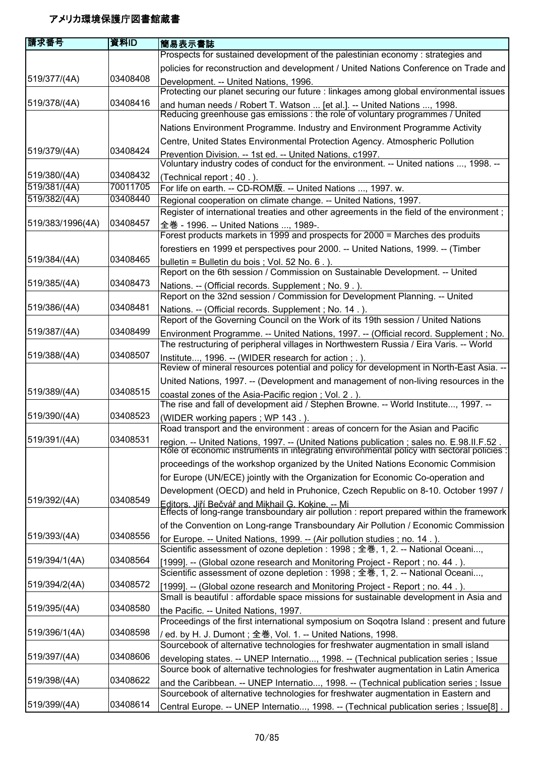| 請求番号             | 資料ID     | 簡易表示書誌                                                                                                                                                                                  |
|------------------|----------|-----------------------------------------------------------------------------------------------------------------------------------------------------------------------------------------|
|                  |          | Prospects for sustained development of the palestinian economy : strategies and                                                                                                         |
|                  |          | policies for reconstruction and development / United Nations Conference on Trade and                                                                                                    |
| 519/377/(4A)     | 03408408 | Development. -- United Nations, 1996.                                                                                                                                                   |
|                  |          | Protecting our planet securing our future : linkages among global environmental issues                                                                                                  |
| 519/378/(4A)     | 03408416 | and human needs / Robert T. Watson  [et al.]. -- United Nations , 1998.<br>Reducing greenhouse gas emissions : the role of voluntary programmes / United                                |
|                  |          | Nations Environment Programme. Industry and Environment Programme Activity                                                                                                              |
|                  |          | Centre, United States Environmental Protection Agency. Atmospheric Pollution                                                                                                            |
| 519/379/(4A)     | 03408424 | Prevention Division. -- 1st ed. -- United Nations, c1997.<br>Voluntary industry codes of conduct for the environment. -- United nations , 1998. --                                      |
| 519/380/(4A)     | 03408432 | (Technical report; 40.).                                                                                                                                                                |
| 519/381/(4A)     | 70011705 | For life on earth. -- CD-ROM版. -- United Nations , 1997. w.                                                                                                                             |
| 519/382/(4A)     | 03408440 | Regional cooperation on climate change. -- United Nations, 1997.                                                                                                                        |
|                  |          | Register of international treaties and other agreements in the field of the environment;                                                                                                |
| 519/383/1996(4A) | 03408457 | 全巻 - 1996. -- United Nations , 1989-.                                                                                                                                                   |
|                  |          | Forest products markets in 1999 and prospects for 2000 = Marches des produits                                                                                                           |
|                  |          | forestiers en 1999 et perspectives pour 2000. -- United Nations, 1999. -- (Timber                                                                                                       |
| 519/384/(4A)     | 03408465 | bulletin = Bulletin du bois ; Vol. 52 No. 6.).                                                                                                                                          |
|                  |          | Report on the 6th session / Commission on Sustainable Development. -- United                                                                                                            |
| 519/385/(4A)     | 03408473 | Nations. -- (Official records. Supplement ; No. 9.).<br>Report on the 32nd session / Commission for Development Planning. -- United                                                     |
| 519/386/(4A)     | 03408481 |                                                                                                                                                                                         |
|                  |          | Nations. -- (Official records. Supplement ; No. 14.).<br>Report of the Governing Council on the Work of its 19th session / United Nations                                               |
| 519/387/(4A)     | 03408499 | Environment Programme. -- United Nations, 1997. -- (Official record. Supplement ; No.                                                                                                   |
|                  |          | The restructuring of peripheral villages in Northwestern Russia / Eira Varis. -- World                                                                                                  |
| 519/388/(4A)     | 03408507 | Institute, 1996. -- (WIDER research for action; .).<br>Review of mineral resources potential and policy for development in North-East Asia. --                                          |
|                  |          | United Nations, 1997. -- (Development and management of non-living resources in the                                                                                                     |
| 519/389/(4A)     | 03408515 | coastal zones of the Asia-Pacific region; Vol. 2.).                                                                                                                                     |
|                  |          | The rise and fall of development aid / Stephen Browne. -- World Institute, 1997. --                                                                                                     |
| 519/390/(4A)     | 03408523 | (WIDER working papers; WP 143.).                                                                                                                                                        |
|                  |          | Road transport and the environment : areas of concern for the Asian and Pacific                                                                                                         |
| 519/391/(4A)     | 03408531 | region. -- United Nations, 1997. -- (United Nations publication ; sales no. E.98.II.F.52 .<br>Role of economic instruments in integrating environmental policy with sectoral policies : |
|                  |          | proceedings of the workshop organized by the United Nations Economic Commision                                                                                                          |
|                  |          | for Europe (UN/ECE) jointly with the Organization for Economic Co-operation and                                                                                                         |
|                  |          | Development (OECD) and held in Pruhonice, Czech Republic on 8-10. October 1997 /                                                                                                        |
| 519/392/(4A)     | 03408549 |                                                                                                                                                                                         |
|                  |          | Editors. Jiří Bečvář and Mikhail G. Kokine. -- Mi<br>Effects of long-range transboundary air pollution : report prepared within the framework                                           |
|                  |          | of the Convention on Long-range Transboundary Air Pollution / Economic Commission                                                                                                       |
| 519/393/(4A)     | 03408556 | for Europe. -- United Nations, 1999. -- (Air pollution studies; no. 14.).                                                                                                               |
| 519/394/1(4A)    | 03408564 | Scientific assessment of ozone depletion: 1998; 全巻, 1, 2. -- National Oceani,<br>[1999]. -- (Global ozone research and Monitoring Project - Report ; no. 44.).                          |
|                  |          | Scientific assessment of ozone depletion: 1998; 全巻, 1, 2. -- National Oceani,                                                                                                           |
| 519/394/2(4A)    | 03408572 | [1999]. -- (Global ozone research and Monitoring Project - Report; no. 44.).                                                                                                            |
|                  |          | Small is beautiful: affordable space missions for sustainable development in Asia and                                                                                                   |
| 519/395/(4A)     | 03408580 | the Pacific. -- United Nations, 1997.                                                                                                                                                   |
|                  |          | Proceedings of the first international symposium on Sogotra Island : present and future                                                                                                 |
| 519/396/1(4A)    | 03408598 | / ed. by H. J. Dumont ; 全巻, Vol. 1. -- United Nations, 1998.                                                                                                                            |
|                  |          | Sourcebook of alternative technologies for freshwater augmentation in small island                                                                                                      |
| 519/397/(4A)     | 03408606 | developing states. -- UNEP Internatio, 1998. -- (Technical publication series ; Issue                                                                                                   |
|                  |          | Source book of alternative technologies for freshwater augmentation in Latin America                                                                                                    |
| 519/398/(4A)     | 03408622 | and the Caribbean. -- UNEP Internatio, 1998. -- (Technical publication series ; Issue                                                                                                   |
|                  |          | Sourcebook of alternative technologies for freshwater augmentation in Eastern and                                                                                                       |
| 519/399/(4A)     | 03408614 | Central Europe. -- UNEP Internatio, 1998. -- (Technical publication series ; Issue[8].                                                                                                  |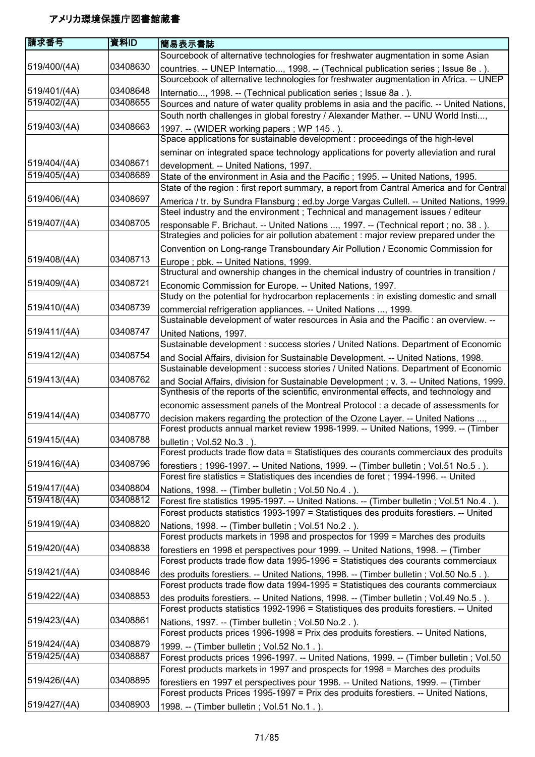| 請求番号         | 資料ID     | 簡易表示書誌                                                                                                                                                                       |
|--------------|----------|------------------------------------------------------------------------------------------------------------------------------------------------------------------------------|
|              |          | Sourcebook of alternative technologies for freshwater augmentation in some Asian                                                                                             |
| 519/400/(4A) | 03408630 | countries. -- UNEP Internatio, 1998. -- (Technical publication series ; Issue 8e.).<br>Sourcebook of alternative technologies for freshwater augmentation in Africa. -- UNEP |
| 519/401/(4A) | 03408648 | Internatio, 1998. -- (Technical publication series ; Issue 8a.).                                                                                                             |
| 519/402/(4A) | 03408655 | Sources and nature of water quality problems in asia and the pacific. -- United Nations,                                                                                     |
|              |          | South north challenges in global forestry / Alexander Mather. -- UNU World Insti,                                                                                            |
| 519/403/(4A) | 03408663 | 1997. -- (WIDER working papers; WP 145.).                                                                                                                                    |
|              |          | Space applications for sustainable development : proceedings of the high-level                                                                                               |
|              |          | seminar on integrated space technology applications for poverty alleviation and rural                                                                                        |
| 519/404/(4A) | 03408671 | development. -- United Nations, 1997.                                                                                                                                        |
| 519/405/(4A) | 03408689 | State of the environment in Asia and the Pacific; 1995. -- United Nations, 1995.                                                                                             |
|              |          | State of the region : first report summary, a report from Cantral America and for Central                                                                                    |
| 519/406/(4A) | 03408697 | America / tr. by Sundra Flansburg ; ed.by Jorge Vargas Cullell. -- United Nations, 1999.                                                                                     |
| 519/407/(4A) | 03408705 | Steel industry and the environment; Technical and management issues / editeur                                                                                                |
|              |          | responsable F. Brichaut. -- United Nations , 1997. -- (Technical report ; no. 38.).<br>Strategies and policies for air pollution abatement : major review prepared under the |
|              |          | Convention on Long-range Transboundary Air Pollution / Economic Commission for                                                                                               |
| 519/408/(4A) | 03408713 | Europe; pbk. -- United Nations, 1999.                                                                                                                                        |
|              |          | Structural and ownership changes in the chemical industry of countries in transition /                                                                                       |
| 519/409/(4A) | 03408721 | Economic Commission for Europe. -- United Nations, 1997.<br>Study on the potential for hydrocarbon replacements : in existing domestic and small                             |
| 519/410/(4A) | 03408739 | commercial refrigeration appliances. -- United Nations , 1999.<br>Sustainable development of water resources in Asia and the Pacific : an overview. --                       |
| 519/411/(4A) | 03408747 |                                                                                                                                                                              |
|              |          | United Nations, 1997.                                                                                                                                                        |
|              | 03408754 | Sustainable development : success stories / United Nations. Department of Economic                                                                                           |
| 519/412/(4A) |          | and Social Affairs, division for Sustainable Development. -- United Nations, 1998.<br>Sustainable development : success stories / United Nations. Department of Economic     |
| 519/413/(4A) | 03408762 | and Social Affairs, division for Sustainable Development ; v. 3. -- United Nations, 1999.                                                                                    |
|              |          | Synthesis of the reports of the scientific, environmental effects, and technology and                                                                                        |
|              |          | economic assessment panels of the Montreal Protocol : a decade of assessments for                                                                                            |
| 519/414/(4A) | 03408770 | decision makers regarding the protection of the Ozone Layer. -- United Nations ,                                                                                             |
|              |          | Forest products annual market review 1998-1999. -- United Nations, 1999. -- (Timber                                                                                          |
| 519/415/(4A) | 03408788 | bulletin ; Vol.52 No.3.).                                                                                                                                                    |
|              |          | Forest products trade flow data = Statistiques des courants commerciaux des produits                                                                                         |
| 519/416/(4A) | 03408796 | forestiers; 1996-1997. -- United Nations, 1999. -- (Timber bulletin; Vol.51 No.5.).                                                                                          |
|              |          | Forest fire statistics = Statistiques des incendies de foret ; 1994-1996. -- United                                                                                          |
| 519/417/(4A) | 03408804 | Nations, 1998. -- (Timber bulletin; Vol.50 No.4.).                                                                                                                           |
| 519/418/(4A) | 03408812 | Forest fire statistics 1995-1997. -- United Nations. -- (Timber bulletin; Vol.51 No.4.).                                                                                     |
|              |          | Forest products statistics 1993-1997 = Statistiques des produits forestiers. -- United                                                                                       |
| 519/419/(4A) | 03408820 | Nations, 1998. -- (Timber bulletin; Vol.51 No.2.).                                                                                                                           |
|              |          | Forest products markets in 1998 and prospectos for 1999 = Marches des produits                                                                                               |
| 519/420/(4A) | 03408838 | forestiers en 1998 et perspectives pour 1999. -- United Nations, 1998. -- (Timber<br>Forest products trade flow data 1995-1996 = Statistiques des courants commerciaux       |
| 519/421/(4A) | 03408846 |                                                                                                                                                                              |
|              |          | des produits forestiers. -- United Nations, 1998. -- (Timber bulletin; Vol.50 No.5.).<br>Forest products trade flow data 1994-1995 = Statistiques des courants commerciaux   |
| 519/422/(4A) | 03408853 |                                                                                                                                                                              |
|              |          | des produits forestiers. -- United Nations, 1998. -- (Timber bulletin; Vol.49 No.5.).                                                                                        |
|              |          | Forest products statistics 1992-1996 = Statistiques des produits forestiers. -- United                                                                                       |
| 519/423/(4A) | 03408861 | Nations, 1997. -- (Timber bulletin; Vol.50 No.2.).                                                                                                                           |
|              |          | Forest products prices 1996-1998 = Prix des produits forestiers. -- United Nations,                                                                                          |
| 519/424/(4A) | 03408879 | 1999. -- (Timber bulletin; Vol.52 No.1.).                                                                                                                                    |
| 519/425/(4A) | 03408887 | Forest products prices 1996-1997. -- United Nations, 1999. -- (Timber bulletin ; Vol.50                                                                                      |
|              |          | Forest products markets in 1997 and prospects for 1998 = Marches des produits                                                                                                |
| 519/426/(4A) | 03408895 | forestiers en 1997 et perspectives pour 1998. -- United Nations, 1999. -- (Timber                                                                                            |
|              |          | Forest products Prices 1995-1997 = Prix des produits forestiers. -- United Nations,                                                                                          |
| 519/427/(4A) | 03408903 | 1998. -- (Timber bulletin; Vol.51 No.1.).                                                                                                                                    |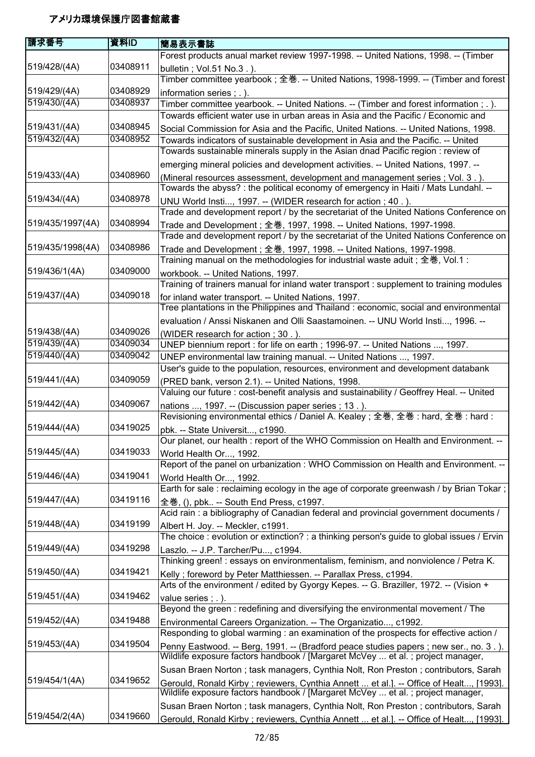| 請求番号             | 資料ID     | 簡易表示書誌                                                                                                                             |
|------------------|----------|------------------------------------------------------------------------------------------------------------------------------------|
|                  |          | Forest products anual market review 1997-1998. -- United Nations, 1998. -- (Timber                                                 |
| 519/428/(4A)     | 03408911 | bulletin; Vol.51 No.3.).                                                                                                           |
|                  |          | Timber committee yearbook ; 全巻. -- United Nations, 1998-1999. -- (Timber and forest                                                |
| 519/429/(4A)     | 03408929 | information series ; . ).                                                                                                          |
| 519/430/(4A)     | 03408937 | Timber committee yearbook. -- United Nations. -- (Timber and forest information ; .).                                              |
|                  |          | Towards efficient water use in urban areas in Asia and the Pacific / Economic and                                                  |
| 519/431/(4A)     | 03408945 |                                                                                                                                    |
| 519/432/(4A)     | 03408952 | Social Commission for Asia and the Pacific, United Nations. -- United Nations, 1998.                                               |
|                  |          | Towards indicators of sustainable development in Asia and the Pacific. -- United                                                   |
|                  |          | Towards sustainable minerals supply in the Asian dnad Pacific region : review of                                                   |
|                  |          | emerging mineral policies and development activities. -- United Nations, 1997. --                                                  |
| 519/433/(4A)     | 03408960 | (Mineral resources assessment, development and management series ; Vol. 3.).                                                       |
|                  |          | Towards the abyss? : the political economy of emergency in Haiti / Mats Lundahl. --                                                |
| 519/434/(4A)     | 03408978 | UNU World Insti, 1997. -- (WIDER research for action; 40.).                                                                        |
|                  |          | Trade and development report / by the secretariat of the United Nations Conference on                                              |
| 519/435/1997(4A) | 03408994 | Trade and Development ; 全巻, 1997, 1998. -- United Nations, 1997-1998.                                                              |
|                  |          | Trade and development report / by the secretariat of the United Nations Conference on                                              |
| 519/435/1998(4A) | 03408986 | Trade and Development ; 全巻, 1997, 1998. -- United Nations, 1997-1998.                                                              |
|                  |          | Training manual on the methodologies for industrial waste aduit ; 全巻, Vol.1 :                                                      |
| 519/436/1(4A)    | 03409000 | workbook. -- United Nations, 1997.                                                                                                 |
|                  |          | Training of trainers manual for inland water transport : supplement to training modules                                            |
| 519/437/(4A)     | 03409018 | for inland water transport. -- United Nations, 1997.                                                                               |
|                  |          | Tree plantations in the Philippines and Thailand : economic, social and environmental                                              |
|                  |          | evaluation / Anssi Niskanen and Olli Saastamoinen. -- UNU World Insti, 1996. --                                                    |
| 519/438/(4A)     | 03409026 | (WIDER research for action; 30.).                                                                                                  |
| 519/439/(4A)     | 03409034 | UNEP biennium report : for life on earth ; 1996-97. -- United Nations , 1997.                                                      |
| 519/440/(4A)     | 03409042 | UNEP environmental law training manual. -- United Nations , 1997.                                                                  |
|                  |          | User's guide to the population, resources, environment and development databank                                                    |
| 519/441/(4A)     | 03409059 | (PRED bank, verson 2.1). -- United Nations, 1998.                                                                                  |
|                  |          | Valuing our future : cost-benefit analysis and sustainability / Geoffrey Heal. -- United                                           |
| 519/442/(4A)     | 03409067 |                                                                                                                                    |
|                  |          | nations , 1997. -- (Discussion paper series; 13.).<br>Revisioning environmental ethics / Daniel A. Kealey; 全巻, 全巻: hard, 全巻: hard: |
| 519/444/(4A)     | 03419025 |                                                                                                                                    |
|                  |          | pbk. -- State Universit, c1990.<br>Our planet, our health : report of the WHO Commission on Health and Environment.                |
| 519/445/(4A)     | 03419033 |                                                                                                                                    |
|                  |          | World Health Or, 1992.                                                                                                             |
| 519/446/(4A)     | 03419041 | Report of the panel on urbanization : WHO Commission on Health and Environment. --                                                 |
|                  |          | World Health Or, 1992.                                                                                                             |
|                  |          | Earth for sale: reclaiming ecology in the age of corporate greenwash / by Brian Tokar;                                             |
| 519/447/(4A)     | 03419116 | 全巻, (), pbk -- South End Press, c1997.                                                                                             |
|                  |          | Acid rain: a bibliography of Canadian federal and provincial government documents /                                                |
| 519/448/(4A)     | 03419199 | Albert H. Joy. -- Meckler, c1991.                                                                                                  |
|                  |          | The choice: evolution or extinction?: a thinking person's guide to global issues / Ervin                                           |
| 519/449/(4A)     | 03419298 | Laszlo. -- J.P. Tarcher/Pu, c1994.                                                                                                 |
|                  |          | Thinking green! : essays on environmentalism, feminism, and nonviolence / Petra K.                                                 |
| 519/450/(4A)     | 03419421 | Kelly; foreword by Peter Matthiessen. -- Parallax Press, c1994.                                                                    |
|                  |          | Arts of the environment / edited by Gyorgy Kepes. -- G. Braziller, 1972. -- (Vision +                                              |
| 519/451/(4A)     | 03419462 | value series ; . ).                                                                                                                |
|                  |          | Beyond the green: redefining and diversifying the environmental movement / The                                                     |
| 519/452/(4A)     | 03419488 | Environmental Careers Organization. -- The Organizatio, c1992.                                                                     |
|                  |          | Responding to global warming : an examination of the prospects for effective action /                                              |
| 519/453/(4A)     | 03419504 | Penny Eastwood. -- Berg, 1991. -- (Bradford peace studies papers ; new ser., no. 3.).                                              |
|                  |          | Wildlife exposure factors handbook / [Margaret McVey  et al. ; project manager,                                                    |
|                  |          | Susan Braen Norton; task managers, Cynthia Nolt, Ron Preston; contributors, Sarah                                                  |
| 519/454/1(4A)    | 03419652 | Gerould, Ronald Kirby; reviewers, Cynthia Annett  et al.]. -- Office of Healt, [1993].                                             |
|                  |          | Wildlife exposure factors handbook / [Margaret McVey  et al. ; project manager,                                                    |
|                  |          | Susan Braen Norton; task managers, Cynthia Nolt, Ron Preston; contributors, Sarah                                                  |
| 519/454/2(4A)    | 03419660 | Gerould, Ronald Kirby; reviewers, Cynthia Annett  et al.]. -- Office of Healt, [1993].                                             |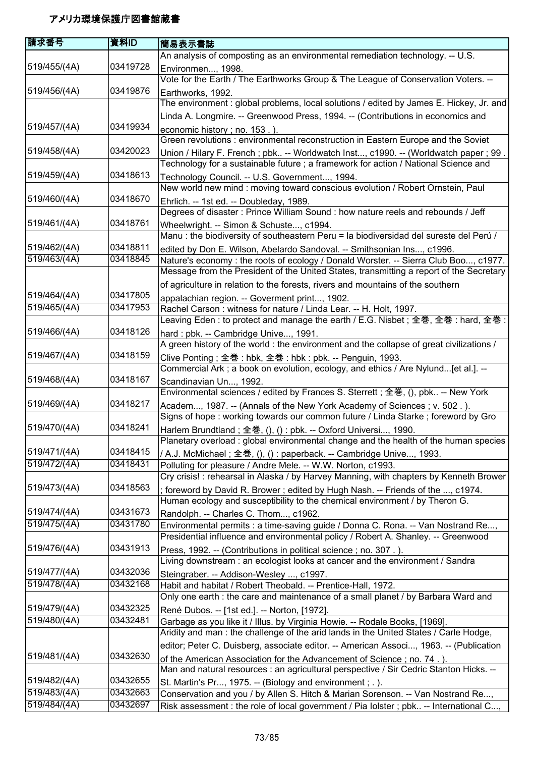| 請求番号         | 資料ID     | 簡易表示書誌                                                                                                                                                      |
|--------------|----------|-------------------------------------------------------------------------------------------------------------------------------------------------------------|
|              |          | An analysis of composting as an environmental remediation technology. -- U.S.                                                                               |
| 519/455/(4A) | 03419728 | Environmen, 1998.                                                                                                                                           |
|              |          | Vote for the Earth / The Earthworks Group & The League of Conservation Voters. --                                                                           |
| 519/456/(4A) | 03419876 | Earthworks, 1992.                                                                                                                                           |
|              |          | The environment: global problems, local solutions / edited by James E. Hickey, Jr. and                                                                      |
|              |          | Linda A. Longmire. -- Greenwood Press, 1994. -- (Contributions in economics and                                                                             |
| 519/457/(4A) | 03419934 | economic history; no. 153.).                                                                                                                                |
|              |          | Green revolutions : environmental reconstruction in Eastern Europe and the Soviet                                                                           |
| 519/458/(4A) | 03420023 | Union / Hilary F. French; pbk -- Worldwatch Inst, c1990. -- (Worldwatch paper; 99.                                                                          |
|              |          | Technology for a sustainable future ; a framework for action / National Science and                                                                         |
| 519/459/(4A) | 03418613 | Technology Council. -- U.S. Government, 1994.                                                                                                               |
|              |          | New world new mind : moving toward conscious evolution / Robert Ornstein, Paul                                                                              |
| 519/460/(4A) | 03418670 | Ehrlich. -- 1st ed. -- Doubleday, 1989.                                                                                                                     |
|              |          | Degrees of disaster: Prince William Sound: how nature reels and rebounds / Jeff                                                                             |
| 519/461/(4A) | 03418761 | Wheelwright. -- Simon & Schuste, c1994.                                                                                                                     |
|              |          | Manu : the biodiversity of southeastern Peru = la biodiversidad del sureste del Perú /                                                                      |
| 519/462/(4A) | 03418811 | edited by Don E. Wilson, Abelardo Sandoval. -- Smithsonian Ins, c1996.                                                                                      |
| 519/463/(4A) | 03418845 | Nature's economy : the roots of ecology / Donald Worster. -- Sierra Club Boo, c1977.                                                                        |
|              |          | Message from the President of the United States, transmitting a report of the Secretary                                                                     |
|              |          | of agriculture in relation to the forests, rivers and mountains of the southern                                                                             |
| 519/464/(4A) | 03417805 | appalachian region. -- Goverment print, 1902.                                                                                                               |
| 519/465/(4A) | 03417953 | Rachel Carson: witness for nature / Linda Lear. -- H. Holt, 1997.                                                                                           |
|              |          | Leaving Eden : to protect and manage the earth / E.G. Nisbet ; 全巻, 全巻 : hard, 全巻 :                                                                          |
| 519/466/(4A) | 03418126 | hard: pbk. -- Cambridge Unive, 1991.                                                                                                                        |
|              |          | A green history of the world : the environment and the collapse of great civilizations /                                                                    |
| 519/467/(4A) | 03418159 | Clive Ponting; 全巻: hbk, 全巻: hbk: pbk. -- Penguin, 1993.                                                                                                     |
|              |          | Commercial Ark ; a book on evolution, ecology, and ethics / Are Nylund[et al.]. --                                                                          |
| 519/468/(4A) | 03418167 | Scandinavian Un, 1992.                                                                                                                                      |
|              | 03418217 | Environmental sciences / edited by Frances S. Sterrett; 全巻, (), pbk -- New York                                                                             |
| 519/469/(4A) |          | Academ, 1987. -- (Annals of the New York Academy of Sciences; v. 502.).<br>Signs of hope: working towards our common future / Linda Starke; foreword by Gro |
| 519/470/(4A) | 03418241 |                                                                                                                                                             |
|              |          | Harlem Brundtland; 全巻, (), () : pbk. -- Oxford Universi, 1990.<br>Planetary overload : global environmental change and the health of the human species      |
| 519/471/(4A) | 03418415 |                                                                                                                                                             |
| 519/472/(4A) | 03418431 | / A.J. McMichael ; 全巻, (), () : paperback. -- Cambridge Unive, 1993.<br>Polluting for pleasure / Andre Mele. -- W.W. Norton, c1993.                         |
|              |          | Cry crisis! : rehearsal in Alaska / by Harvey Manning, with chapters by Kenneth Brower                                                                      |
| 519/473/(4A) | 03418563 | ; foreword by David R. Brower ; edited by Hugh Nash. -- Friends of the , c1974.                                                                             |
|              |          | Human ecology and susceptibility to the chemical environment / by Theron G.                                                                                 |
| 519/474/(4A) | 03431673 | Randolph. -- Charles C. Thom, c1962.                                                                                                                        |
| 519/475/(4A) | 03431780 | Environmental permits : a time-saving guide / Donna C. Rona. -- Van Nostrand Re,                                                                            |
|              |          | Presidential influence and environmental policy / Robert A. Shanley. -- Greenwood                                                                           |
| 519/476/(4A) | 03431913 | Press, 1992. -- (Contributions in political science; no. 307.).                                                                                             |
|              |          | Living downstream : an ecologist looks at cancer and the environment / Sandra                                                                               |
| 519/477/(4A) | 03432036 | Steingraber. -- Addison-Wesley , c1997.                                                                                                                     |
| 519/478/(4A) | 03432168 | Habit and habitat / Robert Theobald. -- Prentice-Hall, 1972.                                                                                                |
|              |          | Only one earth : the care and maintenance of a small planet / by Barbara Ward and                                                                           |
| 519/479/(4A) | 03432325 | René Dubos. -- [1st ed.]. -- Norton, [1972].                                                                                                                |
| 519/480/(4A) | 03432481 | Garbage as you like it / Illus. by Virginia Howie. -- Rodale Books, [1969].                                                                                 |
|              |          | Aridity and man : the challenge of the arid lands in the United States / Carle Hodge,                                                                       |
|              |          | editor; Peter C. Duisberg, associate editor. -- American Associ, 1963. -- (Publication                                                                      |
| 519/481/(4A) | 03432630 | of the American Association for the Advancement of Science; no. 74.).                                                                                       |
|              |          | Man and natural resources : an agricultural perspective / Sir Cedric Stanton Hicks. --                                                                      |
| 519/482/(4A) | 03432655 | St. Martin's Pr, 1975. -- (Biology and environment; .).                                                                                                     |
| 519/483/(4A) | 03432663 | Conservation and you / by Allen S. Hitch & Marian Sorenson. -- Van Nostrand Re,                                                                             |
| 519/484/(4A) | 03432697 | Risk assessment : the role of local government / Pia lolster ; pbk -- International C,                                                                      |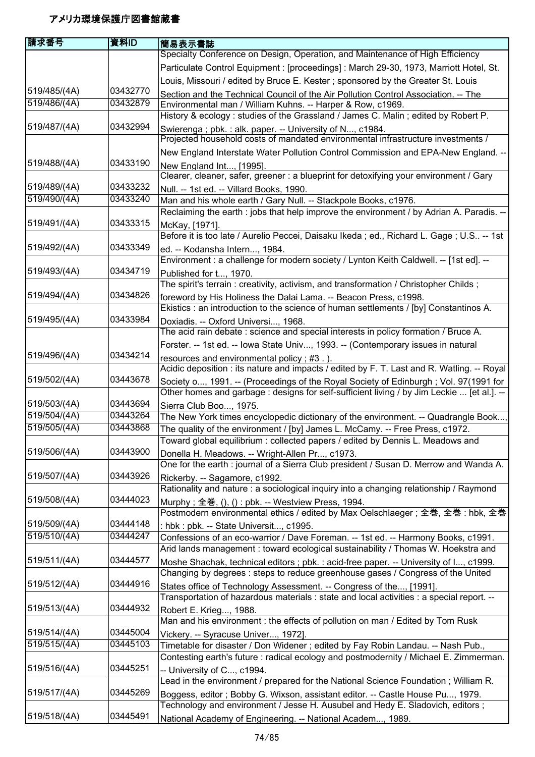| 庸求番号         | 資料ID     | 簡易表示書誌                                                                                                                                                                             |
|--------------|----------|------------------------------------------------------------------------------------------------------------------------------------------------------------------------------------|
|              |          | Specialty Conference on Design, Operation, and Maintenance of High Efficiency                                                                                                      |
|              |          | Particulate Control Equipment : [proceedings] : March 29-30, 1973, Marriott Hotel, St.                                                                                             |
|              |          | Louis, Missouri / edited by Bruce E. Kester; sponsored by the Greater St. Louis                                                                                                    |
| 519/485/(4A) | 03432770 | Section and the Technical Council of the Air Pollution Control Association. -- The                                                                                                 |
| 519/486/(4A) | 03432879 | Environmental man / William Kuhns. -- Harper & Row, c1969.                                                                                                                         |
|              |          | History & ecology: studies of the Grassland / James C. Malin; edited by Robert P.                                                                                                  |
| 519/487/(4A) | 03432994 | Swierenga; pbk.: alk. paper. -- University of N, c1984.                                                                                                                            |
|              |          | Projected household costs of mandated environmental infrastructure investments /                                                                                                   |
|              |          | New England Interstate Water Pollution Control Commission and EPA-New England. --                                                                                                  |
| 519/488/(4A) | 03433190 | New England Int, [1995].                                                                                                                                                           |
|              |          | Clearer, cleaner, safer, greener : a blueprint for detoxifying your environment / Gary                                                                                             |
| 519/489/(4A) | 03433232 | Null. -- 1st ed. -- Villard Books, 1990.                                                                                                                                           |
| 519/490/(4A) | 03433240 | Man and his whole earth / Gary Null. -- Stackpole Books, c1976.                                                                                                                    |
|              |          | Reclaiming the earth : jobs that help improve the environment / by Adrian A. Paradis. --                                                                                           |
| 519/491/(4A) | 03433315 | McKay, [1971].                                                                                                                                                                     |
|              |          | Before it is too late / Aurelio Peccei, Daisaku Ikeda; ed., Richard L. Gage; U.S -- 1st                                                                                            |
| 519/492/(4A) | 03433349 | ed. -- Kodansha Intern, 1984.                                                                                                                                                      |
|              |          | Environment : a challenge for modern society / Lynton Keith Caldwell. -- [1st ed]. --                                                                                              |
| 519/493/(4A) | 03434719 | Published for t, 1970.                                                                                                                                                             |
|              |          | The spirit's terrain: creativity, activism, and transformation / Christopher Childs;                                                                                               |
| 519/494/(4A) | 03434826 | foreword by His Holiness the Dalai Lama. -- Beacon Press, c1998.                                                                                                                   |
| 519/495/(4A) | 03433984 | Ekistics : an introduction to the science of human settlements / [by] Constantinos A.                                                                                              |
|              |          | Doxiadis. -- Oxford Universi, 1968.<br>The acid rain debate: science and special interests in policy formation / Bruce A.                                                          |
|              |          |                                                                                                                                                                                    |
| 519/496/(4A) | 03434214 | Forster. -- 1st ed. -- Iowa State Univ, 1993. -- (Contemporary issues in natural                                                                                                   |
|              |          | resources and environmental policy; #3.)<br>Acidic deposition : its nature and impacts / edited by F. T. Last and R. Watling. -- Royal                                             |
| 519/502/(4A) | 03443678 |                                                                                                                                                                                    |
|              |          | Society o, 1991. -- (Proceedings of the Royal Society of Edinburgh; Vol. 97(1991 for<br>Other homes and garbage : designs for self-sufficient living / by Jim Leckie  [et al.]. -- |
| 519/503/(4A) | 03443694 |                                                                                                                                                                                    |
| 519/504/(4A) | 03443264 | Sierra Club Boo, 1975.<br>The New York times encyclopedic dictionary of the environment. -- Quadrangle Book,                                                                       |
| 519/505/(4A) | 03443868 | The quality of the environment / [by] James L. McCamy. -- Free Press, c1972.                                                                                                       |
|              |          | Toward global equilibrium: collected papers / edited by Dennis L. Meadows and                                                                                                      |
| 519/506/(4A) | 03443900 | Donella H. Meadows. -- Wright-Allen Pr, c1973.                                                                                                                                     |
|              |          | One for the earth : journal of a Sierra Club president / Susan D. Merrow and Wanda A.                                                                                              |
| 519/507/(4A) | 03443926 | Rickerby. -- Sagamore, c1992.                                                                                                                                                      |
|              |          | Rationality and nature : a sociological inquiry into a changing relationship / Raymond                                                                                             |
| 519/508/(4A) | 03444023 | Murphy; 全巻, (), () : pbk. -- Westview Press, 1994.                                                                                                                                 |
|              |          | Postmodern environmental ethics / edited by Max Oelschlaeger; 全巻, 全巻: hbk, 全巻                                                                                                      |
| 519/509/(4A) | 03444148 | : hbk : pbk. -- State Universit, c1995.                                                                                                                                            |
| 519/510/(4A) | 03444247 | Confessions of an eco-warrior / Dave Foreman. -- 1st ed. -- Harmony Books, c1991.                                                                                                  |
|              |          | Arid lands management : toward ecological sustainability / Thomas W. Hoekstra and                                                                                                  |
| 519/511/(4A) | 03444577 | Moshe Shachak, technical editors ; pbk. : acid-free paper. -- University of I, c1999.                                                                                              |
|              |          | Changing by degrees: steps to reduce greenhouse gases / Congress of the United                                                                                                     |
| 519/512/(4A) | 03444916 | States office of Technology Assessment. -- Congress of the, [1991].                                                                                                                |
|              |          | Transportation of hazardous materials : state and local activities : a special report. --                                                                                          |
| 519/513/(4A) | 03444932 | Robert E. Krieg, 1988.                                                                                                                                                             |
|              |          | Man and his environment : the effects of pollution on man / Edited by Tom Rusk                                                                                                     |
| 519/514/(4A) | 03445004 | Vickery. -- Syracuse Univer, 1972].                                                                                                                                                |
| 519/515/(4A) | 03445103 | Timetable for disaster / Don Widener; edited by Fay Robin Landau. -- Nash Pub.,                                                                                                    |
|              |          | Contesting earth's future : radical ecology and postmodernity / Michael E. Zimmerman.                                                                                              |
| 519/516/(4A) | 03445251 | - University of C, c1994.                                                                                                                                                          |
|              |          | Lead in the environment / prepared for the National Science Foundation; William R.                                                                                                 |
| 519/517/(4A) | 03445269 | Boggess, editor; Bobby G. Wixson, assistant editor. -- Castle House Pu, 1979.                                                                                                      |
|              |          | Technology and environment / Jesse H. Ausubel and Hedy E. Sladovich, editors;                                                                                                      |
| 519/518/(4A) | 03445491 | National Academy of Engineering. -- National Academ, 1989.                                                                                                                         |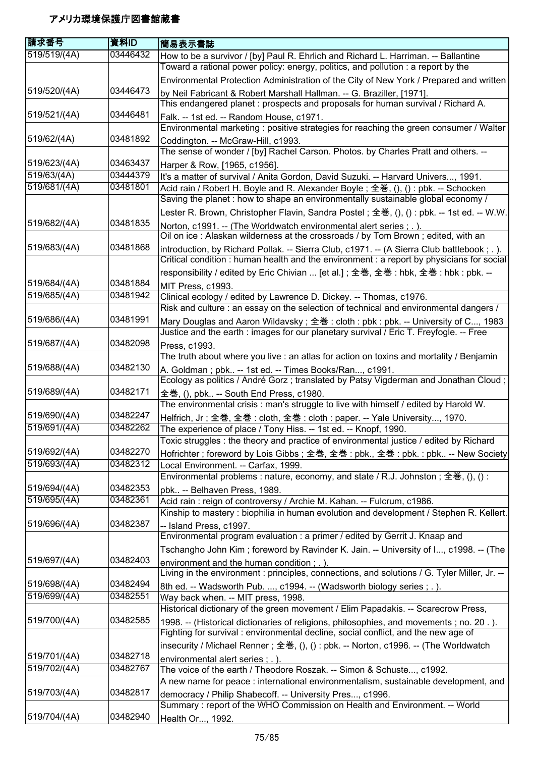| 請求番号         | 資料ID     | 簡易表示書誌                                                                                                                                                                                 |
|--------------|----------|----------------------------------------------------------------------------------------------------------------------------------------------------------------------------------------|
| 519/519/(4A) | 03446432 | How to be a survivor / [by] Paul R. Ehrlich and Richard L. Harriman. -- Ballantine                                                                                                     |
|              |          | Toward a rational power policy: energy, politics, and pollution : a report by the                                                                                                      |
|              |          | Environmental Protection Administration of the City of New York / Prepared and written                                                                                                 |
| 519/520/(4A) | 03446473 | by Neil Fabricant & Robert Marshall Hallman. -- G. Braziller, [1971].                                                                                                                  |
|              |          | This endangered planet: prospects and proposals for human survival / Richard A.                                                                                                        |
| 519/521/(4A) | 03446481 | Falk. -- 1st ed. -- Random House, c1971.                                                                                                                                               |
|              |          | Environmental marketing : positive strategies for reaching the green consumer / Walter                                                                                                 |
| 519/62/(4A)  | 03481892 | Coddington. -- McGraw-Hill, c1993.                                                                                                                                                     |
|              |          | The sense of wonder / [by] Rachel Carson. Photos. by Charles Pratt and others. --                                                                                                      |
| 519/623/(4A) | 03463437 | Harper & Row, [1965, c1956].                                                                                                                                                           |
| 519/63/(4A)  | 03444379 | It's a matter of survival / Anita Gordon, David Suzuki. -- Harvard Univers, 1991.                                                                                                      |
| 519/681/(4A) | 03481801 | Acid rain / Robert H. Boyle and R. Alexander Boyle; 全巻, (), (): pbk. -- Schocken                                                                                                       |
|              |          | Saving the planet : how to shape an environmentally sustainable global economy /                                                                                                       |
| 519/682/(4A) | 03481835 | Lester R. Brown, Christopher Flavin, Sandra Postel; 全巻, (), () : pbk. -- 1st ed. -- W.W.                                                                                               |
|              |          | Norton, c1991. -- (The Worldwatch environmental alert series ; . ).<br>Oil on ice: Alaskan wilderness at the crossroads / by Tom Brown; edited, with an                                |
| 519/683/(4A) | 03481868 |                                                                                                                                                                                        |
|              |          | introduction, by Richard Pollak. -- Sierra Club, c1971. -- (A Sierra Club battlebook; .).<br>Critical condition : human health and the environment : a report by physicians for social |
|              |          | responsibility / edited by Eric Chivian  [et al.]; 全巻, 全巻: hbk, 全巻: hbk: pbk. --                                                                                                       |
| 519/684/(4A) | 03481884 |                                                                                                                                                                                        |
| 519/685/(4A) | 03481942 | MIT Press, c1993.<br>Clinical ecology / edited by Lawrence D. Dickey. -- Thomas, c1976.                                                                                                |
|              |          | Risk and culture : an essay on the selection of technical and environmental dangers /                                                                                                  |
| 519/686/(4A) | 03481991 | Mary Douglas and Aaron Wildavsky; 全巻: cloth: pbk: pbk. -- University of C, 1983                                                                                                        |
|              |          | Justice and the earth : images for our planetary survival / Eric T. Freyfogle. -- Free                                                                                                 |
| 519/687/(4A) | 03482098 | Press, c1993.                                                                                                                                                                          |
|              |          | The truth about where you live : an atlas for action on toxins and mortality / Benjamin                                                                                                |
| 519/688/(4A) | 03482130 | A. Goldman; pbk -- 1st ed. -- Times Books/Ran, c1991.                                                                                                                                  |
|              |          | Ecology as politics / André Gorz; translated by Patsy Vigderman and Jonathan Cloud;                                                                                                    |
| 519/689/(4A) | 03482171 | 全巻, (), pbk -- South End Press, c1980.                                                                                                                                                 |
|              |          | The environmental crisis: man's struggle to live with himself / edited by Harold W.                                                                                                    |
| 519/690/(4A) | 03482247 | Helfrich, Jr; 全巻, 全巻: cloth, 全巻: cloth: paper. -- Yale University, 1970.                                                                                                               |
| 519/691/(4A) | 03482262 | The experience of place / Tony Hiss. -- 1st ed. -- Knopf, 1990.                                                                                                                        |
|              |          | Toxic struggles : the theory and practice of environmental justice / edited by Richard                                                                                                 |
| 519/692/(4A) | 03482270 | Hofrichter ; foreword by Lois Gibbs ; 全巻, 全巻 : pbk., 全巻 : pbk. : pbk. -- New Society                                                                                                   |
| 519/693/(4A) | 03482312 | Local Environment. -- Carfax, 1999.                                                                                                                                                    |
| 519/694/(4A) | 03482353 | Environmental problems : nature, economy, and state / R.J. Johnston; 全巻, (), () :                                                                                                      |
| 519/695/(4A) | 03482361 | pbk -- Belhaven Press, 1989.                                                                                                                                                           |
|              |          | Acid rain: reign of controversy / Archie M. Kahan. -- Fulcrum, c1986.<br>Kinship to mastery : biophilia in human evolution and development / Stephen R. Kellert.                       |
| 519/696/(4A) | 03482387 | -- Island Press, c1997.                                                                                                                                                                |
|              |          | Environmental program evaluation : a primer / edited by Gerrit J. Knaap and                                                                                                            |
|              |          | Tschangho John Kim; foreword by Ravinder K. Jain. -- University of I, c1998. -- (The                                                                                                   |
| 519/697/(4A) | 03482403 | environment and the human condition; .).                                                                                                                                               |
|              |          | Living in the environment : principles, connections, and solutions / G. Tyler Miller, Jr. --                                                                                           |
| 519/698/(4A) | 03482494 | 8th ed. -- Wadsworth Pub. , c1994. -- (Wadsworth biology series ; . ).                                                                                                                 |
| 519/699/(4A) | 03482551 | Way back when. -- MIT press, 1998.                                                                                                                                                     |
|              |          | Historical dictionary of the green movement / Elim Papadakis. -- Scarecrow Press,                                                                                                      |
| 519/700/(4A) | 03482585 | 1998. -- (Historical dictionaries of religions, philosophies, and movements; no. 20.).                                                                                                 |
|              |          | Fighting for survival: environmental decline, social conflict, and the new age of                                                                                                      |
|              |          | insecurity / Michael Renner; 全巻, (), () : pbk. -- Norton, c1996. -- (The Worldwatch                                                                                                    |
| 519/701/(4A) | 03482718 | environmental alert series; .)                                                                                                                                                         |
| 519/702/(4A) | 03482767 | The voice of the earth / Theodore Roszak. -- Simon & Schuste, c1992.                                                                                                                   |
|              |          | A new name for peace : international environmentalism, sustainable development, and                                                                                                    |
| 519/703/(4A) | 03482817 | democracy / Philip Shabecoff. -- University Pres, c1996.                                                                                                                               |
|              |          | Summary: report of the WHO Commission on Health and Environment. -- World                                                                                                              |
| 519/704/(4A) | 03482940 | Health Or, 1992.                                                                                                                                                                       |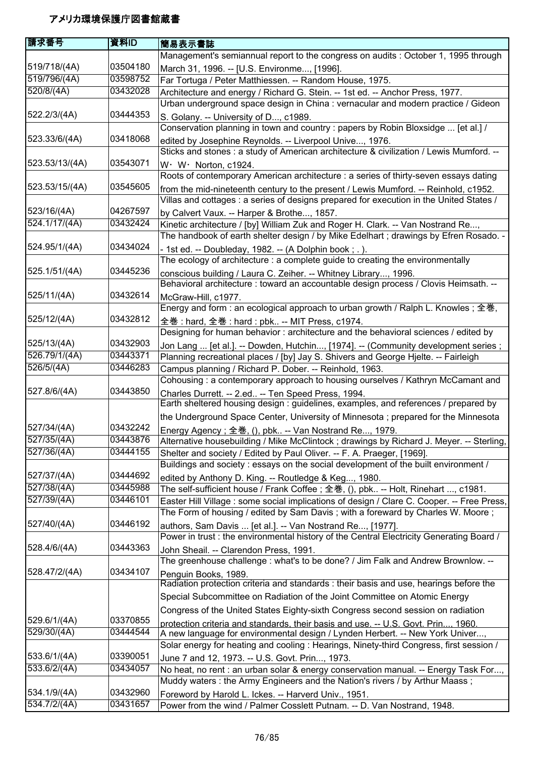| 請求番号           | 資料ID                 | 簡易表示書誌                                                                                                                                                                       |
|----------------|----------------------|------------------------------------------------------------------------------------------------------------------------------------------------------------------------------|
|                |                      | Management's semiannual report to the congress on audits : October 1, 1995 through                                                                                           |
| 519/718/(4A)   | 03504180             | March 31, 1996. -- [U.S. Environme, [1996].                                                                                                                                  |
| 519/796/(4A)   | 03598752             | Far Tortuga / Peter Matthiessen. -- Random House, 1975.                                                                                                                      |
| 520/8/(4A)     | 03432028             | Architecture and energy / Richard G. Stein. -- 1st ed. -- Anchor Press, 1977.                                                                                                |
|                |                      | Urban underground space design in China : vernacular and modern practice / Gideon                                                                                            |
| 522.2/3/(4A)   | 03444353             | S. Golany. -- University of D, c1989.                                                                                                                                        |
|                |                      | Conservation planning in town and country : papers by Robin Bloxsidge  [et al.] /                                                                                            |
| 523.33/6/(4A)  | 03418068             | edited by Josephine Reynolds. -- Liverpool Unive, 1976.                                                                                                                      |
|                |                      | Sticks and stones : a study of American architecture & civilization / Lewis Mumford. --                                                                                      |
| 523.53/13/(4A) | 03543071             | W · W · Norton, c1924.                                                                                                                                                       |
|                |                      | Roots of contemporary American architecture : a series of thirty-seven essays dating                                                                                         |
| 523.53/15/(4A) | 03545605             | from the mid-nineteenth century to the present / Lewis Mumford. -- Reinhold, c1952.                                                                                          |
|                |                      | Villas and cottages : a series of designs prepared for execution in the United States /                                                                                      |
| 523/16/(4A)    | 04267597             | by Calvert Vaux. -- Harper & Brothe, 1857.                                                                                                                                   |
| 524.1/17/(4A)  | 03432424             | Kinetic architecture / [by] William Zuk and Roger H. Clark. -- Van Nostrand Re,                                                                                              |
|                |                      | The handbook of earth shelter design / by Mike Edelhart; drawings by Efren Rosado. -                                                                                         |
| 524.95/1/(4A)  | 03434024             | - 1st ed. -- Doubleday, 1982. -- (A Dolphin book; .).                                                                                                                        |
|                |                      | The ecology of architecture : a complete guide to creating the environmentally                                                                                               |
| 525.1/51/(4A)  | 03445236             | conscious building / Laura C. Zeiher. -- Whitney Library, 1996.                                                                                                              |
|                |                      | Behavioral architecture : toward an accountable design process / Clovis Heimsath. --                                                                                         |
| 525/11/(4A)    | 03432614             | McGraw-Hill, c1977.                                                                                                                                                          |
|                |                      | Energy and form : an ecological approach to urban growth / Ralph L. Knowles ; 全巻,                                                                                            |
| 525/12/(4A)    | 03432812             | 全巻 : hard, 全巻 : hard : pbk -- MIT Press, c1974.                                                                                                                              |
|                |                      | Designing for human behavior : architecture and the behavioral sciences / edited by                                                                                          |
| 525/13/(4A)    | 03432903             | Jon Lang  [et al.]. -- Dowden, Hutchin, [1974]. -- (Community development series ;                                                                                           |
| 526.79/1/(4A)  | 03443371             | Planning recreational places / [by] Jay S. Shivers and George Hjelte. -- Fairleigh                                                                                           |
| 526/5/(4A)     | 03446283             | Campus planning / Richard P. Dober. -- Reinhold, 1963.                                                                                                                       |
|                |                      | Cohousing: a contemporary approach to housing ourselves / Kathryn McCamant and                                                                                               |
| 527.8/6/(4A)   | 03443850             | Charles Durrett. -- 2.ed -- Ten Speed Press, 1994.                                                                                                                           |
|                |                      | Earth sheltered housing design : guidelines, examples, and references / prepared by                                                                                          |
|                |                      | the Underground Space Center, University of Minnesota ; prepared for the Minnesota                                                                                           |
| 527/34/(4A)    | 03432242<br>03443876 | Energy Agency; 全巻, (), pbk -- Van Nostrand Re, 1979.                                                                                                                         |
| 527/35/(4A)    |                      | Alternative housebuilding / Mike McClintock ; drawings by Richard J. Meyer. -- Sterling,                                                                                     |
| 527/36/(4A)    | 03444155             | Shelter and society / Edited by Paul Oliver. -- F. A. Praeger, [1969].                                                                                                       |
| 527/37/(4A)    | 03444692             | Buildings and society : essays on the social development of the built environment /                                                                                          |
| 527/38/(4A)    | 03445988             | edited by Anthony D. King. -- Routledge & Keg, 1980.                                                                                                                         |
| 527/39/(4A)    | 03446101             | The self-sufficient house / Frank Coffee ; 全巻, (), pbk -- Holt, Rinehart , c1981.                                                                                            |
|                |                      | Easter Hill Village: some social implications of design / Clare C. Cooper. -- Free Press,<br>The Form of housing / edited by Sam Davis; with a foreward by Charles W. Moore; |
| 527/40/(4A)    | 03446192             |                                                                                                                                                                              |
|                |                      | authors, Sam Davis  [et al.]. -- Van Nostrand Re, [1977].<br>Power in trust : the environmental history of the Central Electricity Generating Board /                        |
| 528.4/6/(4A)   | 03443363             | John Sheail. -- Clarendon Press, 1991.                                                                                                                                       |
|                |                      | The greenhouse challenge: what's to be done? / Jim Falk and Andrew Brownlow. --                                                                                              |
| 528.47/2/(4A)  | 03434107             | Penguin Books, 1989.                                                                                                                                                         |
|                |                      | Radiation protection criteria and standards: their basis and use, hearings before the                                                                                        |
|                |                      | Special Subcommittee on Radiation of the Joint Committee on Atomic Energy                                                                                                    |
|                |                      | Congress of the United States Eighty-sixth Congress second session on radiation                                                                                              |
| 529.6/1/(4A)   | 03370855             | protection criteria and standards, their basis and use. -- U.S. Govt. Prin, 1960.                                                                                            |
| 529/30/(4A)    | 03444544             | A new language for environmental design / Lynden Herbert. -- New York Univer,                                                                                                |
|                |                      | Solar energy for heating and cooling : Hearings, Ninety-third Congress, first session /                                                                                      |
| 533.6/1/(4A)   | 03390051             | June 7 and 12, 1973. -- U.S. Govt. Prin, 1973.                                                                                                                               |
| 533.6/2/(4A)   | 03434057             | No heat, no rent : an urban solar & energy conservation manual. -- Energy Task For,                                                                                          |
|                |                      | Muddy waters: the Army Engineers and the Nation's rivers / by Arthur Maass;                                                                                                  |
| 534.1/9/(4A)   | 03432960             | Foreword by Harold L. Ickes. -- Harverd Univ., 1951.                                                                                                                         |
| 534.7/2/(4A)   | 03431657             | Power from the wind / Palmer Cosslett Putnam. -- D. Van Nostrand, 1948.                                                                                                      |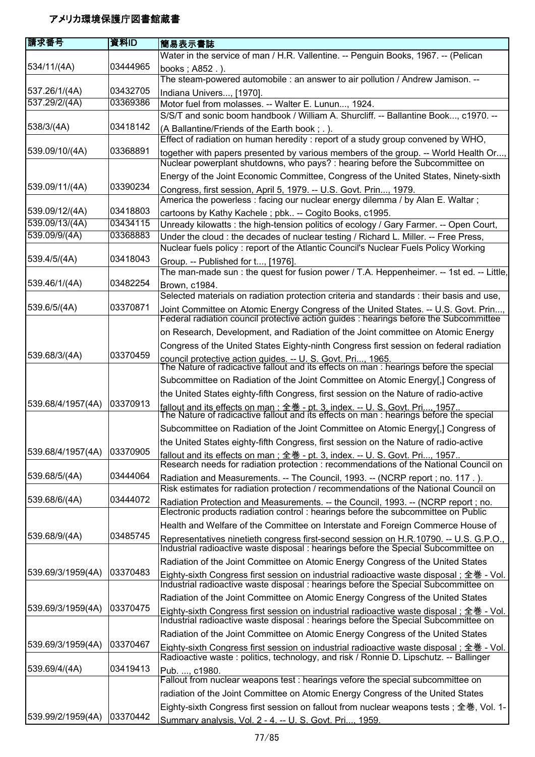| 請求番号              | 資料ID     | 簡易表示書誌                                                                                                                                                                           |
|-------------------|----------|----------------------------------------------------------------------------------------------------------------------------------------------------------------------------------|
|                   |          | Water in the service of man / H.R. Vallentine. -- Penguin Books, 1967. -- (Pelican                                                                                               |
| 534/11/(4A)       | 03444965 | books : A852.).                                                                                                                                                                  |
|                   |          | The steam-powered automobile : an answer to air pollution / Andrew Jamison. --                                                                                                   |
| 537.26/1/(4A)     | 03432705 | Indiana Univers, [1970].                                                                                                                                                         |
| 537.29/2/(4A)     | 03369386 | Motor fuel from molasses. -- Walter E. Lunun, 1924.                                                                                                                              |
|                   |          | S/S/T and sonic boom handbook / William A. Shurcliff. -- Ballantine Book, c1970. --                                                                                              |
| 538/3/(4A)        | 03418142 | (A Ballantine/Friends of the Earth book; .).                                                                                                                                     |
|                   |          | Effect of radiation on human heredity : report of a study group convened by WHO,                                                                                                 |
| 539.09/10/(4A)    | 03368891 | together with papers presented by various members of the group. -- World Health Or,<br>Nuclear powerplant shutdowns, who pays? : hearing before the Subcommittee on              |
|                   |          | Energy of the Joint Economic Committee, Congress of the United States, Ninety-sixth                                                                                              |
| 539.09/11/(4A)    | 03390234 | Congress, first session, April 5, 1979. -- U.S. Govt. Prin, 1979.                                                                                                                |
|                   |          | America the powerless : facing our nuclear energy dilemma / by Alan E. Waltar;                                                                                                   |
| 539.09/12/(4A)    | 03418803 | cartoons by Kathy Kachele; pbk -- Cogito Books, c1995.                                                                                                                           |
| 539.09/13/(4A)    | 03434115 | Unready kilowatts: the high-tension politics of ecology / Gary Farmer. -- Open Court,                                                                                            |
| 539.09/9/(4A)     | 03368883 | Under the cloud: the decades of nuclear testing / Richard L. Miller. -- Free Press,                                                                                              |
| 539.4/5/(4A)      | 03418043 | Nuclear fuels policy: report of the Atlantic Council's Nuclear Fuels Policy Working                                                                                              |
|                   |          | Group. -- Published for t, [1976].<br>The man-made sun: the quest for fusion power / T.A. Heppenheimer. -- 1st ed. -- Little,                                                    |
| 539.46/1/(4A)     | 03482254 | Brown, c1984.                                                                                                                                                                    |
|                   |          | Selected materials on radiation protection criteria and standards : their basis and use,                                                                                         |
| 539.6/5/(4A)      | 03370871 | Joint Committee on Atomic Energy Congress of the United States. -- U.S. Govt. Prin                                                                                               |
|                   |          | Federal radiation council protective action guides : hearings before the Subcommittee                                                                                            |
|                   |          | on Research, Development, and Radiation of the Joint committee on Atomic Energy                                                                                                  |
|                   |          | Congress of the United States Eighty-ninth Congress first session on federal radiation                                                                                           |
| 539.68/3/(4A)     | 03370459 | council protective action quides. -- U. S. Govt. Pri, 1965.<br>The Nature of radicactive fallout and its effects on man : hearings before the special                            |
|                   |          | Subcommittee on Radiation of the Joint Committee on Atomic Energy[,] Congress of                                                                                                 |
|                   |          | the United States eighty-fifth Congress, first session on the Nature of radio-active                                                                                             |
| 539.68/4/1957(4A) | 03370913 | fallout and its effects on man : 全巻 - pt. 3. index. -- U. S. Govt. Pri, 1957<br>The Nature of radicactive fallout and its effects on man : hearings before the special           |
|                   |          | Subcommittee on Radiation of the Joint Committee on Atomic Energy[,] Congress of                                                                                                 |
|                   |          | the United States eighty-fifth Congress, first session on the Nature of radio-active                                                                                             |
| 539.68/4/1957(4A) | 03370905 | fallout and its effects on man: 全巻 - pt. 3. index. -- U. S. Govt. Pri, 1957                                                                                                      |
|                   |          | Research needs for radiation protection : recommendations of the National Council on                                                                                             |
| 539.68/5/(4A)     | 03444064 | Radiation and Measurements. -- The Council, 1993. -- (NCRP report ; no. 117.).                                                                                                   |
| 539.68/6/(4A)     | 03444072 | Risk estimates for radiation protection / recommendations of the National Council on                                                                                             |
|                   |          | Radiation Protection and Measurements. -- the Council, 1993. -- (NCRP report ; no.<br>Electronic products radiation control : hearings before the subcommittee on Public         |
|                   |          | Health and Welfare of the Committee on Interstate and Foreign Commerce House of                                                                                                  |
| 539.68/9/(4A)     | 03485745 | Representatives ninetieth congress first-second session on H.R.10790. -- U.S. G.P.O.,                                                                                            |
|                   |          | Industrial radioactive waste disposal : hearings before the Special Subcommittee on                                                                                              |
|                   |          | Radiation of the Joint Committee on Atomic Energy Congress of the United States                                                                                                  |
| 539.69/3/1959(4A) | 03370483 | Eighty-sixth Congress first session on industrial radioactive waste disposal; 全巻 - Vol.<br>Industrial radioactive waste disposal : hearings before the Special Subcommittee on   |
|                   |          | Radiation of the Joint Committee on Atomic Energy Congress of the United States                                                                                                  |
| 539.69/3/1959(4A) | 03370475 | Eighty-sixth Congress first session on industrial radioactive waste disposal ; 全巻 - Vol. Industrial radioactive waste disposal : hearings before the Special Subcommittee on     |
|                   |          | Radiation of the Joint Committee on Atomic Energy Congress of the United States                                                                                                  |
| 539.69/3/1959(4A) | 03370467 | Eighty-sixth Congress first session on industrial radioactive waste disposal; 全巻 - Vol.<br>Radioactive waste: politics, technology, and risk / Ronnie D. Lipschutz. -- Ballinger |
| 539.69/4/(4A)     | 03419413 | Pub. , c1980.                                                                                                                                                                    |
|                   |          | Fallout from nuclear weapons test : hearings vefore the special subcommittee on                                                                                                  |
|                   |          | radiation of the Joint Committee on Atomic Energy Congress of the United States                                                                                                  |
|                   |          | Eighty-sixth Congress first session on fallout from nuclear weapons tests; 全巻, Vol. 1-                                                                                           |
| 539.99/2/1959(4A) | 03370442 | Summary analysis. Vol. 2 - 4. -- U. S. Govt. Pri 1959.                                                                                                                           |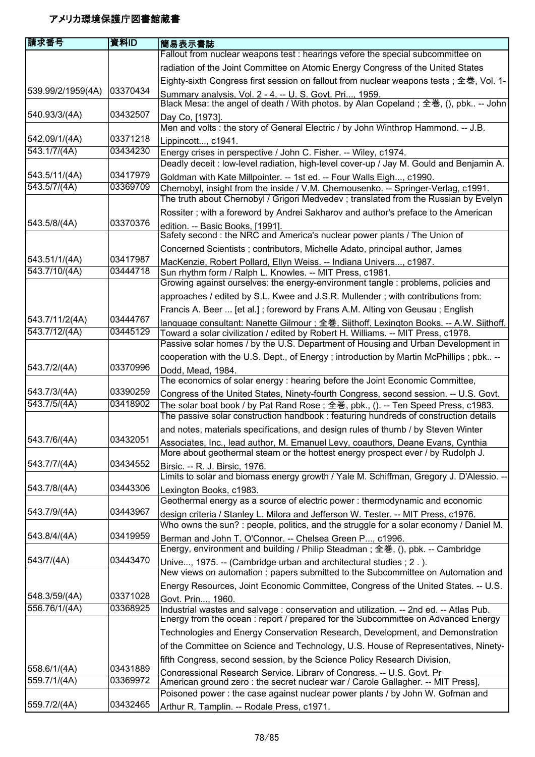| 請求番号              | 資料ID     | 簡易表示書誌                                                                                                                                                               |
|-------------------|----------|----------------------------------------------------------------------------------------------------------------------------------------------------------------------|
|                   |          | Fallout from nuclear weapons test : hearings vefore the special subcommittee on                                                                                      |
|                   |          | radiation of the Joint Committee on Atomic Energy Congress of the United States                                                                                      |
|                   |          | Eighty-sixth Congress first session on fallout from nuclear weapons tests; 全巻, Vol. 1-                                                                               |
| 539.99/2/1959(4A) | 03370434 | Summary analysis, Vol. 2 - 4. -- U. S. Govt. Pri, 1959.                                                                                                              |
|                   |          | Black Mesa: the angel of death / With photos. by Alan Copeland; 全巻, (), pbk -- John                                                                                  |
| 540.93/3/(4A)     | 03432507 | Day Co, [1973].                                                                                                                                                      |
|                   |          | Men and volts : the story of General Electric / by John Winthrop Hammond. -- J.B.                                                                                    |
| 542.09/1/(4A)     | 03371218 | Lippincott, c1941.                                                                                                                                                   |
| 543.1/7/(4A)      | 03434230 | Energy crises in perspective / John C. Fisher. -- Wiley, c1974.                                                                                                      |
|                   |          | Deadly deceit : low-level radiation, high-level cover-up / Jay M. Gould and Benjamin A.                                                                              |
| 543.5/11/(4A)     | 03417979 | Goldman with Kate Millpointer. -- 1st ed. -- Four Walls Eigh, c1990.                                                                                                 |
| 543.5/7/(4A)      | 03369709 | Chernobyl, insight from the inside / V.M. Chernousenko. -- Springer-Verlag, c1991.                                                                                   |
|                   |          | The truth about Chernobyl / Grigori Medvedev; translated from the Russian by Evelyn                                                                                  |
|                   |          | Rossiter; with a foreword by Andrei Sakharov and author's preface to the American                                                                                    |
| 543.5/8/(4A)      | 03370376 | edition. -- Basic Books, [1991].                                                                                                                                     |
|                   |          | Safety second : the NRC and America's nuclear power plants / The Union of                                                                                            |
|                   |          | Concerned Scientists ; contributors, Michelle Adato, principal author, James                                                                                         |
| 543.51/1/(4A)     | 03417987 | MacKenzie, Robert Pollard, Ellyn Weiss. -- Indiana Univers, c1987.                                                                                                   |
| 543.7/10/(4A)     | 03444718 | Sun rhythm form / Ralph L. Knowles. -- MIT Press, c1981.                                                                                                             |
|                   |          | Growing against ourselves: the energy-environment tangle : problems, policies and                                                                                    |
|                   |          | approaches / edited by S.L. Kwee and J.S.R. Mullender; with contributions from:                                                                                      |
| 543.7/11/2(4A)    | 03444767 | Francis A. Beer  [et al.]; foreword by Frans A.M. Alting von Geusau; English                                                                                         |
| 543.7/12/(4A)     | 03445129 | language consultant: Nanette Gilmour ; 全巻, Sijthoff, Lexington Books. -- A.W. Sijthoff,                                                                              |
|                   |          | Toward a solar civilization / edited by Robert H. Williams. -- MIT Press, c1978.<br>Passive solar homes / by the U.S. Department of Housing and Urban Development in |
|                   |          | cooperation with the U.S. Dept., of Energy ; introduction by Martin McPhillips ; pbk --                                                                              |
| 543.7/2/(4A)      | 03370996 |                                                                                                                                                                      |
|                   |          | Dodd, Mead, 1984.<br>The economics of solar energy : hearing before the Joint Economic Committee,                                                                    |
| 543.7/3/(4A)      | 03390259 | Congress of the United States, Ninety-fourth Congress, second session. -- U.S. Govt.                                                                                 |
| 543.7/5/(4A)      | 03418902 | The solar boat book / by Pat Rand Rose; 全巻, pbk., (). -- Ten Speed Press, c1983.                                                                                     |
|                   |          | The passive solar construction handbook: featuring hundreds of construction details                                                                                  |
|                   |          | and notes, materials specifications, and design rules of thumb / by Steven Winter                                                                                    |
| 543.7/6/(4A)      | 03432051 | Associates, Inc., lead author, M. Emanuel Levy, coauthors, Deane Evans, Cynthia                                                                                      |
|                   |          | More about geothermal steam or the hottest energy prospect ever / by Rudolph J.                                                                                      |
| 543.7/7/(4A)      | 03434552 | Birsic. -- R. J. Birsic, 1976.                                                                                                                                       |
|                   |          | Limits to solar and biomass energy growth / Yale M. Schiffman, Gregory J. D'Alessio. --                                                                              |
| 543.7/8/(4A)      | 03443306 | Lexington Books, c1983.                                                                                                                                              |
|                   |          | Geothermal energy as a source of electric power: thermodynamic and economic                                                                                          |
| 543.7/9/(4A)      | 03443967 | design criteria / Stanley L. Milora and Jefferson W. Tester. -- MIT Press, c1976.                                                                                    |
|                   | 03419959 | Who owns the sun? : people, politics, and the struggle for a solar economy / Daniel M.                                                                               |
| 543.8/4/(4A)      |          | Berman and John T. O'Connor. -- Chelsea Green P, c1996.                                                                                                              |
| 543/7/(4A)        | 03443470 | Energy, environment and building / Philip Steadman; 全巻, (), pbk. -- Cambridge                                                                                        |
|                   |          | Unive, 1975. -- (Cambridge urban and architectural studies ; 2.).<br>New views on automation : papers submitted to the Subcommittee on Automation and                |
|                   |          | Energy Resources, Joint Economic Committee, Congress of the United States. -- U.S.                                                                                   |
| 548.3/59/(4A)     | 03371028 |                                                                                                                                                                      |
| 556.76/1/(4A)     | 03368925 | Govt. Prin, 1960.<br>Industrial wastes and salvage : conservation and utilization. -- 2nd ed. -- Atlas Pub.                                                          |
|                   |          | Energy from the ocean: report / prepared for the Subcommittee on Advanced Energy                                                                                     |
|                   |          | Technologies and Energy Conservation Research, Development, and Demonstration                                                                                        |
|                   |          | of the Committee on Science and Technology, U.S. House of Representatives, Ninety-                                                                                   |
|                   |          | fifth Congress, second session, by the Science Policy Research Division,                                                                                             |
| 558.6/1/(4A)      | 03431889 | Congressional Research Service. Library of Congress. -- U.S. Govt. Pr.                                                                                               |
| 559.7/1/(4A)      | 03369972 | American ground zero: the secret nuclear war / Carole Gallagher. -- MIT Press],                                                                                      |
|                   |          | Poisoned power : the case against nuclear power plants / by John W. Gofman and                                                                                       |
| 559.7/2/(4A)      | 03432465 | Arthur R. Tamplin. -- Rodale Press, c1971.                                                                                                                           |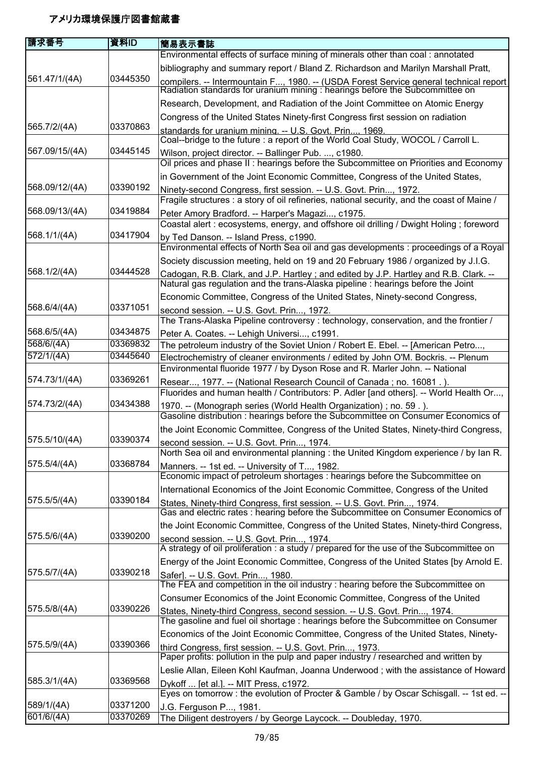| 請求番号           | 資料ID     | 簡易表示書誌                                                                                                                                                                   |
|----------------|----------|--------------------------------------------------------------------------------------------------------------------------------------------------------------------------|
| 561.47/1/(4A)  |          | Environmental effects of surface mining of minerals other than coal: annotated                                                                                           |
|                |          | bibliography and summary report / Bland Z. Richardson and Marilyn Marshall Pratt,                                                                                        |
|                | 03445350 | compilers. -- Intermountain F, 1980. -- (USDA Forest Service general technical report<br>Radiation standards for uranium mining : hearings before the Subcommittee on    |
|                |          | Research, Development, and Radiation of the Joint Committee on Atomic Energy                                                                                             |
|                |          | Congress of the United States Ninety-first Congress first session on radiation                                                                                           |
| 565.7/2/(4A)   | 03370863 | standards for uranium mining. -- U.S. Govt. Prin, 1969.<br>Coal--bridge to the future : a report of the World Coal Study, WOCOL / Carroll L.                             |
| 567.09/15/(4A) | 03445145 | Wilson, project director. -- Ballinger Pub. , c1980.                                                                                                                     |
|                |          | Oil prices and phase II: hearings before the Subcommittee on Priorities and Economy                                                                                      |
| 568.09/12/(4A) | 03390192 | in Government of the Joint Economic Committee, Congress of the United States,                                                                                            |
|                |          | Ninety-second Congress, first session. -- U.S. Govt. Prin, 1972.<br>Fragile structures : a story of oil refineries, national security, and the coast of Maine /          |
| 568.09/13/(4A) | 03419884 | Peter Amory Bradford. -- Harper's Magazi, c1975.<br>Coastal alert : ecosystems, energy, and offshore oil drilling / Dwight Holing; foreword                              |
| 568.1/1/(4A)   | 03417904 | by Ted Danson. -- Island Press, c1990.<br>Environmental effects of North Sea oil and gas developments : proceedings of a Royal                                           |
|                |          | Society discussion meeting, held on 19 and 20 February 1986 / organized by J.I.G.                                                                                        |
| 568.1/2/(4A)   | 03444528 | Cadogan, R.B. Clark, and J.P. Hartley; and edited by J.P. Hartley and R.B. Clark. --<br>Natural gas regulation and the trans-Alaska pipeline : hearings before the Joint |
|                |          | Economic Committee, Congress of the United States, Ninety-second Congress,                                                                                               |
| 568.6/4/(4A)   | 03371051 | second session. -- U.S. Govt. Prin, 1972.<br>The Trans-Alaska Pipeline controversy: technology, conservation, and the frontier /                                         |
| 568.6/5/(4A)   | 03434875 | Peter A. Coates. -- Lehigh Universi, c1991.                                                                                                                              |
| 568/6/(4A)     | 03369832 | The petroleum industry of the Soviet Union / Robert E. Ebel. -- [American Petro,                                                                                         |
| 572/1/(4A)     | 03445640 | Electrochemistry of cleaner environments / edited by John O'M. Bockris. -- Plenum<br>Environmental fluoride 1977 / by Dyson Rose and R. Marler John. -- National         |
| 574.73/1/(4A)  | 03369261 | Resear, 1977. -- (National Research Council of Canada; no. 16081.).                                                                                                      |
| 574.73/2/(4A)  | 03434388 | Fluorides and human health / Contributors: P. Adler [and others]. -- World Health Or,                                                                                    |
|                |          | 1970. -- (Monograph series (World Health Organization); no. 59.).<br>Gasoline distribution : hearings before the Subcommittee on Consumer Economics of                   |
|                |          | the Joint Economic Committee, Congress of the United States, Ninety-third Congress,                                                                                      |
| 575.5/10/(4A)  | 03390374 | second session. -- U.S. Govt. Prin, 1974.                                                                                                                                |
| 575.5/4/(4A)   | 03368784 | North Sea oil and environmental planning : the United Kingdom experience / by Ian R.                                                                                     |
|                |          | Manners. -- 1st ed. -- University of T, 1982.<br>Economic impact of petroleum shortages : hearings before the Subcommittee on                                            |
|                | 03390184 | International Economics of the Joint Economic Committee, Congress of the United                                                                                          |
| 575.5/5/(4A)   |          | States, Ninety-third Congress, first session. -- U.S. Govt. Prin, 1974.<br>Gas and electric rates : hearing before the Subcommittee on Consumer Economics of             |
|                |          | the Joint Economic Committee, Congress of the United States, Ninety-third Congress,                                                                                      |
| 575.5/6/(4A)   | 03390200 | second session. -- U.S. Govt. Prin, 1974.<br>A strategy of oil proliferation : a study / prepared for the use of the Subcommittee on                                     |
|                |          | Energy of the Joint Economic Committee, Congress of the United States [by Arnold E.                                                                                      |
| 575.5/7/(4A)   | 03390218 | Safer]. -- U.S. Govt. Prin, 1980.<br>The FEA and competition in the oil industry : hearing before the Subcommittee on                                                    |
|                |          | Consumer Economics of the Joint Economic Committee, Congress of the United                                                                                               |
| 575.5/8/(4A)   | 03390226 | States, Ninety-third Congress, second session. -- U.S. Govt. Prin, 1974.<br>The gasoline and fuel oil shortage : hearings before the Subcommittee on Consumer            |
|                |          | Economics of the Joint Economic Committee, Congress of the United States, Ninety-                                                                                        |
| 575.5/9/(4A)   | 03390366 | third Congress, first session. -- U.S. Govt. Prin, 1973.<br>Paper profits: pollution in the pulp and paper industry / researched and written by                          |
|                |          | Leslie Allan, Eileen Kohl Kaufman, Joanna Underwood; with the assistance of Howard                                                                                       |
| 585.3/1/(4A)   | 03369568 | Dykoff  [et al.]. -- MIT Press, c1972.                                                                                                                                   |
|                |          | Eyes on tomorrow : the evolution of Procter & Gamble / by Oscar Schisgall. -- 1st ed. --                                                                                 |
| 589/1/(4A)     | 03371200 | J.G. Ferguson P, 1981.                                                                                                                                                   |
| 601/6/(4A)     | 03370269 | The Diligent destroyers / by George Laycock. -- Doubleday, 1970.                                                                                                         |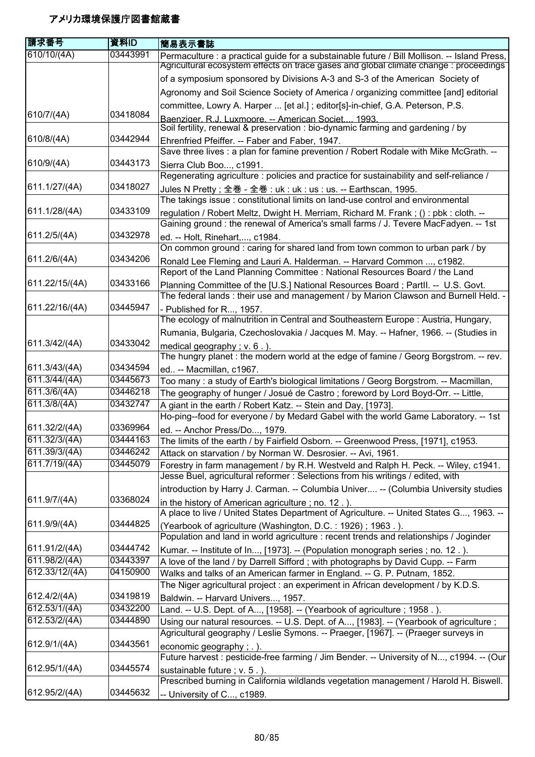| 請求番号           | 資料ID     | 簡易表示書誌                                                                                                                                  |
|----------------|----------|-----------------------------------------------------------------------------------------------------------------------------------------|
| 610/10/(4A)    | 03443991 | Permaculture : a practical guide for a substainable future / Bill Mollison. -- Island Press,                                            |
|                |          | Agricultural ecosystem effects on trace gases and global climate change : proceedings                                                   |
|                |          | of a symposium sponsored by Divisions A-3 and S-3 of the American Society of                                                            |
|                |          | Agronomy and Soil Science Society of America / organizing committee [and] editorial                                                     |
|                |          | committee, Lowry A. Harper  [et al.]; editor[s]-in-chief, G.A. Peterson, P.S.                                                           |
| 610/7/(4A)     | 03418084 | Baenziger, R.J. Luxmoore. -- American Societ 1993.<br>Soil fertility, renewal & preservation : bio-dynamic farming and gardening / by   |
| 610/8/(4A)     | 03442944 | Ehrenfried Pfeiffer. -- Faber and Faber, 1947.<br>Save three lives : a plan for famine prevention / Robert Rodale with Mike McGrath. -- |
| 610/9/(4A)     | 03443173 | Sierra Club Boo, c1991.                                                                                                                 |
|                |          | Regenerating agriculture : policies and practice for sustainability and self-reliance /                                                 |
| 611.1/27/(4A)  | 03418027 | Jules N Pretty ; 全巻 - 全巻 : uk : uk : us : us. -- Earthscan, 1995.                                                                       |
|                |          | The takings issue: constitutional limits on land-use control and environmental                                                          |
| 611.1/28/(4A)  | 03433109 | regulation / Robert Meltz, Dwight H. Merriam, Richard M. Frank; (): pbk: cloth. --                                                      |
|                |          | Gaining ground: the renewal of America's small farms / J. Tevere MacFadyen. -- 1st                                                      |
| 611.2/5/(4A)   | 03432978 | ed. -- Holt, Rinehart,, c1984.                                                                                                          |
|                |          | On common ground: caring for shared land from town common to urban park / by                                                            |
| 611.2/6/(4A)   | 03434206 | Ronald Lee Fleming and Lauri A. Halderman. -- Harvard Common , c1982.                                                                   |
|                |          | Report of the Land Planning Committee: National Resources Board / the Land                                                              |
| 611.22/15/(4A) | 03433166 | Planning Committee of the [U.S.] National Resources Board; Partll. -- U.S. Govt.                                                        |
|                |          | The federal lands: their use and management / by Marion Clawson and Burnell Held. -                                                     |
| 611.22/16/(4A) | 03445947 | - Published for R, 1957.                                                                                                                |
|                |          | The ecology of malnutrition in Central and Southeastern Europe : Austria, Hungary,                                                      |
|                |          | Rumania, Bulgaria, Czechoslovakia / Jacques M. May. -- Hafner, 1966. -- (Studies in                                                     |
| 611.3/42/(4A)  | 03433042 | medical geography; $v. 6.$ ).                                                                                                           |
|                |          | The hungry planet : the modern world at the edge of famine / Georg Borgstrom. -- rev.                                                   |
| 611.3/43/(4A)  | 03434594 | ed -- Macmillan, c1967.                                                                                                                 |
| 611.3/44/(4A)  | 03445673 | Too many : a study of Earth's biological limitations / Georg Borgstrom. -- Macmillan,                                                   |
| 611.3/6/(4A)   | 03446218 | The geography of hunger / Josué de Castro; foreword by Lord Boyd-Orr. -- Little,                                                        |
| 611.3/8/(4A)   | 03432747 | A giant in the earth / Robert Katz. -- Stein and Day, [1973].                                                                           |
|                |          | Ho-ping--food for everyone / by Medard Gabel with the world Game Laboratory. -- 1st                                                     |
| 611.32/2/(4A)  | 03369964 | ed. -- Anchor Press/Do, 1979.                                                                                                           |
| 611.32/3/(4A)  | 03444163 | The limits of the earth / by Fairfield Osborn. -- Greenwood Press, [1971], c1953.                                                       |
| 611.39/3/(4A)  | 03446242 | Attack on starvation / by Norman W. Desrosier. -- Avi, 1961.                                                                            |
| 611.7/19/(4A)  | 03445079 | Forestry in farm management / by R.H. Westveld and Ralph H. Peck. -- Wiley, c1941.                                                      |
|                |          | Jesse Buel, agricultural reformer: Selections from his writings / edited, with                                                          |
|                |          | introduction by Harry J. Carman. -- Columbia Univer -- (Columbia University studies                                                     |
| 611.9/7/(4A)   | 03368024 | in the history of American agriculture; no. 12.).                                                                                       |
|                |          | A place to live / United States Department of Agriculture. -- United States G, 1963. --                                                 |
| 611.9/9/(4A)   | 03444825 | (Yearbook of agriculture (Washington, D.C.: 1926); 1963.).                                                                              |
|                |          | Population and land in world agriculture : recent trends and relationships / Joginder                                                   |
| 611.91/2/(4A)  | 03444742 | Kumar. -- Institute of In, [1973]. -- (Population monograph series ; no. 12.).                                                          |
| 611.98/2/(4A)  | 03443397 | A love of the land / by Darrell Sifford; with photographs by David Cupp. -- Farm                                                        |
| 612.33/12/(4A) | 04150900 | Walks and talks of an American farmer in England. -- G. P. Putnam, 1852.                                                                |
| 612.4/2/(4A)   | 03419819 | The Niger agricultural project : an experiment in African development / by K.D.S.                                                       |
| 612.53/1/(4A)  | 03432200 | Baldwin. -- Harvard Univers, 1957.                                                                                                      |
| 612.53/2/(4A)  | 03444890 | Land. -- U.S. Dept. of A, [1958]. -- (Yearbook of agriculture; 1958.).                                                                  |
|                |          | Using our natural resources. -- U.S. Dept. of A, [1983]. -- (Yearbook of agriculture;                                                   |
| 612.9/1/(4A)   | 03443561 | Agricultural geography / Leslie Symons. -- Praeger, [1967]. -- (Praeger surveys in                                                      |
|                |          | economic geography $;$ $\ldots$ ).<br>Future harvest : pesticide-free farming / Jim Bender. -- University of N, c1994. -- (Our          |
| 612.95/1/(4A)  | 03445574 |                                                                                                                                         |
|                |          | sustainable future; v. 5.).<br>Prescribed burning in California wildlands vegetation management / Harold H. Biswell.                    |
| 612.95/2/(4A)  | 03445632 | -- University of C, c1989.                                                                                                              |
|                |          |                                                                                                                                         |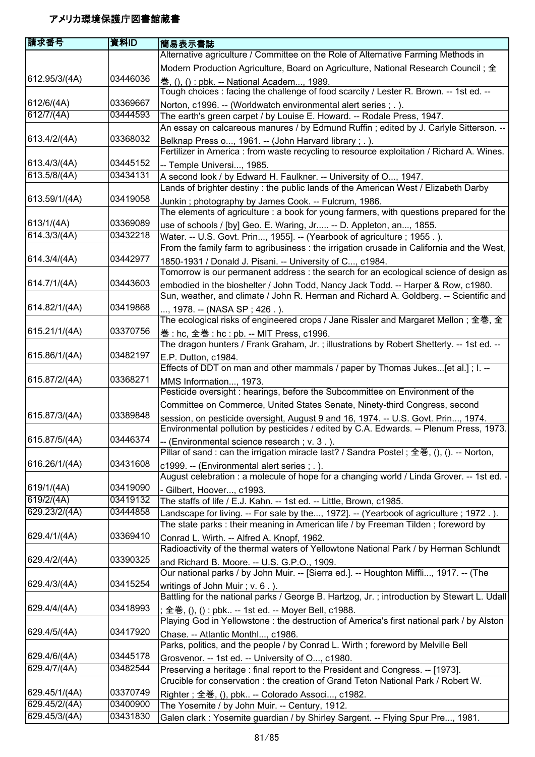| 請求番号          | 資料ID     | 簡易表示書誌                                                                                                                                                                      |
|---------------|----------|-----------------------------------------------------------------------------------------------------------------------------------------------------------------------------|
|               |          | Alternative agriculture / Committee on the Role of Alternative Farming Methods in                                                                                           |
|               |          | Modern Production Agriculture, Board on Agriculture, National Research Council; 全                                                                                           |
| 612.95/3/(4A) | 03446036 |                                                                                                                                                                             |
|               |          | 巻, (), () : pbk. -- National Academ, 1989.<br>Tough choices: facing the challenge of food scarcity / Lester R. Brown. -- 1st ed. --                                         |
| 612/6/(4A)    | 03369667 |                                                                                                                                                                             |
| 612/7/(4A)    | 03444593 | Norton, c1996. -- (Worldwatch environmental alert series; .).                                                                                                               |
|               |          | The earth's green carpet / by Louise E. Howard. -- Rodale Press, 1947.<br>An essay on calcareous manures / by Edmund Ruffin; edited by J. Carlyle Sitterson. --             |
| 613.4/2/(4A)  | 03368032 |                                                                                                                                                                             |
|               |          | Belknap Press o, 1961. -- (John Harvard library; .).                                                                                                                        |
| 613.4/3/(4A)  | 03445152 | Fertilizer in America : from waste recycling to resource exploitation / Richard A. Wines.                                                                                   |
|               |          | -- Temple Universi, 1985.                                                                                                                                                   |
| 613.5/8/(4A)  | 03434131 | A second look / by Edward H. Faulkner. -- University of O, 1947.                                                                                                            |
|               |          | Lands of brighter destiny: the public lands of the American West / Elizabeth Darby                                                                                          |
| 613.59/1/(4A) | 03419058 | Junkin; photography by James Cook. -- Fulcrum, 1986.                                                                                                                        |
|               |          | The elements of agriculture: a book for young farmers, with questions prepared for the                                                                                      |
| 613/1/(4A)    | 03369089 | use of schools / [by] Geo. E. Waring, Jr -- D. Appleton, an, 1855.                                                                                                          |
| 614.3/3/(4A)  | 03432218 | Water. -- U.S. Govt. Prin, 1955]. -- (Yearbook of agriculture ; 1955.).                                                                                                     |
|               |          | From the family farm to agribusiness : the irrigation crusade in California and the West,                                                                                   |
| 614.3/4/(4A)  | 03442977 | 1850-1931 / Donald J. Pisani. -- University of C, c1984.                                                                                                                    |
|               |          | Tomorrow is our permanent address : the search for an ecological science of design as                                                                                       |
| 614.7/1/(4A)  | 03443603 | embodied in the bioshelter / John Todd, Nancy Jack Todd. -- Harper & Row, c1980.                                                                                            |
|               |          | Sun, weather, and climate / John R. Herman and Richard A. Goldberg. -- Scientific and                                                                                       |
| 614.82/1/(4A) | 03419868 | , 1978. -- (NASA SP ; 426 . ).                                                                                                                                              |
|               |          | The ecological risks of engineered crops / Jane Rissler and Margaret Mellon ; 全巻, 全                                                                                         |
| 615.21/1/(4A) | 03370756 | 巻 : hc, 全巻 : hc : pb. -- MIT Press, c1996.                                                                                                                                  |
|               |          | The dragon hunters / Frank Graham, Jr.; illustrations by Robert Shetterly. -- 1st ed. --                                                                                    |
| 615.86/1/(4A) | 03482197 | E.P. Dutton, c1984.                                                                                                                                                         |
|               |          | Effects of DDT on man and other mammals / paper by Thomas Jukes[et al.]; I. --                                                                                              |
| 615.87/2/(4A) | 03368271 | MMS Information, 1973.                                                                                                                                                      |
|               |          | Pesticide oversight : hearings, before the Subcommittee on Environment of the                                                                                               |
|               |          | Committee on Commerce, United States Senate, Ninety-third Congress, second                                                                                                  |
| 615.87/3/(4A) | 03389848 |                                                                                                                                                                             |
|               |          | session, on pesticide oversight, August 9 and 16, 1974. -- U.S. Govt. Prin, 1974.<br>Environmental pollution by pesticides / edited by C.A. Edwards. -- Plenum Press, 1973. |
| 615.87/5/(4A) | 03446374 |                                                                                                                                                                             |
|               |          | -- (Environmental science research; v. 3.).                                                                                                                                 |
| 616.26/1/(4A) | 03431608 | Pillar of sand : can the irrigation miracle last? / Sandra Postel; 全巻, (), (). -- Norton,                                                                                   |
|               |          | c1999. -- (Environmental alert series ; .).                                                                                                                                 |
|               |          | August celebration : a molecule of hope for a changing world / Linda Grover. -- 1st ed. -                                                                                   |
| 619/1/(4A)    | 03419090 | - Gilbert, Hoover, c1993.                                                                                                                                                   |
| 619/2/(4A)    | 03419132 | The staffs of life / E.J. Kahn. -- 1st ed. -- Little, Brown, c1985.                                                                                                         |
| 629.23/2/(4A) | 03444858 | Landscape for living. -- For sale by the, 1972]. -- (Yearbook of agriculture; 1972.).                                                                                       |
|               |          | The state parks: their meaning in American life / by Freeman Tilden; foreword by                                                                                            |
| 629.4/1/(4A)  | 03369410 | Conrad L. Wirth. -- Alfred A. Knopf, 1962.                                                                                                                                  |
|               |          | Radioactivity of the thermal waters of Yellowtone National Park / by Herman Schlundt                                                                                        |
| 629.4/2/(4A)  | 03390325 | and Richard B. Moore. -- U.S. G.P.O., 1909.                                                                                                                                 |
|               |          | Our national parks / by John Muir. -- [Sierra ed.]. -- Houghton Miffli, 1917. -- (The                                                                                       |
| 629.4/3/(4A)  | 03415254 | writings of John Muir; v. 6.).                                                                                                                                              |
|               |          | Battling for the national parks / George B. Hartzog, Jr.; introduction by Stewart L. Udall                                                                                  |
| 629.4/4/(4A)  | 03418993 | ; 全巻, (), () : pbk -- 1st ed. -- Moyer Bell, c1988.                                                                                                                         |
|               |          | Playing God in Yellowstone : the destruction of America's first national park / by Alston                                                                                   |
| 629.4/5/(4A)  | 03417920 | Chase. -- Atlantic Monthl, c1986.                                                                                                                                           |
|               |          | Parks, politics, and the people / by Conrad L. Wirth; foreword by Melville Bell                                                                                             |
| 629.4/6/(4A)  | 03445178 | Grosvenor. -- 1st ed. -- University of O, c1980.                                                                                                                            |
| 629.4/7/(4A)  | 03482544 | Preserving a heritage: final report to the President and Congress. -- [1973].                                                                                               |
|               |          | Crucible for conservation : the creation of Grand Teton National Park / Robert W.                                                                                           |
| 629.45/1/(4A) | 03370749 |                                                                                                                                                                             |
| 629.45/2/(4A) | 03400900 | Righter; 全巻, (), pbk -- Colorado Associ, c1982.                                                                                                                             |
|               |          | The Yosemite / by John Muir. -- Century, 1912.                                                                                                                              |
| 629.45/3/(4A) | 03431830 | Galen clark: Yosemite guardian / by Shirley Sargent. -- Flying Spur Pre, 1981.                                                                                              |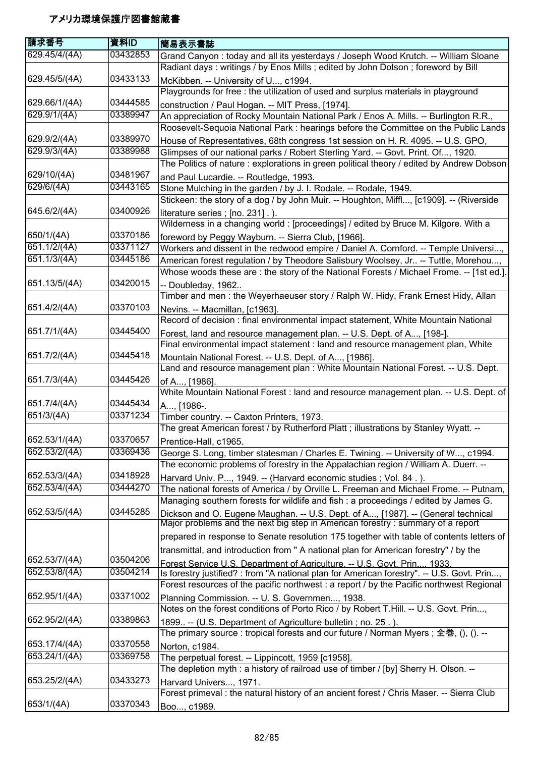| 請求番号                       | 資料ID                 | 簡易表示書誌                                                                                                                                                                  |
|----------------------------|----------------------|-------------------------------------------------------------------------------------------------------------------------------------------------------------------------|
| 629.45/4/(4A)              | 03432853             | Grand Canyon: today and all its yesterdays / Joseph Wood Krutch. -- William Sloane                                                                                      |
|                            |                      | Radiant days: writings / by Enos Mills; edited by John Dotson; foreword by Bill                                                                                         |
| 629.45/5/(4A)              | 03433133             | McKibben. -- University of U, c1994.                                                                                                                                    |
|                            |                      | Playgrounds for free : the utilization of used and surplus materials in playground                                                                                      |
| 629.66/1/(4A)              | 03444585             | construction / Paul Hogan. -- MIT Press, [1974].                                                                                                                        |
| 629.9/1/(4A)               | 03389947             | An appreciation of Rocky Mountain National Park / Enos A. Mills. -- Burlington R.R.,                                                                                    |
|                            |                      | Roosevelt-Sequoia National Park : hearings before the Committee on the Public Lands                                                                                     |
| 629.9/2/(4A)               | 03389970             | House of Representatives, 68th congress 1st session on H. R. 4095. -- U.S. GPO,                                                                                         |
| 629.9/3/(4A)               | 03389988             | Glimpses of our national parks / Robert Sterling Yard. -- Govt. Print. Of, 1920.                                                                                        |
|                            |                      | The Politics of nature : explorations in green political theory / edited by Andrew Dobson                                                                               |
| 629/10/(4A)                | 03481967             | and Paul Lucardie. -- Routledge, 1993.                                                                                                                                  |
| 629/6/(4A)                 | 03443165             | Stone Mulching in the garden / by J. I. Rodale. -- Rodale, 1949.                                                                                                        |
|                            |                      | Stickeen: the story of a dog / by John Muir. -- Houghton, Miffl, [c1909]. -- (Riverside                                                                                 |
| 645.6/2/(4A)               | 03400926             | literature series; [no. 231].).                                                                                                                                         |
|                            |                      | Wilderness in a changing world: [proceedings] / edited by Bruce M. Kilgore. With a                                                                                      |
| 650/1/(4A)<br>651.1/2/(4A) | 03370186<br>03371127 | foreword by Peggy Wayburn. -- Sierra Club, [1966].                                                                                                                      |
| 651.1/3/(4A)               | 03445186             | Workers and dissent in the redwood empire / Daniel A. Cornford. -- Temple Universi,                                                                                     |
|                            |                      | American forest regulation / by Theodore Salisbury Woolsey, Jr -- Tuttle, Morehou,                                                                                      |
| 651.13/5/(4A)              | 03420015             | Whose woods these are: the story of the National Forests / Michael Frome. -- [1st ed.].                                                                                 |
|                            |                      | -- Doubleday, 1962<br>Timber and men: the Weyerhaeuser story / Ralph W. Hidy, Frank Ernest Hidy, Allan                                                                  |
| 651.4/2/(4A)               | 03370103             | Nevins. -- Macmillan, [c1963].                                                                                                                                          |
|                            |                      | Record of decision : final environmental impact statement, White Mountain National                                                                                      |
| 651.7/1/(4A)               | 03445400             | Forest, land and resource management plan. -- U.S. Dept. of A, [198-].                                                                                                  |
|                            |                      | Final environmental impact statement : land and resource management plan, White                                                                                         |
| 651.7/2/(4A)               | 03445418             | Mountain National Forest. -- U.S. Dept. of A, [1986].                                                                                                                   |
|                            |                      | Land and resource management plan : White Mountain National Forest. -- U.S. Dept.                                                                                       |
| 651.7/3/(4A)               | 03445426             | of A, [1986].                                                                                                                                                           |
|                            |                      | White Mountain National Forest : land and resource management plan. -- U.S. Dept. of                                                                                    |
| 651.7/4/(4A)               | 03445434             | A, [1986-.                                                                                                                                                              |
| 651/3/(4A)                 | 03371234             | Timber country. -- Caxton Printers, 1973.                                                                                                                               |
|                            |                      | The great American forest / by Rutherford Platt; illustrations by Stanley Wyatt. --                                                                                     |
| 652.53/1/(4A)              | 03370657             | Prentice-Hall, c1965.                                                                                                                                                   |
| 652.53/2/(4A)              | 03369436             | George S. Long, timber statesman / Charles E. Twining. -- University of W, c1994.<br>The economic problems of forestry in the Appalachian region / William A. Duerr. -- |
| 652.53/3/(4A)              | 03418928             | Harvard Univ. P, 1949. -- (Harvard economic studies ; Vol. 84.).                                                                                                        |
| 652.53/4/(4A)              | 03444270             | The national forests of America / by Orville L. Freeman and Michael Frome. -- Putnam,                                                                                   |
|                            |                      | Managing southern forests for wildlife and fish : a proceedings / edited by James G.                                                                                    |
| 652.53/5/(4A)              | 03445285             | Dickson and O. Eugene Maughan. -- U.S. Dept. of A, [1987]. -- (General technical<br>Major problems and the next big step in American forestry: summary of a report      |
|                            |                      | prepared in response to Senate resolution 175 together with table of contents letters of                                                                                |
|                            |                      | transmittal, and introduction from " A national plan for American forestry" / by the                                                                                    |
| 652.53/7/(4A)              | 03504206             | Forest Service U.S. Department of Agriculture. -- U.S. Govt. Prin 1933.                                                                                                 |
| 652.53/8/(4A)              | 03504214             | Is forestry justified? : from "A national plan for American forestry". -- U.S. Govt. Prin,                                                                              |
|                            |                      | Forest resources of the pacific northwest : a report / by the Pacific northwest Regional                                                                                |
| 652.95/1/(4A)              | 03371002             | Planning Commission. -- U. S. Governmen, 1938.                                                                                                                          |
|                            |                      | Notes on the forest conditions of Porto Rico / by Robert T.Hill. -- U.S. Govt. Prin,                                                                                    |
| 652.95/2/(4A)              | 03389863             | 1899 -- (U.S. Department of Agriculture bulletin; no. 25.).                                                                                                             |
|                            |                      | The primary source : tropical forests and our future / Norman Myers ; 全巻, (), (). --                                                                                    |
| 653.17/4/(4A)              | 03370558             | Norton, c1984.                                                                                                                                                          |
| 653.24/1/(4A)              | 03369758             | The perpetual forest. -- Lippincott, 1959 [c1958].                                                                                                                      |
|                            |                      | The depletion myth: a history of railroad use of timber / [by] Sherry H. Olson. --                                                                                      |
| 653.25/2/(4A)              | 03433273             | Harvard Univers, 1971.                                                                                                                                                  |
|                            |                      | Forest primeval : the natural history of an ancient forest / Chris Maser. -- Sierra Club                                                                                |
| 653/1/(4A)                 | 03370343             | Boo, c1989.                                                                                                                                                             |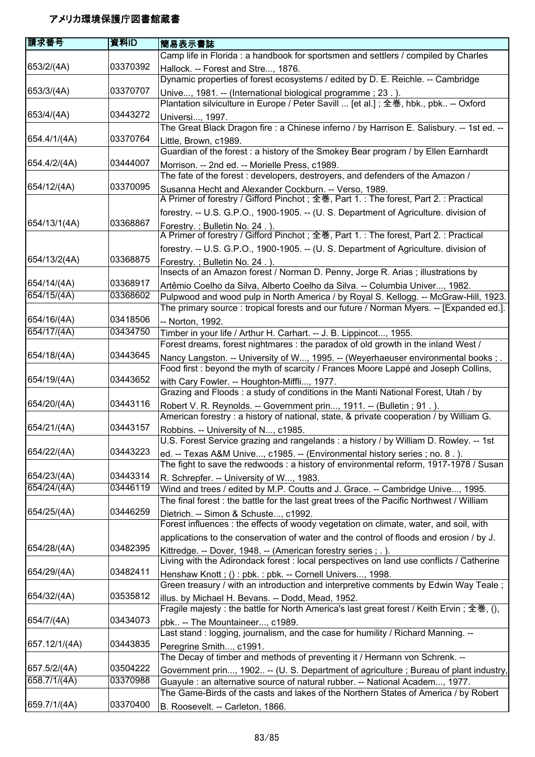| 請求番号                       | 資料ID                 | 簡易表示書誌                                                                                                                                                               |
|----------------------------|----------------------|----------------------------------------------------------------------------------------------------------------------------------------------------------------------|
|                            |                      | Camp life in Florida : a handbook for sportsmen and settlers / compiled by Charles                                                                                   |
| 653/2/(4A)                 | 03370392             | Hallock. -- Forest and Stre, 1876.                                                                                                                                   |
|                            |                      | Dynamic properties of forest ecosystems / edited by D. E. Reichle. -- Cambridge                                                                                      |
| 653/3/(4A)                 | 03370707             | Unive, 1981. -- (International biological programme; 23.).                                                                                                           |
|                            |                      | Plantation silviculture in Europe / Peter Savill  [et al.]; 全巻, hbk., pbk -- Oxford                                                                                  |
| 653/4/(4A)                 | 03443272             | Universi, 1997.                                                                                                                                                      |
|                            |                      | The Great Black Dragon fire : a Chinese inferno / by Harrison E. Salisbury. -- 1st ed. --                                                                            |
| 654.4/1/(4A)               | 03370764             | Little, Brown, c1989.                                                                                                                                                |
|                            |                      | Guardian of the forest : a history of the Smokey Bear program / by Ellen Earnhardt                                                                                   |
| 654.4/2/(4A)               | 03444007             | Morrison. -- 2nd ed. -- Morielle Press, c1989.                                                                                                                       |
|                            |                      | The fate of the forest: developers, destroyers, and defenders of the Amazon /                                                                                        |
| 654/12/(4A)                | 03370095             | Susanna Hecht and Alexander Cockburn. -- Verso, 1989.                                                                                                                |
|                            |                      | A Primer of forestry / Gifford Pinchot; 全巻, Part 1.: The forest, Part 2.: Practical                                                                                  |
|                            |                      | forestry. -- U.S. G.P.O., 1900-1905. -- (U. S. Department of Agriculture. division of                                                                                |
| 654/13/1(4A)               | 03368867             | Forestry.; Bulletin No. 24.).                                                                                                                                        |
|                            |                      | A Primer of forestry / Gifford Pinchot; 全巻, Part 1.: The forest, Part 2.: Practical                                                                                  |
|                            |                      | forestry. -- U.S. G.P.O., 1900-1905. -- (U. S. Department of Agriculture. division of                                                                                |
| 654/13/2(4A)               | 03368875             | Forestry.; Bulletin No. 24.).                                                                                                                                        |
|                            |                      | Insects of an Amazon forest / Norman D. Penny, Jorge R. Arias; illustrations by                                                                                      |
| 654/14/(4A)                | 03368917             | Artêmio Coelho da Silva, Alberto Coelho da Silva. -- Columbia Univer, 1982.                                                                                          |
| 654/15/(4A)                | 03368602             | Pulpwood and wood pulp in North America / by Royal S. Kellogg. -- McGraw-Hill, 1923.                                                                                 |
|                            |                      | The primary source : tropical forests and our future / Norman Myers. -- [Expanded ed.].                                                                              |
| 654/16/(4A)                | 03418506             | -- Norton, 1992.                                                                                                                                                     |
| 654/17/(4A)                | 03434750             | Timber in your life / Arthur H. Carhart. -- J. B. Lippincot, 1955.                                                                                                   |
|                            |                      | Forest dreams, forest nightmares : the paradox of old growth in the inland West /                                                                                    |
| 654/18/(4A)                | 03443645             | Nancy Langston. -- University of W, 1995. -- (Weyerhaeuser environmental books; .                                                                                    |
|                            |                      | Food first : beyond the myth of scarcity / Frances Moore Lappé and Joseph Collins,                                                                                   |
| 654/19/(4A)                | 03443652             | with Cary Fowler. -- Houghton-Miffli, 1977.                                                                                                                          |
|                            |                      | Grazing and Floods: a study of conditions in the Manti National Forest, Utah / by                                                                                    |
| 654/20/(4A)                | 03443116             | Robert V. R. Reynolds. -- Government prin, 1911. -- (Bulletin; 91.).                                                                                                 |
|                            |                      | American forestry : a history of national, state, & private cooperation / by William G.                                                                              |
| 654/21/(4A)                | 03443157             | Robbins. -- University of N, c1985.                                                                                                                                  |
|                            |                      | U.S. Forest Service grazing and rangelands : a history / by William D. Rowley. -- 1st                                                                                |
| 654/22/(4A)                | 03443223             | ed. -- Texas A&M Unive, c1985. -- (Environmental history series ; no. 8.).                                                                                           |
|                            |                      | The fight to save the redwoods : a history of environmental reform, 1917-1978 / Susan                                                                                |
| 654/23/(4A)<br>654/24/(4A) | 03443314<br>03446119 | R. Schrepfer. -- University of W, 1983.                                                                                                                              |
|                            |                      | Wind and trees / edited by M.P. Coutts and J. Grace. -- Cambridge Unive, 1995.                                                                                       |
| 654/25/(4A)                | 03446259             | The final forest: the battle for the last great trees of the Pacific Northwest / William                                                                             |
|                            |                      | Dietrich. -- Simon & Schuste, c1992.<br>Forest influences : the effects of woody vegetation on climate, water, and soil, with                                        |
|                            |                      |                                                                                                                                                                      |
| 654/28/(4A)                | 03482395             | applications to the conservation of water and the control of floods and erosion / by J.                                                                              |
|                            |                      | Kittredge. -- Dover, 1948. -- (American forestry series ; .).<br>Living with the Adirondack forest : local perspectives on land use conflicts / Catherine            |
| 654/29/(4A)                | 03482411             |                                                                                                                                                                      |
|                            |                      | Henshaw Knott; (): pbk.: pbk. -- Cornell Univers, 1998.<br>Green treasury / with an introduction and interpretive comments by Edwin Way Teale;                       |
| 654/32/(4A)                | 03535812             |                                                                                                                                                                      |
|                            |                      | illus. by Michael H. Bevans. -- Dodd, Mead, 1952.<br>Fragile majesty : the battle for North America's last great forest / Keith Ervin; 全巻, (),                       |
| 654/7/(4A)                 | 03434073             | pbk -- The Mountaineer, c1989.                                                                                                                                       |
|                            |                      | Last stand: logging, journalism, and the case for humility / Richard Manning. --                                                                                     |
| 657.12/1/(4A)              | 03443835             |                                                                                                                                                                      |
|                            |                      | Peregrine Smith, c1991.<br>The Decay of timber and methods of preventing it / Hermann von Schrenk. --                                                                |
| 657.5/2/(4A)               | 03504222             |                                                                                                                                                                      |
| 658.7/1/(4A)               | 03370988             | Government prin, 1902 -- (U. S. Department of agriculture; Bureau of plant industry,<br>Guayule : an alternative source of natural rubber. -- National Academ, 1977. |
|                            |                      | The Game-Birds of the casts and lakes of the Northern States of America / by Robert                                                                                  |
| 659.7/1/(4A)               | 03370400             | B. Roosevelt. -- Carleton, 1866.                                                                                                                                     |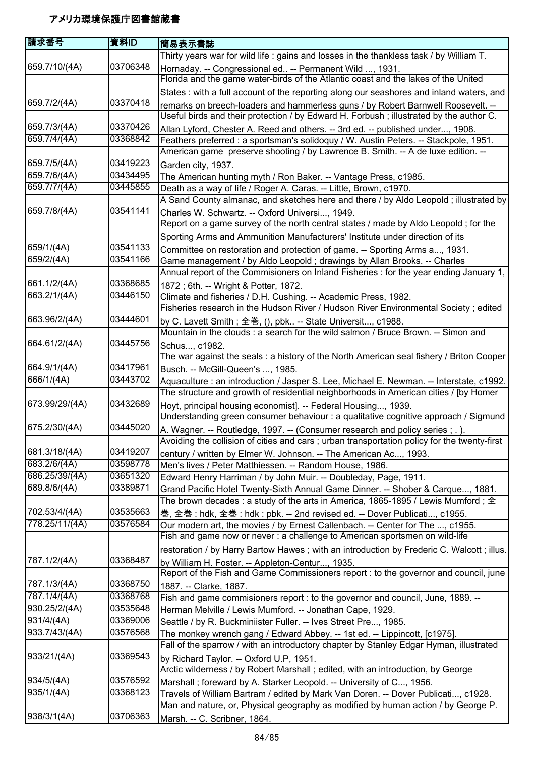| 庸求番号                       | 資料ID                 | 簡易表示書誌                                                                                                                                                                          |
|----------------------------|----------------------|---------------------------------------------------------------------------------------------------------------------------------------------------------------------------------|
|                            |                      | Thirty years war for wild life : gains and losses in the thankless task / by William T.                                                                                         |
| 659.7/10/(4A)              | 03706348             | Hornaday. -- Congressional ed -- Permanent Wild , 1931.                                                                                                                         |
|                            |                      | Florida and the game water-birds of the Atlantic coast and the lakes of the United                                                                                              |
|                            |                      | States: with a full account of the reporting along our seashores and inland waters, and                                                                                         |
| 659.7/2/(4A)               | 03370418             | remarks on breech-loaders and hammerless guns / by Robert Barnwell Roosevelt. --                                                                                                |
|                            |                      | Useful birds and their protection / by Edward H. Forbush; illustrated by the author C.                                                                                          |
| 659.7/3/(4A)               | 03370426             | Allan Lyford, Chester A. Reed and others. -- 3rd ed. -- published under, 1908.                                                                                                  |
| 659.7/4/(4A)               | 03368842             | Feathers preferred : a sportsman's solidoquy / W. Austin Peters. -- Stackpole, 1951.                                                                                            |
|                            |                      | American game preserve shooting / by Lawrence B. Smith. -- A de luxe edition. --                                                                                                |
| 659.7/5/(4A)               | 03419223             | Garden city, 1937.                                                                                                                                                              |
| 659.7/6/(4A)               | 03434495             | The American hunting myth / Ron Baker. -- Vantage Press, c1985.                                                                                                                 |
| 659.7/7/(4A)               | 03445855             | Death as a way of life / Roger A. Caras. -- Little, Brown, c1970.                                                                                                               |
|                            |                      | A Sand County almanac, and sketches here and there / by Aldo Leopold; illustrated by                                                                                            |
| 659.7/8/(4A)               | 03541141             | Charles W. Schwartz. -- Oxford Universi, 1949.                                                                                                                                  |
|                            |                      | Report on a game survey of the north central states / made by Aldo Leopold; for the                                                                                             |
|                            |                      | Sporting Arms and Ammunition Manufacturers' Institute under direction of its                                                                                                    |
| 659/1/(4A)                 | 03541133             | Committee on restoration and protection of game. -- Sporting Arms a, 1931.                                                                                                      |
| 659/2/(4A)                 | 03541166             | Game management / by Aldo Leopold ; drawings by Allan Brooks. -- Charles                                                                                                        |
|                            |                      | Annual report of the Commisioners on Inland Fisheries : for the year ending January 1,                                                                                          |
| 661.1/2/(4A)               | 03368685             | 1872; 6th. -- Wright & Potter, 1872.                                                                                                                                            |
| 663.2/1/(4A)               | 03446150             | Climate and fisheries / D.H. Cushing. -- Academic Press, 1982.                                                                                                                  |
|                            |                      | Fisheries research in the Hudson River / Hudson River Environmental Society; edited                                                                                             |
| 663.96/2/(4A)              | 03444601             | by C. Lavett Smith; 全巻, (), pbk -- State Universit, c1988.                                                                                                                      |
|                            |                      | Mountain in the clouds : a search for the wild salmon / Bruce Brown. -- Simon and                                                                                               |
| 664.61/2/(4A)              | 03445756             | Schus, c1982.                                                                                                                                                                   |
|                            |                      | The war against the seals : a history of the North American seal fishery / Briton Cooper                                                                                        |
| 664.9/1/(4A)<br>666/1/(4A) | 03417961<br>03443702 | Busch. -- McGill-Queen's , 1985.                                                                                                                                                |
|                            |                      | Aquaculture : an introduction / Jasper S. Lee, Michael E. Newman. -- Interstate, c1992.<br>The structure and growth of residential neighborhoods in American cities / [by Homer |
| 673.99/29/(4A)             | 03432689             |                                                                                                                                                                                 |
|                            |                      | Hoyt, principal housing economist]. -- Federal Housing, 1939.<br>Understanding green consumer behaviour : a qualitative cognitive approach / Sigmund                            |
| 675.2/30/(4A)              | 03445020             |                                                                                                                                                                                 |
|                            |                      | A. Wagner. -- Routledge, 1997. -- (Consumer research and policy series ; . ).<br>Avoiding the collision of cities and cars; urban transportation policy for the twenty-first    |
| 681.3/18/(4A)              | 03419207             |                                                                                                                                                                                 |
| 683.2/6/(4A)               | 03598778             | century / written by Elmer W. Johnson. -- The American Ac, 1993.<br>Men's lives / Peter Matthiessen. -- Random House, 1986.                                                     |
| 686.25/39/(4A)             | 03651320             | Edward Henry Harriman / by John Muir. -- Doubleday, Page, 1911.                                                                                                                 |
| 689.8/6/(4A)               | 03389871             | Grand Pacific Hotel Twenty-Sixth Annual Game Dinner. -- Shober & Carque, 1881.                                                                                                  |
|                            |                      | The brown decades : a study of the arts in America, 1865-1895 / Lewis Mumford ; $\hat{\bm{\pm}}$                                                                                |
| 702.53/4/(4A)              | 03535663             | 巻, 全巻 : hdk, 全巻 : hdk : pbk. -- 2nd revised ed. -- Dover Publicati, c1955.                                                                                                      |
| 778.25/11/(4A)             | 03576584             | Our modern art, the movies / by Ernest Callenbach. -- Center for The , c1955.                                                                                                   |
|                            |                      | Fish and game now or never : a challenge to American sportsmen on wild-life                                                                                                     |
|                            |                      | restoration / by Harry Bartow Hawes; with an introduction by Frederic C. Walcott; illus.                                                                                        |
| 787.1/2/(4A)               | 03368487             | by William H. Foster. -- Appleton-Centur, 1935.                                                                                                                                 |
|                            |                      | Report of the Fish and Game Commissioners report : to the governor and council, june                                                                                            |
| 787.1/3/(4A)               | 03368750             | 1887. -- Clarke, 1887.                                                                                                                                                          |
| 787.1/4/(4A)               | 03368768             | Fish and game commisioners report : to the governor and council, June, 1889. --                                                                                                 |
| 930.25/2/(4A)              | 03535648             | Herman Melville / Lewis Mumford. -- Jonathan Cape, 1929.                                                                                                                        |
| 931/4/(4A)                 | 03369006             | Seattle / by R. Buckminiister Fuller. -- Ives Street Pre, 1985.                                                                                                                 |
| 933.7/43/(4A)              | 03576568             | The monkey wrench gang / Edward Abbey. -- 1st ed. -- Lippincott, [c1975].                                                                                                       |
|                            |                      | Fall of the sparrow / with an introductory chapter by Stanley Edgar Hyman, illustrated                                                                                          |
| 933/21/(4A)                | 03369543             | by Richard Taylor. -- Oxford U.P, 1951.                                                                                                                                         |
|                            |                      | Arctic wilderness / by Robert Marshall ; edited, with an introduction, by George                                                                                                |
| 934/5/(4A)                 | 03576592             | Marshall; foreward by A. Starker Leopold. -- University of C, 1956.                                                                                                             |
| 935/1/(4A)                 | 03368123             | Travels of William Bartram / edited by Mark Van Doren. -- Dover Publicati, c1928.                                                                                               |
|                            |                      | Man and nature, or, Physical geography as modified by human action / by George P.                                                                                               |
| 938/3/1(4A)                | 03706363             | Marsh. -- C. Scribner, 1864.                                                                                                                                                    |